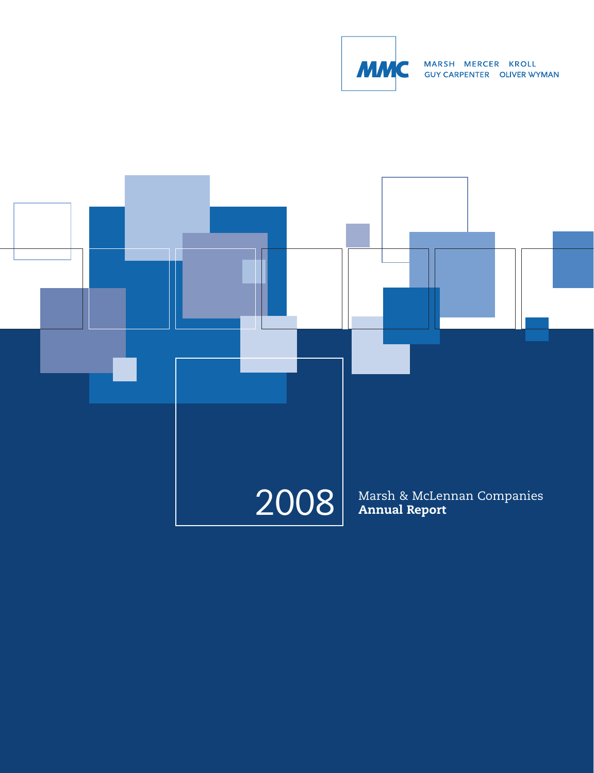

MARSH MERCER KROLL **GUY CARPENTER OLIVER WYMAN** 

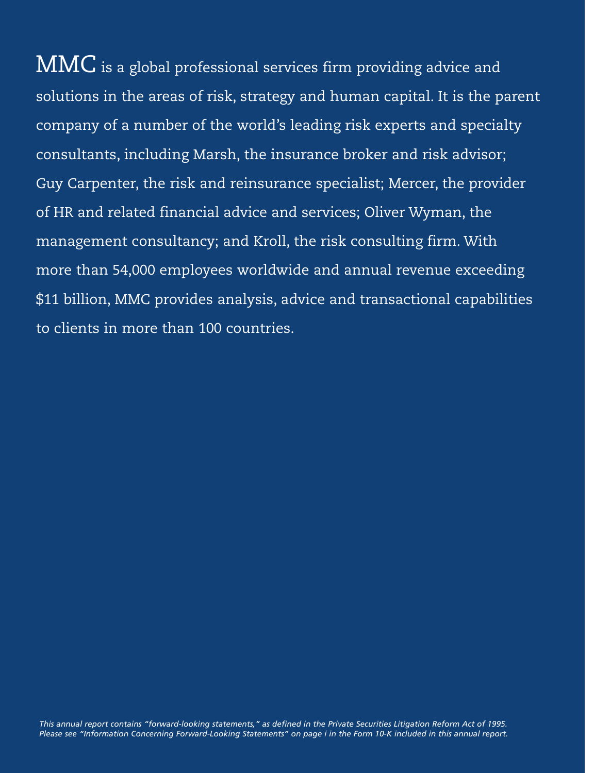$\mathop{\rm MMC}\nolimits$  is a global professional services firm providing advice and solutions in the areas of risk, strategy and human capital. It is the parent company of a number of the world's leading risk experts and specialty consultants, including Marsh, the insurance broker and risk advisor; Guy Carpenter, the risk and reinsurance specialist; Mercer, the provider of HR and related financial advice and services; Oliver Wyman, the management consultancy; and Kroll, the risk consulting firm. With more than 54,000 employees worldwide and annual revenue exceeding \$11 billion, MMC provides analysis, advice and transactional capabilities to clients in more than 100 countries.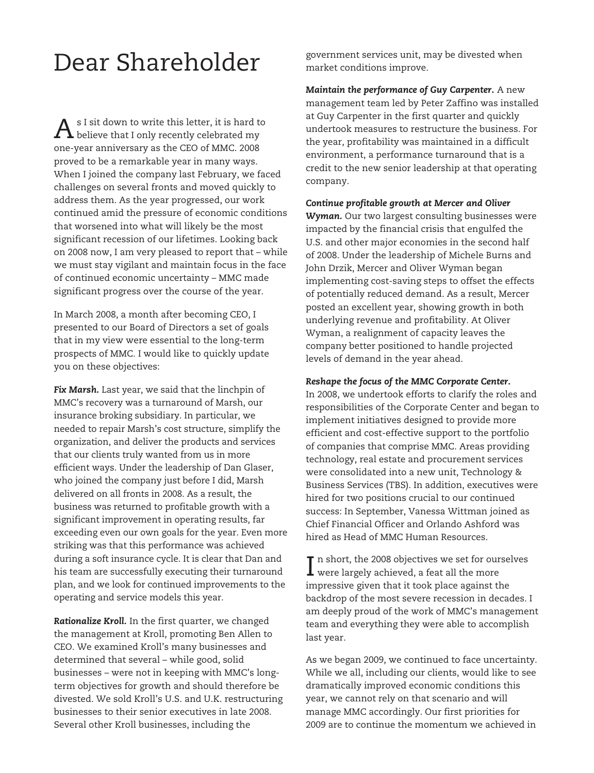# Dear Shareholder

 $\mathbf A$  s I sit down to write this letter, it is hard to believe that I only recently celebrated my one-year anniversary as the CEO of MMC. 2008 proved to be a remarkable year in many ways. When I joined the company last February, we faced challenges on several fronts and moved quickly to address them. As the year progressed, our work continued amid the pressure of economic conditions that worsened into what will likely be the most significant recession of our lifetimes. Looking back on 2008 now, I am very pleased to report that – while we must stay vigilant and maintain focus in the face of continued economic uncertainty – MMC made significant progress over the course of the year.

In March 2008, a month after becoming CEO, I presented to our Board of Directors a set of goals that in my view were essential to the long-term prospects of MMC. I would like to quickly update you on these objectives:

*Fix Marsh.* Last year, we said that the linchpin of MMC's recovery was a turnaround of Marsh, our insurance broking subsidiary. In particular, we needed to repair Marsh's cost structure, simplify the organization, and deliver the products and services that our clients truly wanted from us in more efficient ways. Under the leadership of Dan Glaser, who joined the company just before I did, Marsh delivered on all fronts in 2008. As a result, the business was returned to profitable growth with a significant improvement in operating results, far exceeding even our own goals for the year. Even more striking was that this performance was achieved during a soft insurance cycle. It is clear that Dan and his team are successfully executing their turnaround plan, and we look for continued improvements to the operating and service models this year.

*Rationalize Kroll.* In the first quarter, we changed the management at Kroll, promoting Ben Allen to CEO. We examined Kroll's many businesses and determined that several – while good, solid businesses – were not in keeping with MMC's longterm objectives for growth and should therefore be divested. We sold Kroll's U.S. and U.K. restructuring businesses to their senior executives in late 2008. Several other Kroll businesses, including the

government services unit, may be divested when market conditions improve.

*Maintain the performance of Guy Carpenter.* A new management team led by Peter Zaffino was installed at Guy Carpenter in the first quarter and quickly undertook measures to restructure the business. For the year, profitability was maintained in a difficult environment, a performance turnaround that is a credit to the new senior leadership at that operating company.

*Continue profitable growth at Mercer and Oliver Wyman.* Our two largest consulting businesses were impacted by the financial crisis that engulfed the U.S. and other major economies in the second half of 2008. Under the leadership of Michele Burns and John Drzik, Mercer and Oliver Wyman began implementing cost-saving steps to offset the effects of potentially reduced demand. As a result, Mercer posted an excellent year, showing growth in both underlying revenue and profitability. At Oliver Wyman, a realignment of capacity leaves the company better positioned to handle projected levels of demand in the year ahead.

#### *Reshape the focus of the MMC Corporate Center.*

In 2008, we undertook efforts to clarify the roles and responsibilities of the Corporate Center and began to implement initiatives designed to provide more efficient and cost-effective support to the portfolio of companies that comprise MMC. Areas providing technology, real estate and procurement services were consolidated into a new unit, Technology & Business Services (TBS). In addition, executives were hired for two positions crucial to our continued success: In September, Vanessa Wittman joined as Chief Financial Officer and Orlando Ashford was hired as Head of MMC Human Resources.

In short, the 2008 objectives we set for our were largely achieved, a feat all the more  $\mathbf T$  n short, the 2008 objectives we set for ourselves impressive given that it took place against the backdrop of the most severe recession in decades. I am deeply proud of the work of MMC's management team and everything they were able to accomplish last year.

As we began 2009, we continued to face uncertainty. While we all, including our clients, would like to see dramatically improved economic conditions this year, we cannot rely on that scenario and will manage MMC accordingly. Our first priorities for 2009 are to continue the momentum we achieved in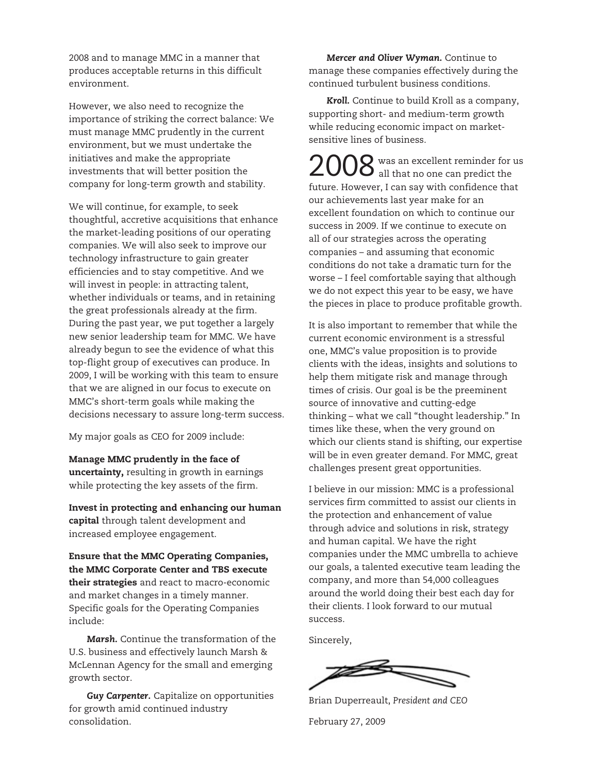2008 and to manage MMC in a manner that produces acceptable returns in this difficult environment.

However, we also need to recognize the importance of striking the correct balance: We must manage MMC prudently in the current environment, but we must undertake the initiatives and make the appropriate investments that will better position the company for long-term growth and stability.

We will continue, for example, to seek thoughtful, accretive acquisitions that enhance the market-leading positions of our operating companies. We will also seek to improve our technology infrastructure to gain greater efficiencies and to stay competitive. And we will invest in people: in attracting talent, whether individuals or teams, and in retaining the great professionals already at the firm. During the past year, we put together a largely new senior leadership team for MMC. We have already begun to see the evidence of what this top-flight group of executives can produce. In 2009, I will be working with this team to ensure that we are aligned in our focus to execute on MMC's short-term goals while making the decisions necessary to assure long-term success.

My major goals as CEO for 2009 include:

**Manage MMC prudently in the face of uncertainty,** resulting in growth in earnings while protecting the key assets of the firm.

**Invest in protecting and enhancing our human capital** through talent development and increased employee engagement.

**Ensure that the MMC Operating Companies, the MMC Corporate Center and TBS execute their strategies** and react to macro-economic and market changes in a timely manner. Specific goals for the Operating Companies include:

*Marsh.* Continue the transformation of the U.S. business and effectively launch Marsh & McLennan Agency for the small and emerging growth sector.

*Guy Carpenter.* Capitalize on opportunities for growth amid continued industry consolidation.

*Mercer and Oliver Wyman.* Continue to manage these companies effectively during the continued turbulent business conditions.

*Kroll.* Continue to build Kroll as a company, supporting short- and medium-term growth while reducing economic impact on marketsensitive lines of business.

 $\mathbf O$  was an excellent reminder for us all that no one can predict the future. However, I can say with confidence that our achievements last year make for an excellent foundation on which to continue our success in 2009. If we continue to execute on all of our strategies across the operating companies – and assuming that economic conditions do not take a dramatic turn for the worse – I feel comfortable saying that although we do not expect this year to be easy, we have the pieces in place to produce profitable growth.

It is also important to remember that while the current economic environment is a stressful one, MMC's value proposition is to provide clients with the ideas, insights and solutions to help them mitigate risk and manage through times of crisis. Our goal is be the preeminent source of innovative and cutting-edge thinking – what we call "thought leadership." In times like these, when the very ground on which our clients stand is shifting, our expertise will be in even greater demand. For MMC, great challenges present great opportunities.

I believe in our mission: MMC is a professional services firm committed to assist our clients in the protection and enhancement of value through advice and solutions in risk, strategy and human capital. We have the right companies under the MMC umbrella to achieve our goals, a talented executive team leading the company, and more than 54,000 colleagues around the world doing their best each day for their clients. I look forward to our mutual success.

Sincerely,

Brian Duperreault, *President and CEO*

February 27, 2009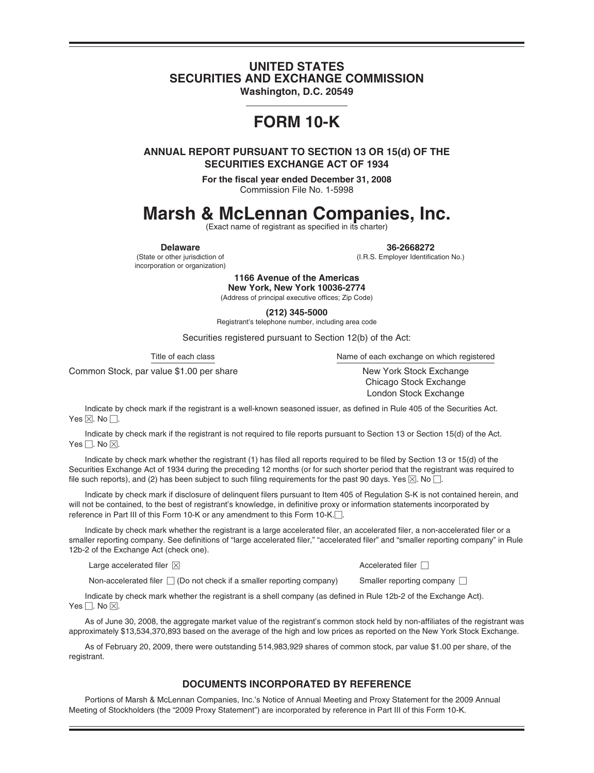#### **UNITED STATES SECURITIES AND EXCHANGE COMMISSION Washington, D.C. 20549**

### **FORM 10-K**

#### **ANNUAL REPORT PURSUANT TO SECTION 13 OR 15(d) OF THE SECURITIES EXCHANGE ACT OF 1934**

**For the fiscal year ended December 31, 2008** Commission File No. 1-5998

## **Marsh & McLennan Companies, Inc.**

(Exact name of registrant as specified in its charter)

(State or other jurisdiction of incorporation or organization)

**Delaware 36-2668272**

(I.R.S. Employer Identification No.)

**1166 Avenue of the Americas**

**New York, New York 10036-2774**

(Address of principal executive offices; Zip Code)

**(212) 345-5000**

Registrant's telephone number, including area code

Securities registered pursuant to Section 12(b) of the Act:

Title of each class Name of each exchange on which registered

Common Stock, par value \$1.00 per share New York Stock Exchange

Chicago Stock Exchange London Stock Exchange

Indicate by check mark if the registrant is a well-known seasoned issuer, as defined in Rule 405 of the Securities Act. Yes  $\times$ . No  $\Box$ .

Indicate by check mark if the registrant is not required to file reports pursuant to Section 13 or Section 15(d) of the Act. Yes  $\Box$ . No  $\boxtimes$ .

Indicate by check mark whether the registrant (1) has filed all reports required to be filed by Section 13 or 15(d) of the Securities Exchange Act of 1934 during the preceding 12 months (or for such shorter period that the registrant was required to file such reports), and (2) has been subject to such filing requirements for the past 90 days. Yes  $\boxtimes$ . No  $\Box$ .

Indicate by check mark if disclosure of delinquent filers pursuant to Item 405 of Regulation S-K is not contained herein, and will not be contained, to the best of registrant's knowledge, in definitive proxy or information statements incorporated by reference in Part III of this Form 10-K or any amendment to this Form 10-K. $\square$ .

Indicate by check mark whether the registrant is a large accelerated filer, an accelerated filer, a non-accelerated filer or a smaller reporting company. See definitions of "large accelerated filer," "accelerated filer" and "smaller reporting company" in Rule 12b-2 of the Exchange Act (check one).

Large accelerated filer  $\boxtimes$   $\blacksquare$ 

Non-accelerated filer  $\Box$  (Do not check if a smaller reporting company) Smaller reporting company  $\Box$ 

Indicate by check mark whether the registrant is a shell company (as defined in Rule 12b-2 of the Exchange Act). Yes  $\Box$ . No  $\boxtimes$ .

As of June 30, 2008, the aggregate market value of the registrant's common stock held by non-affiliates of the registrant was approximately \$13,534,370,893 based on the average of the high and low prices as reported on the New York Stock Exchange.

As of February 20, 2009, there were outstanding 514,983,929 shares of common stock, par value \$1.00 per share, of the registrant.

#### **DOCUMENTS INCORPORATED BY REFERENCE**

Portions of Marsh & McLennan Companies, Inc.'s Notice of Annual Meeting and Proxy Statement for the 2009 Annual Meeting of Stockholders (the "2009 Proxy Statement") are incorporated by reference in Part III of this Form 10-K.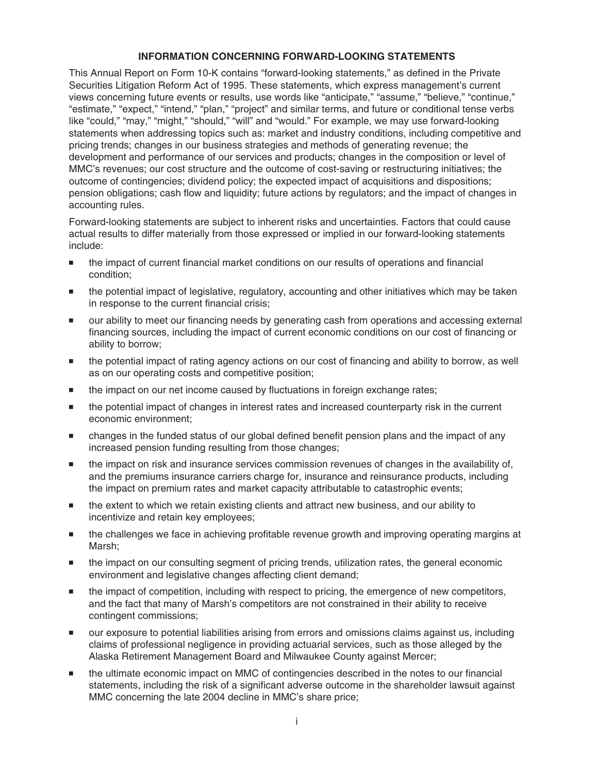#### **INFORMATION CONCERNING FORWARD-LOOKING STATEMENTS**

This Annual Report on Form 10-K contains "forward-looking statements," as defined in the Private Securities Litigation Reform Act of 1995. These statements, which express management's current views concerning future events or results, use words like "anticipate," "assume," "believe," "continue," "estimate," "expect," "intend," "plan," "project" and similar terms, and future or conditional tense verbs like "could," "may," "might," "should," "will" and "would." For example, we may use forward-looking statements when addressing topics such as: market and industry conditions, including competitive and pricing trends; changes in our business strategies and methods of generating revenue; the development and performance of our services and products; changes in the composition or level of MMC's revenues; our cost structure and the outcome of cost-saving or restructuring initiatives; the outcome of contingencies; dividend policy; the expected impact of acquisitions and dispositions; pension obligations; cash flow and liquidity; future actions by regulators; and the impact of changes in accounting rules.

Forward-looking statements are subject to inherent risks and uncertainties. Factors that could cause actual results to differ materially from those expressed or implied in our forward-looking statements include:

- the impact of current financial market conditions on our results of operations and financial condition;
- the potential impact of legislative, regulatory, accounting and other initiatives which may be taken in response to the current financial crisis;
- our ability to meet our financing needs by generating cash from operations and accessing external financing sources, including the impact of current economic conditions on our cost of financing or ability to borrow;
- the potential impact of rating agency actions on our cost of financing and ability to borrow, as well as on our operating costs and competitive position;
- the impact on our net income caused by fluctuations in foreign exchange rates;
- the potential impact of changes in interest rates and increased counterparty risk in the current economic environment;
- changes in the funded status of our global defined benefit pension plans and the impact of any increased pension funding resulting from those changes;
- the impact on risk and insurance services commission revenues of changes in the availability of, and the premiums insurance carriers charge for, insurance and reinsurance products, including the impact on premium rates and market capacity attributable to catastrophic events;
- the extent to which we retain existing clients and attract new business, and our ability to incentivize and retain key employees;
- the challenges we face in achieving profitable revenue growth and improving operating margins at Marsh;
- the impact on our consulting segment of pricing trends, utilization rates, the general economic environment and legislative changes affecting client demand;
- the impact of competition, including with respect to pricing, the emergence of new competitors, and the fact that many of Marsh's competitors are not constrained in their ability to receive contingent commissions;
- our exposure to potential liabilities arising from errors and omissions claims against us, including claims of professional negligence in providing actuarial services, such as those alleged by the Alaska Retirement Management Board and Milwaukee County against Mercer;
- the ultimate economic impact on MMC of contingencies described in the notes to our financial statements, including the risk of a significant adverse outcome in the shareholder lawsuit against MMC concerning the late 2004 decline in MMC's share price;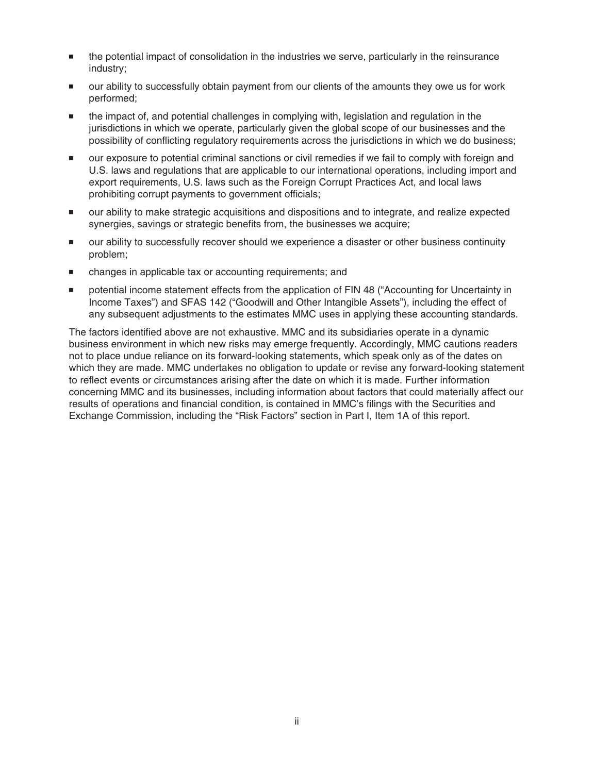- the potential impact of consolidation in the industries we serve, particularly in the reinsurance industry;
- our ability to successfully obtain payment from our clients of the amounts they owe us for work performed;
- the impact of, and potential challenges in complying with, legislation and regulation in the jurisdictions in which we operate, particularly given the global scope of our businesses and the possibility of conflicting regulatory requirements across the jurisdictions in which we do business;
- our exposure to potential criminal sanctions or civil remedies if we fail to comply with foreign and U.S. laws and regulations that are applicable to our international operations, including import and export requirements, U.S. laws such as the Foreign Corrupt Practices Act, and local laws prohibiting corrupt payments to government officials;
- our ability to make strategic acquisitions and dispositions and to integrate, and realize expected synergies, savings or strategic benefits from, the businesses we acquire;
- our ability to successfully recover should we experience a disaster or other business continuity problem;
- changes in applicable tax or accounting requirements; and
- potential income statement effects from the application of FIN 48 ("Accounting for Uncertainty in Income Taxes") and SFAS 142 ("Goodwill and Other Intangible Assets"), including the effect of any subsequent adjustments to the estimates MMC uses in applying these accounting standards.

The factors identified above are not exhaustive. MMC and its subsidiaries operate in a dynamic business environment in which new risks may emerge frequently. Accordingly, MMC cautions readers not to place undue reliance on its forward-looking statements, which speak only as of the dates on which they are made. MMC undertakes no obligation to update or revise any forward-looking statement to reflect events or circumstances arising after the date on which it is made. Further information concerning MMC and its businesses, including information about factors that could materially affect our results of operations and financial condition, is contained in MMC's filings with the Securities and Exchange Commission, including the "Risk Factors" section in Part I, Item 1A of this report.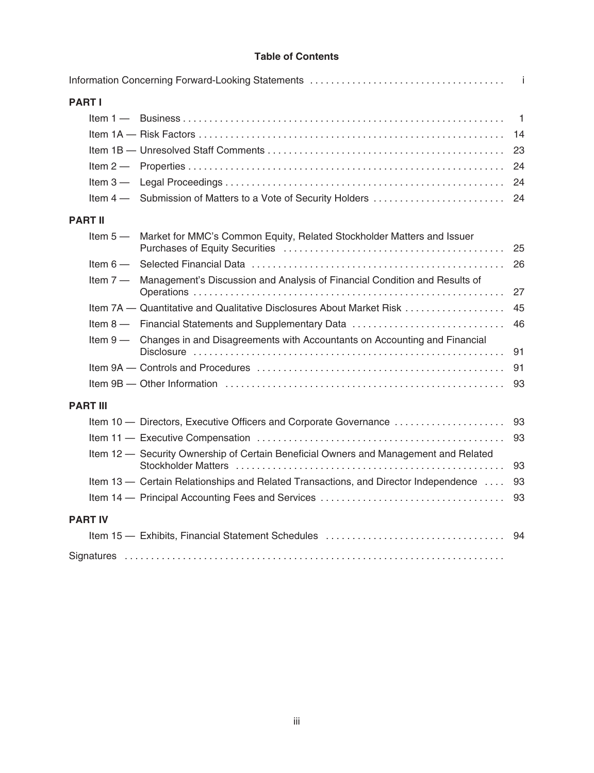#### **Table of Contents**

|                                                                                         | $\blacksquare$ |
|-----------------------------------------------------------------------------------------|----------------|
| <b>PARTI</b>                                                                            |                |
|                                                                                         | $\overline{1}$ |
|                                                                                         | 14             |
|                                                                                         | 23             |
|                                                                                         | 24             |
|                                                                                         | 24             |
|                                                                                         |                |
| <b>PART II</b>                                                                          |                |
| Market for MMC's Common Equity, Related Stockholder Matters and Issuer<br>Item $5-$     | 25             |
| Item $6-$                                                                               | 26             |
| Management's Discussion and Analysis of Financial Condition and Results of<br>Item $7-$ | 27             |
| Item 7A - Quantitative and Qualitative Disclosures About Market Risk                    | 45             |
| Item 8 - Financial Statements and Supplementary Data                                    | 46             |
| Changes in and Disagreements with Accountants on Accounting and Financial<br>Item $9-$  | 91             |
|                                                                                         | 91             |
|                                                                                         | 93             |
| <b>PART III</b>                                                                         |                |
| Item 10 - Directors, Executive Officers and Corporate Governance                        | 93             |
|                                                                                         | 93             |
| Item 12 - Security Ownership of Certain Beneficial Owners and Management and Related    | 93             |
| Item 13 — Certain Relationships and Related Transactions, and Director Independence     | 93             |
|                                                                                         | 93             |
| <b>PART IV</b>                                                                          |                |
|                                                                                         |                |
|                                                                                         |                |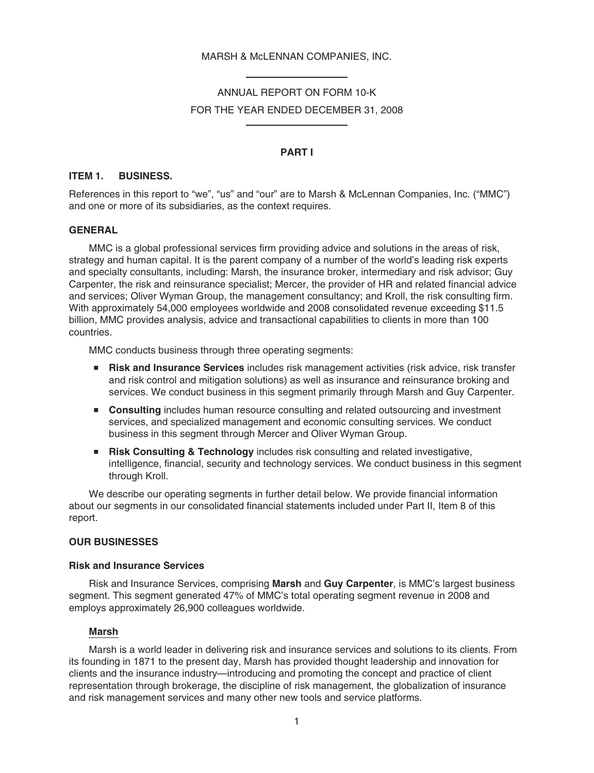#### MARSH & McLENNAN COMPANIES, INC.

### ANNUAL REPORT ON FORM 10-K FOR THE YEAR ENDED DECEMBER 31, 2008

#### **PART I**

#### **ITEM 1. BUSINESS.**

References in this report to "we", "us" and "our" are to Marsh & McLennan Companies, Inc. ("MMC") and one or more of its subsidiaries, as the context requires.

#### **GENERAL**

MMC is a global professional services firm providing advice and solutions in the areas of risk, strategy and human capital. It is the parent company of a number of the world's leading risk experts and specialty consultants, including: Marsh, the insurance broker, intermediary and risk advisor; Guy Carpenter, the risk and reinsurance specialist; Mercer, the provider of HR and related financial advice and services; Oliver Wyman Group, the management consultancy; and Kroll, the risk consulting firm. With approximately 54,000 employees worldwide and 2008 consolidated revenue exceeding \$11.5 billion, MMC provides analysis, advice and transactional capabilities to clients in more than 100 countries.

MMC conducts business through three operating segments:

- **EXTES And Insurance Services** includes risk management activities (risk advice, risk transfer and risk control and mitigation solutions) as well as insurance and reinsurance broking and services. We conduct business in this segment primarily through Marsh and Guy Carpenter.
- - **Consulting** includes human resource consulting and related outsourcing and investment services, and specialized management and economic consulting services. We conduct business in this segment through Mercer and Oliver Wyman Group.
- - **Risk Consulting & Technology** includes risk consulting and related investigative, intelligence, financial, security and technology services. We conduct business in this segment through Kroll.

We describe our operating segments in further detail below. We provide financial information about our segments in our consolidated financial statements included under Part II, Item 8 of this report.

#### **OUR BUSINESSES**

#### **Risk and Insurance Services**

Risk and Insurance Services, comprising **Marsh** and **Guy Carpenter**, is MMC's largest business segment. This segment generated 47% of MMC's total operating segment revenue in 2008 and employs approximately 26,900 colleagues worldwide.

#### **Marsh**

Marsh is a world leader in delivering risk and insurance services and solutions to its clients. From its founding in 1871 to the present day, Marsh has provided thought leadership and innovation for clients and the insurance industry—introducing and promoting the concept and practice of client representation through brokerage, the discipline of risk management, the globalization of insurance and risk management services and many other new tools and service platforms.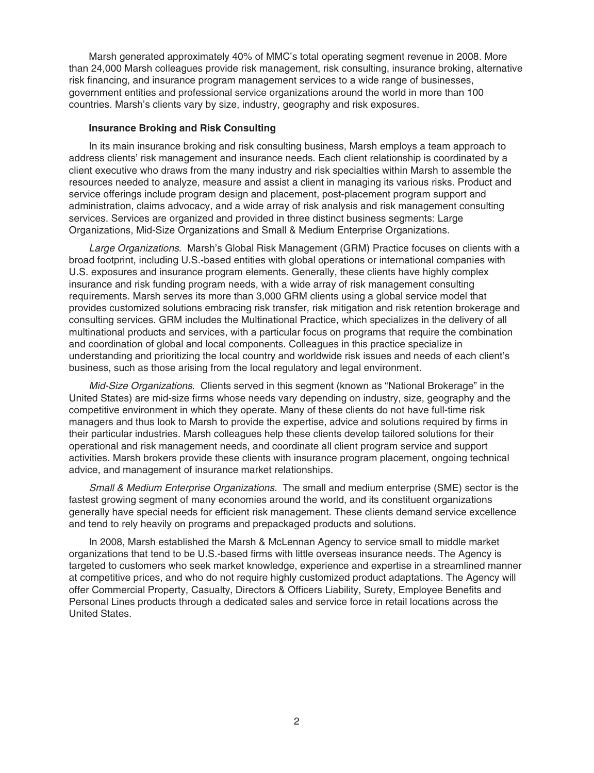Marsh generated approximately 40% of MMC's total operating segment revenue in 2008. More than 24,000 Marsh colleagues provide risk management, risk consulting, insurance broking, alternative risk financing, and insurance program management services to a wide range of businesses, government entities and professional service organizations around the world in more than 100 countries. Marsh's clients vary by size, industry, geography and risk exposures.

#### **Insurance Broking and Risk Consulting**

In its main insurance broking and risk consulting business, Marsh employs a team approach to address clients' risk management and insurance needs. Each client relationship is coordinated by a client executive who draws from the many industry and risk specialties within Marsh to assemble the resources needed to analyze, measure and assist a client in managing its various risks. Product and service offerings include program design and placement, post-placement program support and administration, claims advocacy, and a wide array of risk analysis and risk management consulting services. Services are organized and provided in three distinct business segments: Large Organizations, Mid-Size Organizations and Small & Medium Enterprise Organizations.

Large Organizations. Marsh's Global Risk Management (GRM) Practice focuses on clients with a broad footprint, including U.S.-based entities with global operations or international companies with U.S. exposures and insurance program elements. Generally, these clients have highly complex insurance and risk funding program needs, with a wide array of risk management consulting requirements. Marsh serves its more than 3,000 GRM clients using a global service model that provides customized solutions embracing risk transfer, risk mitigation and risk retention brokerage and consulting services. GRM includes the Multinational Practice, which specializes in the delivery of all multinational products and services, with a particular focus on programs that require the combination and coordination of global and local components. Colleagues in this practice specialize in understanding and prioritizing the local country and worldwide risk issues and needs of each client's business, such as those arising from the local regulatory and legal environment.

Mid-Size Organizations. Clients served in this segment (known as "National Brokerage" in the United States) are mid-size firms whose needs vary depending on industry, size, geography and the competitive environment in which they operate. Many of these clients do not have full-time risk managers and thus look to Marsh to provide the expertise, advice and solutions required by firms in their particular industries. Marsh colleagues help these clients develop tailored solutions for their operational and risk management needs, and coordinate all client program service and support activities. Marsh brokers provide these clients with insurance program placement, ongoing technical advice, and management of insurance market relationships.

Small & Medium Enterprise Organizations. The small and medium enterprise (SME) sector is the fastest growing segment of many economies around the world, and its constituent organizations generally have special needs for efficient risk management. These clients demand service excellence and tend to rely heavily on programs and prepackaged products and solutions.

In 2008, Marsh established the Marsh & McLennan Agency to service small to middle market organizations that tend to be U.S.-based firms with little overseas insurance needs. The Agency is targeted to customers who seek market knowledge, experience and expertise in a streamlined manner at competitive prices, and who do not require highly customized product adaptations. The Agency will offer Commercial Property, Casualty, Directors & Officers Liability, Surety, Employee Benefits and Personal Lines products through a dedicated sales and service force in retail locations across the United States.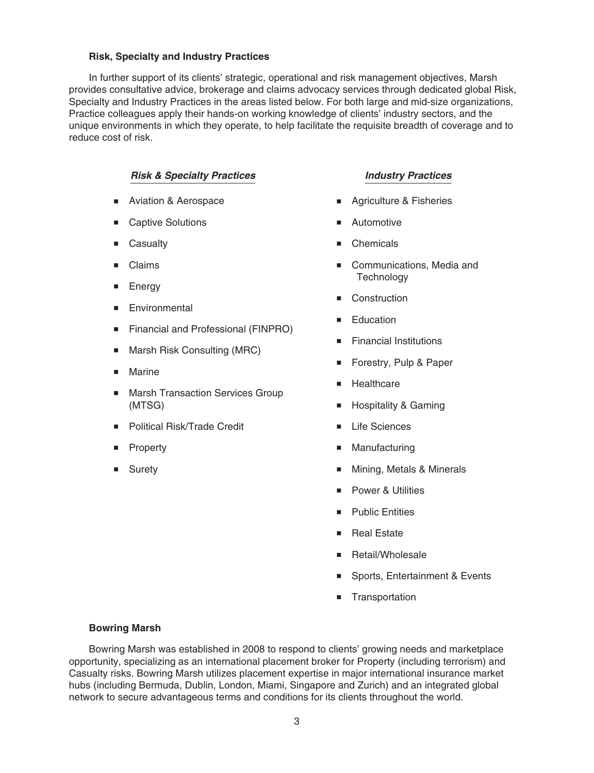#### **Risk, Specialty and Industry Practices**

In further support of its clients' strategic, operational and risk management objectives, Marsh provides consultative advice, brokerage and claims advocacy services through dedicated global Risk, Specialty and Industry Practices in the areas listed below. For both large and mid-size organizations, Practice colleagues apply their hands-on working knowledge of clients' industry sectors, and the unique environments in which they operate, to help facilitate the requisite breadth of coverage and to reduce cost of risk.

#### *Risk & Specialty Practices Industry Practices*

- Aviation & Aerospace
- **Captive Solutions**
- Casualty
- -Claims
- -Energy
- -Environmental
- **Financial and Professional (FINPRO)**
- -Marsh Risk Consulting (MRC)
- -Marine
- Marsh Transaction Services Group (MTSG)
- -Political Risk/Trade Credit
- -Property
- -Surety

- -Agriculture & Fisheries
- -Automotive
- -Chemicals
- - Communications, Media and **Technology**
- -**Construction**
- -**Education**
- -Financial Institutions
- -Forestry, Pulp & Paper
- -**Healthcare**
- -Hospitality & Gaming
- -Life Sciences
- -Manufacturing
- -Mining, Metals & Minerals
- -Power & Utilities
- -Public Entities
- -Real Estate
- -Retail/Wholesale
- -Sports, Entertainment & Events
- -**Transportation**

#### **Bowring Marsh**

Bowring Marsh was established in 2008 to respond to clients' growing needs and marketplace opportunity, specializing as an international placement broker for Property (including terrorism) and Casualty risks. Bowring Marsh utilizes placement expertise in major international insurance market hubs (including Bermuda, Dublin, London, Miami, Singapore and Zurich) and an integrated global network to secure advantageous terms and conditions for its clients throughout the world.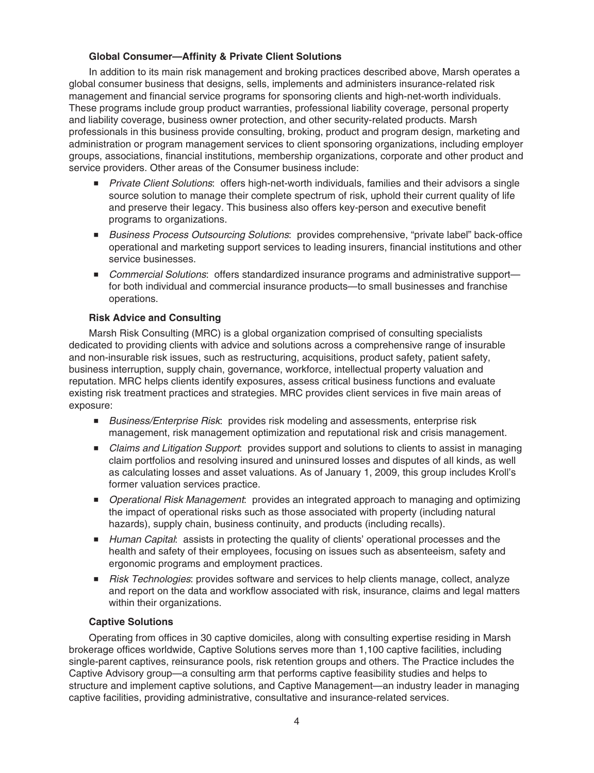#### **Global Consumer—Affinity & Private Client Solutions**

In addition to its main risk management and broking practices described above, Marsh operates a global consumer business that designs, sells, implements and administers insurance-related risk management and financial service programs for sponsoring clients and high-net-worth individuals. These programs include group product warranties, professional liability coverage, personal property and liability coverage, business owner protection, and other security-related products. Marsh professionals in this business provide consulting, broking, product and program design, marketing and administration or program management services to client sponsoring organizations, including employer groups, associations, financial institutions, membership organizations, corporate and other product and service providers. Other areas of the Consumer business include:

- - Private Client Solutions: offers high-net-worth individuals, families and their advisors a single source solution to manage their complete spectrum of risk, uphold their current quality of life and preserve their legacy. This business also offers key-person and executive benefit programs to organizations.
- **Business Process Outsourcing Solutions:** provides comprehensive, "private label" back-office **by** operational and marketing support services to leading insurers, financial institutions and other service businesses.
- Commercial Solutions: offers standardized insurance programs and administrative support for both individual and commercial insurance products—to small businesses and franchise operations.

#### **Risk Advice and Consulting**

Marsh Risk Consulting (MRC) is a global organization comprised of consulting specialists dedicated to providing clients with advice and solutions across a comprehensive range of insurable and non-insurable risk issues, such as restructuring, acquisitions, product safety, patient safety, business interruption, supply chain, governance, workforce, intellectual property valuation and reputation. MRC helps clients identify exposures, assess critical business functions and evaluate existing risk treatment practices and strategies. MRC provides client services in five main areas of exposure:

- **Business/Enterprise Risk: provides risk modeling and assessments, enterprise risk** management, risk management optimization and reputational risk and crisis management.
- **Dubtary 12** Claims and Litigation Support: provides support and solutions to clients to assist in managing claim portfolios and resolving insured and uninsured losses and disputes of all kinds, as well as calculating losses and asset valuations. As of January 1, 2009, this group includes Kroll's former valuation services practice.
- **Derational Risk Management:** provides an integrated approach to managing and optimizing the impact of operational risks such as those associated with property (including natural hazards), supply chain, business continuity, and products (including recalls).
- **Human Capital:** assists in protecting the quality of clients' operational processes and the health and safety of their employees, focusing on issues such as absenteeism, safety and ergonomic programs and employment practices.
- **Bulla Filter 1** Risk Technologies: provides software and services to help clients manage, collect, analyze and report on the data and workflow associated with risk, insurance, claims and legal matters within their organizations.

#### **Captive Solutions**

Operating from offices in 30 captive domiciles, along with consulting expertise residing in Marsh brokerage offices worldwide, Captive Solutions serves more than 1,100 captive facilities, including single-parent captives, reinsurance pools, risk retention groups and others. The Practice includes the Captive Advisory group—a consulting arm that performs captive feasibility studies and helps to structure and implement captive solutions, and Captive Management—an industry leader in managing captive facilities, providing administrative, consultative and insurance-related services.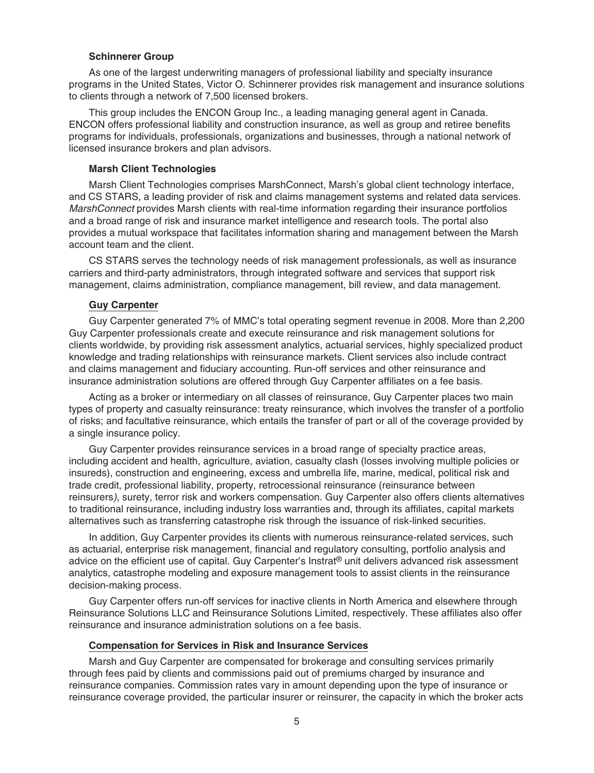#### **Schinnerer Group**

As one of the largest underwriting managers of professional liability and specialty insurance programs in the United States, Victor O. Schinnerer provides risk management and insurance solutions to clients through a network of 7,500 licensed brokers.

This group includes the ENCON Group Inc., a leading managing general agent in Canada. ENCON offers professional liability and construction insurance, as well as group and retiree benefits programs for individuals, professionals, organizations and businesses, through a national network of licensed insurance brokers and plan advisors.

#### **Marsh Client Technologies**

Marsh Client Technologies comprises MarshConnect, Marsh's global client technology interface, and CS STARS, a leading provider of risk and claims management systems and related data services. MarshConnect provides Marsh clients with real-time information regarding their insurance portfolios and a broad range of risk and insurance market intelligence and research tools. The portal also provides a mutual workspace that facilitates information sharing and management between the Marsh account team and the client.

CS STARS serves the technology needs of risk management professionals, as well as insurance carriers and third-party administrators, through integrated software and services that support risk management, claims administration, compliance management, bill review, and data management.

#### **Guy Carpenter**

Guy Carpenter generated 7% of MMC's total operating segment revenue in 2008. More than 2,200 Guy Carpenter professionals create and execute reinsurance and risk management solutions for clients worldwide, by providing risk assessment analytics, actuarial services, highly specialized product knowledge and trading relationships with reinsurance markets. Client services also include contract and claims management and fiduciary accounting. Run-off services and other reinsurance and insurance administration solutions are offered through Guy Carpenter affiliates on a fee basis.

Acting as a broker or intermediary on all classes of reinsurance, Guy Carpenter places two main types of property and casualty reinsurance: treaty reinsurance, which involves the transfer of a portfolio of risks; and facultative reinsurance, which entails the transfer of part or all of the coverage provided by a single insurance policy.

Guy Carpenter provides reinsurance services in a broad range of specialty practice areas, including accident and health, agriculture, aviation, casualty clash (losses involving multiple policies or insureds), construction and engineering, excess and umbrella life, marine, medical, political risk and trade credit, professional liability, property, retrocessional reinsurance (reinsurance between reinsurers), surety, terror risk and workers compensation. Guy Carpenter also offers clients alternatives to traditional reinsurance, including industry loss warranties and, through its affiliates, capital markets alternatives such as transferring catastrophe risk through the issuance of risk-linked securities.

In addition, Guy Carpenter provides its clients with numerous reinsurance-related services, such as actuarial, enterprise risk management, financial and regulatory consulting, portfolio analysis and advice on the efficient use of capital. Guy Carpenter's Instrat® unit delivers advanced risk assessment analytics, catastrophe modeling and exposure management tools to assist clients in the reinsurance decision-making process.

Guy Carpenter offers run-off services for inactive clients in North America and elsewhere through Reinsurance Solutions LLC and Reinsurance Solutions Limited, respectively. These affiliates also offer reinsurance and insurance administration solutions on a fee basis.

#### **Compensation for Services in Risk and Insurance Services**

Marsh and Guy Carpenter are compensated for brokerage and consulting services primarily through fees paid by clients and commissions paid out of premiums charged by insurance and reinsurance companies. Commission rates vary in amount depending upon the type of insurance or reinsurance coverage provided, the particular insurer or reinsurer, the capacity in which the broker acts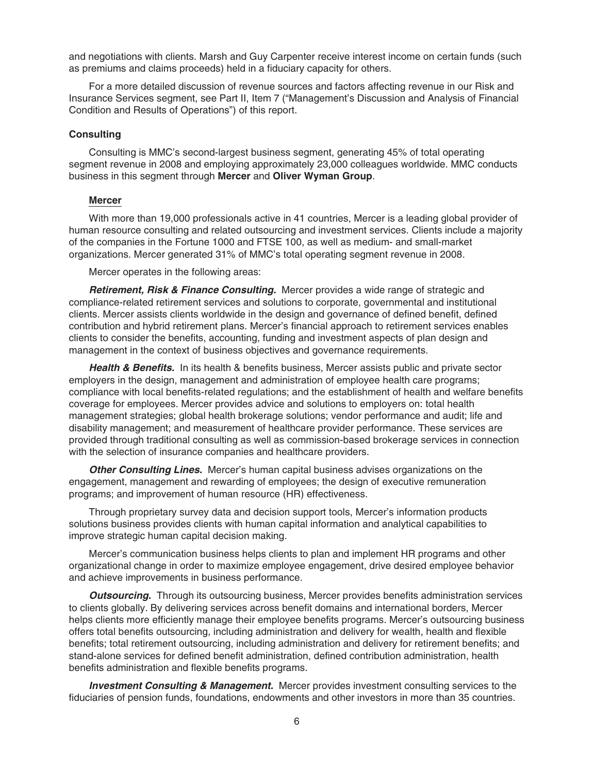and negotiations with clients. Marsh and Guy Carpenter receive interest income on certain funds (such as premiums and claims proceeds) held in a fiduciary capacity for others.

For a more detailed discussion of revenue sources and factors affecting revenue in our Risk and Insurance Services segment, see Part II, Item 7 ("Management's Discussion and Analysis of Financial Condition and Results of Operations") of this report.

#### **Consulting**

Consulting is MMC's second-largest business segment, generating 45% of total operating segment revenue in 2008 and employing approximately 23,000 colleagues worldwide. MMC conducts business in this segment through **Mercer** and **Oliver Wyman Group**.

#### **Mercer**

With more than 19,000 professionals active in 41 countries, Mercer is a leading global provider of human resource consulting and related outsourcing and investment services. Clients include a majority of the companies in the Fortune 1000 and FTSE 100, as well as medium- and small-market organizations. Mercer generated 31% of MMC's total operating segment revenue in 2008.

Mercer operates in the following areas:

*Retirement, Risk & Finance Consulting.* Mercer provides a wide range of strategic and compliance-related retirement services and solutions to corporate, governmental and institutional clients. Mercer assists clients worldwide in the design and governance of defined benefit, defined contribution and hybrid retirement plans. Mercer's financial approach to retirement services enables clients to consider the benefits, accounting, funding and investment aspects of plan design and management in the context of business objectives and governance requirements.

*Health & Benefits.* In its health & benefits business, Mercer assists public and private sector employers in the design, management and administration of employee health care programs; compliance with local benefits-related regulations; and the establishment of health and welfare benefits coverage for employees. Mercer provides advice and solutions to employers on: total health management strategies; global health brokerage solutions; vendor performance and audit; life and disability management; and measurement of healthcare provider performance. These services are provided through traditional consulting as well as commission-based brokerage services in connection with the selection of insurance companies and healthcare providers.

*Other Consulting Lines.* Mercer's human capital business advises organizations on the engagement, management and rewarding of employees; the design of executive remuneration programs; and improvement of human resource (HR) effectiveness.

Through proprietary survey data and decision support tools, Mercer's information products solutions business provides clients with human capital information and analytical capabilities to improve strategic human capital decision making.

Mercer's communication business helps clients to plan and implement HR programs and other organizational change in order to maximize employee engagement, drive desired employee behavior and achieve improvements in business performance.

**Outsourcing.** Through its outsourcing business, Mercer provides benefits administration services to clients globally. By delivering services across benefit domains and international borders, Mercer helps clients more efficiently manage their employee benefits programs. Mercer's outsourcing business offers total benefits outsourcing, including administration and delivery for wealth, health and flexible benefits; total retirement outsourcing, including administration and delivery for retirement benefits; and stand-alone services for defined benefit administration, defined contribution administration, health benefits administration and flexible benefits programs.

**Investment Consulting & Management.** Mercer provides investment consulting services to the fiduciaries of pension funds, foundations, endowments and other investors in more than 35 countries.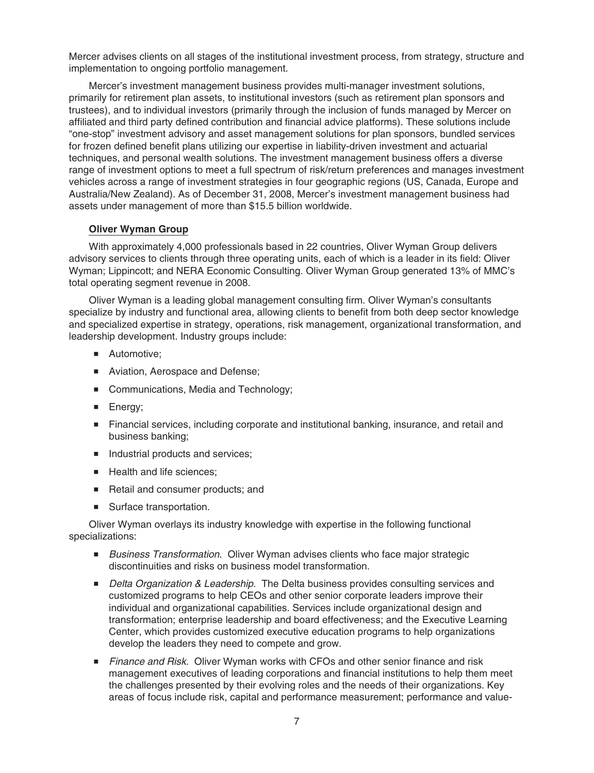Mercer advises clients on all stages of the institutional investment process, from strategy, structure and implementation to ongoing portfolio management.

Mercer's investment management business provides multi-manager investment solutions, primarily for retirement plan assets, to institutional investors (such as retirement plan sponsors and trustees), and to individual investors (primarily through the inclusion of funds managed by Mercer on affiliated and third party defined contribution and financial advice platforms). These solutions include "one-stop" investment advisory and asset management solutions for plan sponsors, bundled services for frozen defined benefit plans utilizing our expertise in liability-driven investment and actuarial techniques, and personal wealth solutions. The investment management business offers a diverse range of investment options to meet a full spectrum of risk/return preferences and manages investment vehicles across a range of investment strategies in four geographic regions (US, Canada, Europe and Australia/New Zealand). As of December 31, 2008, Mercer's investment management business had assets under management of more than \$15.5 billion worldwide.

#### **Oliver Wyman Group**

With approximately 4,000 professionals based in 22 countries, Oliver Wyman Group delivers advisory services to clients through three operating units, each of which is a leader in its field: Oliver Wyman; Lippincott; and NERA Economic Consulting. Oliver Wyman Group generated 13% of MMC's total operating segment revenue in 2008.

Oliver Wyman is a leading global management consulting firm. Oliver Wyman's consultants specialize by industry and functional area, allowing clients to benefit from both deep sector knowledge and specialized expertise in strategy, operations, risk management, organizational transformation, and leadership development. Industry groups include:

- Automotive;
- **Aviation, Aerospace and Defense;**
- **Communications, Media and Technology;**
- **E**nergy;
- Financial services, including corporate and institutional banking, insurance, and retail and business banking;
- **IF Industrial products and services;**
- **Health and life sciences;**
- **Retail and consumer products; and**
- **Surface transportation.**

Oliver Wyman overlays its industry knowledge with expertise in the following functional specializations:

- **Business Transformation. Oliver Wyman advises clients who face major strategic** Numbre discontinuities and risks on business model transformation.
- -Delta Organization & Leadership. The Delta business provides consulting services and customized programs to help CEOs and other senior corporate leaders improve their individual and organizational capabilities. Services include organizational design and transformation; enterprise leadership and board effectiveness; and the Executive Learning Center, which provides customized executive education programs to help organizations develop the leaders they need to compete and grow.
- **Finance and Risk. Oliver Wyman works with CFOs and other senior finance and risk** management executives of leading corporations and financial institutions to help them meet the challenges presented by their evolving roles and the needs of their organizations. Key areas of focus include risk, capital and performance measurement; performance and value-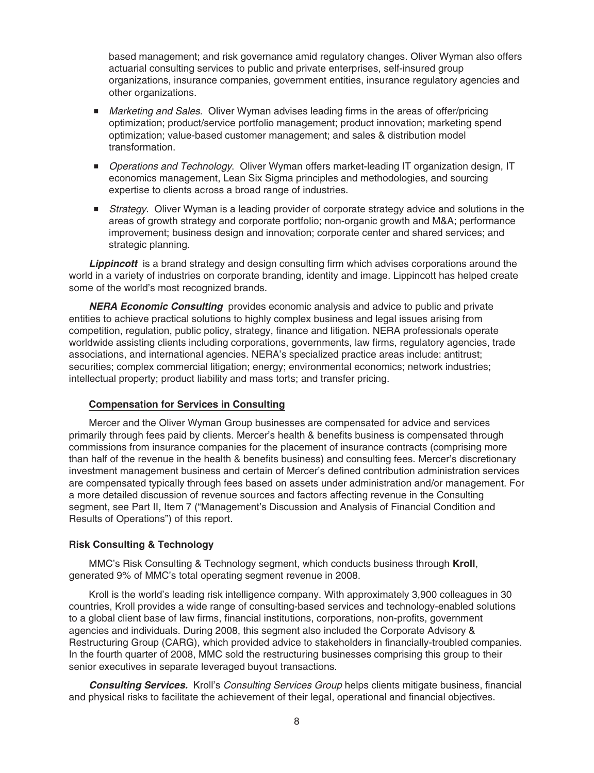based management; and risk governance amid regulatory changes. Oliver Wyman also offers actuarial consulting services to public and private enterprises, self-insured group organizations, insurance companies, government entities, insurance regulatory agencies and other organizations.

- - Marketing and Sales. Oliver Wyman advises leading firms in the areas of offer/pricing optimization; product/service portfolio management; product innovation; marketing spend optimization; value-based customer management; and sales & distribution model transformation.
- **Derations and Technology. Oliver Wyman offers market-leading IT organization design, IT** economics management, Lean Six Sigma principles and methodologies, and sourcing expertise to clients across a broad range of industries.
- - Strategy. Oliver Wyman is a leading provider of corporate strategy advice and solutions in the areas of growth strategy and corporate portfolio; non-organic growth and M&A; performance improvement; business design and innovation; corporate center and shared services; and strategic planning.

*Lippincott* is a brand strategy and design consulting firm which advises corporations around the world in a variety of industries on corporate branding, identity and image. Lippincott has helped create some of the world's most recognized brands.

*NERA Economic Consulting* provides economic analysis and advice to public and private entities to achieve practical solutions to highly complex business and legal issues arising from competition, regulation, public policy, strategy, finance and litigation. NERA professionals operate worldwide assisting clients including corporations, governments, law firms, regulatory agencies, trade associations, and international agencies. NERA's specialized practice areas include: antitrust; securities; complex commercial litigation; energy; environmental economics; network industries; intellectual property; product liability and mass torts; and transfer pricing.

#### **Compensation for Services in Consulting**

Mercer and the Oliver Wyman Group businesses are compensated for advice and services primarily through fees paid by clients. Mercer's health & benefits business is compensated through commissions from insurance companies for the placement of insurance contracts (comprising more than half of the revenue in the health & benefits business) and consulting fees. Mercer's discretionary investment management business and certain of Mercer's defined contribution administration services are compensated typically through fees based on assets under administration and/or management. For a more detailed discussion of revenue sources and factors affecting revenue in the Consulting segment, see Part II, Item 7 ("Management's Discussion and Analysis of Financial Condition and Results of Operations") of this report.

#### **Risk Consulting & Technology**

MMC's Risk Consulting & Technology segment, which conducts business through **Kroll**, generated 9% of MMC's total operating segment revenue in 2008.

Kroll is the world's leading risk intelligence company. With approximately 3,900 colleagues in 30 countries, Kroll provides a wide range of consulting-based services and technology-enabled solutions to a global client base of law firms, financial institutions, corporations, non-profits, government agencies and individuals. During 2008, this segment also included the Corporate Advisory & Restructuring Group (CARG), which provided advice to stakeholders in financially-troubled companies. In the fourth quarter of 2008, MMC sold the restructuring businesses comprising this group to their senior executives in separate leveraged buyout transactions.

*Consulting Services.* Kroll's Consulting Services Group helps clients mitigate business, financial and physical risks to facilitate the achievement of their legal, operational and financial objectives.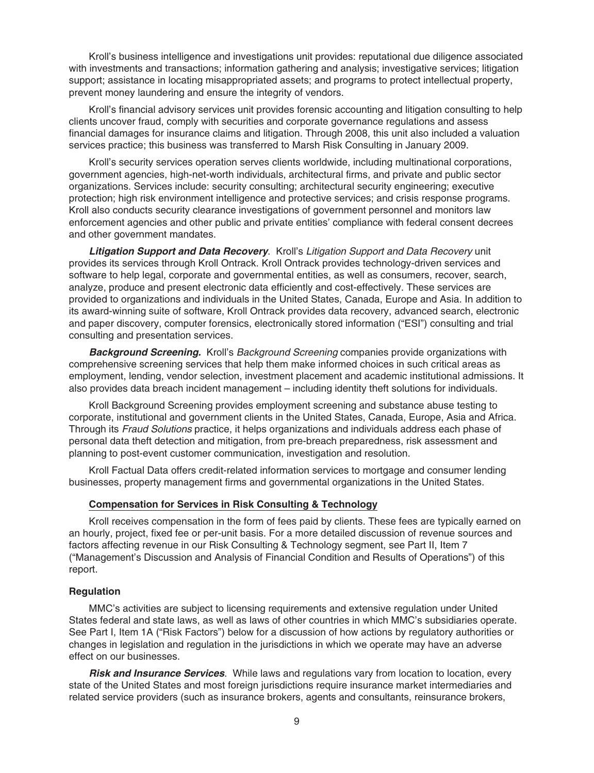Kroll's business intelligence and investigations unit provides: reputational due diligence associated with investments and transactions; information gathering and analysis; investigative services; litigation support; assistance in locating misappropriated assets; and programs to protect intellectual property, prevent money laundering and ensure the integrity of vendors.

Kroll's financial advisory services unit provides forensic accounting and litigation consulting to help clients uncover fraud, comply with securities and corporate governance regulations and assess financial damages for insurance claims and litigation. Through 2008, this unit also included a valuation services practice; this business was transferred to Marsh Risk Consulting in January 2009.

Kroll's security services operation serves clients worldwide, including multinational corporations, government agencies, high-net-worth individuals, architectural firms, and private and public sector organizations. Services include: security consulting; architectural security engineering; executive protection; high risk environment intelligence and protective services; and crisis response programs. Kroll also conducts security clearance investigations of government personnel and monitors law enforcement agencies and other public and private entities' compliance with federal consent decrees and other government mandates.

*Litigation Support and Data Recovery*. Kroll's Litigation Support and Data Recovery unit provides its services through Kroll Ontrack. Kroll Ontrack provides technology-driven services and software to help legal, corporate and governmental entities, as well as consumers, recover, search, analyze, produce and present electronic data efficiently and cost-effectively. These services are provided to organizations and individuals in the United States, Canada, Europe and Asia. In addition to its award-winning suite of software, Kroll Ontrack provides data recovery, advanced search, electronic and paper discovery, computer forensics, electronically stored information ("ESI") consulting and trial consulting and presentation services.

**Background Screening.** Kroll's Background Screening companies provide organizations with comprehensive screening services that help them make informed choices in such critical areas as employment, lending, vendor selection, investment placement and academic institutional admissions. It also provides data breach incident management – including identity theft solutions for individuals.

Kroll Background Screening provides employment screening and substance abuse testing to corporate, institutional and government clients in the United States, Canada, Europe, Asia and Africa. Through its Fraud Solutions practice, it helps organizations and individuals address each phase of personal data theft detection and mitigation, from pre-breach preparedness, risk assessment and planning to post-event customer communication, investigation and resolution.

Kroll Factual Data offers credit-related information services to mortgage and consumer lending businesses, property management firms and governmental organizations in the United States.

#### **Compensation for Services in Risk Consulting & Technology**

Kroll receives compensation in the form of fees paid by clients. These fees are typically earned on an hourly, project, fixed fee or per-unit basis. For a more detailed discussion of revenue sources and factors affecting revenue in our Risk Consulting & Technology segment, see Part II, Item 7 ("Management's Discussion and Analysis of Financial Condition and Results of Operations") of this report.

#### **Regulation**

MMC's activities are subject to licensing requirements and extensive regulation under United States federal and state laws, as well as laws of other countries in which MMC's subsidiaries operate. See Part I, Item 1A ("Risk Factors") below for a discussion of how actions by regulatory authorities or changes in legislation and regulation in the jurisdictions in which we operate may have an adverse effect on our businesses.

*Risk and Insurance Services*. While laws and regulations vary from location to location, every state of the United States and most foreign jurisdictions require insurance market intermediaries and related service providers (such as insurance brokers, agents and consultants, reinsurance brokers,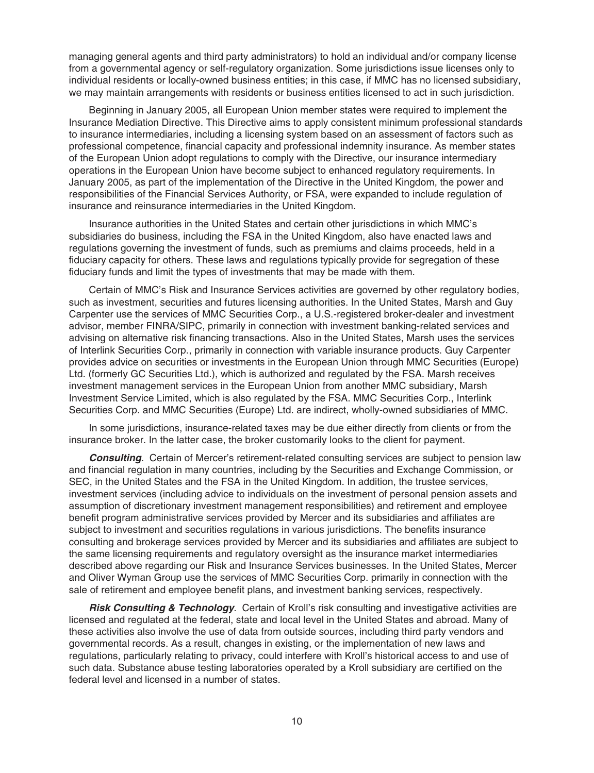managing general agents and third party administrators) to hold an individual and/or company license from a governmental agency or self-regulatory organization. Some jurisdictions issue licenses only to individual residents or locally-owned business entities; in this case, if MMC has no licensed subsidiary, we may maintain arrangements with residents or business entities licensed to act in such jurisdiction.

Beginning in January 2005, all European Union member states were required to implement the Insurance Mediation Directive. This Directive aims to apply consistent minimum professional standards to insurance intermediaries, including a licensing system based on an assessment of factors such as professional competence, financial capacity and professional indemnity insurance. As member states of the European Union adopt regulations to comply with the Directive, our insurance intermediary operations in the European Union have become subject to enhanced regulatory requirements. In January 2005, as part of the implementation of the Directive in the United Kingdom, the power and responsibilities of the Financial Services Authority, or FSA, were expanded to include regulation of insurance and reinsurance intermediaries in the United Kingdom.

Insurance authorities in the United States and certain other jurisdictions in which MMC's subsidiaries do business, including the FSA in the United Kingdom, also have enacted laws and regulations governing the investment of funds, such as premiums and claims proceeds, held in a fiduciary capacity for others. These laws and regulations typically provide for segregation of these fiduciary funds and limit the types of investments that may be made with them.

Certain of MMC's Risk and Insurance Services activities are governed by other regulatory bodies, such as investment, securities and futures licensing authorities. In the United States, Marsh and Guy Carpenter use the services of MMC Securities Corp., a U.S.-registered broker-dealer and investment advisor, member FINRA/SIPC, primarily in connection with investment banking-related services and advising on alternative risk financing transactions. Also in the United States, Marsh uses the services of Interlink Securities Corp., primarily in connection with variable insurance products. Guy Carpenter provides advice on securities or investments in the European Union through MMC Securities (Europe) Ltd. (formerly GC Securities Ltd.), which is authorized and regulated by the FSA. Marsh receives investment management services in the European Union from another MMC subsidiary, Marsh Investment Service Limited, which is also regulated by the FSA. MMC Securities Corp., Interlink Securities Corp. and MMC Securities (Europe) Ltd. are indirect, wholly-owned subsidiaries of MMC.

In some jurisdictions, insurance-related taxes may be due either directly from clients or from the insurance broker. In the latter case, the broker customarily looks to the client for payment.

*Consulting*. Certain of Mercer's retirement-related consulting services are subject to pension law and financial regulation in many countries, including by the Securities and Exchange Commission, or SEC, in the United States and the FSA in the United Kingdom. In addition, the trustee services, investment services (including advice to individuals on the investment of personal pension assets and assumption of discretionary investment management responsibilities) and retirement and employee benefit program administrative services provided by Mercer and its subsidiaries and affiliates are subject to investment and securities regulations in various jurisdictions. The benefits insurance consulting and brokerage services provided by Mercer and its subsidiaries and affiliates are subject to the same licensing requirements and regulatory oversight as the insurance market intermediaries described above regarding our Risk and Insurance Services businesses. In the United States, Mercer and Oliver Wyman Group use the services of MMC Securities Corp. primarily in connection with the sale of retirement and employee benefit plans, and investment banking services, respectively.

*Risk Consulting & Technology*. Certain of Kroll's risk consulting and investigative activities are licensed and regulated at the federal, state and local level in the United States and abroad. Many of these activities also involve the use of data from outside sources, including third party vendors and governmental records. As a result, changes in existing, or the implementation of new laws and regulations, particularly relating to privacy, could interfere with Kroll's historical access to and use of such data. Substance abuse testing laboratories operated by a Kroll subsidiary are certified on the federal level and licensed in a number of states.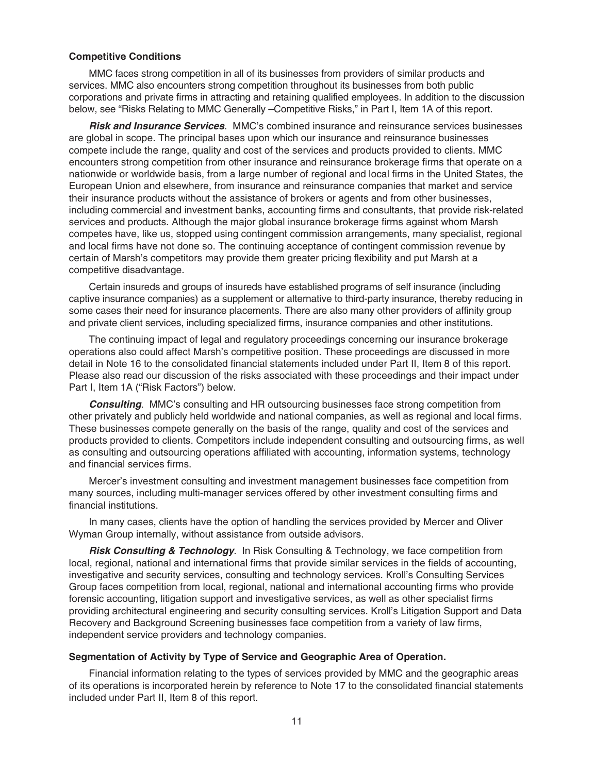#### **Competitive Conditions**

MMC faces strong competition in all of its businesses from providers of similar products and services. MMC also encounters strong competition throughout its businesses from both public corporations and private firms in attracting and retaining qualified employees. In addition to the discussion below, see "Risks Relating to MMC Generally –Competitive Risks," in Part I, Item 1A of this report.

*Risk and Insurance Services*. MMC's combined insurance and reinsurance services businesses are global in scope. The principal bases upon which our insurance and reinsurance businesses compete include the range, quality and cost of the services and products provided to clients. MMC encounters strong competition from other insurance and reinsurance brokerage firms that operate on a nationwide or worldwide basis, from a large number of regional and local firms in the United States, the European Union and elsewhere, from insurance and reinsurance companies that market and service their insurance products without the assistance of brokers or agents and from other businesses, including commercial and investment banks, accounting firms and consultants, that provide risk-related services and products. Although the major global insurance brokerage firms against whom Marsh competes have, like us, stopped using contingent commission arrangements, many specialist, regional and local firms have not done so. The continuing acceptance of contingent commission revenue by certain of Marsh's competitors may provide them greater pricing flexibility and put Marsh at a competitive disadvantage.

Certain insureds and groups of insureds have established programs of self insurance (including captive insurance companies) as a supplement or alternative to third-party insurance, thereby reducing in some cases their need for insurance placements. There are also many other providers of affinity group and private client services, including specialized firms, insurance companies and other institutions.

The continuing impact of legal and regulatory proceedings concerning our insurance brokerage operations also could affect Marsh's competitive position. These proceedings are discussed in more detail in Note 16 to the consolidated financial statements included under Part II, Item 8 of this report. Please also read our discussion of the risks associated with these proceedings and their impact under Part I, Item 1A ("Risk Factors") below.

*Consulting*. MMC's consulting and HR outsourcing businesses face strong competition from other privately and publicly held worldwide and national companies, as well as regional and local firms. These businesses compete generally on the basis of the range, quality and cost of the services and products provided to clients. Competitors include independent consulting and outsourcing firms, as well as consulting and outsourcing operations affiliated with accounting, information systems, technology and financial services firms.

Mercer's investment consulting and investment management businesses face competition from many sources, including multi-manager services offered by other investment consulting firms and financial institutions.

In many cases, clients have the option of handling the services provided by Mercer and Oliver Wyman Group internally, without assistance from outside advisors.

*Risk Consulting & Technology*. In Risk Consulting & Technology, we face competition from local, regional, national and international firms that provide similar services in the fields of accounting, investigative and security services, consulting and technology services. Kroll's Consulting Services Group faces competition from local, regional, national and international accounting firms who provide forensic accounting, litigation support and investigative services, as well as other specialist firms providing architectural engineering and security consulting services. Kroll's Litigation Support and Data Recovery and Background Screening businesses face competition from a variety of law firms, independent service providers and technology companies.

#### **Segmentation of Activity by Type of Service and Geographic Area of Operation.**

Financial information relating to the types of services provided by MMC and the geographic areas of its operations is incorporated herein by reference to Note 17 to the consolidated financial statements included under Part II, Item 8 of this report.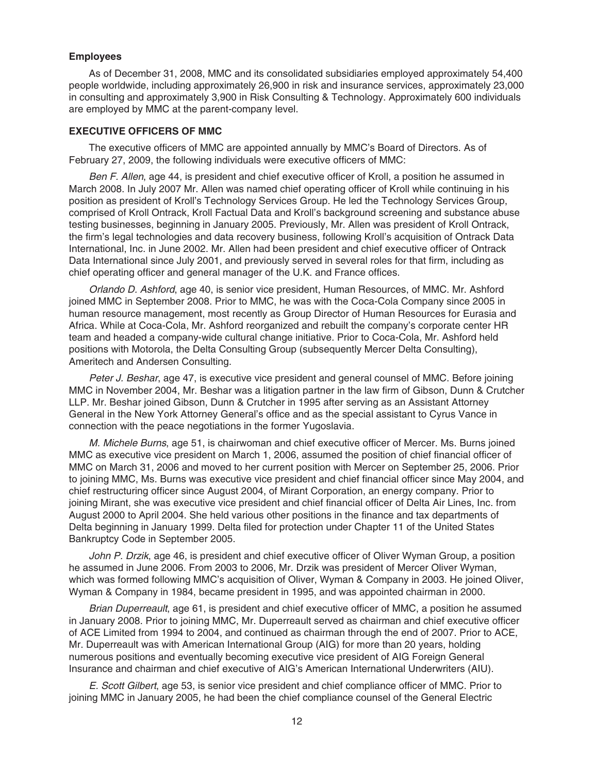#### **Employees**

As of December 31, 2008, MMC and its consolidated subsidiaries employed approximately 54,400 people worldwide, including approximately 26,900 in risk and insurance services, approximately 23,000 in consulting and approximately 3,900 in Risk Consulting & Technology. Approximately 600 individuals are employed by MMC at the parent-company level.

#### **EXECUTIVE OFFICERS OF MMC**

The executive officers of MMC are appointed annually by MMC's Board of Directors. As of February 27, 2009, the following individuals were executive officers of MMC:

Ben F. Allen, age 44, is president and chief executive officer of Kroll, a position he assumed in March 2008. In July 2007 Mr. Allen was named chief operating officer of Kroll while continuing in his position as president of Kroll's Technology Services Group. He led the Technology Services Group, comprised of Kroll Ontrack, Kroll Factual Data and Kroll's background screening and substance abuse testing businesses, beginning in January 2005. Previously, Mr. Allen was president of Kroll Ontrack, the firm's legal technologies and data recovery business, following Kroll's acquisition of Ontrack Data International, Inc. in June 2002. Mr. Allen had been president and chief executive officer of Ontrack Data International since July 2001, and previously served in several roles for that firm, including as chief operating officer and general manager of the U.K. and France offices.

Orlando D. Ashford, age 40, is senior vice president, Human Resources, of MMC. Mr. Ashford joined MMC in September 2008. Prior to MMC, he was with the Coca-Cola Company since 2005 in human resource management, most recently as Group Director of Human Resources for Eurasia and Africa. While at Coca-Cola, Mr. Ashford reorganized and rebuilt the company's corporate center HR team and headed a company-wide cultural change initiative. Prior to Coca-Cola, Mr. Ashford held positions with Motorola, the Delta Consulting Group (subsequently Mercer Delta Consulting), Ameritech and Andersen Consulting.

Peter J. Beshar, age 47, is executive vice president and general counsel of MMC. Before joining MMC in November 2004, Mr. Beshar was a litigation partner in the law firm of Gibson, Dunn & Crutcher LLP. Mr. Beshar joined Gibson, Dunn & Crutcher in 1995 after serving as an Assistant Attorney General in the New York Attorney General's office and as the special assistant to Cyrus Vance in connection with the peace negotiations in the former Yugoslavia.

M. Michele Burns, age 51, is chairwoman and chief executive officer of Mercer. Ms. Burns joined MMC as executive vice president on March 1, 2006, assumed the position of chief financial officer of MMC on March 31, 2006 and moved to her current position with Mercer on September 25, 2006. Prior to joining MMC, Ms. Burns was executive vice president and chief financial officer since May 2004, and chief restructuring officer since August 2004, of Mirant Corporation, an energy company. Prior to joining Mirant, she was executive vice president and chief financial officer of Delta Air Lines, Inc. from August 2000 to April 2004. She held various other positions in the finance and tax departments of Delta beginning in January 1999. Delta filed for protection under Chapter 11 of the United States Bankruptcy Code in September 2005.

John P. Drzik, age 46, is president and chief executive officer of Oliver Wyman Group, a position he assumed in June 2006. From 2003 to 2006, Mr. Drzik was president of Mercer Oliver Wyman, which was formed following MMC's acquisition of Oliver, Wyman & Company in 2003. He joined Oliver, Wyman & Company in 1984, became president in 1995, and was appointed chairman in 2000.

Brian Duperreault, age 61, is president and chief executive officer of MMC, a position he assumed in January 2008. Prior to joining MMC, Mr. Duperreault served as chairman and chief executive officer of ACE Limited from 1994 to 2004, and continued as chairman through the end of 2007. Prior to ACE, Mr. Duperreault was with American International Group (AIG) for more than 20 years, holding numerous positions and eventually becoming executive vice president of AIG Foreign General Insurance and chairman and chief executive of AIG's American International Underwriters (AIU).

E. Scott Gilbert, age 53, is senior vice president and chief compliance officer of MMC. Prior to joining MMC in January 2005, he had been the chief compliance counsel of the General Electric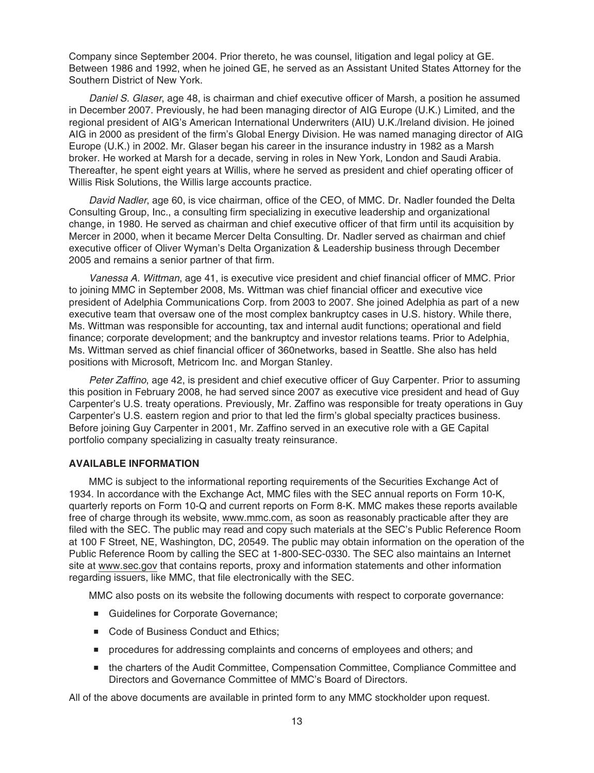Company since September 2004. Prior thereto, he was counsel, litigation and legal policy at GE. Between 1986 and 1992, when he joined GE, he served as an Assistant United States Attorney for the Southern District of New York.

Daniel S. Glaser, age 48, is chairman and chief executive officer of Marsh, a position he assumed in December 2007. Previously, he had been managing director of AIG Europe (U.K.) Limited, and the regional president of AIG's American International Underwriters (AIU) U.K./Ireland division. He joined AIG in 2000 as president of the firm's Global Energy Division. He was named managing director of AIG Europe (U.K.) in 2002. Mr. Glaser began his career in the insurance industry in 1982 as a Marsh broker. He worked at Marsh for a decade, serving in roles in New York, London and Saudi Arabia. Thereafter, he spent eight years at Willis, where he served as president and chief operating officer of Willis Risk Solutions, the Willis large accounts practice.

David Nadler, age 60, is vice chairman, office of the CEO, of MMC. Dr. Nadler founded the Delta Consulting Group, Inc., a consulting firm specializing in executive leadership and organizational change, in 1980. He served as chairman and chief executive officer of that firm until its acquisition by Mercer in 2000, when it became Mercer Delta Consulting. Dr. Nadler served as chairman and chief executive officer of Oliver Wyman's Delta Organization & Leadership business through December 2005 and remains a senior partner of that firm.

Vanessa A. Wittman, age 41, is executive vice president and chief financial officer of MMC. Prior to joining MMC in September 2008, Ms. Wittman was chief financial officer and executive vice president of Adelphia Communications Corp. from 2003 to 2007. She joined Adelphia as part of a new executive team that oversaw one of the most complex bankruptcy cases in U.S. history. While there, Ms. Wittman was responsible for accounting, tax and internal audit functions; operational and field finance; corporate development; and the bankruptcy and investor relations teams. Prior to Adelphia, Ms. Wittman served as chief financial officer of 360networks, based in Seattle. She also has held positions with Microsoft, Metricom Inc. and Morgan Stanley.

Peter Zaffino, age 42, is president and chief executive officer of Guy Carpenter. Prior to assuming this position in February 2008, he had served since 2007 as executive vice president and head of Guy Carpenter's U.S. treaty operations. Previously, Mr. Zaffino was responsible for treaty operations in Guy Carpenter's U.S. eastern region and prior to that led the firm's global specialty practices business. Before joining Guy Carpenter in 2001, Mr. Zaffino served in an executive role with a GE Capital portfolio company specializing in casualty treaty reinsurance.

#### **AVAILABLE INFORMATION**

MMC is subject to the informational reporting requirements of the Securities Exchange Act of 1934. In accordance with the Exchange Act, MMC files with the SEC annual reports on Form 10-K, quarterly reports on Form 10-Q and current reports on Form 8-K. MMC makes these reports available free of charge through its website, www.mmc.com, as soon as reasonably practicable after they are filed with the SEC. The public may read and copy such materials at the SEC's Public Reference Room at 100 F Street, NE, Washington, DC, 20549. The public may obtain information on the operation of the Public Reference Room by calling the SEC at 1-800-SEC-0330. The SEC also maintains an Internet site at www.sec.gov that contains reports, proxy and information statements and other information regarding issuers, like MMC, that file electronically with the SEC.

MMC also posts on its website the following documents with respect to corporate governance:

- **EXEC** Guidelines for Corporate Governance;
- Code of Business Conduct and Ethics;
- **The procedures for addressing complaints and concerns of employees and others; and**
- the charters of the Audit Committee, Compensation Committee, Compliance Committee and Directors and Governance Committee of MMC's Board of Directors.

All of the above documents are available in printed form to any MMC stockholder upon request.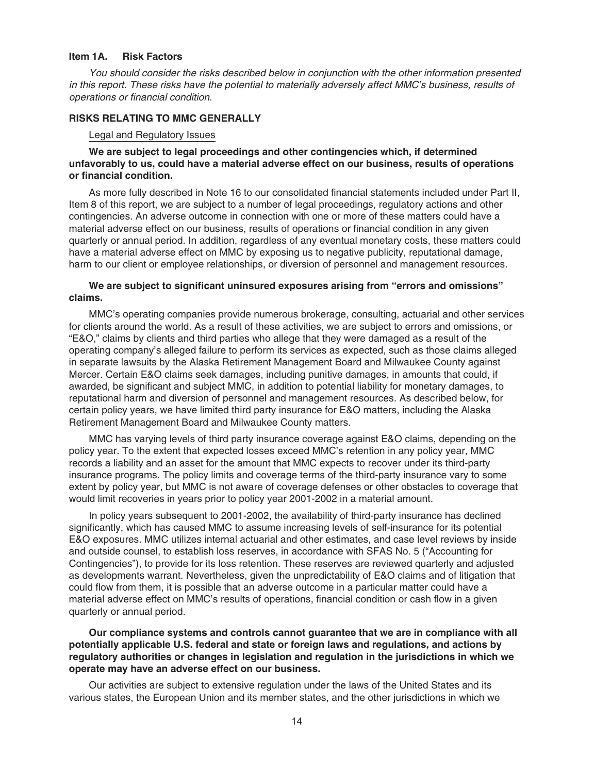#### **Item 1A. Risk Factors**

You should consider the risks described below in conjunction with the other information presented in this report. These risks have the potential to materially adversely affect MMC's business, results of operations or financial condition.

#### **RISKS RELATING TO MMC GENERALLY**

#### Legal and Regulatory Issues

#### **We are subject to legal proceedings and other contingencies which, if determined unfavorably to us, could have a material adverse effect on our business, results of operations or financial condition.**

As more fully described in Note 16 to our consolidated financial statements included under Part II, Item 8 of this report, we are subject to a number of legal proceedings, regulatory actions and other contingencies. An adverse outcome in connection with one or more of these matters could have a material adverse effect on our business, results of operations or financial condition in any given quarterly or annual period. In addition, regardless of any eventual monetary costs, these matters could have a material adverse effect on MMC by exposing us to negative publicity, reputational damage, harm to our client or employee relationships, or diversion of personnel and management resources.

#### **We are subject to significant uninsured exposures arising from "errors and omissions" claims.**

MMC's operating companies provide numerous brokerage, consulting, actuarial and other services for clients around the world. As a result of these activities, we are subject to errors and omissions, or "E&O," claims by clients and third parties who allege that they were damaged as a result of the operating company's alleged failure to perform its services as expected, such as those claims alleged in separate lawsuits by the Alaska Retirement Management Board and Milwaukee County against Mercer. Certain E&O claims seek damages, including punitive damages, in amounts that could, if awarded, be significant and subject MMC, in addition to potential liability for monetary damages, to reputational harm and diversion of personnel and management resources. As described below, for certain policy years, we have limited third party insurance for E&O matters, including the Alaska Retirement Management Board and Milwaukee County matters.

MMC has varying levels of third party insurance coverage against E&O claims, depending on the policy year. To the extent that expected losses exceed MMC's retention in any policy year, MMC records a liability and an asset for the amount that MMC expects to recover under its third-party insurance programs. The policy limits and coverage terms of the third-party insurance vary to some extent by policy year, but MMC is not aware of coverage defenses or other obstacles to coverage that would limit recoveries in years prior to policy year 2001-2002 in a material amount.

In policy years subsequent to 2001-2002, the availability of third-party insurance has declined significantly, which has caused MMC to assume increasing levels of self-insurance for its potential E&O exposures. MMC utilizes internal actuarial and other estimates, and case level reviews by inside and outside counsel, to establish loss reserves, in accordance with SFAS No. 5 ("Accounting for Contingencies"), to provide for its loss retention. These reserves are reviewed quarterly and adjusted as developments warrant. Nevertheless, given the unpredictability of E&O claims and of litigation that could flow from them, it is possible that an adverse outcome in a particular matter could have a material adverse effect on MMC's results of operations, financial condition or cash flow in a given quarterly or annual period.

#### **Our compliance systems and controls cannot guarantee that we are in compliance with all potentially applicable U.S. federal and state or foreign laws and regulations, and actions by regulatory authorities or changes in legislation and regulation in the jurisdictions in which we operate may have an adverse effect on our business.**

Our activities are subject to extensive regulation under the laws of the United States and its various states, the European Union and its member states, and the other jurisdictions in which we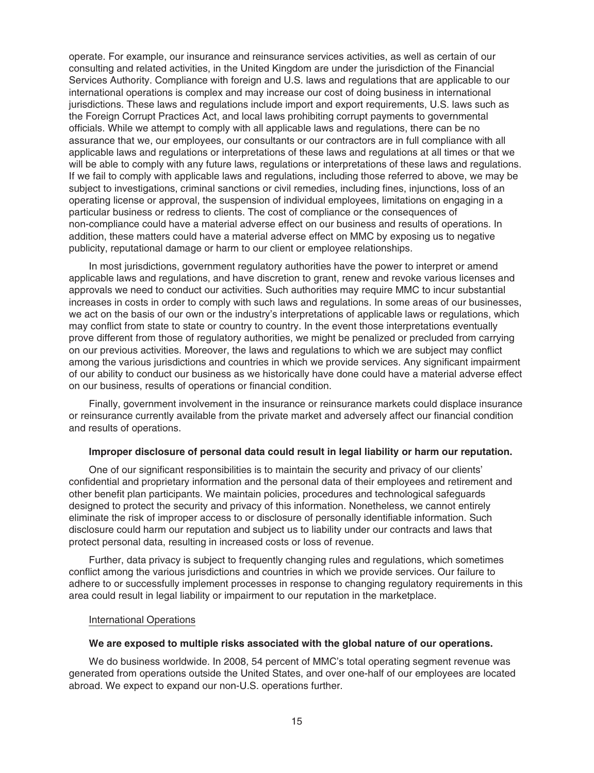operate. For example, our insurance and reinsurance services activities, as well as certain of our consulting and related activities, in the United Kingdom are under the jurisdiction of the Financial Services Authority. Compliance with foreign and U.S. laws and regulations that are applicable to our international operations is complex and may increase our cost of doing business in international jurisdictions. These laws and regulations include import and export requirements, U.S. laws such as the Foreign Corrupt Practices Act, and local laws prohibiting corrupt payments to governmental officials. While we attempt to comply with all applicable laws and regulations, there can be no assurance that we, our employees, our consultants or our contractors are in full compliance with all applicable laws and regulations or interpretations of these laws and regulations at all times or that we will be able to comply with any future laws, regulations or interpretations of these laws and regulations. If we fail to comply with applicable laws and regulations, including those referred to above, we may be subject to investigations, criminal sanctions or civil remedies, including fines, injunctions, loss of an operating license or approval, the suspension of individual employees, limitations on engaging in a particular business or redress to clients. The cost of compliance or the consequences of non-compliance could have a material adverse effect on our business and results of operations. In addition, these matters could have a material adverse effect on MMC by exposing us to negative publicity, reputational damage or harm to our client or employee relationships.

In most jurisdictions, government regulatory authorities have the power to interpret or amend applicable laws and regulations, and have discretion to grant, renew and revoke various licenses and approvals we need to conduct our activities. Such authorities may require MMC to incur substantial increases in costs in order to comply with such laws and regulations. In some areas of our businesses, we act on the basis of our own or the industry's interpretations of applicable laws or regulations, which may conflict from state to state or country to country. In the event those interpretations eventually prove different from those of regulatory authorities, we might be penalized or precluded from carrying on our previous activities. Moreover, the laws and regulations to which we are subject may conflict among the various jurisdictions and countries in which we provide services. Any significant impairment of our ability to conduct our business as we historically have done could have a material adverse effect on our business, results of operations or financial condition.

Finally, government involvement in the insurance or reinsurance markets could displace insurance or reinsurance currently available from the private market and adversely affect our financial condition and results of operations.

#### **Improper disclosure of personal data could result in legal liability or harm our reputation.**

One of our significant responsibilities is to maintain the security and privacy of our clients' confidential and proprietary information and the personal data of their employees and retirement and other benefit plan participants. We maintain policies, procedures and technological safeguards designed to protect the security and privacy of this information. Nonetheless, we cannot entirely eliminate the risk of improper access to or disclosure of personally identifiable information. Such disclosure could harm our reputation and subject us to liability under our contracts and laws that protect personal data, resulting in increased costs or loss of revenue.

Further, data privacy is subject to frequently changing rules and regulations, which sometimes conflict among the various jurisdictions and countries in which we provide services. Our failure to adhere to or successfully implement processes in response to changing regulatory requirements in this area could result in legal liability or impairment to our reputation in the marketplace.

#### International Operations

#### **We are exposed to multiple risks associated with the global nature of our operations.**

We do business worldwide. In 2008, 54 percent of MMC's total operating segment revenue was generated from operations outside the United States, and over one-half of our employees are located abroad. We expect to expand our non-U.S. operations further.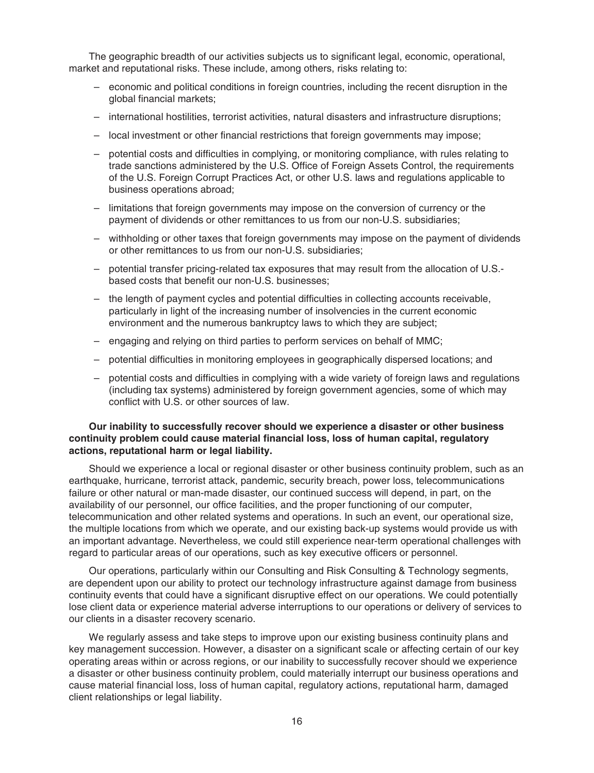The geographic breadth of our activities subjects us to significant legal, economic, operational, market and reputational risks. These include, among others, risks relating to:

- economic and political conditions in foreign countries, including the recent disruption in the global financial markets;
- international hostilities, terrorist activities, natural disasters and infrastructure disruptions;
- local investment or other financial restrictions that foreign governments may impose;
- potential costs and difficulties in complying, or monitoring compliance, with rules relating to trade sanctions administered by the U.S. Office of Foreign Assets Control, the requirements of the U.S. Foreign Corrupt Practices Act, or other U.S. laws and regulations applicable to business operations abroad;
- limitations that foreign governments may impose on the conversion of currency or the payment of dividends or other remittances to us from our non-U.S. subsidiaries;
- withholding or other taxes that foreign governments may impose on the payment of dividends or other remittances to us from our non-U.S. subsidiaries;
- potential transfer pricing-related tax exposures that may result from the allocation of U.S. based costs that benefit our non-U.S. businesses;
- the length of payment cycles and potential difficulties in collecting accounts receivable, particularly in light of the increasing number of insolvencies in the current economic environment and the numerous bankruptcy laws to which they are subject;
- engaging and relying on third parties to perform services on behalf of MMC;
- potential difficulties in monitoring employees in geographically dispersed locations; and
- potential costs and difficulties in complying with a wide variety of foreign laws and regulations (including tax systems) administered by foreign government agencies, some of which may conflict with U.S. or other sources of law.

#### **Our inability to successfully recover should we experience a disaster or other business continuity problem could cause material financial loss, loss of human capital, regulatory actions, reputational harm or legal liability.**

Should we experience a local or regional disaster or other business continuity problem, such as an earthquake, hurricane, terrorist attack, pandemic, security breach, power loss, telecommunications failure or other natural or man-made disaster, our continued success will depend, in part, on the availability of our personnel, our office facilities, and the proper functioning of our computer, telecommunication and other related systems and operations. In such an event, our operational size, the multiple locations from which we operate, and our existing back-up systems would provide us with an important advantage. Nevertheless, we could still experience near-term operational challenges with regard to particular areas of our operations, such as key executive officers or personnel.

Our operations, particularly within our Consulting and Risk Consulting & Technology segments, are dependent upon our ability to protect our technology infrastructure against damage from business continuity events that could have a significant disruptive effect on our operations. We could potentially lose client data or experience material adverse interruptions to our operations or delivery of services to our clients in a disaster recovery scenario.

We regularly assess and take steps to improve upon our existing business continuity plans and key management succession. However, a disaster on a significant scale or affecting certain of our key operating areas within or across regions, or our inability to successfully recover should we experience a disaster or other business continuity problem, could materially interrupt our business operations and cause material financial loss, loss of human capital, regulatory actions, reputational harm, damaged client relationships or legal liability.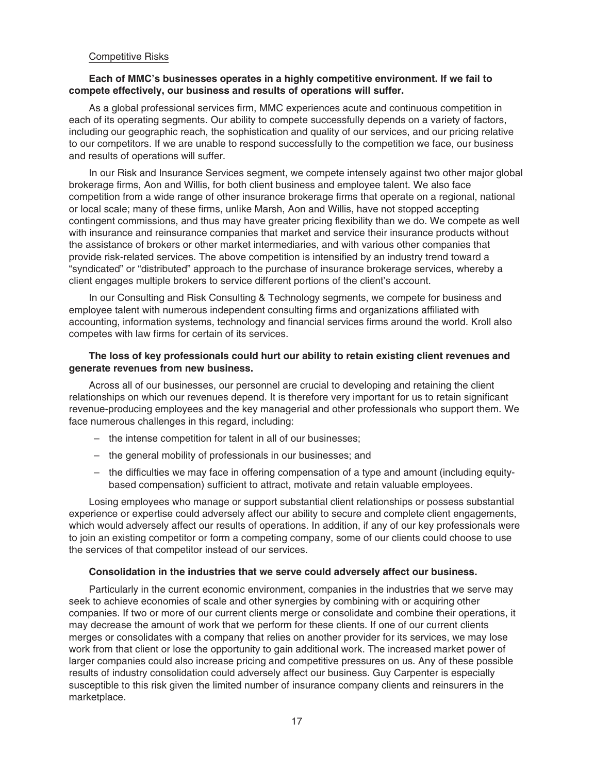#### Competitive Risks

#### **Each of MMC's businesses operates in a highly competitive environment. If we fail to compete effectively, our business and results of operations will suffer.**

As a global professional services firm, MMC experiences acute and continuous competition in each of its operating segments. Our ability to compete successfully depends on a variety of factors, including our geographic reach, the sophistication and quality of our services, and our pricing relative to our competitors. If we are unable to respond successfully to the competition we face, our business and results of operations will suffer.

In our Risk and Insurance Services segment, we compete intensely against two other major global brokerage firms, Aon and Willis, for both client business and employee talent. We also face competition from a wide range of other insurance brokerage firms that operate on a regional, national or local scale; many of these firms, unlike Marsh, Aon and Willis, have not stopped accepting contingent commissions, and thus may have greater pricing flexibility than we do. We compete as well with insurance and reinsurance companies that market and service their insurance products without the assistance of brokers or other market intermediaries, and with various other companies that provide risk-related services. The above competition is intensified by an industry trend toward a "syndicated" or "distributed" approach to the purchase of insurance brokerage services, whereby a client engages multiple brokers to service different portions of the client's account.

In our Consulting and Risk Consulting & Technology segments, we compete for business and employee talent with numerous independent consulting firms and organizations affiliated with accounting, information systems, technology and financial services firms around the world. Kroll also competes with law firms for certain of its services.

#### **The loss of key professionals could hurt our ability to retain existing client revenues and generate revenues from new business.**

Across all of our businesses, our personnel are crucial to developing and retaining the client relationships on which our revenues depend. It is therefore very important for us to retain significant revenue-producing employees and the key managerial and other professionals who support them. We face numerous challenges in this regard, including:

- the intense competition for talent in all of our businesses;
- the general mobility of professionals in our businesses; and
- the difficulties we may face in offering compensation of a type and amount (including equitybased compensation) sufficient to attract, motivate and retain valuable employees.

Losing employees who manage or support substantial client relationships or possess substantial experience or expertise could adversely affect our ability to secure and complete client engagements, which would adversely affect our results of operations. In addition, if any of our key professionals were to join an existing competitor or form a competing company, some of our clients could choose to use the services of that competitor instead of our services.

#### **Consolidation in the industries that we serve could adversely affect our business.**

Particularly in the current economic environment, companies in the industries that we serve may seek to achieve economies of scale and other synergies by combining with or acquiring other companies. If two or more of our current clients merge or consolidate and combine their operations, it may decrease the amount of work that we perform for these clients. If one of our current clients merges or consolidates with a company that relies on another provider for its services, we may lose work from that client or lose the opportunity to gain additional work. The increased market power of larger companies could also increase pricing and competitive pressures on us. Any of these possible results of industry consolidation could adversely affect our business. Guy Carpenter is especially susceptible to this risk given the limited number of insurance company clients and reinsurers in the marketplace.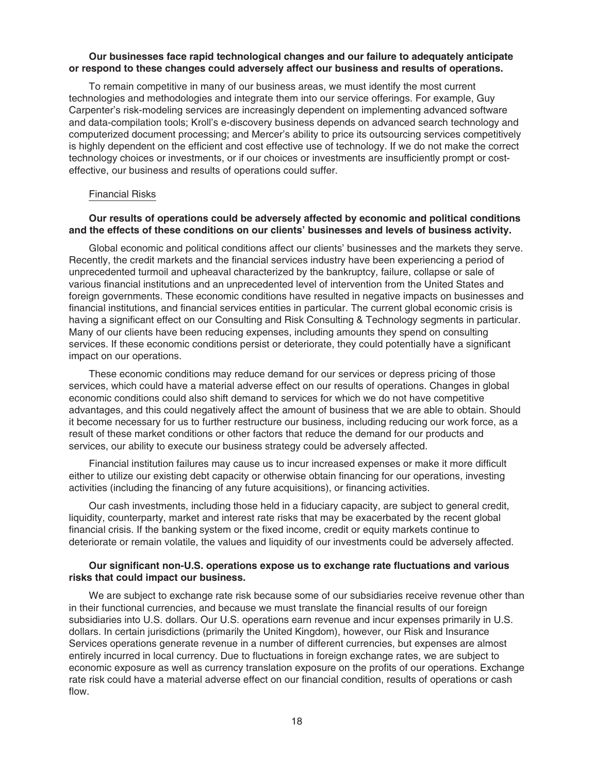#### **Our businesses face rapid technological changes and our failure to adequately anticipate or respond to these changes could adversely affect our business and results of operations.**

To remain competitive in many of our business areas, we must identify the most current technologies and methodologies and integrate them into our service offerings. For example, Guy Carpenter's risk-modeling services are increasingly dependent on implementing advanced software and data-compilation tools; Kroll's e-discovery business depends on advanced search technology and computerized document processing; and Mercer's ability to price its outsourcing services competitively is highly dependent on the efficient and cost effective use of technology. If we do not make the correct technology choices or investments, or if our choices or investments are insufficiently prompt or costeffective, our business and results of operations could suffer.

#### Financial Risks

#### **Our results of operations could be adversely affected by economic and political conditions and the effects of these conditions on our clients' businesses and levels of business activity.**

Global economic and political conditions affect our clients' businesses and the markets they serve. Recently, the credit markets and the financial services industry have been experiencing a period of unprecedented turmoil and upheaval characterized by the bankruptcy, failure, collapse or sale of various financial institutions and an unprecedented level of intervention from the United States and foreign governments. These economic conditions have resulted in negative impacts on businesses and financial institutions, and financial services entities in particular. The current global economic crisis is having a significant effect on our Consulting and Risk Consulting & Technology segments in particular. Many of our clients have been reducing expenses, including amounts they spend on consulting services. If these economic conditions persist or deteriorate, they could potentially have a significant impact on our operations.

These economic conditions may reduce demand for our services or depress pricing of those services, which could have a material adverse effect on our results of operations. Changes in global economic conditions could also shift demand to services for which we do not have competitive advantages, and this could negatively affect the amount of business that we are able to obtain. Should it become necessary for us to further restructure our business, including reducing our work force, as a result of these market conditions or other factors that reduce the demand for our products and services, our ability to execute our business strategy could be adversely affected.

Financial institution failures may cause us to incur increased expenses or make it more difficult either to utilize our existing debt capacity or otherwise obtain financing for our operations, investing activities (including the financing of any future acquisitions), or financing activities.

Our cash investments, including those held in a fiduciary capacity, are subject to general credit, liquidity, counterparty, market and interest rate risks that may be exacerbated by the recent global financial crisis. If the banking system or the fixed income, credit or equity markets continue to deteriorate or remain volatile, the values and liquidity of our investments could be adversely affected.

#### **Our significant non-U.S. operations expose us to exchange rate fluctuations and various risks that could impact our business.**

We are subject to exchange rate risk because some of our subsidiaries receive revenue other than in their functional currencies, and because we must translate the financial results of our foreign subsidiaries into U.S. dollars. Our U.S. operations earn revenue and incur expenses primarily in U.S. dollars. In certain jurisdictions (primarily the United Kingdom), however, our Risk and Insurance Services operations generate revenue in a number of different currencies, but expenses are almost entirely incurred in local currency. Due to fluctuations in foreign exchange rates, we are subject to economic exposure as well as currency translation exposure on the profits of our operations. Exchange rate risk could have a material adverse effect on our financial condition, results of operations or cash flow.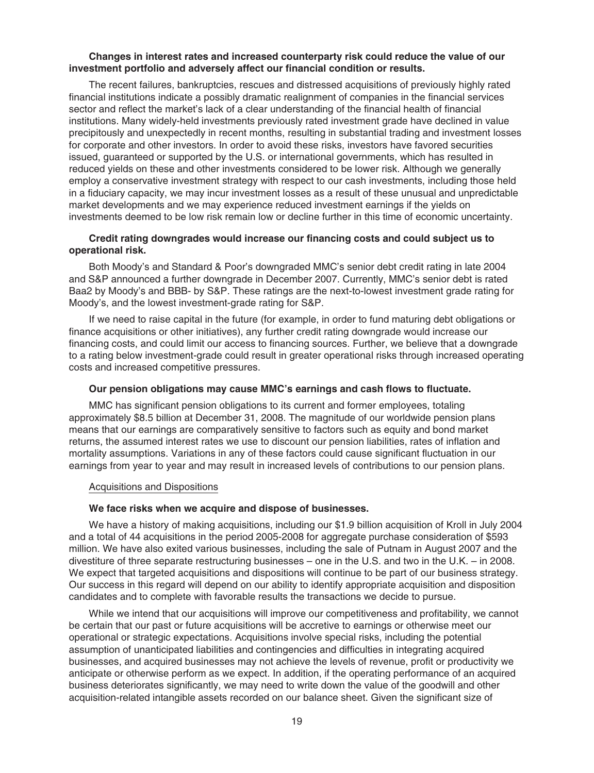#### **Changes in interest rates and increased counterparty risk could reduce the value of our investment portfolio and adversely affect our financial condition or results.**

The recent failures, bankruptcies, rescues and distressed acquisitions of previously highly rated financial institutions indicate a possibly dramatic realignment of companies in the financial services sector and reflect the market's lack of a clear understanding of the financial health of financial institutions. Many widely-held investments previously rated investment grade have declined in value precipitously and unexpectedly in recent months, resulting in substantial trading and investment losses for corporate and other investors. In order to avoid these risks, investors have favored securities issued, guaranteed or supported by the U.S. or international governments, which has resulted in reduced yields on these and other investments considered to be lower risk. Although we generally employ a conservative investment strategy with respect to our cash investments, including those held in a fiduciary capacity, we may incur investment losses as a result of these unusual and unpredictable market developments and we may experience reduced investment earnings if the yields on investments deemed to be low risk remain low or decline further in this time of economic uncertainty.

#### **Credit rating downgrades would increase our financing costs and could subject us to operational risk.**

Both Moody's and Standard & Poor's downgraded MMC's senior debt credit rating in late 2004 and S&P announced a further downgrade in December 2007. Currently, MMC's senior debt is rated Baa2 by Moody's and BBB- by S&P. These ratings are the next-to-lowest investment grade rating for Moody's, and the lowest investment-grade rating for S&P.

If we need to raise capital in the future (for example, in order to fund maturing debt obligations or finance acquisitions or other initiatives), any further credit rating downgrade would increase our financing costs, and could limit our access to financing sources. Further, we believe that a downgrade to a rating below investment-grade could result in greater operational risks through increased operating costs and increased competitive pressures.

#### **Our pension obligations may cause MMC's earnings and cash flows to fluctuate.**

MMC has significant pension obligations to its current and former employees, totaling approximately \$8.5 billion at December 31, 2008. The magnitude of our worldwide pension plans means that our earnings are comparatively sensitive to factors such as equity and bond market returns, the assumed interest rates we use to discount our pension liabilities, rates of inflation and mortality assumptions. Variations in any of these factors could cause significant fluctuation in our earnings from year to year and may result in increased levels of contributions to our pension plans.

#### Acquisitions and Dispositions

#### **We face risks when we acquire and dispose of businesses.**

We have a history of making acquisitions, including our \$1.9 billion acquisition of Kroll in July 2004 and a total of 44 acquisitions in the period 2005-2008 for aggregate purchase consideration of \$593 million. We have also exited various businesses, including the sale of Putnam in August 2007 and the divestiture of three separate restructuring businesses – one in the U.S. and two in the U.K. – in 2008. We expect that targeted acquisitions and dispositions will continue to be part of our business strategy. Our success in this regard will depend on our ability to identify appropriate acquisition and disposition candidates and to complete with favorable results the transactions we decide to pursue.

While we intend that our acquisitions will improve our competitiveness and profitability, we cannot be certain that our past or future acquisitions will be accretive to earnings or otherwise meet our operational or strategic expectations. Acquisitions involve special risks, including the potential assumption of unanticipated liabilities and contingencies and difficulties in integrating acquired businesses, and acquired businesses may not achieve the levels of revenue, profit or productivity we anticipate or otherwise perform as we expect. In addition, if the operating performance of an acquired business deteriorates significantly, we may need to write down the value of the goodwill and other acquisition-related intangible assets recorded on our balance sheet. Given the significant size of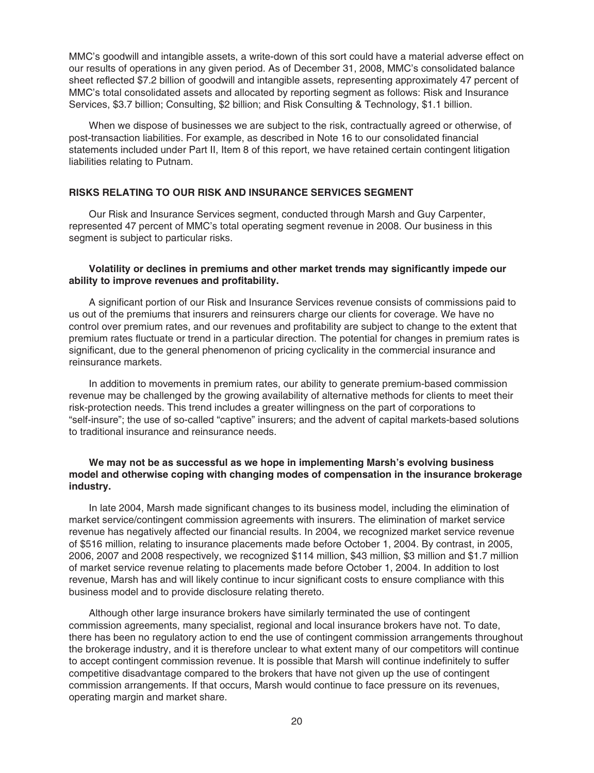MMC's goodwill and intangible assets, a write-down of this sort could have a material adverse effect on our results of operations in any given period. As of December 31, 2008, MMC's consolidated balance sheet reflected \$7.2 billion of goodwill and intangible assets, representing approximately 47 percent of MMC's total consolidated assets and allocated by reporting segment as follows: Risk and Insurance Services, \$3.7 billion; Consulting, \$2 billion; and Risk Consulting & Technology, \$1.1 billion.

When we dispose of businesses we are subject to the risk, contractually agreed or otherwise, of post-transaction liabilities. For example, as described in Note 16 to our consolidated financial statements included under Part II, Item 8 of this report, we have retained certain contingent litigation liabilities relating to Putnam.

#### **RISKS RELATING TO OUR RISK AND INSURANCE SERVICES SEGMENT**

Our Risk and Insurance Services segment, conducted through Marsh and Guy Carpenter, represented 47 percent of MMC's total operating segment revenue in 2008. Our business in this segment is subject to particular risks.

#### **Volatility or declines in premiums and other market trends may significantly impede our ability to improve revenues and profitability.**

A significant portion of our Risk and Insurance Services revenue consists of commissions paid to us out of the premiums that insurers and reinsurers charge our clients for coverage. We have no control over premium rates, and our revenues and profitability are subject to change to the extent that premium rates fluctuate or trend in a particular direction. The potential for changes in premium rates is significant, due to the general phenomenon of pricing cyclicality in the commercial insurance and reinsurance markets.

In addition to movements in premium rates, our ability to generate premium-based commission revenue may be challenged by the growing availability of alternative methods for clients to meet their risk-protection needs. This trend includes a greater willingness on the part of corporations to "self-insure"; the use of so-called "captive" insurers; and the advent of capital markets-based solutions to traditional insurance and reinsurance needs.

#### **We may not be as successful as we hope in implementing Marsh's evolving business model and otherwise coping with changing modes of compensation in the insurance brokerage industry.**

In late 2004, Marsh made significant changes to its business model, including the elimination of market service/contingent commission agreements with insurers. The elimination of market service revenue has negatively affected our financial results. In 2004, we recognized market service revenue of \$516 million, relating to insurance placements made before October 1, 2004. By contrast, in 2005, 2006, 2007 and 2008 respectively, we recognized \$114 million, \$43 million, \$3 million and \$1.7 million of market service revenue relating to placements made before October 1, 2004. In addition to lost revenue, Marsh has and will likely continue to incur significant costs to ensure compliance with this business model and to provide disclosure relating thereto.

Although other large insurance brokers have similarly terminated the use of contingent commission agreements, many specialist, regional and local insurance brokers have not. To date, there has been no regulatory action to end the use of contingent commission arrangements throughout the brokerage industry, and it is therefore unclear to what extent many of our competitors will continue to accept contingent commission revenue. It is possible that Marsh will continue indefinitely to suffer competitive disadvantage compared to the brokers that have not given up the use of contingent commission arrangements. If that occurs, Marsh would continue to face pressure on its revenues, operating margin and market share.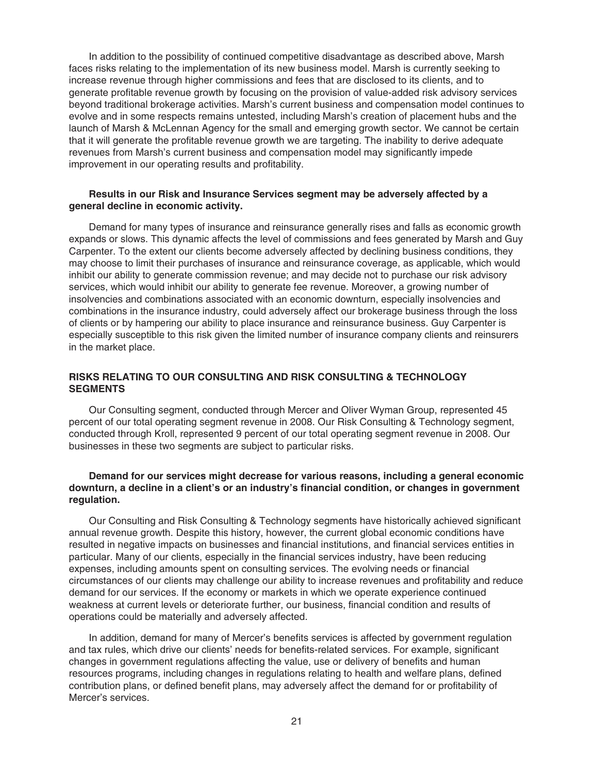In addition to the possibility of continued competitive disadvantage as described above, Marsh faces risks relating to the implementation of its new business model. Marsh is currently seeking to increase revenue through higher commissions and fees that are disclosed to its clients, and to generate profitable revenue growth by focusing on the provision of value-added risk advisory services beyond traditional brokerage activities. Marsh's current business and compensation model continues to evolve and in some respects remains untested, including Marsh's creation of placement hubs and the launch of Marsh & McLennan Agency for the small and emerging growth sector. We cannot be certain that it will generate the profitable revenue growth we are targeting. The inability to derive adequate revenues from Marsh's current business and compensation model may significantly impede improvement in our operating results and profitability.

#### **Results in our Risk and Insurance Services segment may be adversely affected by a general decline in economic activity.**

Demand for many types of insurance and reinsurance generally rises and falls as economic growth expands or slows. This dynamic affects the level of commissions and fees generated by Marsh and Guy Carpenter. To the extent our clients become adversely affected by declining business conditions, they may choose to limit their purchases of insurance and reinsurance coverage, as applicable, which would inhibit our ability to generate commission revenue; and may decide not to purchase our risk advisory services, which would inhibit our ability to generate fee revenue. Moreover, a growing number of insolvencies and combinations associated with an economic downturn, especially insolvencies and combinations in the insurance industry, could adversely affect our brokerage business through the loss of clients or by hampering our ability to place insurance and reinsurance business. Guy Carpenter is especially susceptible to this risk given the limited number of insurance company clients and reinsurers in the market place.

#### **RISKS RELATING TO OUR CONSULTING AND RISK CONSULTING & TECHNOLOGY SEGMENTS**

Our Consulting segment, conducted through Mercer and Oliver Wyman Group, represented 45 percent of our total operating segment revenue in 2008. Our Risk Consulting & Technology segment, conducted through Kroll, represented 9 percent of our total operating segment revenue in 2008. Our businesses in these two segments are subject to particular risks.

#### **Demand for our services might decrease for various reasons, including a general economic downturn, a decline in a client's or an industry's financial condition, or changes in government regulation.**

Our Consulting and Risk Consulting & Technology segments have historically achieved significant annual revenue growth. Despite this history, however, the current global economic conditions have resulted in negative impacts on businesses and financial institutions, and financial services entities in particular. Many of our clients, especially in the financial services industry, have been reducing expenses, including amounts spent on consulting services. The evolving needs or financial circumstances of our clients may challenge our ability to increase revenues and profitability and reduce demand for our services. If the economy or markets in which we operate experience continued weakness at current levels or deteriorate further, our business, financial condition and results of operations could be materially and adversely affected.

In addition, demand for many of Mercer's benefits services is affected by government regulation and tax rules, which drive our clients' needs for benefits-related services. For example, significant changes in government regulations affecting the value, use or delivery of benefits and human resources programs, including changes in regulations relating to health and welfare plans, defined contribution plans, or defined benefit plans, may adversely affect the demand for or profitability of Mercer's services.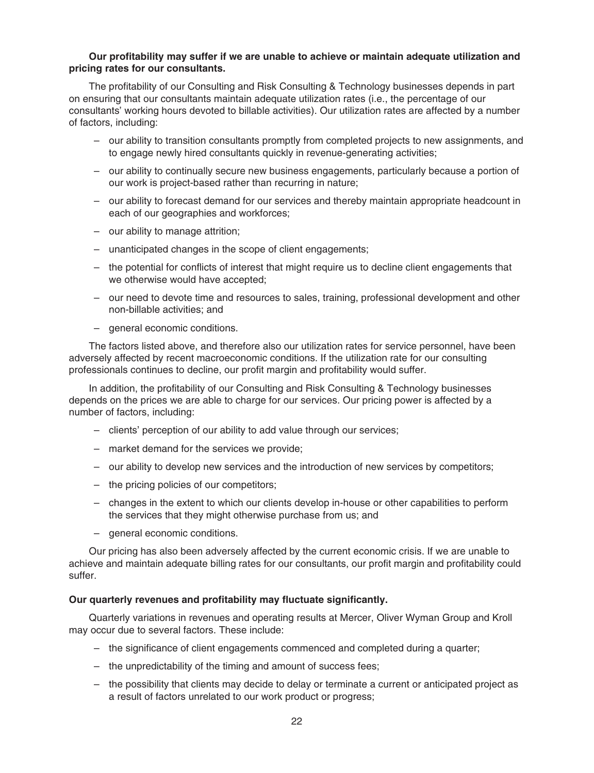#### **Our profitability may suffer if we are unable to achieve or maintain adequate utilization and pricing rates for our consultants.**

The profitability of our Consulting and Risk Consulting & Technology businesses depends in part on ensuring that our consultants maintain adequate utilization rates (i.e., the percentage of our consultants' working hours devoted to billable activities). Our utilization rates are affected by a number of factors, including:

- our ability to transition consultants promptly from completed projects to new assignments, and to engage newly hired consultants quickly in revenue-generating activities;
- our ability to continually secure new business engagements, particularly because a portion of our work is project-based rather than recurring in nature;
- our ability to forecast demand for our services and thereby maintain appropriate headcount in each of our geographies and workforces;
- our ability to manage attrition;
- unanticipated changes in the scope of client engagements;
- the potential for conflicts of interest that might require us to decline client engagements that we otherwise would have accepted;
- our need to devote time and resources to sales, training, professional development and other non-billable activities; and
- general economic conditions.

The factors listed above, and therefore also our utilization rates for service personnel, have been adversely affected by recent macroeconomic conditions. If the utilization rate for our consulting professionals continues to decline, our profit margin and profitability would suffer.

In addition, the profitability of our Consulting and Risk Consulting & Technology businesses depends on the prices we are able to charge for our services. Our pricing power is affected by a number of factors, including:

- clients' perception of our ability to add value through our services;
- market demand for the services we provide;
- our ability to develop new services and the introduction of new services by competitors;
- the pricing policies of our competitors;
- changes in the extent to which our clients develop in-house or other capabilities to perform the services that they might otherwise purchase from us; and
- general economic conditions.

Our pricing has also been adversely affected by the current economic crisis. If we are unable to achieve and maintain adequate billing rates for our consultants, our profit margin and profitability could suffer.

#### **Our quarterly revenues and profitability may fluctuate significantly.**

Quarterly variations in revenues and operating results at Mercer, Oliver Wyman Group and Kroll may occur due to several factors. These include:

- the significance of client engagements commenced and completed during a quarter;
- the unpredictability of the timing and amount of success fees;
- the possibility that clients may decide to delay or terminate a current or anticipated project as a result of factors unrelated to our work product or progress;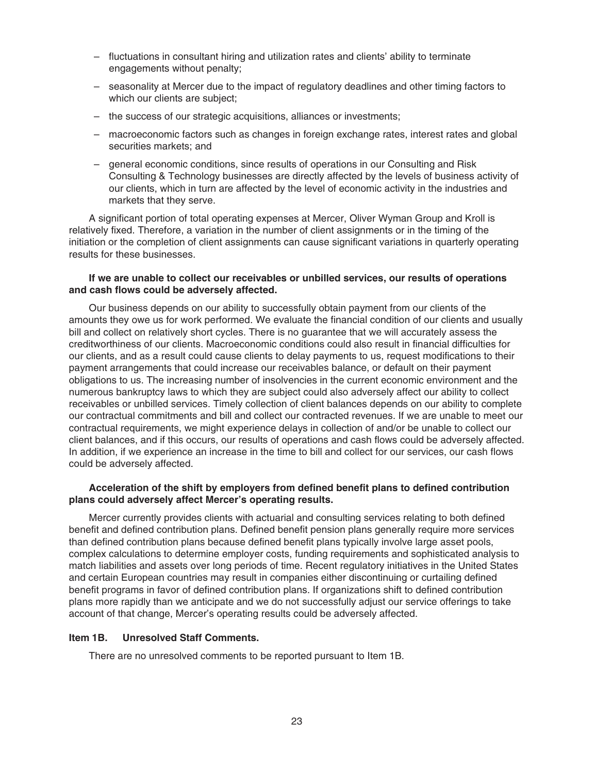- fluctuations in consultant hiring and utilization rates and clients' ability to terminate engagements without penalty;
- seasonality at Mercer due to the impact of regulatory deadlines and other timing factors to which our clients are subject;
- the success of our strategic acquisitions, alliances or investments;
- macroeconomic factors such as changes in foreign exchange rates, interest rates and global securities markets; and
- general economic conditions, since results of operations in our Consulting and Risk Consulting & Technology businesses are directly affected by the levels of business activity of our clients, which in turn are affected by the level of economic activity in the industries and markets that they serve.

A significant portion of total operating expenses at Mercer, Oliver Wyman Group and Kroll is relatively fixed. Therefore, a variation in the number of client assignments or in the timing of the initiation or the completion of client assignments can cause significant variations in quarterly operating results for these businesses.

#### **If we are unable to collect our receivables or unbilled services, our results of operations and cash flows could be adversely affected.**

Our business depends on our ability to successfully obtain payment from our clients of the amounts they owe us for work performed. We evaluate the financial condition of our clients and usually bill and collect on relatively short cycles. There is no guarantee that we will accurately assess the creditworthiness of our clients. Macroeconomic conditions could also result in financial difficulties for our clients, and as a result could cause clients to delay payments to us, request modifications to their payment arrangements that could increase our receivables balance, or default on their payment obligations to us. The increasing number of insolvencies in the current economic environment and the numerous bankruptcy laws to which they are subject could also adversely affect our ability to collect receivables or unbilled services. Timely collection of client balances depends on our ability to complete our contractual commitments and bill and collect our contracted revenues. If we are unable to meet our contractual requirements, we might experience delays in collection of and/or be unable to collect our client balances, and if this occurs, our results of operations and cash flows could be adversely affected. In addition, if we experience an increase in the time to bill and collect for our services, our cash flows could be adversely affected.

#### **Acceleration of the shift by employers from defined benefit plans to defined contribution plans could adversely affect Mercer's operating results.**

Mercer currently provides clients with actuarial and consulting services relating to both defined benefit and defined contribution plans. Defined benefit pension plans generally require more services than defined contribution plans because defined benefit plans typically involve large asset pools, complex calculations to determine employer costs, funding requirements and sophisticated analysis to match liabilities and assets over long periods of time. Recent regulatory initiatives in the United States and certain European countries may result in companies either discontinuing or curtailing defined benefit programs in favor of defined contribution plans. If organizations shift to defined contribution plans more rapidly than we anticipate and we do not successfully adjust our service offerings to take account of that change, Mercer's operating results could be adversely affected.

#### **Item 1B. Unresolved Staff Comments.**

There are no unresolved comments to be reported pursuant to Item 1B.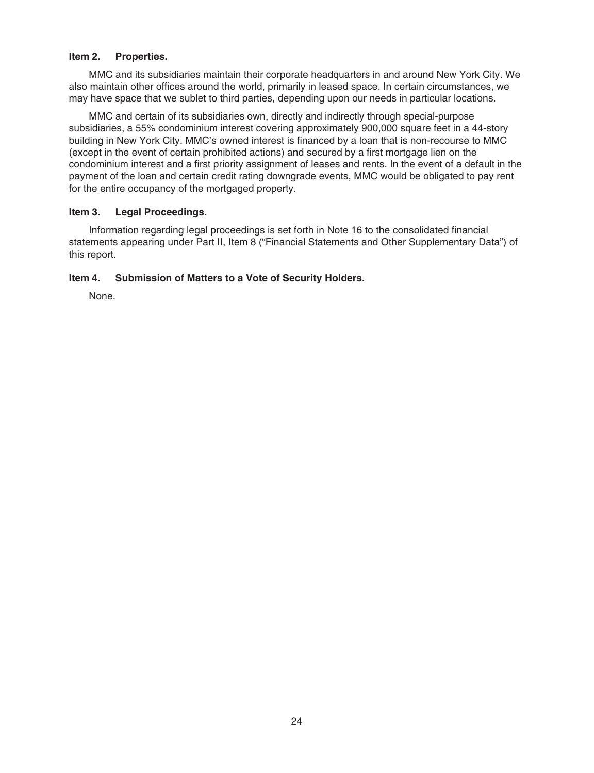#### **Item 2. Properties.**

MMC and its subsidiaries maintain their corporate headquarters in and around New York City. We also maintain other offices around the world, primarily in leased space. In certain circumstances, we may have space that we sublet to third parties, depending upon our needs in particular locations.

MMC and certain of its subsidiaries own, directly and indirectly through special-purpose subsidiaries, a 55% condominium interest covering approximately 900,000 square feet in a 44-story building in New York City. MMC's owned interest is financed by a loan that is non-recourse to MMC (except in the event of certain prohibited actions) and secured by a first mortgage lien on the condominium interest and a first priority assignment of leases and rents. In the event of a default in the payment of the loan and certain credit rating downgrade events, MMC would be obligated to pay rent for the entire occupancy of the mortgaged property.

#### **Item 3. Legal Proceedings.**

Information regarding legal proceedings is set forth in Note 16 to the consolidated financial statements appearing under Part II, Item 8 ("Financial Statements and Other Supplementary Data") of this report.

#### **Item 4. Submission of Matters to a Vote of Security Holders.**

None.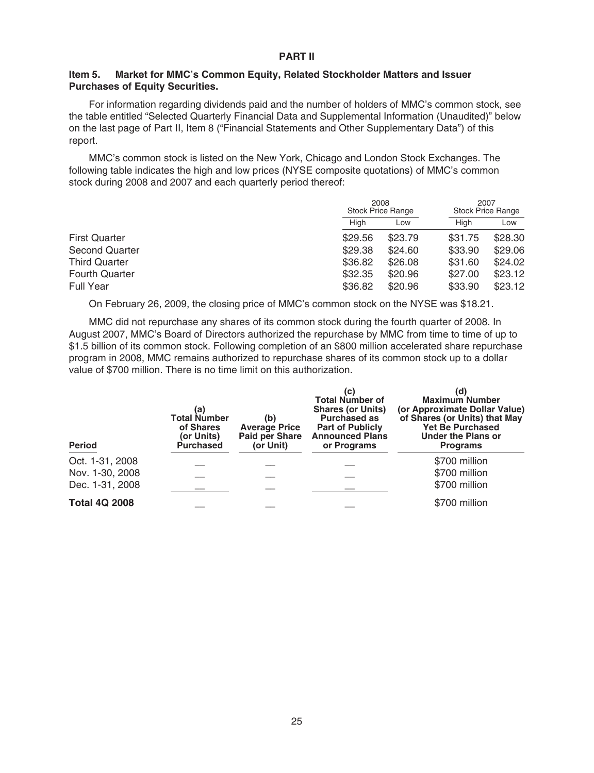#### **PART II**

#### **Item 5. Market for MMC's Common Equity, Related Stockholder Matters and Issuer Purchases of Equity Securities.**

For information regarding dividends paid and the number of holders of MMC's common stock, see the table entitled "Selected Quarterly Financial Data and Supplemental Information (Unaudited)" below on the last page of Part II, Item 8 ("Financial Statements and Other Supplementary Data") of this report.

MMC's common stock is listed on the New York, Chicago and London Stock Exchanges. The following table indicates the high and low prices (NYSE composite quotations) of MMC's common stock during 2008 and 2007 and each quarterly period thereof:

|                       |         | 2008<br><b>Stock Price Range</b> | 2007<br><b>Stock Price Range</b> |         |  |
|-----------------------|---------|----------------------------------|----------------------------------|---------|--|
|                       | High    | Low                              | Hiah                             | Low     |  |
| <b>First Quarter</b>  | \$29.56 | \$23.79                          | \$31.75                          | \$28.30 |  |
| <b>Second Quarter</b> | \$29.38 | \$24.60                          | \$33.90                          | \$29.06 |  |
| <b>Third Quarter</b>  | \$36.82 | \$26.08                          | \$31.60                          | \$24.02 |  |
| <b>Fourth Quarter</b> | \$32.35 | \$20.96                          | \$27.00                          | \$23.12 |  |
| <b>Full Year</b>      | \$36.82 | \$20.96                          | \$33.90                          | \$23.12 |  |

On February 26, 2009, the closing price of MMC's common stock on the NYSE was \$18.21.

MMC did not repurchase any shares of its common stock during the fourth quarter of 2008. In August 2007, MMC's Board of Directors authorized the repurchase by MMC from time to time of up to \$1.5 billion of its common stock. Following completion of an \$800 million accelerated share repurchase program in 2008, MMC remains authorized to repurchase shares of its common stock up to a dollar value of \$700 million. There is no time limit on this authorization.

| <b>Period</b>        | (a)<br><b>Total Number</b><br>of Shares<br>(or Units)<br><b>Purchased</b> | (b)<br><b>Average Price</b><br><b>Paid per Share</b><br>(or Unit) | (c)<br><b>Total Number of</b><br><b>Shares (or Units)</b><br><b>Purchased as</b><br><b>Part of Publicly</b><br><b>Announced Plans</b><br>or Programs | (d)<br><b>Maximum Number</b><br>(or Approximate Dollar Value)<br>of Shares (or Units) that May<br><b>Yet Be Purchased</b><br><b>Under the Plans or</b><br><b>Programs</b> |
|----------------------|---------------------------------------------------------------------------|-------------------------------------------------------------------|------------------------------------------------------------------------------------------------------------------------------------------------------|---------------------------------------------------------------------------------------------------------------------------------------------------------------------------|
| Oct. 1-31, 2008      |                                                                           |                                                                   |                                                                                                                                                      | \$700 million                                                                                                                                                             |
| Nov. 1-30, 2008      |                                                                           |                                                                   |                                                                                                                                                      | \$700 million                                                                                                                                                             |
| Dec. 1-31, 2008      |                                                                           |                                                                   |                                                                                                                                                      | \$700 million                                                                                                                                                             |
| <b>Total 4Q 2008</b> |                                                                           |                                                                   |                                                                                                                                                      | \$700 million                                                                                                                                                             |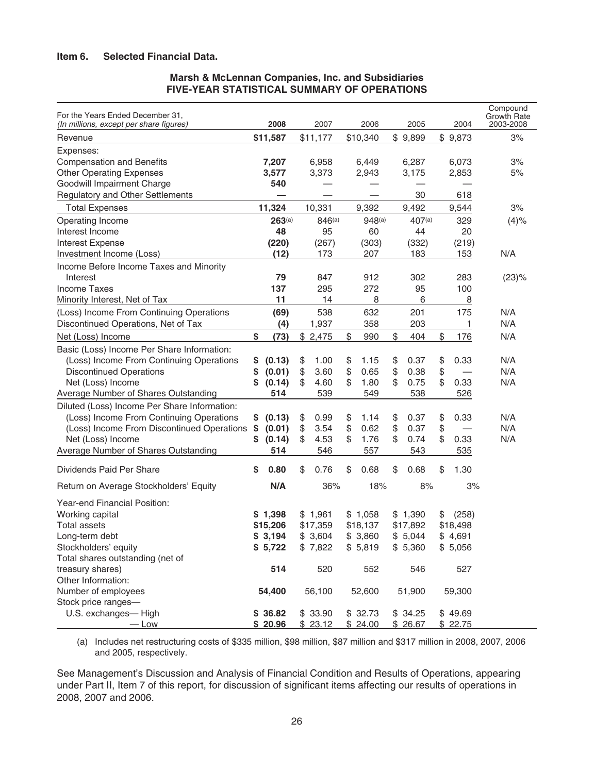#### **Item 6. Selected Financial Data.**

#### **Marsh & McLennan Companies, Inc. and Subsidiaries FIVE-YEAR STATISTICAL SUMMARY OF OPERATIONS**

| For the Years Ended December 31,<br>(In millions, except per share figures)              |    | 2008          |          | 2007               | 2006               | 2005              | 2004        | Compound<br>Growth Rate<br>2003-2008 |
|------------------------------------------------------------------------------------------|----|---------------|----------|--------------------|--------------------|-------------------|-------------|--------------------------------------|
| Revenue                                                                                  |    | \$11,587      |          | \$11,177           | \$10,340           | \$9,899           | \$9,873     | 3%                                   |
| Expenses:                                                                                |    |               |          |                    |                    |                   |             |                                      |
| <b>Compensation and Benefits</b>                                                         |    | 7,207         |          | 6,958              | 6,449              | 6,287             | 6,073       | 3%                                   |
| <b>Other Operating Expenses</b>                                                          |    | 3,577         |          | 3,373              | 2,943              | 3,175             | 2,853       | 5%                                   |
| Goodwill Impairment Charge                                                               |    | 540           |          |                    |                    |                   |             |                                      |
| Regulatory and Other Settlements                                                         |    |               |          |                    |                    | 30                | 618         |                                      |
| <b>Total Expenses</b>                                                                    |    | 11,324        |          | 10,331             | 9,392              | 9,492             | 9,544       | 3%                                   |
| Operating Income                                                                         |    | 263(a)        |          | 846 <sup>(a)</sup> | 948 <sup>(a)</sup> | 407(a)            | 329         | (4)%                                 |
| Interest Income                                                                          |    | 48            |          | 95                 | 60                 | 44                | 20          |                                      |
| Interest Expense                                                                         |    | (220)         |          | (267)              | (303)              | (332)             | (219)       |                                      |
| Investment Income (Loss)                                                                 |    | (12)          |          | 173                | 207                | 183               | 153         | N/A                                  |
| Income Before Income Taxes and Minority                                                  |    |               |          |                    |                    |                   |             |                                      |
| Interest                                                                                 |    | 79            |          | 847                | 912                | 302               | 283         | (23)%                                |
| <b>Income Taxes</b>                                                                      |    | 137           |          | 295                | 272                | 95                | 100         |                                      |
| Minority Interest, Net of Tax                                                            |    | 11            |          | 14                 | 8                  | 6                 | 8           |                                      |
| (Loss) Income From Continuing Operations                                                 |    | (69)          |          | 538                | 632                | 201               | 175         | N/A                                  |
| Discontinued Operations, Net of Tax                                                      |    | (4)           |          | 1,937              | 358                | 203               | 1           | N/A                                  |
| Net (Loss) Income                                                                        | \$ | (73)          |          | \$2,475            | \$<br>990          | \$<br>404         | \$<br>176   | N/A                                  |
| Basic (Loss) Income Per Share Information:                                               |    |               |          |                    |                    |                   |             |                                      |
| (Loss) Income From Continuing Operations                                                 | S  | (0.13)        | \$       | 1.00               | \$<br>1.15         | \$<br>0.37        | \$<br>0.33  | N/A                                  |
| <b>Discontinued Operations</b>                                                           | \$ | (0.01)        | \$       | 3.60               | \$<br>0.65         | \$<br>0.38        | \$          | N/A                                  |
| Net (Loss) Income<br>Average Number of Shares Outstanding                                | S  | (0.14)<br>514 | \$       | 4.60<br>539        | \$<br>1.80<br>549  | \$<br>0.75<br>538 | \$<br>0.33  | N/A                                  |
|                                                                                          |    |               |          |                    |                    |                   | 526         |                                      |
| Diluted (Loss) Income Per Share Information:<br>(Loss) Income From Continuing Operations |    | \$ (0.13)     |          | 0.99               | \$<br>1.14         | \$<br>0.37        | \$<br>0.33  | N/A                                  |
| (Loss) Income From Discontinued Operations                                               | \$ | (0.01)        | \$<br>\$ | 3.54               | \$<br>0.62         | \$<br>0.37        | \$          | N/A                                  |
| Net (Loss) Income                                                                        |    | (0.14)        | \$       | 4.53               | \$<br>1.76         | \$<br>0.74        | \$<br>0.33  | N/A                                  |
| Average Number of Shares Outstanding                                                     |    | 514           |          | 546                | 557                | 543               | 535         |                                      |
| Dividends Paid Per Share                                                                 | S  | 0.80          | \$       | 0.76               | \$<br>0.68         | \$<br>0.68        | \$<br>1.30  |                                      |
|                                                                                          |    |               |          |                    |                    |                   |             |                                      |
| Return on Average Stockholders' Equity                                                   |    | N/A           |          | 36%                | 18%                | 8%                | 3%          |                                      |
| <b>Year-end Financial Position:</b>                                                      |    |               |          |                    |                    |                   |             |                                      |
| Working capital                                                                          |    | \$1,398       |          | \$1,961            | \$1,058            | \$1,390           | \$<br>(258) |                                      |
| <b>Total assets</b>                                                                      |    | \$15,206      |          | \$17,359           | \$18,137           | \$17,892          | \$18,498    |                                      |
| Long-term debt                                                                           |    | \$3,194       |          | \$3,604            | \$ 3,860           | \$5,044           | \$4,691     |                                      |
| Stockholders' equity                                                                     |    | \$5,722       |          | \$7,822            | \$5,819            | \$5,360           | \$5,056     |                                      |
| Total shares outstanding (net of                                                         |    |               |          |                    |                    |                   |             |                                      |
| treasury shares)                                                                         |    | 514           |          | 520                | 552                | 546               | 527         |                                      |
| Other Information:<br>Number of employees                                                |    | 54,400        |          |                    | 52,600             |                   |             |                                      |
| Stock price ranges-                                                                      |    |               |          | 56,100             |                    | 51,900            | 59,300      |                                      |
| U.S. exchanges-High                                                                      |    | \$36.82       |          | \$33.90            | \$32.73            | \$34.25           | \$49.69     |                                      |
| $-\text{Low}$                                                                            |    | \$20.96       |          | \$23.12            | \$24.00            | \$26.67           | \$22.75     |                                      |

(a) Includes net restructuring costs of \$335 million, \$98 million, \$87 million and \$317 million in 2008, 2007, 2006 and 2005, respectively.

See Management's Discussion and Analysis of Financial Condition and Results of Operations, appearing under Part II, Item 7 of this report, for discussion of significant items affecting our results of operations in 2008, 2007 and 2006.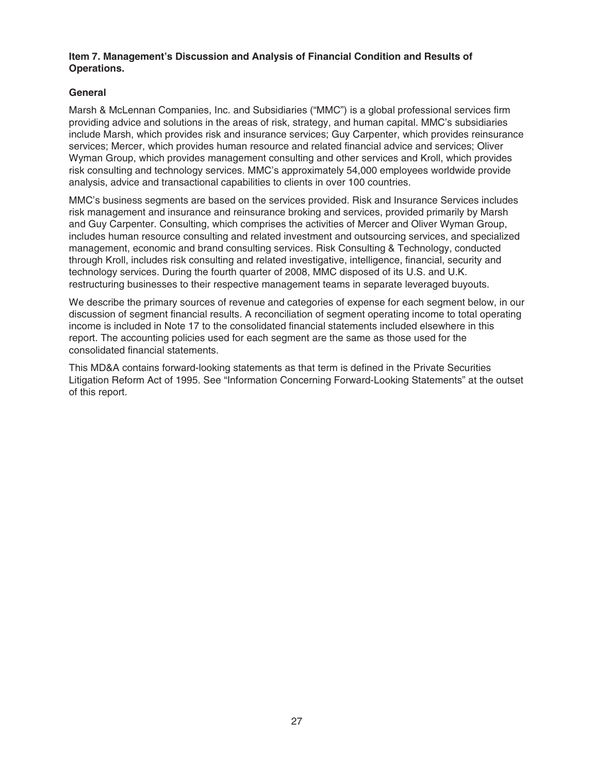### **Item 7. Management's Discussion and Analysis of Financial Condition and Results of Operations.**

### **General**

Marsh & McLennan Companies, Inc. and Subsidiaries ("MMC") is a global professional services firm providing advice and solutions in the areas of risk, strategy, and human capital. MMC's subsidiaries include Marsh, which provides risk and insurance services; Guy Carpenter, which provides reinsurance services; Mercer, which provides human resource and related financial advice and services; Oliver Wyman Group, which provides management consulting and other services and Kroll, which provides risk consulting and technology services. MMC's approximately 54,000 employees worldwide provide analysis, advice and transactional capabilities to clients in over 100 countries.

MMC's business segments are based on the services provided. Risk and Insurance Services includes risk management and insurance and reinsurance broking and services, provided primarily by Marsh and Guy Carpenter. Consulting, which comprises the activities of Mercer and Oliver Wyman Group, includes human resource consulting and related investment and outsourcing services, and specialized management, economic and brand consulting services. Risk Consulting & Technology, conducted through Kroll, includes risk consulting and related investigative, intelligence, financial, security and technology services. During the fourth quarter of 2008, MMC disposed of its U.S. and U.K. restructuring businesses to their respective management teams in separate leveraged buyouts.

We describe the primary sources of revenue and categories of expense for each segment below, in our discussion of segment financial results. A reconciliation of segment operating income to total operating income is included in Note 17 to the consolidated financial statements included elsewhere in this report. The accounting policies used for each segment are the same as those used for the consolidated financial statements.

This MD&A contains forward-looking statements as that term is defined in the Private Securities Litigation Reform Act of 1995. See "Information Concerning Forward-Looking Statements" at the outset of this report.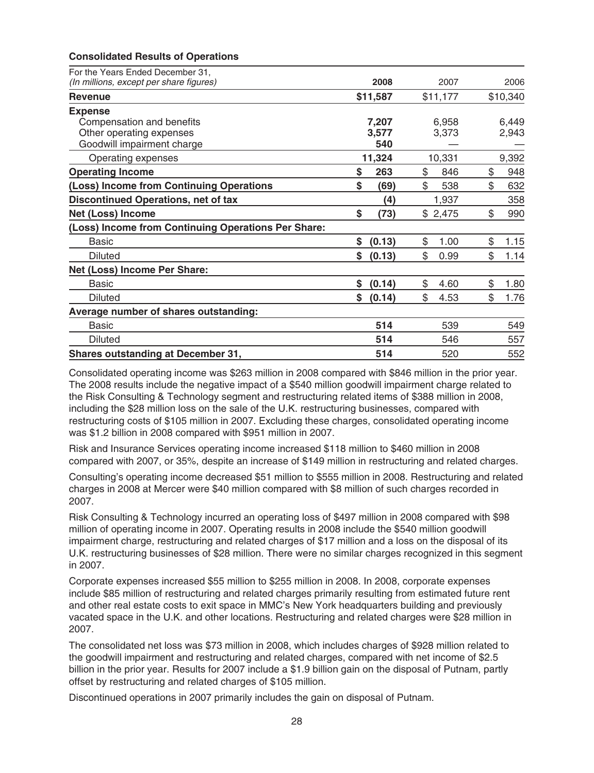#### **Consolidated Results of Operations**

| For the Years Ended December 31,                    |              |            |            |
|-----------------------------------------------------|--------------|------------|------------|
| (In millions, except per share figures)             | 2008         | 2007       | 2006       |
| <b>Revenue</b>                                      | \$11,587     | \$11,177   | \$10,340   |
| <b>Expense</b>                                      |              |            |            |
| Compensation and benefits                           | 7,207        | 6,958      | 6,449      |
| Other operating expenses                            | 3,577        | 3,373      | 2,943      |
| Goodwill impairment charge                          | 540          |            |            |
| Operating expenses                                  | 11,324       | 10,331     | 9,392      |
| <b>Operating Income</b>                             | 263<br>\$    | \$<br>846  | \$<br>948  |
| (Loss) Income from Continuing Operations            | \$<br>(69)   | \$<br>538  | \$<br>632  |
| <b>Discontinued Operations, net of tax</b>          | (4)          | 1,937      | 358        |
| <b>Net (Loss) Income</b>                            | \$<br>(73)   | \$2,475    | \$<br>990  |
| (Loss) Income from Continuing Operations Per Share: |              |            |            |
| <b>Basic</b>                                        | S.<br>(0.13) | \$<br>1.00 | \$<br>1.15 |
| <b>Diluted</b>                                      | S.<br>(0.13) | \$<br>0.99 | \$<br>1.14 |
| Net (Loss) Income Per Share:                        |              |            |            |
| <b>Basic</b>                                        | \$<br>(0.14) | \$<br>4.60 | \$<br>1.80 |
| <b>Diluted</b>                                      | \$<br>(0.14) | \$<br>4.53 | \$<br>1.76 |
| Average number of shares outstanding:               |              |            |            |
| Basic                                               | 514          | 539        | 549        |
| <b>Diluted</b>                                      | 514          | 546        | 557        |
| <b>Shares outstanding at December 31,</b>           | 514          | 520        | 552        |

Consolidated operating income was \$263 million in 2008 compared with \$846 million in the prior year. The 2008 results include the negative impact of a \$540 million goodwill impairment charge related to the Risk Consulting & Technology segment and restructuring related items of \$388 million in 2008, including the \$28 million loss on the sale of the U.K. restructuring businesses, compared with restructuring costs of \$105 million in 2007. Excluding these charges, consolidated operating income was \$1.2 billion in 2008 compared with \$951 million in 2007.

Risk and Insurance Services operating income increased \$118 million to \$460 million in 2008 compared with 2007, or 35%, despite an increase of \$149 million in restructuring and related charges.

Consulting's operating income decreased \$51 million to \$555 million in 2008. Restructuring and related charges in 2008 at Mercer were \$40 million compared with \$8 million of such charges recorded in 2007.

Risk Consulting & Technology incurred an operating loss of \$497 million in 2008 compared with \$98 million of operating income in 2007. Operating results in 2008 include the \$540 million goodwill impairment charge, restructuring and related charges of \$17 million and a loss on the disposal of its U.K. restructuring businesses of \$28 million. There were no similar charges recognized in this segment in 2007.

Corporate expenses increased \$55 million to \$255 million in 2008. In 2008, corporate expenses include \$85 million of restructuring and related charges primarily resulting from estimated future rent and other real estate costs to exit space in MMC's New York headquarters building and previously vacated space in the U.K. and other locations. Restructuring and related charges were \$28 million in 2007.

The consolidated net loss was \$73 million in 2008, which includes charges of \$928 million related to the goodwill impairment and restructuring and related charges, compared with net income of \$2.5 billion in the prior year. Results for 2007 include a \$1.9 billion gain on the disposal of Putnam, partly offset by restructuring and related charges of \$105 million.

Discontinued operations in 2007 primarily includes the gain on disposal of Putnam.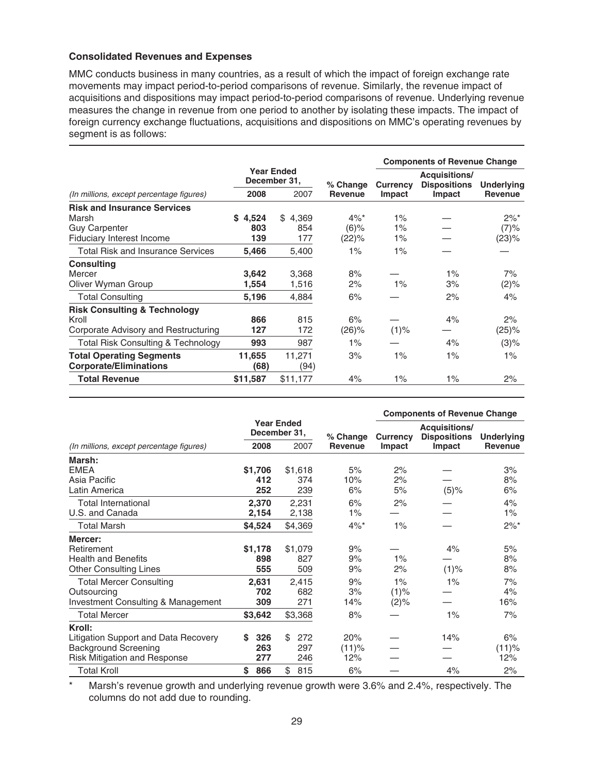### **Consolidated Revenues and Expenses**

MMC conducts business in many countries, as a result of which the impact of foreign exchange rate movements may impact period-to-period comparisons of revenue. Similarly, the revenue impact of acquisitions and dispositions may impact period-to-period comparisons of revenue. Underlying revenue measures the change in revenue from one period to another by isolating these impacts. The impact of foreign currency exchange fluctuations, acquisitions and dispositions on MMC's operating revenues by segment is as follows:

|                                   |          |          |          | <b>Components of Revenue Change</b> |                     |  |  |
|-----------------------------------|----------|----------|----------|-------------------------------------|---------------------|--|--|
| <b>Year Ended</b><br>December 31, |          |          |          | Acquisitions/                       | <b>Underlying</b>   |  |  |
| 2008                              | 2007     | Revenue  | Impact   | Impact                              | Revenue             |  |  |
|                                   |          |          |          |                                     |                     |  |  |
| 4,524<br>S                        | \$4.369  | $4\%$ *  | $1\%$    |                                     | $2\%$ <sup>*</sup>  |  |  |
| 803                               | 854      | $(6)\%$  | $1\%$    |                                     | (7)%                |  |  |
| 139                               | 177      | (22)%    | $1\%$    |                                     | (23)%               |  |  |
| 5,466                             | 5,400    | $1\%$    | $1\%$    |                                     |                     |  |  |
|                                   |          |          |          |                                     |                     |  |  |
| 3,642                             | 3,368    | 8%       |          | $1\%$                               | 7%                  |  |  |
| 1,554                             | 1,516    | 2%       | $1\%$    | 3%                                  | (2)%                |  |  |
| 5,196                             | 4,884    | 6%       |          | 2%                                  | 4%                  |  |  |
|                                   |          |          |          |                                     |                     |  |  |
| 866                               | 815      | 6%       |          | 4%                                  | 2%                  |  |  |
| 127                               | 172      | $(26)\%$ | (1)%     |                                     | (25)%               |  |  |
| 993                               | 987      | $1\%$    |          | 4%                                  | $(3)\%$             |  |  |
| 11,655                            | 11,271   | 3%       | $1\%$    | $1\%$                               | $1\%$               |  |  |
| (68)                              | (94)     |          |          |                                     |                     |  |  |
| \$11,587                          | \$11,177 | 4%       | $1\%$    | $1\%$                               | 2%                  |  |  |
|                                   |          |          | % Change | <b>Currency</b>                     | <b>Dispositions</b> |  |  |

|                                          |           |                                   | <b>Components of Revenue Change</b> |               |                                      |                   |
|------------------------------------------|-----------|-----------------------------------|-------------------------------------|---------------|--------------------------------------|-------------------|
|                                          |           | <b>Year Ended</b><br>December 31, | % Change                            | Currency      | Acquisitions/<br><b>Dispositions</b> | <b>Underlying</b> |
| (In millions, except percentage figures) | 2008      | 2007                              | Revenue                             | <b>Impact</b> | Impact                               | Revenue           |
| Marsh:                                   |           |                                   |                                     |               |                                      |                   |
| <b>EMEA</b>                              | \$1,706   | \$1,618                           | 5%                                  | 2%            |                                      | 3%                |
| Asia Pacific                             | 412       | 374                               | 10%                                 | 2%            |                                      | 8%                |
| Latin America                            | 252       | 239                               | 6%                                  | 5%            | (5)%                                 | 6%                |
| <b>Total International</b>               | 2,370     | 2,231                             | 6%                                  | 2%            |                                      | 4%                |
| U.S. and Canada                          | 2,154     | 2,138                             | $1\%$                               |               |                                      | $1\%$             |
| <b>Total Marsh</b>                       | \$4,524   | \$4,369                           | $4\%$ *                             | $1\%$         |                                      | $2\%$ *           |
| Mercer:                                  |           |                                   |                                     |               |                                      |                   |
| Retirement                               | \$1,178   | \$1,079                           | 9%                                  |               | 4%                                   | 5%                |
| <b>Health and Benefits</b>               | 898       | 827                               | 9%                                  | $1\%$         |                                      | 8%                |
| <b>Other Consulting Lines</b>            | 555       | 509                               | 9%                                  | 2%            | (1)%                                 | 8%                |
| <b>Total Mercer Consulting</b>           | 2,631     | 2,415                             | 9%                                  | 1%            | 1%                                   | 7%                |
| Outsourcing                              | 702       | 682                               | 3%                                  | $(1)\%$       |                                      | 4%                |
| Investment Consulting & Management       | 309       | 271                               | 14%                                 | (2)%          |                                      | 16%               |
| <b>Total Mercer</b>                      | \$3,642   | \$3,368                           | 8%                                  |               | 1%                                   | 7%                |
| Kroll:                                   |           |                                   |                                     |               |                                      |                   |
| Litigation Support and Data Recovery     | 326<br>S  | \$<br>272                         | 20%                                 |               | 14%                                  | 6%                |
| <b>Background Screening</b>              | 263       | 297                               | (11)%                               |               |                                      | (11)%             |
| <b>Risk Mitigation and Response</b>      | 277       | 246                               | 12%                                 |               |                                      | 12%               |
| <b>Total Kroll</b>                       | 866<br>S. | \$<br>815                         | 6%                                  |               | 4%                                   | 2%                |

Marsh's revenue growth and underlying revenue growth were 3.6% and 2.4%, respectively. The columns do not add due to rounding.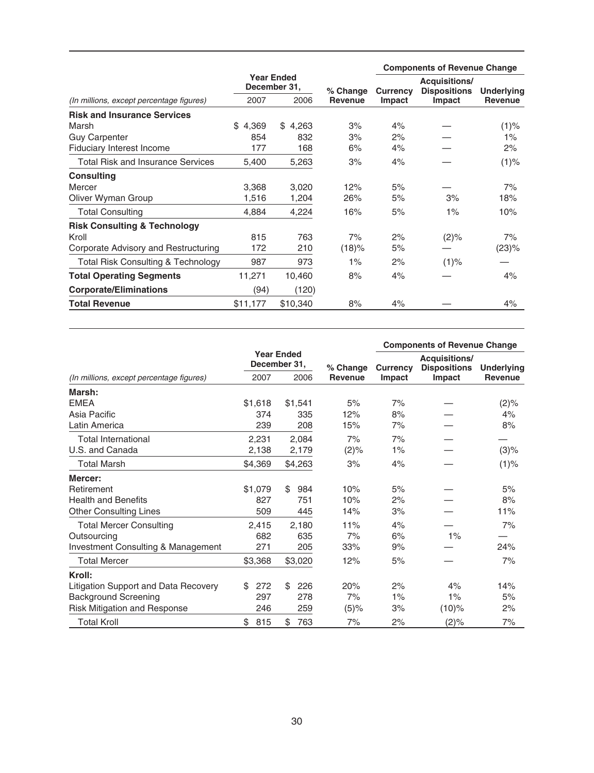|                                               |                                   |          |          | <b>Components of Revenue Change</b> |                                      |                   |
|-----------------------------------------------|-----------------------------------|----------|----------|-------------------------------------|--------------------------------------|-------------------|
|                                               | <b>Year Ended</b><br>December 31, |          | % Change | <b>Currency</b>                     | Acquisitions/<br><b>Dispositions</b> | <b>Underlying</b> |
| (In millions, except percentage figures)      | 2007                              | 2006     | Revenue  | Impact                              | Impact                               | Revenue           |
| <b>Risk and Insurance Services</b>            |                                   |          |          |                                     |                                      |                   |
| Marsh                                         | 4,369<br>\$                       | \$4,263  | 3%       | 4%                                  |                                      | (1)%              |
| <b>Guy Carpenter</b>                          | 854                               | 832      | 3%       | 2%                                  |                                      | $1\%$             |
| Fiduciary Interest Income                     | 177                               | 168      | 6%       | 4%                                  |                                      | 2%                |
| <b>Total Risk and Insurance Services</b>      | 5,400                             | 5,263    | 3%       | 4%                                  |                                      | (1)%              |
| <b>Consulting</b>                             |                                   |          |          |                                     |                                      |                   |
| Mercer                                        | 3,368                             | 3,020    | 12%      | 5%                                  |                                      | 7%                |
| Oliver Wyman Group                            | 1,516                             | 1,204    | 26%      | 5%                                  | 3%                                   | 18%               |
| <b>Total Consulting</b>                       | 4,884                             | 4,224    | 16%      | 5%                                  | $1\%$                                | 10%               |
| <b>Risk Consulting &amp; Technology</b>       |                                   |          |          |                                     |                                      |                   |
| Kroll                                         | 815                               | 763      | 7%       | 2%                                  | (2)%                                 | 7%                |
| Corporate Advisory and Restructuring          | 172                               | 210      | (18)%    | 5%                                  |                                      | (23)%             |
| <b>Total Risk Consulting &amp; Technology</b> | 987                               | 973      | $1\%$    | 2%                                  | $(1)\%$                              |                   |
| <b>Total Operating Segments</b>               | 11,271                            | 10,460   | 8%       | 4%                                  |                                      | 4%                |
| <b>Corporate/Eliminations</b>                 | (94)                              | (120)    |          |                                     |                                      |                   |
| <b>Total Revenue</b>                          | \$11,177                          | \$10,340 | 8%       | 4%                                  |                                      | 4%                |

|                                          |           |                                   |          | <b>Components of Revenue Change</b> |                                             |                   |  |
|------------------------------------------|-----------|-----------------------------------|----------|-------------------------------------|---------------------------------------------|-------------------|--|
|                                          |           | <b>Year Ended</b><br>December 31. | % Change | Currency                            | <b>Acquisitions/</b><br><b>Dispositions</b> | <b>Underlying</b> |  |
| (In millions, except percentage figures) | 2007      | 2006                              | Revenue  | Impact                              | Impact                                      | Revenue           |  |
| Marsh:                                   |           |                                   |          |                                     |                                             |                   |  |
| <b>EMEA</b>                              | \$1,618   | \$1,541                           | 5%       | 7%                                  |                                             | (2)%              |  |
| Asia Pacific                             | 374       | 335                               | 12%      | 8%                                  |                                             | 4%                |  |
| Latin America                            | 239       | 208                               | 15%      | 7%                                  |                                             | 8%                |  |
| <b>Total International</b>               | 2,231     | 2,084                             | 7%       | 7%                                  |                                             |                   |  |
| U.S. and Canada                          | 2,138     | 2,179                             | (2)%     | 1%                                  |                                             | (3)%              |  |
| <b>Total Marsh</b>                       | \$4,369   | \$4,263                           | 3%       | 4%                                  |                                             | (1)%              |  |
| Mercer:                                  |           |                                   |          |                                     |                                             |                   |  |
| Retirement                               | \$1,079   | \$<br>984                         | 10%      | 5%                                  |                                             | 5%                |  |
| <b>Health and Benefits</b>               | 827       | 751                               | 10%      | 2%                                  |                                             | 8%                |  |
| <b>Other Consulting Lines</b>            | 509       | 445                               | 14%      | 3%                                  |                                             | 11%               |  |
| <b>Total Mercer Consulting</b>           | 2,415     | 2,180                             | 11%      | 4%                                  |                                             | 7%                |  |
| Outsourcing                              | 682       | 635                               | 7%       | 6%                                  | 1%                                          |                   |  |
| Investment Consulting & Management       | 271       | 205                               | 33%      | 9%                                  |                                             | 24%               |  |
| <b>Total Mercer</b>                      | \$3,368   | \$3,020                           | 12%      | 5%                                  |                                             | 7%                |  |
| Kroll:                                   |           |                                   |          |                                     |                                             |                   |  |
| Litigation Support and Data Recovery     | 272<br>\$ | \$<br>226                         | 20%      | 2%                                  | 4%                                          | 14%               |  |
| <b>Background Screening</b>              | 297       | 278                               | 7%       | 1%                                  | $1\%$                                       | 5%                |  |
| <b>Risk Mitigation and Response</b>      | 246       | 259                               | $(5)$ %  | 3%                                  | $(10)\%$                                    | 2%                |  |
| <b>Total Kroll</b>                       | \$<br>815 | \$<br>763                         | 7%       | 2%                                  | (2)%                                        | 7%                |  |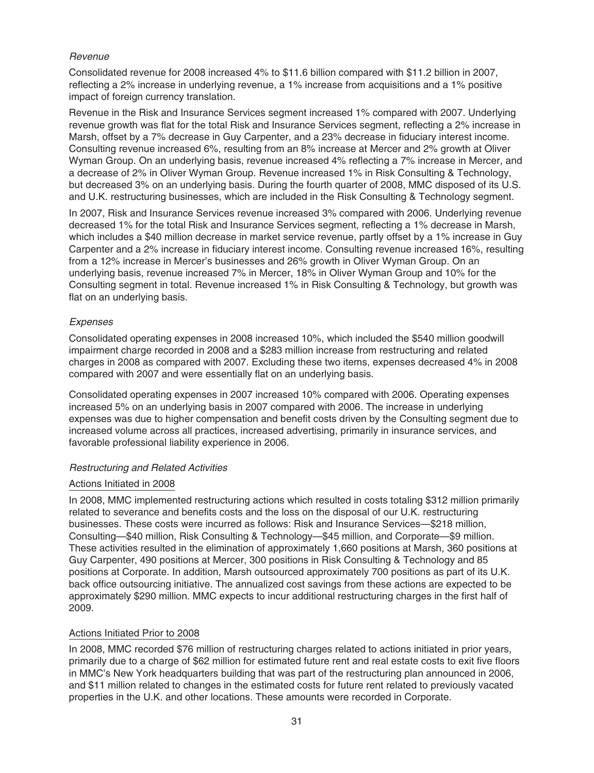## Revenue

Consolidated revenue for 2008 increased 4% to \$11.6 billion compared with \$11.2 billion in 2007, reflecting a 2% increase in underlying revenue, a 1% increase from acquisitions and a 1% positive impact of foreign currency translation.

Revenue in the Risk and Insurance Services segment increased 1% compared with 2007. Underlying revenue growth was flat for the total Risk and Insurance Services segment, reflecting a 2% increase in Marsh, offset by a 7% decrease in Guy Carpenter, and a 23% decrease in fiduciary interest income. Consulting revenue increased 6%, resulting from an 8% increase at Mercer and 2% growth at Oliver Wyman Group. On an underlying basis, revenue increased 4% reflecting a 7% increase in Mercer, and a decrease of 2% in Oliver Wyman Group. Revenue increased 1% in Risk Consulting & Technology, but decreased 3% on an underlying basis. During the fourth quarter of 2008, MMC disposed of its U.S. and U.K. restructuring businesses, which are included in the Risk Consulting & Technology segment.

In 2007, Risk and Insurance Services revenue increased 3% compared with 2006. Underlying revenue decreased 1% for the total Risk and Insurance Services segment, reflecting a 1% decrease in Marsh, which includes a \$40 million decrease in market service revenue, partly offset by a 1% increase in Guy Carpenter and a 2% increase in fiduciary interest income. Consulting revenue increased 16%, resulting from a 12% increase in Mercer's businesses and 26% growth in Oliver Wyman Group. On an underlying basis, revenue increased 7% in Mercer, 18% in Oliver Wyman Group and 10% for the Consulting segment in total. Revenue increased 1% in Risk Consulting & Technology, but growth was flat on an underlying basis.

### Expenses

Consolidated operating expenses in 2008 increased 10%, which included the \$540 million goodwill impairment charge recorded in 2008 and a \$283 million increase from restructuring and related charges in 2008 as compared with 2007. Excluding these two items, expenses decreased 4% in 2008 compared with 2007 and were essentially flat on an underlying basis.

Consolidated operating expenses in 2007 increased 10% compared with 2006. Operating expenses increased 5% on an underlying basis in 2007 compared with 2006. The increase in underlying expenses was due to higher compensation and benefit costs driven by the Consulting segment due to increased volume across all practices, increased advertising, primarily in insurance services, and favorable professional liability experience in 2006.

### Restructuring and Related Activities

### Actions Initiated in 2008

In 2008, MMC implemented restructuring actions which resulted in costs totaling \$312 million primarily related to severance and benefits costs and the loss on the disposal of our U.K. restructuring businesses. These costs were incurred as follows: Risk and Insurance Services—\$218 million, Consulting—\$40 million, Risk Consulting & Technology—\$45 million, and Corporate—\$9 million. These activities resulted in the elimination of approximately 1,660 positions at Marsh, 360 positions at Guy Carpenter, 490 positions at Mercer, 300 positions in Risk Consulting & Technology and 85 positions at Corporate. In addition, Marsh outsourced approximately 700 positions as part of its U.K. back office outsourcing initiative. The annualized cost savings from these actions are expected to be approximately \$290 million. MMC expects to incur additional restructuring charges in the first half of 2009.

### Actions Initiated Prior to 2008

In 2008, MMC recorded \$76 million of restructuring charges related to actions initiated in prior years, primarily due to a charge of \$62 million for estimated future rent and real estate costs to exit five floors in MMC's New York headquarters building that was part of the restructuring plan announced in 2006, and \$11 million related to changes in the estimated costs for future rent related to previously vacated properties in the U.K. and other locations. These amounts were recorded in Corporate.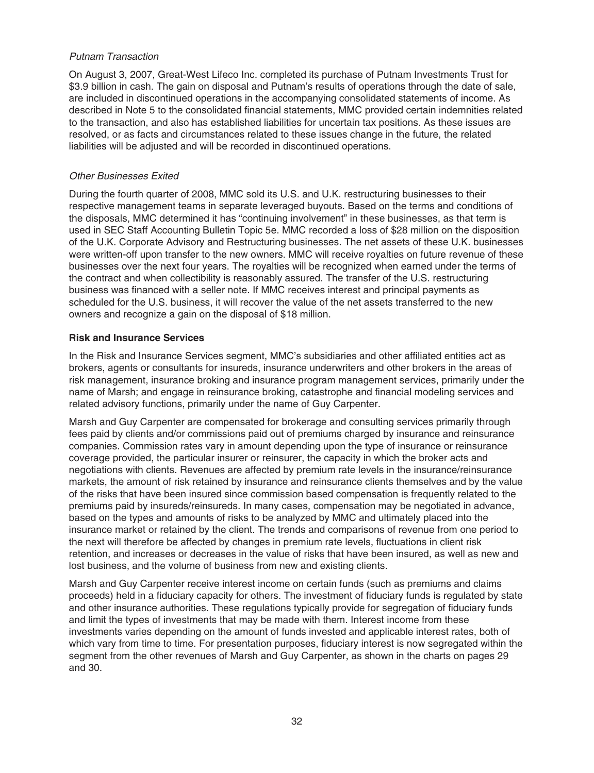### Putnam Transaction

On August 3, 2007, Great-West Lifeco Inc. completed its purchase of Putnam Investments Trust for \$3.9 billion in cash. The gain on disposal and Putnam's results of operations through the date of sale, are included in discontinued operations in the accompanying consolidated statements of income. As described in Note 5 to the consolidated financial statements, MMC provided certain indemnities related to the transaction, and also has established liabilities for uncertain tax positions. As these issues are resolved, or as facts and circumstances related to these issues change in the future, the related liabilities will be adjusted and will be recorded in discontinued operations.

### Other Businesses Exited

During the fourth quarter of 2008, MMC sold its U.S. and U.K. restructuring businesses to their respective management teams in separate leveraged buyouts. Based on the terms and conditions of the disposals, MMC determined it has "continuing involvement" in these businesses, as that term is used in SEC Staff Accounting Bulletin Topic 5e. MMC recorded a loss of \$28 million on the disposition of the U.K. Corporate Advisory and Restructuring businesses. The net assets of these U.K. businesses were written-off upon transfer to the new owners. MMC will receive royalties on future revenue of these businesses over the next four years. The royalties will be recognized when earned under the terms of the contract and when collectibility is reasonably assured. The transfer of the U.S. restructuring business was financed with a seller note. If MMC receives interest and principal payments as scheduled for the U.S. business, it will recover the value of the net assets transferred to the new owners and recognize a gain on the disposal of \$18 million.

#### **Risk and Insurance Services**

In the Risk and Insurance Services segment, MMC's subsidiaries and other affiliated entities act as brokers, agents or consultants for insureds, insurance underwriters and other brokers in the areas of risk management, insurance broking and insurance program management services, primarily under the name of Marsh; and engage in reinsurance broking, catastrophe and financial modeling services and related advisory functions, primarily under the name of Guy Carpenter.

Marsh and Guy Carpenter are compensated for brokerage and consulting services primarily through fees paid by clients and/or commissions paid out of premiums charged by insurance and reinsurance companies. Commission rates vary in amount depending upon the type of insurance or reinsurance coverage provided, the particular insurer or reinsurer, the capacity in which the broker acts and negotiations with clients. Revenues are affected by premium rate levels in the insurance/reinsurance markets, the amount of risk retained by insurance and reinsurance clients themselves and by the value of the risks that have been insured since commission based compensation is frequently related to the premiums paid by insureds/reinsureds. In many cases, compensation may be negotiated in advance, based on the types and amounts of risks to be analyzed by MMC and ultimately placed into the insurance market or retained by the client. The trends and comparisons of revenue from one period to the next will therefore be affected by changes in premium rate levels, fluctuations in client risk retention, and increases or decreases in the value of risks that have been insured, as well as new and lost business, and the volume of business from new and existing clients.

Marsh and Guy Carpenter receive interest income on certain funds (such as premiums and claims proceeds) held in a fiduciary capacity for others. The investment of fiduciary funds is regulated by state and other insurance authorities. These regulations typically provide for segregation of fiduciary funds and limit the types of investments that may be made with them. Interest income from these investments varies depending on the amount of funds invested and applicable interest rates, both of which vary from time to time. For presentation purposes, fiduciary interest is now segregated within the segment from the other revenues of Marsh and Guy Carpenter, as shown in the charts on pages 29 and 30.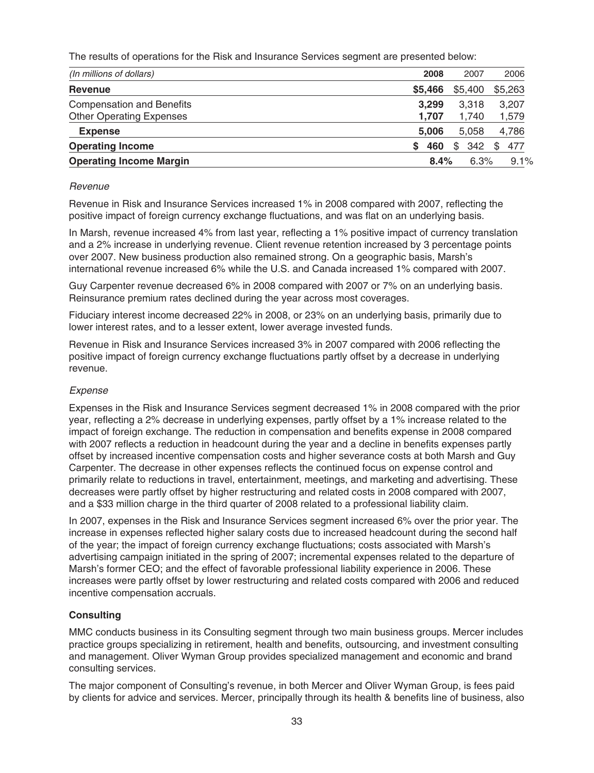The results of operations for the Risk and Insurance Services segment are presented below:

| (In millions of dollars)         | 2008      | 2007      | 2006       |
|----------------------------------|-----------|-----------|------------|
| <b>Revenue</b>                   | \$5,466   | \$5,400   | \$5,263    |
| <b>Compensation and Benefits</b> | 3.299     | 3.318     | 3,207      |
| <b>Other Operating Expenses</b>  | 1.707     | 1.740     | 1,579      |
| <b>Expense</b>                   | 5.006     | 5.058     | 4,786      |
| <b>Operating Income</b>          | 460<br>S. | 342<br>\$ | 477<br>\$. |
| <b>Operating Income Margin</b>   | 8.4%      | 6.3%      | 9.1%       |

#### Revenue

Revenue in Risk and Insurance Services increased 1% in 2008 compared with 2007, reflecting the positive impact of foreign currency exchange fluctuations, and was flat on an underlying basis.

In Marsh, revenue increased 4% from last year, reflecting a 1% positive impact of currency translation and a 2% increase in underlying revenue. Client revenue retention increased by 3 percentage points over 2007. New business production also remained strong. On a geographic basis, Marsh's international revenue increased 6% while the U.S. and Canada increased 1% compared with 2007.

Guy Carpenter revenue decreased 6% in 2008 compared with 2007 or 7% on an underlying basis. Reinsurance premium rates declined during the year across most coverages.

Fiduciary interest income decreased 22% in 2008, or 23% on an underlying basis, primarily due to lower interest rates, and to a lesser extent, lower average invested funds.

Revenue in Risk and Insurance Services increased 3% in 2007 compared with 2006 reflecting the positive impact of foreign currency exchange fluctuations partly offset by a decrease in underlying revenue.

#### Expense

Expenses in the Risk and Insurance Services segment decreased 1% in 2008 compared with the prior year, reflecting a 2% decrease in underlying expenses, partly offset by a 1% increase related to the impact of foreign exchange. The reduction in compensation and benefits expense in 2008 compared with 2007 reflects a reduction in headcount during the year and a decline in benefits expenses partly offset by increased incentive compensation costs and higher severance costs at both Marsh and Guy Carpenter. The decrease in other expenses reflects the continued focus on expense control and primarily relate to reductions in travel, entertainment, meetings, and marketing and advertising. These decreases were partly offset by higher restructuring and related costs in 2008 compared with 2007, and a \$33 million charge in the third quarter of 2008 related to a professional liability claim.

In 2007, expenses in the Risk and Insurance Services segment increased 6% over the prior year. The increase in expenses reflected higher salary costs due to increased headcount during the second half of the year; the impact of foreign currency exchange fluctuations; costs associated with Marsh's advertising campaign initiated in the spring of 2007; incremental expenses related to the departure of Marsh's former CEO; and the effect of favorable professional liability experience in 2006. These increases were partly offset by lower restructuring and related costs compared with 2006 and reduced incentive compensation accruals.

### **Consulting**

MMC conducts business in its Consulting segment through two main business groups. Mercer includes practice groups specializing in retirement, health and benefits, outsourcing, and investment consulting and management. Oliver Wyman Group provides specialized management and economic and brand consulting services.

The major component of Consulting's revenue, in both Mercer and Oliver Wyman Group, is fees paid by clients for advice and services. Mercer, principally through its health & benefits line of business, also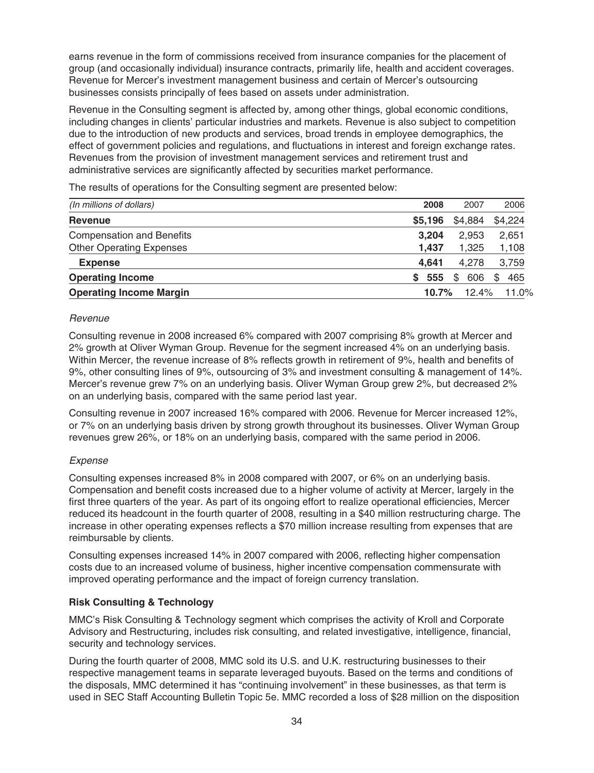earns revenue in the form of commissions received from insurance companies for the placement of group (and occasionally individual) insurance contracts, primarily life, health and accident coverages. Revenue for Mercer's investment management business and certain of Mercer's outsourcing businesses consists principally of fees based on assets under administration.

Revenue in the Consulting segment is affected by, among other things, global economic conditions, including changes in clients' particular industries and markets. Revenue is also subject to competition due to the introduction of new products and services, broad trends in employee demographics, the effect of government policies and regulations, and fluctuations in interest and foreign exchange rates. Revenues from the provision of investment management services and retirement trust and administrative services are significantly affected by securities market performance.

The results of operations for the Consulting segment are presented below:

| (In millions of dollars)         | 2008      | 2007       | 2006       |
|----------------------------------|-----------|------------|------------|
| <b>Revenue</b>                   | \$5,196   | \$4,884    | \$4,224    |
| <b>Compensation and Benefits</b> | 3.204     | 2.953      | 2,651      |
| <b>Other Operating Expenses</b>  | 1.437     | 1.325      | 1,108      |
| <b>Expense</b>                   | 4.641     | 4.278      | 3,759      |
| <b>Operating Income</b>          | 555<br>S. | 606<br>\$. | 465<br>\$. |
| <b>Operating Income Margin</b>   | 10.7%     | 12.4%      | 11.0%      |

### Revenue

Consulting revenue in 2008 increased 6% compared with 2007 comprising 8% growth at Mercer and 2% growth at Oliver Wyman Group. Revenue for the segment increased 4% on an underlying basis. Within Mercer, the revenue increase of 8% reflects growth in retirement of 9%, health and benefits of 9%, other consulting lines of 9%, outsourcing of 3% and investment consulting & management of 14%. Mercer's revenue grew 7% on an underlying basis. Oliver Wyman Group grew 2%, but decreased 2% on an underlying basis, compared with the same period last year.

Consulting revenue in 2007 increased 16% compared with 2006. Revenue for Mercer increased 12%, or 7% on an underlying basis driven by strong growth throughout its businesses. Oliver Wyman Group revenues grew 26%, or 18% on an underlying basis, compared with the same period in 2006.

### Expense

Consulting expenses increased 8% in 2008 compared with 2007, or 6% on an underlying basis. Compensation and benefit costs increased due to a higher volume of activity at Mercer, largely in the first three quarters of the year. As part of its ongoing effort to realize operational efficiencies, Mercer reduced its headcount in the fourth quarter of 2008, resulting in a \$40 million restructuring charge. The increase in other operating expenses reflects a \$70 million increase resulting from expenses that are reimbursable by clients.

Consulting expenses increased 14% in 2007 compared with 2006, reflecting higher compensation costs due to an increased volume of business, higher incentive compensation commensurate with improved operating performance and the impact of foreign currency translation.

### **Risk Consulting & Technology**

MMC's Risk Consulting & Technology segment which comprises the activity of Kroll and Corporate Advisory and Restructuring, includes risk consulting, and related investigative, intelligence, financial, security and technology services.

During the fourth quarter of 2008, MMC sold its U.S. and U.K. restructuring businesses to their respective management teams in separate leveraged buyouts. Based on the terms and conditions of the disposals, MMC determined it has "continuing involvement" in these businesses, as that term is used in SEC Staff Accounting Bulletin Topic 5e. MMC recorded a loss of \$28 million on the disposition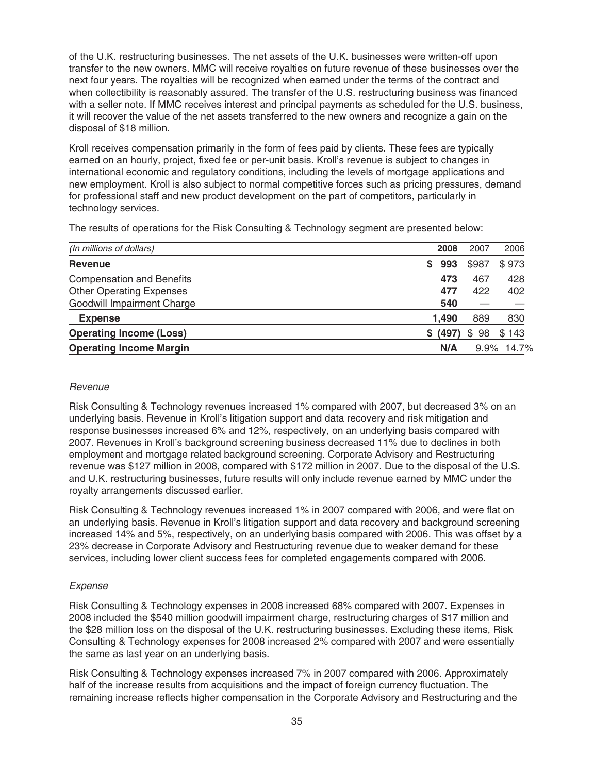of the U.K. restructuring businesses. The net assets of the U.K. businesses were written-off upon transfer to the new owners. MMC will receive royalties on future revenue of these businesses over the next four years. The royalties will be recognized when earned under the terms of the contract and when collectibility is reasonably assured. The transfer of the U.S. restructuring business was financed with a seller note. If MMC receives interest and principal payments as scheduled for the U.S. business, it will recover the value of the net assets transferred to the new owners and recognize a gain on the disposal of \$18 million.

Kroll receives compensation primarily in the form of fees paid by clients. These fees are typically earned on an hourly, project, fixed fee or per-unit basis. Kroll's revenue is subject to changes in international economic and regulatory conditions, including the levels of mortgage applications and new employment. Kroll is also subject to normal competitive forces such as pricing pressures, demand for professional staff and new product development on the part of competitors, particularly in technology services.

The results of operations for the Risk Consulting & Technology segment are presented below:

| (In millions of dollars)         | 2008     | 2007     | 2006  |
|----------------------------------|----------|----------|-------|
| <b>Revenue</b>                   | 993<br>S | \$987    | \$973 |
| <b>Compensation and Benefits</b> | 473      | 467      | 428   |
| <b>Other Operating Expenses</b>  | 477      | 422      | 402   |
| Goodwill Impairment Charge       | 540      |          |       |
| <b>Expense</b>                   | 1.490    | 889      | 830   |
| <b>Operating Income (Loss)</b>   | \$ (497) | 98<br>\$ | \$143 |
| <b>Operating Income Margin</b>   | N/A      | $9.9\%$  | 14.7% |

### Revenue

Risk Consulting & Technology revenues increased 1% compared with 2007, but decreased 3% on an underlying basis. Revenue in Kroll's litigation support and data recovery and risk mitigation and response businesses increased 6% and 12%, respectively, on an underlying basis compared with 2007. Revenues in Kroll's background screening business decreased 11% due to declines in both employment and mortgage related background screening. Corporate Advisory and Restructuring revenue was \$127 million in 2008, compared with \$172 million in 2007. Due to the disposal of the U.S. and U.K. restructuring businesses, future results will only include revenue earned by MMC under the royalty arrangements discussed earlier.

Risk Consulting & Technology revenues increased 1% in 2007 compared with 2006, and were flat on an underlying basis. Revenue in Kroll's litigation support and data recovery and background screening increased 14% and 5%, respectively, on an underlying basis compared with 2006. This was offset by a 23% decrease in Corporate Advisory and Restructuring revenue due to weaker demand for these services, including lower client success fees for completed engagements compared with 2006.

# Expense

Risk Consulting & Technology expenses in 2008 increased 68% compared with 2007. Expenses in 2008 included the \$540 million goodwill impairment charge, restructuring charges of \$17 million and the \$28 million loss on the disposal of the U.K. restructuring businesses. Excluding these items, Risk Consulting & Technology expenses for 2008 increased 2% compared with 2007 and were essentially the same as last year on an underlying basis.

Risk Consulting & Technology expenses increased 7% in 2007 compared with 2006. Approximately half of the increase results from acquisitions and the impact of foreign currency fluctuation. The remaining increase reflects higher compensation in the Corporate Advisory and Restructuring and the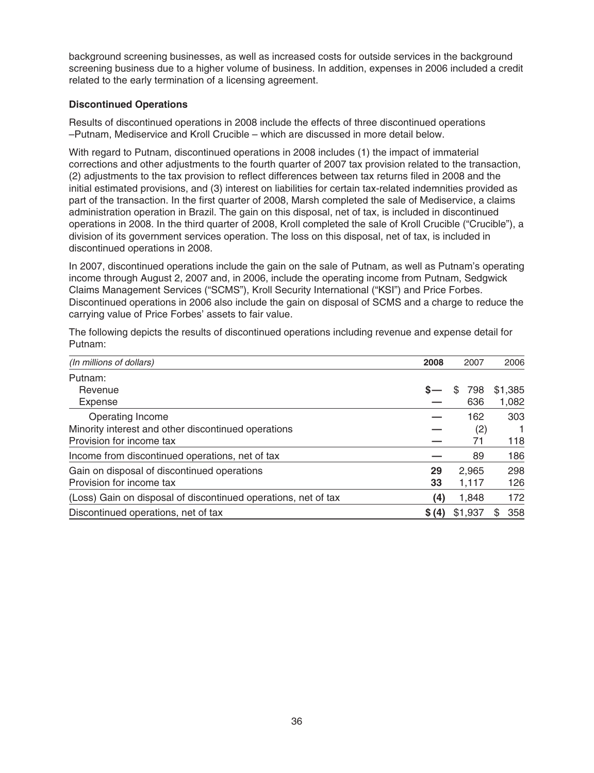background screening businesses, as well as increased costs for outside services in the background screening business due to a higher volume of business. In addition, expenses in 2006 included a credit related to the early termination of a licensing agreement.

# **Discontinued Operations**

Results of discontinued operations in 2008 include the effects of three discontinued operations –Putnam, Mediservice and Kroll Crucible – which are discussed in more detail below.

With regard to Putnam, discontinued operations in 2008 includes (1) the impact of immaterial corrections and other adjustments to the fourth quarter of 2007 tax provision related to the transaction, (2) adjustments to the tax provision to reflect differences between tax returns filed in 2008 and the initial estimated provisions, and (3) interest on liabilities for certain tax-related indemnities provided as part of the transaction. In the first quarter of 2008, Marsh completed the sale of Mediservice, a claims administration operation in Brazil. The gain on this disposal, net of tax, is included in discontinued operations in 2008. In the third quarter of 2008, Kroll completed the sale of Kroll Crucible ("Crucible"), a division of its government services operation. The loss on this disposal, net of tax, is included in discontinued operations in 2008.

In 2007, discontinued operations include the gain on the sale of Putnam, as well as Putnam's operating income through August 2, 2007 and, in 2006, include the operating income from Putnam, Sedgwick Claims Management Services ("SCMS"), Kroll Security International ("KSI") and Price Forbes. Discontinued operations in 2006 also include the gain on disposal of SCMS and a charge to reduce the carrying value of Price Forbes' assets to fair value.

| (In millions of dollars)                                       | 2008   | 2007       | 2006    |
|----------------------------------------------------------------|--------|------------|---------|
| Putnam:                                                        |        |            |         |
| Revenue                                                        |        | 798<br>\$. | \$1,385 |
| Expense                                                        |        | 636        | 1,082   |
| Operating Income                                               |        | 162        | 303     |
| Minority interest and other discontinued operations            |        | (2)        | 1       |
| Provision for income tax                                       |        | 71         | 118     |
| Income from discontinued operations, net of tax                |        | 89         | 186     |
| Gain on disposal of discontinued operations                    | 29     | 2.965      | 298     |
| Provision for income tax                                       | 33     | 1,117      | 126     |
| (Loss) Gain on disposal of discontinued operations, net of tax | (4)    | 1.848      | 172     |
| Discontinued operations, net of tax                            | \$ (4) | \$1,937    | 358     |

The following depicts the results of discontinued operations including revenue and expense detail for Putnam: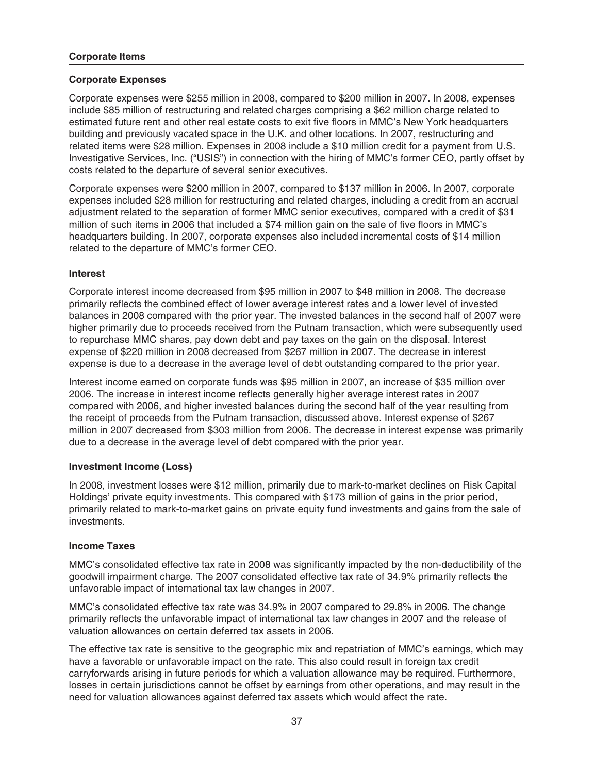### **Corporate Items**

#### **Corporate Expenses**

Corporate expenses were \$255 million in 2008, compared to \$200 million in 2007. In 2008, expenses include \$85 million of restructuring and related charges comprising a \$62 million charge related to estimated future rent and other real estate costs to exit five floors in MMC's New York headquarters building and previously vacated space in the U.K. and other locations. In 2007, restructuring and related items were \$28 million. Expenses in 2008 include a \$10 million credit for a payment from U.S. Investigative Services, Inc. ("USIS") in connection with the hiring of MMC's former CEO, partly offset by costs related to the departure of several senior executives.

Corporate expenses were \$200 million in 2007, compared to \$137 million in 2006. In 2007, corporate expenses included \$28 million for restructuring and related charges, including a credit from an accrual adjustment related to the separation of former MMC senior executives, compared with a credit of \$31 million of such items in 2006 that included a \$74 million gain on the sale of five floors in MMC's headquarters building. In 2007, corporate expenses also included incremental costs of \$14 million related to the departure of MMC's former CEO.

#### **Interest**

Corporate interest income decreased from \$95 million in 2007 to \$48 million in 2008. The decrease primarily reflects the combined effect of lower average interest rates and a lower level of invested balances in 2008 compared with the prior year. The invested balances in the second half of 2007 were higher primarily due to proceeds received from the Putnam transaction, which were subsequently used to repurchase MMC shares, pay down debt and pay taxes on the gain on the disposal. Interest expense of \$220 million in 2008 decreased from \$267 million in 2007. The decrease in interest expense is due to a decrease in the average level of debt outstanding compared to the prior year.

Interest income earned on corporate funds was \$95 million in 2007, an increase of \$35 million over 2006. The increase in interest income reflects generally higher average interest rates in 2007 compared with 2006, and higher invested balances during the second half of the year resulting from the receipt of proceeds from the Putnam transaction, discussed above. Interest expense of \$267 million in 2007 decreased from \$303 million from 2006. The decrease in interest expense was primarily due to a decrease in the average level of debt compared with the prior year.

#### **Investment Income (Loss)**

In 2008, investment losses were \$12 million, primarily due to mark-to-market declines on Risk Capital Holdings' private equity investments. This compared with \$173 million of gains in the prior period, primarily related to mark-to-market gains on private equity fund investments and gains from the sale of investments.

#### **Income Taxes**

MMC's consolidated effective tax rate in 2008 was significantly impacted by the non-deductibility of the goodwill impairment charge. The 2007 consolidated effective tax rate of 34.9% primarily reflects the unfavorable impact of international tax law changes in 2007.

MMC's consolidated effective tax rate was 34.9% in 2007 compared to 29.8% in 2006. The change primarily reflects the unfavorable impact of international tax law changes in 2007 and the release of valuation allowances on certain deferred tax assets in 2006.

The effective tax rate is sensitive to the geographic mix and repatriation of MMC's earnings, which may have a favorable or unfavorable impact on the rate. This also could result in foreign tax credit carryforwards arising in future periods for which a valuation allowance may be required. Furthermore, losses in certain jurisdictions cannot be offset by earnings from other operations, and may result in the need for valuation allowances against deferred tax assets which would affect the rate.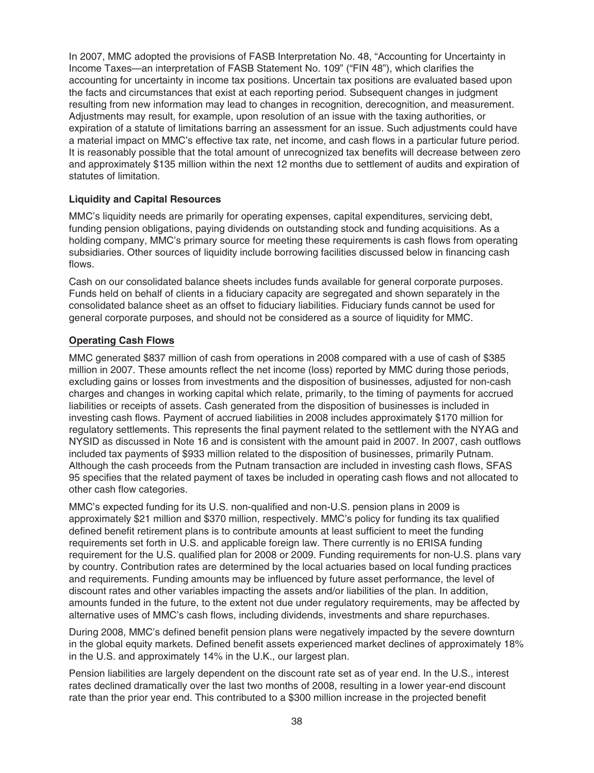In 2007, MMC adopted the provisions of FASB Interpretation No. 48, "Accounting for Uncertainty in Income Taxes—an interpretation of FASB Statement No. 109" ("FIN 48"), which clarifies the accounting for uncertainty in income tax positions. Uncertain tax positions are evaluated based upon the facts and circumstances that exist at each reporting period. Subsequent changes in judgment resulting from new information may lead to changes in recognition, derecognition, and measurement. Adjustments may result, for example, upon resolution of an issue with the taxing authorities, or expiration of a statute of limitations barring an assessment for an issue. Such adjustments could have a material impact on MMC's effective tax rate, net income, and cash flows in a particular future period. It is reasonably possible that the total amount of unrecognized tax benefits will decrease between zero and approximately \$135 million within the next 12 months due to settlement of audits and expiration of statutes of limitation.

### **Liquidity and Capital Resources**

MMC's liquidity needs are primarily for operating expenses, capital expenditures, servicing debt, funding pension obligations, paying dividends on outstanding stock and funding acquisitions. As a holding company, MMC's primary source for meeting these requirements is cash flows from operating subsidiaries. Other sources of liquidity include borrowing facilities discussed below in financing cash flows.

Cash on our consolidated balance sheets includes funds available for general corporate purposes. Funds held on behalf of clients in a fiduciary capacity are segregated and shown separately in the consolidated balance sheet as an offset to fiduciary liabilities. Fiduciary funds cannot be used for general corporate purposes, and should not be considered as a source of liquidity for MMC.

### **Operating Cash Flows**

MMC generated \$837 million of cash from operations in 2008 compared with a use of cash of \$385 million in 2007. These amounts reflect the net income (loss) reported by MMC during those periods, excluding gains or losses from investments and the disposition of businesses, adjusted for non-cash charges and changes in working capital which relate, primarily, to the timing of payments for accrued liabilities or receipts of assets. Cash generated from the disposition of businesses is included in investing cash flows. Payment of accrued liabilities in 2008 includes approximately \$170 million for regulatory settlements. This represents the final payment related to the settlement with the NYAG and NYSID as discussed in Note 16 and is consistent with the amount paid in 2007. In 2007, cash outflows included tax payments of \$933 million related to the disposition of businesses, primarily Putnam. Although the cash proceeds from the Putnam transaction are included in investing cash flows, SFAS 95 specifies that the related payment of taxes be included in operating cash flows and not allocated to other cash flow categories.

MMC's expected funding for its U.S. non-qualified and non-U.S. pension plans in 2009 is approximately \$21 million and \$370 million, respectively. MMC's policy for funding its tax qualified defined benefit retirement plans is to contribute amounts at least sufficient to meet the funding requirements set forth in U.S. and applicable foreign law. There currently is no ERISA funding requirement for the U.S. qualified plan for 2008 or 2009. Funding requirements for non-U.S. plans vary by country. Contribution rates are determined by the local actuaries based on local funding practices and requirements. Funding amounts may be influenced by future asset performance, the level of discount rates and other variables impacting the assets and/or liabilities of the plan. In addition, amounts funded in the future, to the extent not due under regulatory requirements, may be affected by alternative uses of MMC's cash flows, including dividends, investments and share repurchases.

During 2008, MMC's defined benefit pension plans were negatively impacted by the severe downturn in the global equity markets. Defined benefit assets experienced market declines of approximately 18% in the U.S. and approximately 14% in the U.K., our largest plan.

Pension liabilities are largely dependent on the discount rate set as of year end. In the U.S., interest rates declined dramatically over the last two months of 2008, resulting in a lower year-end discount rate than the prior year end. This contributed to a \$300 million increase in the projected benefit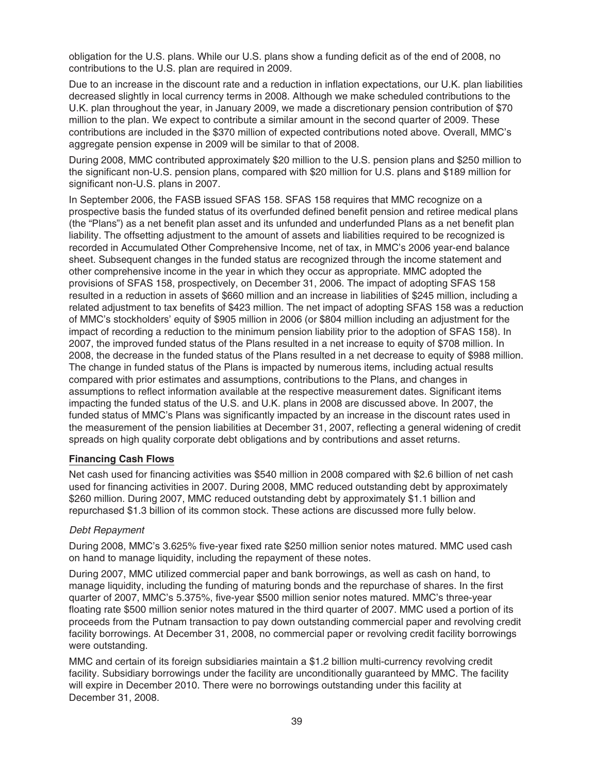obligation for the U.S. plans. While our U.S. plans show a funding deficit as of the end of 2008, no contributions to the U.S. plan are required in 2009.

Due to an increase in the discount rate and a reduction in inflation expectations, our U.K. plan liabilities decreased slightly in local currency terms in 2008. Although we make scheduled contributions to the U.K. plan throughout the year, in January 2009, we made a discretionary pension contribution of \$70 million to the plan. We expect to contribute a similar amount in the second quarter of 2009. These contributions are included in the \$370 million of expected contributions noted above. Overall, MMC's aggregate pension expense in 2009 will be similar to that of 2008.

During 2008, MMC contributed approximately \$20 million to the U.S. pension plans and \$250 million to the significant non-U.S. pension plans, compared with \$20 million for U.S. plans and \$189 million for significant non-U.S. plans in 2007.

In September 2006, the FASB issued SFAS 158. SFAS 158 requires that MMC recognize on a prospective basis the funded status of its overfunded defined benefit pension and retiree medical plans (the "Plans") as a net benefit plan asset and its unfunded and underfunded Plans as a net benefit plan liability. The offsetting adjustment to the amount of assets and liabilities required to be recognized is recorded in Accumulated Other Comprehensive Income, net of tax, in MMC's 2006 year-end balance sheet. Subsequent changes in the funded status are recognized through the income statement and other comprehensive income in the year in which they occur as appropriate. MMC adopted the provisions of SFAS 158, prospectively, on December 31, 2006. The impact of adopting SFAS 158 resulted in a reduction in assets of \$660 million and an increase in liabilities of \$245 million, including a related adjustment to tax benefits of \$423 million. The net impact of adopting SFAS 158 was a reduction of MMC's stockholders' equity of \$905 million in 2006 (or \$804 million including an adjustment for the impact of recording a reduction to the minimum pension liability prior to the adoption of SFAS 158). In 2007, the improved funded status of the Plans resulted in a net increase to equity of \$708 million. In 2008, the decrease in the funded status of the Plans resulted in a net decrease to equity of \$988 million. The change in funded status of the Plans is impacted by numerous items, including actual results compared with prior estimates and assumptions, contributions to the Plans, and changes in assumptions to reflect information available at the respective measurement dates. Significant items impacting the funded status of the U.S. and U.K. plans in 2008 are discussed above. In 2007, the funded status of MMC's Plans was significantly impacted by an increase in the discount rates used in the measurement of the pension liabilities at December 31, 2007, reflecting a general widening of credit spreads on high quality corporate debt obligations and by contributions and asset returns.

### **Financing Cash Flows**

Net cash used for financing activities was \$540 million in 2008 compared with \$2.6 billion of net cash used for financing activities in 2007. During 2008, MMC reduced outstanding debt by approximately \$260 million. During 2007, MMC reduced outstanding debt by approximately \$1.1 billion and repurchased \$1.3 billion of its common stock. These actions are discussed more fully below.

### Debt Repayment

During 2008, MMC's 3.625% five-year fixed rate \$250 million senior notes matured. MMC used cash on hand to manage liquidity, including the repayment of these notes.

During 2007, MMC utilized commercial paper and bank borrowings, as well as cash on hand, to manage liquidity, including the funding of maturing bonds and the repurchase of shares. In the first quarter of 2007, MMC's 5.375%, five-year \$500 million senior notes matured. MMC's three-year floating rate \$500 million senior notes matured in the third quarter of 2007. MMC used a portion of its proceeds from the Putnam transaction to pay down outstanding commercial paper and revolving credit facility borrowings. At December 31, 2008, no commercial paper or revolving credit facility borrowings were outstanding.

MMC and certain of its foreign subsidiaries maintain a \$1.2 billion multi-currency revolving credit facility. Subsidiary borrowings under the facility are unconditionally guaranteed by MMC. The facility will expire in December 2010. There were no borrowings outstanding under this facility at December 31, 2008.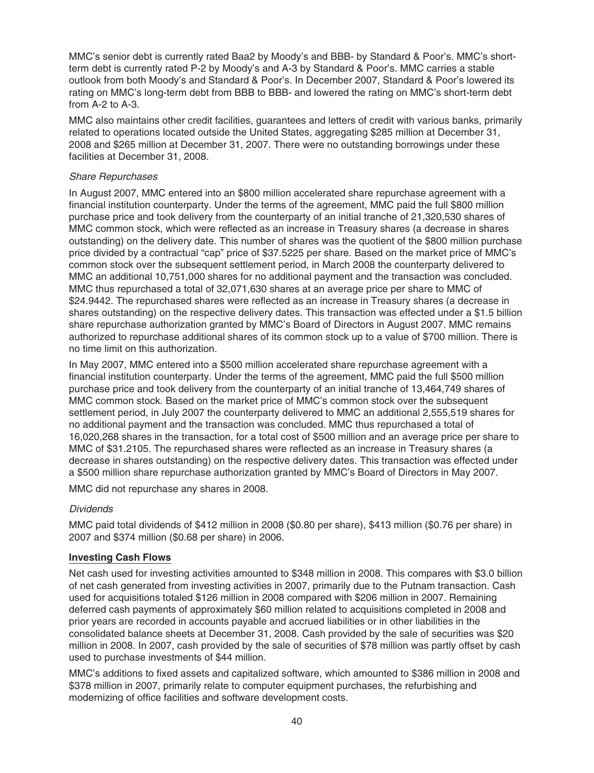MMC's senior debt is currently rated Baa2 by Moody's and BBB- by Standard & Poor's. MMC's shortterm debt is currently rated P-2 by Moody's and A-3 by Standard & Poor's. MMC carries a stable outlook from both Moody's and Standard & Poor's. In December 2007, Standard & Poor's lowered its rating on MMC's long-term debt from BBB to BBB- and lowered the rating on MMC's short-term debt from A-2 to A-3.

MMC also maintains other credit facilities, guarantees and letters of credit with various banks, primarily related to operations located outside the United States, aggregating \$285 million at December 31, 2008 and \$265 million at December 31, 2007. There were no outstanding borrowings under these facilities at December 31, 2008.

#### Share Repurchases

In August 2007, MMC entered into an \$800 million accelerated share repurchase agreement with a financial institution counterparty. Under the terms of the agreement, MMC paid the full \$800 million purchase price and took delivery from the counterparty of an initial tranche of 21,320,530 shares of MMC common stock, which were reflected as an increase in Treasury shares (a decrease in shares outstanding) on the delivery date. This number of shares was the quotient of the \$800 million purchase price divided by a contractual "cap" price of \$37.5225 per share. Based on the market price of MMC's common stock over the subsequent settlement period, in March 2008 the counterparty delivered to MMC an additional 10,751,000 shares for no additional payment and the transaction was concluded. MMC thus repurchased a total of 32,071,630 shares at an average price per share to MMC of \$24.9442. The repurchased shares were reflected as an increase in Treasury shares (a decrease in shares outstanding) on the respective delivery dates. This transaction was effected under a \$1.5 billion share repurchase authorization granted by MMC's Board of Directors in August 2007. MMC remains authorized to repurchase additional shares of its common stock up to a value of \$700 million. There is no time limit on this authorization.

In May 2007, MMC entered into a \$500 million accelerated share repurchase agreement with a financial institution counterparty. Under the terms of the agreement, MMC paid the full \$500 million purchase price and took delivery from the counterparty of an initial tranche of 13,464,749 shares of MMC common stock. Based on the market price of MMC's common stock over the subsequent settlement period, in July 2007 the counterparty delivered to MMC an additional 2,555,519 shares for no additional payment and the transaction was concluded. MMC thus repurchased a total of 16,020,268 shares in the transaction, for a total cost of \$500 million and an average price per share to MMC of \$31.2105. The repurchased shares were reflected as an increase in Treasury shares (a decrease in shares outstanding) on the respective delivery dates. This transaction was effected under a \$500 million share repurchase authorization granted by MMC's Board of Directors in May 2007.

MMC did not repurchase any shares in 2008.

### Dividends

MMC paid total dividends of \$412 million in 2008 (\$0.80 per share), \$413 million (\$0.76 per share) in 2007 and \$374 million (\$0.68 per share) in 2006.

### **Investing Cash Flows**

Net cash used for investing activities amounted to \$348 million in 2008. This compares with \$3.0 billion of net cash generated from investing activities in 2007, primarily due to the Putnam transaction. Cash used for acquisitions totaled \$126 million in 2008 compared with \$206 million in 2007. Remaining deferred cash payments of approximately \$60 million related to acquisitions completed in 2008 and prior years are recorded in accounts payable and accrued liabilities or in other liabilities in the consolidated balance sheets at December 31, 2008. Cash provided by the sale of securities was \$20 million in 2008. In 2007, cash provided by the sale of securities of \$78 million was partly offset by cash used to purchase investments of \$44 million.

MMC's additions to fixed assets and capitalized software, which amounted to \$386 million in 2008 and \$378 million in 2007, primarily relate to computer equipment purchases, the refurbishing and modernizing of office facilities and software development costs.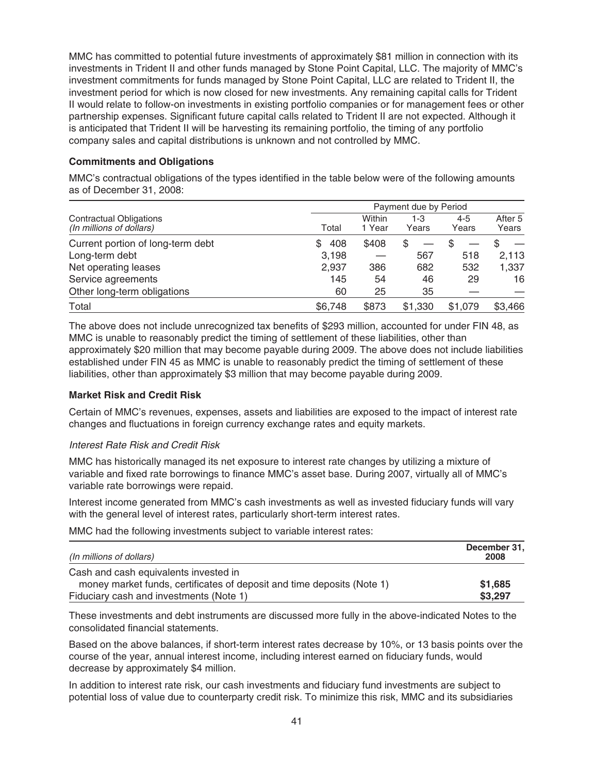MMC has committed to potential future investments of approximately \$81 million in connection with its investments in Trident II and other funds managed by Stone Point Capital, LLC. The majority of MMC's investment commitments for funds managed by Stone Point Capital, LLC are related to Trident II, the investment period for which is now closed for new investments. Any remaining capital calls for Trident II would relate to follow-on investments in existing portfolio companies or for management fees or other partnership expenses. Significant future capital calls related to Trident II are not expected. Although it is anticipated that Trident II will be harvesting its remaining portfolio, the timing of any portfolio company sales and capital distributions is unknown and not controlled by MMC.

## **Commitments and Obligations**

MMC's contractual obligations of the types identified in the table below were of the following amounts as of December 31, 2008:

|                                                            | Payment due by Period |                  |              |                  |                  |  |
|------------------------------------------------------------|-----------------------|------------------|--------------|------------------|------------------|--|
| <b>Contractual Obligations</b><br>(In millions of dollars) | Total                 | Within<br>1 Year | 1-3<br>Years | $4 - 5$<br>Years | After 5<br>Years |  |
| Current portion of long-term debt                          | 408<br>\$.            | \$408            | S            |                  | -S               |  |
| Long-term debt                                             | 3,198                 |                  | 567          | 518              | 2,113            |  |
| Net operating leases                                       | 2.937                 | 386              | 682          | 532              | 1,337            |  |
| Service agreements                                         | 145                   | 54               | 46           | 29               | 16               |  |
| Other long-term obligations                                | 60                    | 25               | 35           |                  |                  |  |
| Total                                                      | \$6,748               | \$873            | \$1,330      | \$1,079          | \$3,466          |  |

The above does not include unrecognized tax benefits of \$293 million, accounted for under FIN 48, as MMC is unable to reasonably predict the timing of settlement of these liabilities, other than approximately \$20 million that may become payable during 2009. The above does not include liabilities established under FIN 45 as MMC is unable to reasonably predict the timing of settlement of these liabilities, other than approximately \$3 million that may become payable during 2009.

### **Market Risk and Credit Risk**

Certain of MMC's revenues, expenses, assets and liabilities are exposed to the impact of interest rate changes and fluctuations in foreign currency exchange rates and equity markets.

### Interest Rate Risk and Credit Risk

MMC has historically managed its net exposure to interest rate changes by utilizing a mixture of variable and fixed rate borrowings to finance MMC's asset base. During 2007, virtually all of MMC's variable rate borrowings were repaid.

Interest income generated from MMC's cash investments as well as invested fiduciary funds will vary with the general level of interest rates, particularly short-term interest rates.

MMC had the following investments subject to variable interest rates:

| (In millions of dollars)                                               | December 31,<br>2008 |
|------------------------------------------------------------------------|----------------------|
| Cash and cash equivalents invested in                                  |                      |
| money market funds, certificates of deposit and time deposits (Note 1) | \$1,685              |
| Fiduciary cash and investments (Note 1)                                | \$3,297              |

These investments and debt instruments are discussed more fully in the above-indicated Notes to the consolidated financial statements.

Based on the above balances, if short-term interest rates decrease by 10%, or 13 basis points over the course of the year, annual interest income, including interest earned on fiduciary funds, would decrease by approximately \$4 million.

In addition to interest rate risk, our cash investments and fiduciary fund investments are subject to potential loss of value due to counterparty credit risk. To minimize this risk, MMC and its subsidiaries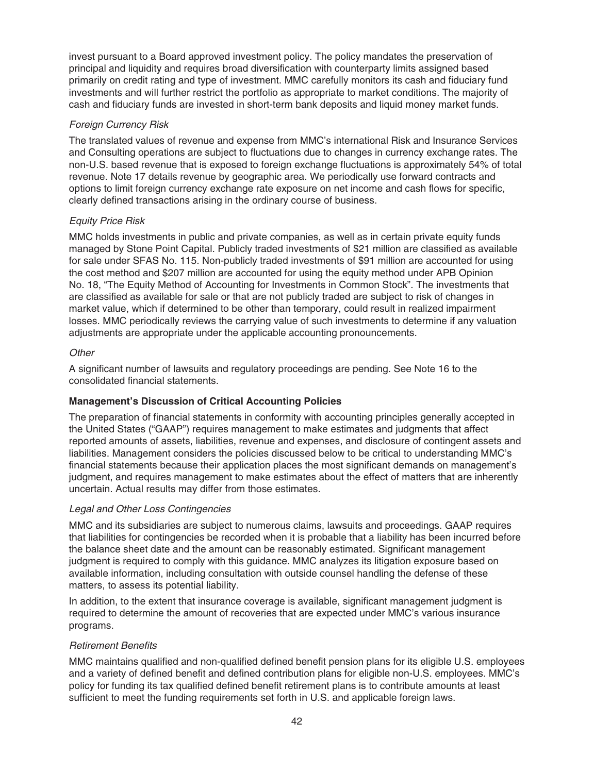invest pursuant to a Board approved investment policy. The policy mandates the preservation of principal and liquidity and requires broad diversification with counterparty limits assigned based primarily on credit rating and type of investment. MMC carefully monitors its cash and fiduciary fund investments and will further restrict the portfolio as appropriate to market conditions. The majority of cash and fiduciary funds are invested in short-term bank deposits and liquid money market funds.

# Foreign Currency Risk

The translated values of revenue and expense from MMC's international Risk and Insurance Services and Consulting operations are subject to fluctuations due to changes in currency exchange rates. The non-U.S. based revenue that is exposed to foreign exchange fluctuations is approximately 54% of total revenue. Note 17 details revenue by geographic area. We periodically use forward contracts and options to limit foreign currency exchange rate exposure on net income and cash flows for specific, clearly defined transactions arising in the ordinary course of business.

# Equity Price Risk

MMC holds investments in public and private companies, as well as in certain private equity funds managed by Stone Point Capital. Publicly traded investments of \$21 million are classified as available for sale under SFAS No. 115. Non-publicly traded investments of \$91 million are accounted for using the cost method and \$207 million are accounted for using the equity method under APB Opinion No. 18, "The Equity Method of Accounting for Investments in Common Stock". The investments that are classified as available for sale or that are not publicly traded are subject to risk of changes in market value, which if determined to be other than temporary, could result in realized impairment losses. MMC periodically reviews the carrying value of such investments to determine if any valuation adjustments are appropriate under the applicable accounting pronouncements.

# **Other**

A significant number of lawsuits and regulatory proceedings are pending. See Note 16 to the consolidated financial statements.

### **Management's Discussion of Critical Accounting Policies**

The preparation of financial statements in conformity with accounting principles generally accepted in the United States ("GAAP") requires management to make estimates and judgments that affect reported amounts of assets, liabilities, revenue and expenses, and disclosure of contingent assets and liabilities. Management considers the policies discussed below to be critical to understanding MMC's financial statements because their application places the most significant demands on management's judgment, and requires management to make estimates about the effect of matters that are inherently uncertain. Actual results may differ from those estimates.

# Legal and Other Loss Contingencies

MMC and its subsidiaries are subject to numerous claims, lawsuits and proceedings. GAAP requires that liabilities for contingencies be recorded when it is probable that a liability has been incurred before the balance sheet date and the amount can be reasonably estimated. Significant management judgment is required to comply with this guidance. MMC analyzes its litigation exposure based on available information, including consultation with outside counsel handling the defense of these matters, to assess its potential liability.

In addition, to the extent that insurance coverage is available, significant management judgment is required to determine the amount of recoveries that are expected under MMC's various insurance programs.

### Retirement Benefits

MMC maintains qualified and non-qualified defined benefit pension plans for its eligible U.S. employees and a variety of defined benefit and defined contribution plans for eligible non-U.S. employees. MMC's policy for funding its tax qualified defined benefit retirement plans is to contribute amounts at least sufficient to meet the funding requirements set forth in U.S. and applicable foreign laws.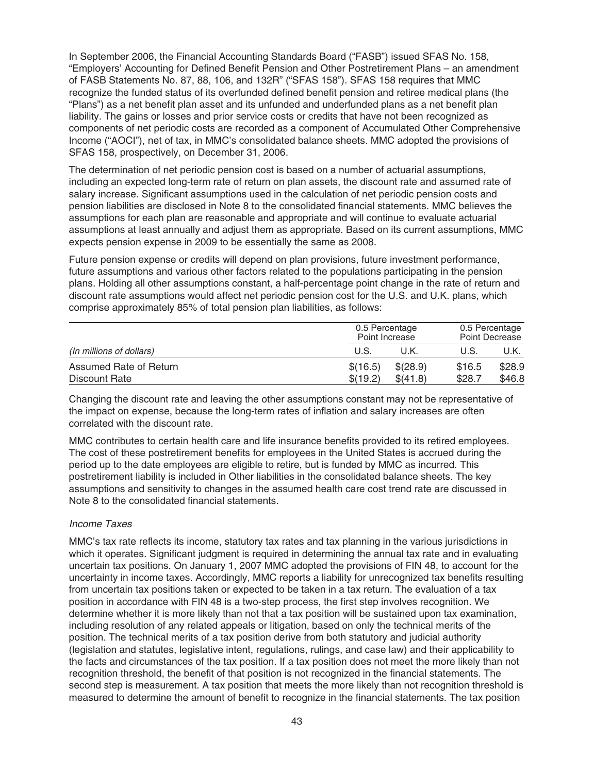In September 2006, the Financial Accounting Standards Board ("FASB") issued SFAS No. 158, "Employers' Accounting for Defined Benefit Pension and Other Postretirement Plans – an amendment of FASB Statements No. 87, 88, 106, and 132R" ("SFAS 158"). SFAS 158 requires that MMC recognize the funded status of its overfunded defined benefit pension and retiree medical plans (the "Plans") as a net benefit plan asset and its unfunded and underfunded plans as a net benefit plan liability. The gains or losses and prior service costs or credits that have not been recognized as components of net periodic costs are recorded as a component of Accumulated Other Comprehensive Income ("AOCI"), net of tax, in MMC's consolidated balance sheets. MMC adopted the provisions of SFAS 158, prospectively, on December 31, 2006.

The determination of net periodic pension cost is based on a number of actuarial assumptions, including an expected long-term rate of return on plan assets, the discount rate and assumed rate of salary increase. Significant assumptions used in the calculation of net periodic pension costs and pension liabilities are disclosed in Note 8 to the consolidated financial statements. MMC believes the assumptions for each plan are reasonable and appropriate and will continue to evaluate actuarial assumptions at least annually and adjust them as appropriate. Based on its current assumptions, MMC expects pension expense in 2009 to be essentially the same as 2008.

Future pension expense or credits will depend on plan provisions, future investment performance, future assumptions and various other factors related to the populations participating in the pension plans. Holding all other assumptions constant, a half-percentage point change in the rate of return and discount rate assumptions would affect net periodic pension cost for the U.S. and U.K. plans, which comprise approximately 85% of total pension plan liabilities, as follows:

|                          |          | 0.5 Percentage<br>Point Increase | 0.5 Percentage<br><b>Point Decrease</b> |        |  |
|--------------------------|----------|----------------------------------|-----------------------------------------|--------|--|
| (In millions of dollars) | U.S.     | U.K                              | U.S.                                    | U.K.   |  |
| Assumed Rate of Return   | \$(16.5) | \$(28.9)                         | \$16.5                                  | \$28.9 |  |
| Discount Rate            | \$(19.2) | \$(41.8)                         | \$28.7                                  | \$46.8 |  |

Changing the discount rate and leaving the other assumptions constant may not be representative of the impact on expense, because the long-term rates of inflation and salary increases are often correlated with the discount rate.

MMC contributes to certain health care and life insurance benefits provided to its retired employees. The cost of these postretirement benefits for employees in the United States is accrued during the period up to the date employees are eligible to retire, but is funded by MMC as incurred. This postretirement liability is included in Other liabilities in the consolidated balance sheets. The key assumptions and sensitivity to changes in the assumed health care cost trend rate are discussed in Note 8 to the consolidated financial statements.

### Income Taxes

MMC's tax rate reflects its income, statutory tax rates and tax planning in the various jurisdictions in which it operates. Significant judgment is required in determining the annual tax rate and in evaluating uncertain tax positions. On January 1, 2007 MMC adopted the provisions of FIN 48, to account for the uncertainty in income taxes. Accordingly, MMC reports a liability for unrecognized tax benefits resulting from uncertain tax positions taken or expected to be taken in a tax return. The evaluation of a tax position in accordance with FIN 48 is a two-step process, the first step involves recognition. We determine whether it is more likely than not that a tax position will be sustained upon tax examination, including resolution of any related appeals or litigation, based on only the technical merits of the position. The technical merits of a tax position derive from both statutory and judicial authority (legislation and statutes, legislative intent, regulations, rulings, and case law) and their applicability to the facts and circumstances of the tax position. If a tax position does not meet the more likely than not recognition threshold, the benefit of that position is not recognized in the financial statements. The second step is measurement. A tax position that meets the more likely than not recognition threshold is measured to determine the amount of benefit to recognize in the financial statements. The tax position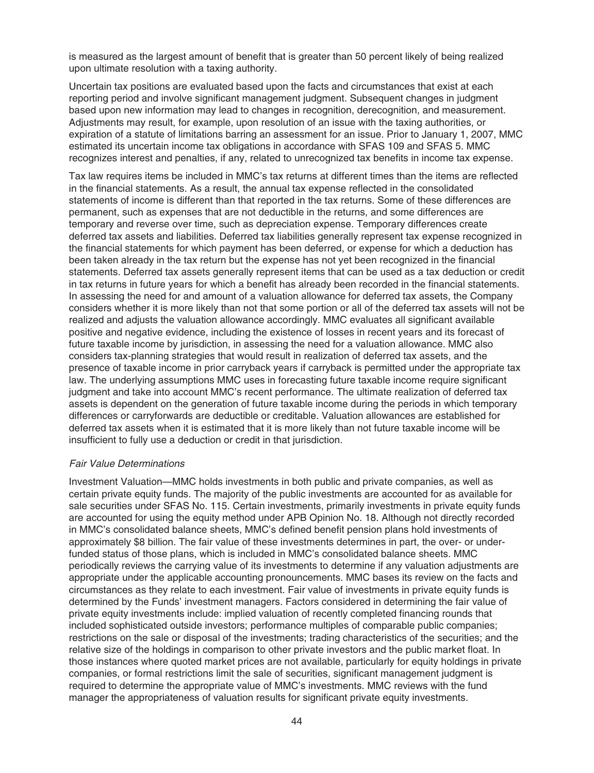is measured as the largest amount of benefit that is greater than 50 percent likely of being realized upon ultimate resolution with a taxing authority.

Uncertain tax positions are evaluated based upon the facts and circumstances that exist at each reporting period and involve significant management judgment. Subsequent changes in judgment based upon new information may lead to changes in recognition, derecognition, and measurement. Adjustments may result, for example, upon resolution of an issue with the taxing authorities, or expiration of a statute of limitations barring an assessment for an issue. Prior to January 1, 2007, MMC estimated its uncertain income tax obligations in accordance with SFAS 109 and SFAS 5. MMC recognizes interest and penalties, if any, related to unrecognized tax benefits in income tax expense.

Tax law requires items be included in MMC's tax returns at different times than the items are reflected in the financial statements. As a result, the annual tax expense reflected in the consolidated statements of income is different than that reported in the tax returns. Some of these differences are permanent, such as expenses that are not deductible in the returns, and some differences are temporary and reverse over time, such as depreciation expense. Temporary differences create deferred tax assets and liabilities. Deferred tax liabilities generally represent tax expense recognized in the financial statements for which payment has been deferred, or expense for which a deduction has been taken already in the tax return but the expense has not yet been recognized in the financial statements. Deferred tax assets generally represent items that can be used as a tax deduction or credit in tax returns in future years for which a benefit has already been recorded in the financial statements. In assessing the need for and amount of a valuation allowance for deferred tax assets, the Company considers whether it is more likely than not that some portion or all of the deferred tax assets will not be realized and adjusts the valuation allowance accordingly. MMC evaluates all significant available positive and negative evidence, including the existence of losses in recent years and its forecast of future taxable income by jurisdiction, in assessing the need for a valuation allowance. MMC also considers tax-planning strategies that would result in realization of deferred tax assets, and the presence of taxable income in prior carryback years if carryback is permitted under the appropriate tax law. The underlying assumptions MMC uses in forecasting future taxable income require significant judgment and take into account MMC's recent performance. The ultimate realization of deferred tax assets is dependent on the generation of future taxable income during the periods in which temporary differences or carryforwards are deductible or creditable. Valuation allowances are established for deferred tax assets when it is estimated that it is more likely than not future taxable income will be insufficient to fully use a deduction or credit in that jurisdiction.

#### Fair Value Determinations

Investment Valuation—MMC holds investments in both public and private companies, as well as certain private equity funds. The majority of the public investments are accounted for as available for sale securities under SFAS No. 115. Certain investments, primarily investments in private equity funds are accounted for using the equity method under APB Opinion No. 18. Although not directly recorded in MMC's consolidated balance sheets, MMC's defined benefit pension plans hold investments of approximately \$8 billion. The fair value of these investments determines in part, the over- or underfunded status of those plans, which is included in MMC's consolidated balance sheets. MMC periodically reviews the carrying value of its investments to determine if any valuation adjustments are appropriate under the applicable accounting pronouncements. MMC bases its review on the facts and circumstances as they relate to each investment. Fair value of investments in private equity funds is determined by the Funds' investment managers. Factors considered in determining the fair value of private equity investments include: implied valuation of recently completed financing rounds that included sophisticated outside investors; performance multiples of comparable public companies; restrictions on the sale or disposal of the investments; trading characteristics of the securities; and the relative size of the holdings in comparison to other private investors and the public market float. In those instances where quoted market prices are not available, particularly for equity holdings in private companies, or formal restrictions limit the sale of securities, significant management judgment is required to determine the appropriate value of MMC's investments. MMC reviews with the fund manager the appropriateness of valuation results for significant private equity investments.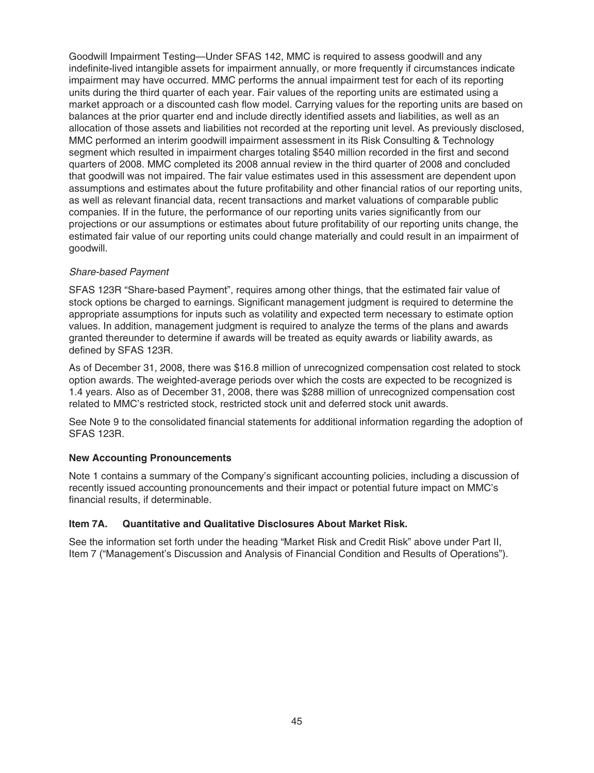Goodwill Impairment Testing—Under SFAS 142, MMC is required to assess goodwill and any indefinite-lived intangible assets for impairment annually, or more frequently if circumstances indicate impairment may have occurred. MMC performs the annual impairment test for each of its reporting units during the third quarter of each year. Fair values of the reporting units are estimated using a market approach or a discounted cash flow model. Carrying values for the reporting units are based on balances at the prior quarter end and include directly identified assets and liabilities, as well as an allocation of those assets and liabilities not recorded at the reporting unit level. As previously disclosed, MMC performed an interim goodwill impairment assessment in its Risk Consulting & Technology segment which resulted in impairment charges totaling \$540 million recorded in the first and second quarters of 2008. MMC completed its 2008 annual review in the third quarter of 2008 and concluded that goodwill was not impaired. The fair value estimates used in this assessment are dependent upon assumptions and estimates about the future profitability and other financial ratios of our reporting units, as well as relevant financial data, recent transactions and market valuations of comparable public companies. If in the future, the performance of our reporting units varies significantly from our projections or our assumptions or estimates about future profitability of our reporting units change, the estimated fair value of our reporting units could change materially and could result in an impairment of goodwill.

# Share-based Payment

SFAS 123R "Share-based Payment", requires among other things, that the estimated fair value of stock options be charged to earnings. Significant management judgment is required to determine the appropriate assumptions for inputs such as volatility and expected term necessary to estimate option values. In addition, management judgment is required to analyze the terms of the plans and awards granted thereunder to determine if awards will be treated as equity awards or liability awards, as defined by SFAS 123R.

As of December 31, 2008, there was \$16.8 million of unrecognized compensation cost related to stock option awards. The weighted-average periods over which the costs are expected to be recognized is 1.4 years. Also as of December 31, 2008, there was \$288 million of unrecognized compensation cost related to MMC's restricted stock, restricted stock unit and deferred stock unit awards.

See Note 9 to the consolidated financial statements for additional information regarding the adoption of SFAS 123R.

### **New Accounting Pronouncements**

Note 1 contains a summary of the Company's significant accounting policies, including a discussion of recently issued accounting pronouncements and their impact or potential future impact on MMC's financial results, if determinable.

### **Item 7A. Quantitative and Qualitative Disclosures About Market Risk.**

See the information set forth under the heading "Market Risk and Credit Risk" above under Part II, Item 7 ("Management's Discussion and Analysis of Financial Condition and Results of Operations").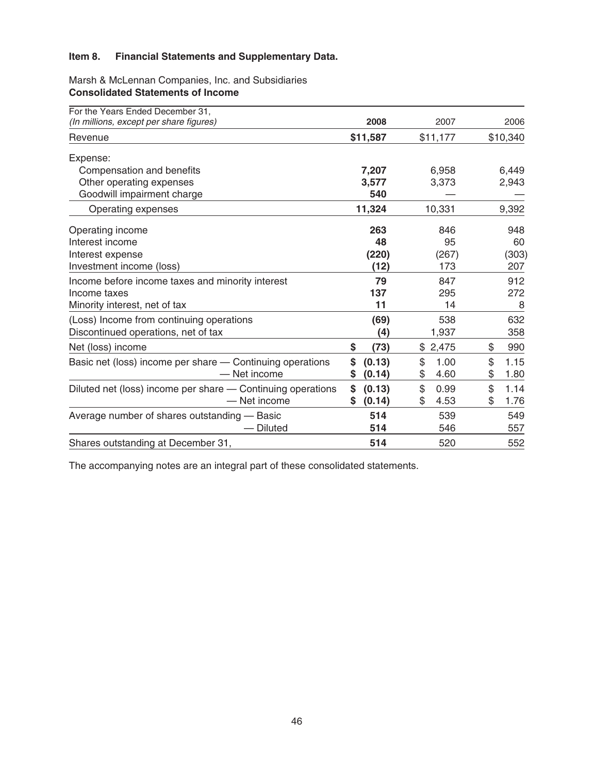# **Item 8. Financial Statements and Supplementary Data.**

Marsh & McLennan Companies, Inc. and Subsidiaries **Consolidated Statements of Income**

| For the Years Ended December 31,                            |              |             |            |
|-------------------------------------------------------------|--------------|-------------|------------|
| (In millions, except per share figures)                     | 2008         | 2007        | 2006       |
| Revenue                                                     | \$11,587     | \$11,177    | \$10,340   |
| Expense:                                                    |              |             |            |
| Compensation and benefits                                   | 7,207        | 6,958       | 6,449      |
| Other operating expenses                                    | 3,577        | 3,373       | 2,943      |
| Goodwill impairment charge                                  | 540          |             |            |
| Operating expenses                                          | 11,324       | 10,331      | 9,392      |
| Operating income                                            | 263          | 846         | 948        |
| Interest income                                             | 48           | 95          | 60         |
| Interest expense                                            | (220)        | (267)       | (303)      |
| Investment income (loss)                                    | (12)         | 173         | 207        |
| Income before income taxes and minority interest            | 79           | 847         | 912        |
| Income taxes                                                | 137          | 295         | 272        |
| Minority interest, net of tax                               | 11           | 14          | 8          |
| (Loss) Income from continuing operations                    | (69)         | 538         | 632        |
| Discontinued operations, net of tax                         | (4)          | 1,937       | 358        |
| Net (loss) income                                           | \$<br>(73)   | 2,475<br>\$ | \$<br>990  |
| Basic net (loss) income per share - Continuing operations   | \$<br>(0.13) | \$<br>1.00  | \$<br>1.15 |
| - Net income                                                | \$<br>(0.14) | 4.60<br>\$  | \$<br>1.80 |
| Diluted net (loss) income per share - Continuing operations | \$<br>(0.13) | \$<br>0.99  | \$<br>1.14 |
| - Net income                                                | \$<br>(0.14) | 4.53<br>S   | \$<br>1.76 |
| Average number of shares outstanding - Basic                | 514          | 539         | 549        |
| - Diluted                                                   | 514          | 546         | 557        |
| Shares outstanding at December 31,                          | 514          | 520         | 552        |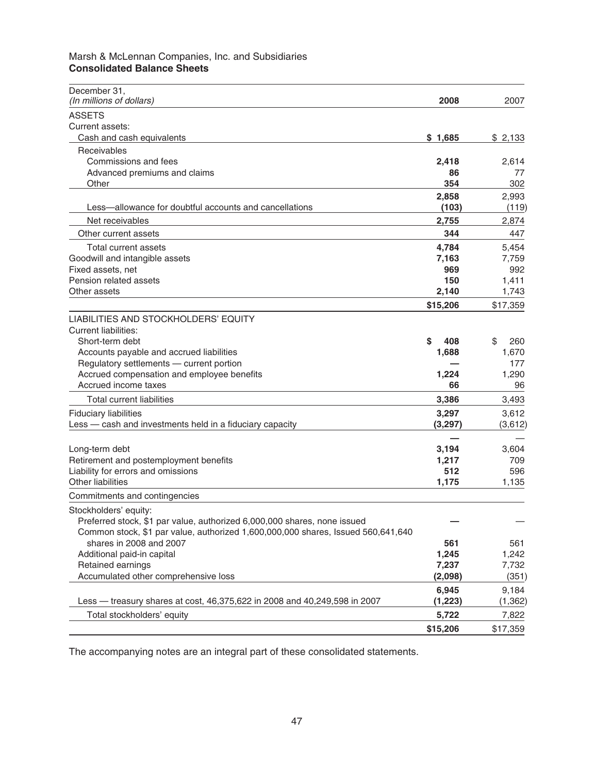# Marsh & McLennan Companies, Inc. and Subsidiaries **Consolidated Balance Sheets**

| December 31,<br>(In millions of dollars)                                                                                                                                              | 2008      | 2007      |
|---------------------------------------------------------------------------------------------------------------------------------------------------------------------------------------|-----------|-----------|
| <b>ASSETS</b>                                                                                                                                                                         |           |           |
| Current assets:                                                                                                                                                                       |           |           |
| Cash and cash equivalents                                                                                                                                                             | \$1,685   | \$2,133   |
| Receivables                                                                                                                                                                           |           |           |
| Commissions and fees                                                                                                                                                                  | 2,418     | 2,614     |
| Advanced premiums and claims                                                                                                                                                          | 86        | 77        |
| Other                                                                                                                                                                                 | 354       | 302       |
|                                                                                                                                                                                       | 2,858     | 2,993     |
| Less-allowance for doubtful accounts and cancellations                                                                                                                                | (103)     | (119)     |
| Net receivables                                                                                                                                                                       | 2,755     | 2,874     |
| Other current assets                                                                                                                                                                  | 344       | 447       |
| Total current assets                                                                                                                                                                  | 4,784     | 5,454     |
| Goodwill and intangible assets                                                                                                                                                        | 7,163     | 7,759     |
| Fixed assets, net                                                                                                                                                                     | 969       | 992       |
| Pension related assets                                                                                                                                                                | 150       | 1,411     |
| Other assets                                                                                                                                                                          | 2,140     | 1,743     |
|                                                                                                                                                                                       | \$15,206  | \$17,359  |
| LIABILITIES AND STOCKHOLDERS' EQUITY<br><b>Current liabilities:</b>                                                                                                                   |           |           |
| Short-term debt                                                                                                                                                                       | \$<br>408 | \$<br>260 |
| Accounts payable and accrued liabilities                                                                                                                                              | 1,688     | 1,670     |
| Regulatory settlements - current portion                                                                                                                                              |           | 177       |
| Accrued compensation and employee benefits                                                                                                                                            | 1,224     | 1,290     |
| Accrued income taxes                                                                                                                                                                  | 66        | 96        |
| <b>Total current liabilities</b>                                                                                                                                                      | 3,386     | 3,493     |
| <b>Fiduciary liabilities</b>                                                                                                                                                          | 3,297     | 3,612     |
| Less - cash and investments held in a fiduciary capacity                                                                                                                              | (3, 297)  | (3,612)   |
|                                                                                                                                                                                       |           |           |
| Long-term debt                                                                                                                                                                        | 3,194     | 3,604     |
| Retirement and postemployment benefits                                                                                                                                                | 1,217     | 709       |
| Liability for errors and omissions                                                                                                                                                    | 512       | 596       |
| <b>Other liabilities</b>                                                                                                                                                              | 1.175     | 1,135     |
| Commitments and contingencies                                                                                                                                                         |           |           |
| Stockholders' equity:<br>Preferred stock, \$1 par value, authorized 6,000,000 shares, none issued<br>Common stock, \$1 par value, authorized 1,600,000,000 shares, Issued 560,641,640 |           |           |
| shares in 2008 and 2007                                                                                                                                                               | 561       | 561       |
| Additional paid-in capital                                                                                                                                                            | 1,245     | 1,242     |
| Retained earnings                                                                                                                                                                     | 7,237     | 7,732     |
| Accumulated other comprehensive loss                                                                                                                                                  | (2,098)   | (351)     |
|                                                                                                                                                                                       | 6,945     | 9,184     |
| Less - treasury shares at cost, 46,375,622 in 2008 and 40,249,598 in 2007                                                                                                             | (1, 223)  | (1, 362)  |
| Total stockholders' equity                                                                                                                                                            | 5,722     | 7,822     |
|                                                                                                                                                                                       | \$15,206  | \$17,359  |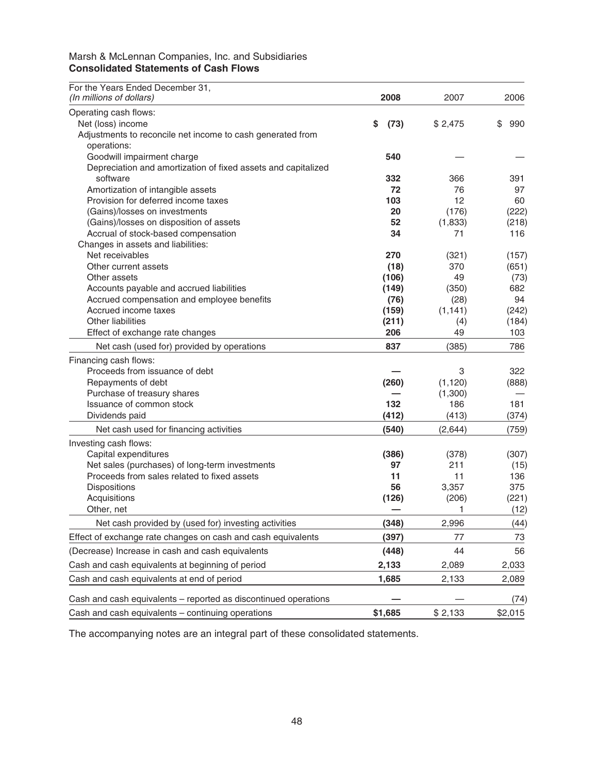# Marsh & McLennan Companies, Inc. and Subsidiaries **Consolidated Statements of Cash Flows**

| Operating cash flows:<br>Net (loss) income<br>\$<br>\$<br>(73)<br>\$2,475<br>990<br>Adjustments to reconcile net income to cash generated from<br>operations:<br>Goodwill impairment charge<br>540<br>Depreciation and amortization of fixed assets and capitalized<br>software<br>332<br>366<br>391<br>Amortization of intangible assets<br>72<br>97<br>76<br>12<br>Provision for deferred income taxes<br>103<br>60<br>(Gains)/losses on investments<br>20<br>(176)<br>52<br>(1,833)<br>(Gains)/losses on disposition of assets<br>Accrual of stock-based compensation<br>34<br>71<br>116<br>Changes in assets and liabilities:<br>Net receivables<br>270<br>(321)<br>370<br>Other current assets<br>(18)<br>49<br>Other assets<br>(106)<br>Accounts payable and accrued liabilities<br>(149)<br>(350)<br>682<br>94<br>Accrued compensation and employee benefits<br>(28)<br>(76)<br>Accrued income taxes<br>(159)<br>(242)<br>(1, 141)<br><b>Other liabilities</b><br>(184)<br>(211)<br>(4)<br>49<br>206<br>103<br>Effect of exchange rate changes<br>837<br>Net cash (used for) provided by operations<br>(385)<br>786<br>Financing cash flows:<br>Proceeds from issuance of debt<br>322<br>3<br>Repayments of debt<br>(260)<br>(1, 120)<br>Purchase of treasury shares<br>(1,300)<br>Issuance of common stock<br>132<br>186<br>181<br>Dividends paid<br>(412)<br>(413)<br>Net cash used for financing activities<br>(540)<br>(2,644)<br>Investing cash flows:<br>Capital expenditures<br>(386)<br>(378)<br>Net sales (purchases) of long-term investments<br>211<br>97<br>Proceeds from sales related to fixed assets<br>11<br>11<br>136<br>56<br>375<br>Dispositions<br>3,357<br>Acquisitions<br>(206)<br>(126)<br>(221)<br>Other, net<br>(12)<br>1<br>Net cash provided by (used for) investing activities<br>(348)<br>2,996<br>Effect of exchange rate changes on cash and cash equivalents<br>(397)<br>77<br>73<br>(Decrease) Increase in cash and cash equivalents<br>(448)<br>44<br>56<br>Cash and cash equivalents at beginning of period<br>2,133<br>2,089<br>2,033<br>Cash and cash equivalents at end of period<br>1,685<br>2,133<br>2,089<br>Cash and cash equivalents - reported as discontinued operations<br>(74)<br>\$1,685<br>\$2,133<br>Cash and cash equivalents - continuing operations<br>\$2,015 | For the Years Ended December 31,<br>(In millions of dollars) | 2008 | 2007 | 2006  |
|----------------------------------------------------------------------------------------------------------------------------------------------------------------------------------------------------------------------------------------------------------------------------------------------------------------------------------------------------------------------------------------------------------------------------------------------------------------------------------------------------------------------------------------------------------------------------------------------------------------------------------------------------------------------------------------------------------------------------------------------------------------------------------------------------------------------------------------------------------------------------------------------------------------------------------------------------------------------------------------------------------------------------------------------------------------------------------------------------------------------------------------------------------------------------------------------------------------------------------------------------------------------------------------------------------------------------------------------------------------------------------------------------------------------------------------------------------------------------------------------------------------------------------------------------------------------------------------------------------------------------------------------------------------------------------------------------------------------------------------------------------------------------------------------------------------------------------------------------------------------------------------------------------------------------------------------------------------------------------------------------------------------------------------------------------------------------------------------------------------------------------------------------------------------------------------------------------------------------------------------------------------------------------------------------------------------------|--------------------------------------------------------------|------|------|-------|
|                                                                                                                                                                                                                                                                                                                                                                                                                                                                                                                                                                                                                                                                                                                                                                                                                                                                                                                                                                                                                                                                                                                                                                                                                                                                                                                                                                                                                                                                                                                                                                                                                                                                                                                                                                                                                                                                                                                                                                                                                                                                                                                                                                                                                                                                                                                            |                                                              |      |      |       |
|                                                                                                                                                                                                                                                                                                                                                                                                                                                                                                                                                                                                                                                                                                                                                                                                                                                                                                                                                                                                                                                                                                                                                                                                                                                                                                                                                                                                                                                                                                                                                                                                                                                                                                                                                                                                                                                                                                                                                                                                                                                                                                                                                                                                                                                                                                                            |                                                              |      |      |       |
|                                                                                                                                                                                                                                                                                                                                                                                                                                                                                                                                                                                                                                                                                                                                                                                                                                                                                                                                                                                                                                                                                                                                                                                                                                                                                                                                                                                                                                                                                                                                                                                                                                                                                                                                                                                                                                                                                                                                                                                                                                                                                                                                                                                                                                                                                                                            |                                                              |      |      |       |
|                                                                                                                                                                                                                                                                                                                                                                                                                                                                                                                                                                                                                                                                                                                                                                                                                                                                                                                                                                                                                                                                                                                                                                                                                                                                                                                                                                                                                                                                                                                                                                                                                                                                                                                                                                                                                                                                                                                                                                                                                                                                                                                                                                                                                                                                                                                            |                                                              |      |      |       |
|                                                                                                                                                                                                                                                                                                                                                                                                                                                                                                                                                                                                                                                                                                                                                                                                                                                                                                                                                                                                                                                                                                                                                                                                                                                                                                                                                                                                                                                                                                                                                                                                                                                                                                                                                                                                                                                                                                                                                                                                                                                                                                                                                                                                                                                                                                                            |                                                              |      |      |       |
|                                                                                                                                                                                                                                                                                                                                                                                                                                                                                                                                                                                                                                                                                                                                                                                                                                                                                                                                                                                                                                                                                                                                                                                                                                                                                                                                                                                                                                                                                                                                                                                                                                                                                                                                                                                                                                                                                                                                                                                                                                                                                                                                                                                                                                                                                                                            |                                                              |      |      |       |
|                                                                                                                                                                                                                                                                                                                                                                                                                                                                                                                                                                                                                                                                                                                                                                                                                                                                                                                                                                                                                                                                                                                                                                                                                                                                                                                                                                                                                                                                                                                                                                                                                                                                                                                                                                                                                                                                                                                                                                                                                                                                                                                                                                                                                                                                                                                            |                                                              |      |      |       |
|                                                                                                                                                                                                                                                                                                                                                                                                                                                                                                                                                                                                                                                                                                                                                                                                                                                                                                                                                                                                                                                                                                                                                                                                                                                                                                                                                                                                                                                                                                                                                                                                                                                                                                                                                                                                                                                                                                                                                                                                                                                                                                                                                                                                                                                                                                                            |                                                              |      |      |       |
|                                                                                                                                                                                                                                                                                                                                                                                                                                                                                                                                                                                                                                                                                                                                                                                                                                                                                                                                                                                                                                                                                                                                                                                                                                                                                                                                                                                                                                                                                                                                                                                                                                                                                                                                                                                                                                                                                                                                                                                                                                                                                                                                                                                                                                                                                                                            |                                                              |      |      |       |
|                                                                                                                                                                                                                                                                                                                                                                                                                                                                                                                                                                                                                                                                                                                                                                                                                                                                                                                                                                                                                                                                                                                                                                                                                                                                                                                                                                                                                                                                                                                                                                                                                                                                                                                                                                                                                                                                                                                                                                                                                                                                                                                                                                                                                                                                                                                            |                                                              |      |      | (222) |
|                                                                                                                                                                                                                                                                                                                                                                                                                                                                                                                                                                                                                                                                                                                                                                                                                                                                                                                                                                                                                                                                                                                                                                                                                                                                                                                                                                                                                                                                                                                                                                                                                                                                                                                                                                                                                                                                                                                                                                                                                                                                                                                                                                                                                                                                                                                            |                                                              |      |      | (218) |
|                                                                                                                                                                                                                                                                                                                                                                                                                                                                                                                                                                                                                                                                                                                                                                                                                                                                                                                                                                                                                                                                                                                                                                                                                                                                                                                                                                                                                                                                                                                                                                                                                                                                                                                                                                                                                                                                                                                                                                                                                                                                                                                                                                                                                                                                                                                            |                                                              |      |      |       |
|                                                                                                                                                                                                                                                                                                                                                                                                                                                                                                                                                                                                                                                                                                                                                                                                                                                                                                                                                                                                                                                                                                                                                                                                                                                                                                                                                                                                                                                                                                                                                                                                                                                                                                                                                                                                                                                                                                                                                                                                                                                                                                                                                                                                                                                                                                                            |                                                              |      |      |       |
|                                                                                                                                                                                                                                                                                                                                                                                                                                                                                                                                                                                                                                                                                                                                                                                                                                                                                                                                                                                                                                                                                                                                                                                                                                                                                                                                                                                                                                                                                                                                                                                                                                                                                                                                                                                                                                                                                                                                                                                                                                                                                                                                                                                                                                                                                                                            |                                                              |      |      | (157) |
|                                                                                                                                                                                                                                                                                                                                                                                                                                                                                                                                                                                                                                                                                                                                                                                                                                                                                                                                                                                                                                                                                                                                                                                                                                                                                                                                                                                                                                                                                                                                                                                                                                                                                                                                                                                                                                                                                                                                                                                                                                                                                                                                                                                                                                                                                                                            |                                                              |      |      | (651) |
|                                                                                                                                                                                                                                                                                                                                                                                                                                                                                                                                                                                                                                                                                                                                                                                                                                                                                                                                                                                                                                                                                                                                                                                                                                                                                                                                                                                                                                                                                                                                                                                                                                                                                                                                                                                                                                                                                                                                                                                                                                                                                                                                                                                                                                                                                                                            |                                                              |      |      | (73)  |
|                                                                                                                                                                                                                                                                                                                                                                                                                                                                                                                                                                                                                                                                                                                                                                                                                                                                                                                                                                                                                                                                                                                                                                                                                                                                                                                                                                                                                                                                                                                                                                                                                                                                                                                                                                                                                                                                                                                                                                                                                                                                                                                                                                                                                                                                                                                            |                                                              |      |      |       |
|                                                                                                                                                                                                                                                                                                                                                                                                                                                                                                                                                                                                                                                                                                                                                                                                                                                                                                                                                                                                                                                                                                                                                                                                                                                                                                                                                                                                                                                                                                                                                                                                                                                                                                                                                                                                                                                                                                                                                                                                                                                                                                                                                                                                                                                                                                                            |                                                              |      |      |       |
|                                                                                                                                                                                                                                                                                                                                                                                                                                                                                                                                                                                                                                                                                                                                                                                                                                                                                                                                                                                                                                                                                                                                                                                                                                                                                                                                                                                                                                                                                                                                                                                                                                                                                                                                                                                                                                                                                                                                                                                                                                                                                                                                                                                                                                                                                                                            |                                                              |      |      |       |
|                                                                                                                                                                                                                                                                                                                                                                                                                                                                                                                                                                                                                                                                                                                                                                                                                                                                                                                                                                                                                                                                                                                                                                                                                                                                                                                                                                                                                                                                                                                                                                                                                                                                                                                                                                                                                                                                                                                                                                                                                                                                                                                                                                                                                                                                                                                            |                                                              |      |      |       |
|                                                                                                                                                                                                                                                                                                                                                                                                                                                                                                                                                                                                                                                                                                                                                                                                                                                                                                                                                                                                                                                                                                                                                                                                                                                                                                                                                                                                                                                                                                                                                                                                                                                                                                                                                                                                                                                                                                                                                                                                                                                                                                                                                                                                                                                                                                                            |                                                              |      |      |       |
|                                                                                                                                                                                                                                                                                                                                                                                                                                                                                                                                                                                                                                                                                                                                                                                                                                                                                                                                                                                                                                                                                                                                                                                                                                                                                                                                                                                                                                                                                                                                                                                                                                                                                                                                                                                                                                                                                                                                                                                                                                                                                                                                                                                                                                                                                                                            |                                                              |      |      |       |
|                                                                                                                                                                                                                                                                                                                                                                                                                                                                                                                                                                                                                                                                                                                                                                                                                                                                                                                                                                                                                                                                                                                                                                                                                                                                                                                                                                                                                                                                                                                                                                                                                                                                                                                                                                                                                                                                                                                                                                                                                                                                                                                                                                                                                                                                                                                            |                                                              |      |      |       |
|                                                                                                                                                                                                                                                                                                                                                                                                                                                                                                                                                                                                                                                                                                                                                                                                                                                                                                                                                                                                                                                                                                                                                                                                                                                                                                                                                                                                                                                                                                                                                                                                                                                                                                                                                                                                                                                                                                                                                                                                                                                                                                                                                                                                                                                                                                                            |                                                              |      |      |       |
|                                                                                                                                                                                                                                                                                                                                                                                                                                                                                                                                                                                                                                                                                                                                                                                                                                                                                                                                                                                                                                                                                                                                                                                                                                                                                                                                                                                                                                                                                                                                                                                                                                                                                                                                                                                                                                                                                                                                                                                                                                                                                                                                                                                                                                                                                                                            |                                                              |      |      | (888) |
|                                                                                                                                                                                                                                                                                                                                                                                                                                                                                                                                                                                                                                                                                                                                                                                                                                                                                                                                                                                                                                                                                                                                                                                                                                                                                                                                                                                                                                                                                                                                                                                                                                                                                                                                                                                                                                                                                                                                                                                                                                                                                                                                                                                                                                                                                                                            |                                                              |      |      |       |
|                                                                                                                                                                                                                                                                                                                                                                                                                                                                                                                                                                                                                                                                                                                                                                                                                                                                                                                                                                                                                                                                                                                                                                                                                                                                                                                                                                                                                                                                                                                                                                                                                                                                                                                                                                                                                                                                                                                                                                                                                                                                                                                                                                                                                                                                                                                            |                                                              |      |      |       |
|                                                                                                                                                                                                                                                                                                                                                                                                                                                                                                                                                                                                                                                                                                                                                                                                                                                                                                                                                                                                                                                                                                                                                                                                                                                                                                                                                                                                                                                                                                                                                                                                                                                                                                                                                                                                                                                                                                                                                                                                                                                                                                                                                                                                                                                                                                                            |                                                              |      |      | (374) |
|                                                                                                                                                                                                                                                                                                                                                                                                                                                                                                                                                                                                                                                                                                                                                                                                                                                                                                                                                                                                                                                                                                                                                                                                                                                                                                                                                                                                                                                                                                                                                                                                                                                                                                                                                                                                                                                                                                                                                                                                                                                                                                                                                                                                                                                                                                                            |                                                              |      |      | (759) |
|                                                                                                                                                                                                                                                                                                                                                                                                                                                                                                                                                                                                                                                                                                                                                                                                                                                                                                                                                                                                                                                                                                                                                                                                                                                                                                                                                                                                                                                                                                                                                                                                                                                                                                                                                                                                                                                                                                                                                                                                                                                                                                                                                                                                                                                                                                                            |                                                              |      |      |       |
|                                                                                                                                                                                                                                                                                                                                                                                                                                                                                                                                                                                                                                                                                                                                                                                                                                                                                                                                                                                                                                                                                                                                                                                                                                                                                                                                                                                                                                                                                                                                                                                                                                                                                                                                                                                                                                                                                                                                                                                                                                                                                                                                                                                                                                                                                                                            |                                                              |      |      | (307) |
|                                                                                                                                                                                                                                                                                                                                                                                                                                                                                                                                                                                                                                                                                                                                                                                                                                                                                                                                                                                                                                                                                                                                                                                                                                                                                                                                                                                                                                                                                                                                                                                                                                                                                                                                                                                                                                                                                                                                                                                                                                                                                                                                                                                                                                                                                                                            |                                                              |      |      | (15)  |
|                                                                                                                                                                                                                                                                                                                                                                                                                                                                                                                                                                                                                                                                                                                                                                                                                                                                                                                                                                                                                                                                                                                                                                                                                                                                                                                                                                                                                                                                                                                                                                                                                                                                                                                                                                                                                                                                                                                                                                                                                                                                                                                                                                                                                                                                                                                            |                                                              |      |      |       |
|                                                                                                                                                                                                                                                                                                                                                                                                                                                                                                                                                                                                                                                                                                                                                                                                                                                                                                                                                                                                                                                                                                                                                                                                                                                                                                                                                                                                                                                                                                                                                                                                                                                                                                                                                                                                                                                                                                                                                                                                                                                                                                                                                                                                                                                                                                                            |                                                              |      |      |       |
|                                                                                                                                                                                                                                                                                                                                                                                                                                                                                                                                                                                                                                                                                                                                                                                                                                                                                                                                                                                                                                                                                                                                                                                                                                                                                                                                                                                                                                                                                                                                                                                                                                                                                                                                                                                                                                                                                                                                                                                                                                                                                                                                                                                                                                                                                                                            |                                                              |      |      |       |
|                                                                                                                                                                                                                                                                                                                                                                                                                                                                                                                                                                                                                                                                                                                                                                                                                                                                                                                                                                                                                                                                                                                                                                                                                                                                                                                                                                                                                                                                                                                                                                                                                                                                                                                                                                                                                                                                                                                                                                                                                                                                                                                                                                                                                                                                                                                            |                                                              |      |      |       |
|                                                                                                                                                                                                                                                                                                                                                                                                                                                                                                                                                                                                                                                                                                                                                                                                                                                                                                                                                                                                                                                                                                                                                                                                                                                                                                                                                                                                                                                                                                                                                                                                                                                                                                                                                                                                                                                                                                                                                                                                                                                                                                                                                                                                                                                                                                                            |                                                              |      |      | (44)  |
|                                                                                                                                                                                                                                                                                                                                                                                                                                                                                                                                                                                                                                                                                                                                                                                                                                                                                                                                                                                                                                                                                                                                                                                                                                                                                                                                                                                                                                                                                                                                                                                                                                                                                                                                                                                                                                                                                                                                                                                                                                                                                                                                                                                                                                                                                                                            |                                                              |      |      |       |
|                                                                                                                                                                                                                                                                                                                                                                                                                                                                                                                                                                                                                                                                                                                                                                                                                                                                                                                                                                                                                                                                                                                                                                                                                                                                                                                                                                                                                                                                                                                                                                                                                                                                                                                                                                                                                                                                                                                                                                                                                                                                                                                                                                                                                                                                                                                            |                                                              |      |      |       |
|                                                                                                                                                                                                                                                                                                                                                                                                                                                                                                                                                                                                                                                                                                                                                                                                                                                                                                                                                                                                                                                                                                                                                                                                                                                                                                                                                                                                                                                                                                                                                                                                                                                                                                                                                                                                                                                                                                                                                                                                                                                                                                                                                                                                                                                                                                                            |                                                              |      |      |       |
|                                                                                                                                                                                                                                                                                                                                                                                                                                                                                                                                                                                                                                                                                                                                                                                                                                                                                                                                                                                                                                                                                                                                                                                                                                                                                                                                                                                                                                                                                                                                                                                                                                                                                                                                                                                                                                                                                                                                                                                                                                                                                                                                                                                                                                                                                                                            |                                                              |      |      |       |
|                                                                                                                                                                                                                                                                                                                                                                                                                                                                                                                                                                                                                                                                                                                                                                                                                                                                                                                                                                                                                                                                                                                                                                                                                                                                                                                                                                                                                                                                                                                                                                                                                                                                                                                                                                                                                                                                                                                                                                                                                                                                                                                                                                                                                                                                                                                            |                                                              |      |      |       |
|                                                                                                                                                                                                                                                                                                                                                                                                                                                                                                                                                                                                                                                                                                                                                                                                                                                                                                                                                                                                                                                                                                                                                                                                                                                                                                                                                                                                                                                                                                                                                                                                                                                                                                                                                                                                                                                                                                                                                                                                                                                                                                                                                                                                                                                                                                                            |                                                              |      |      |       |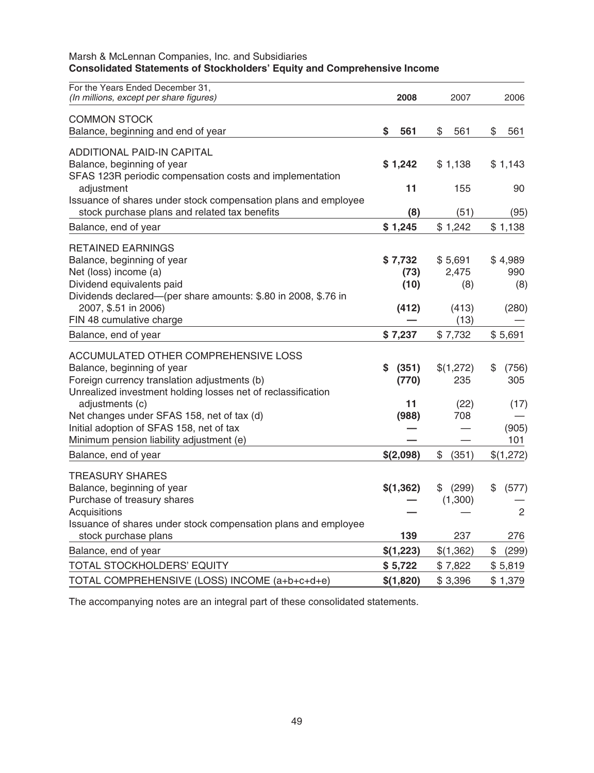# Marsh & McLennan Companies, Inc. and Subsidiaries **Consolidated Statements of Stockholders' Equity and Comprehensive Income**

| For the Years Ended December 31,<br>(In millions, except per share figures) | 2008       | 2007                   | 2006           |
|-----------------------------------------------------------------------------|------------|------------------------|----------------|
| <b>COMMON STOCK</b>                                                         |            |                        |                |
| Balance, beginning and end of year                                          | \$<br>561  | \$<br>561              | \$<br>561      |
| <b>ADDITIONAL PAID-IN CAPITAL</b>                                           |            |                        |                |
| Balance, beginning of year                                                  | \$1,242    | \$1,138                | \$1,143        |
| SFAS 123R periodic compensation costs and implementation                    |            |                        |                |
| adjustment                                                                  | 11         | 155                    | 90             |
| Issuance of shares under stock compensation plans and employee              |            |                        |                |
| stock purchase plans and related tax benefits                               | (8)        | (51)                   | (95)           |
| Balance, end of year                                                        | \$1,245    | \$1,242                | \$1,138        |
| <b>RETAINED EARNINGS</b>                                                    |            |                        |                |
| Balance, beginning of year                                                  | \$7,732    | \$5,691                | \$4,989        |
| Net (loss) income (a)                                                       | (73)       | 2,475                  | 990            |
| Dividend equivalents paid                                                   | (10)       | (8)                    | (8)            |
| Dividends declared-(per share amounts: \$.80 in 2008, \$.76 in              |            |                        |                |
| 2007, \$.51 in 2006)                                                        | (412)      | (413)                  | (280)          |
| FIN 48 cumulative charge                                                    |            | (13)                   |                |
| Balance, end of year                                                        | \$7,237    | \$7,732                | \$5,691        |
| ACCUMULATED OTHER COMPREHENSIVE LOSS                                        |            |                        |                |
| Balance, beginning of year                                                  | S<br>(351) | \$(1,272)              | \$<br>(756)    |
| Foreign currency translation adjustments (b)                                | (770)      | 235                    | 305            |
| Unrealized investment holding losses net of reclassification                |            |                        |                |
| adjustments (c)                                                             | 11         | (22)                   | (17)           |
| Net changes under SFAS 158, net of tax (d)                                  | (988)      | 708                    |                |
| Initial adoption of SFAS 158, net of tax                                    |            |                        | (905)          |
| Minimum pension liability adjustment (e)                                    |            |                        | 101            |
| Balance, end of year                                                        | \$(2,098)  | $\mathcal{S}$<br>(351) | \$(1,272)      |
| <b>TREASURY SHARES</b>                                                      |            |                        |                |
| Balance, beginning of year                                                  | \$(1,362)  | (299)<br>S.            | S<br>(577)     |
| Purchase of treasury shares                                                 |            | (1,300)                |                |
| Acquisitions                                                                |            |                        | $\overline{2}$ |
| Issuance of shares under stock compensation plans and employee              |            |                        |                |
| stock purchase plans                                                        | 139        | 237                    | 276            |
| Balance, end of year                                                        | \$(1,223)  | \$(1,362)              | \$ (299)       |
| TOTAL STOCKHOLDERS' EQUITY                                                  | \$5,722    | \$7,822                | \$5,819        |
| TOTAL COMPREHENSIVE (LOSS) INCOME (a+b+c+d+e)                               | \$(1,820)  | \$3,396                | \$1,379        |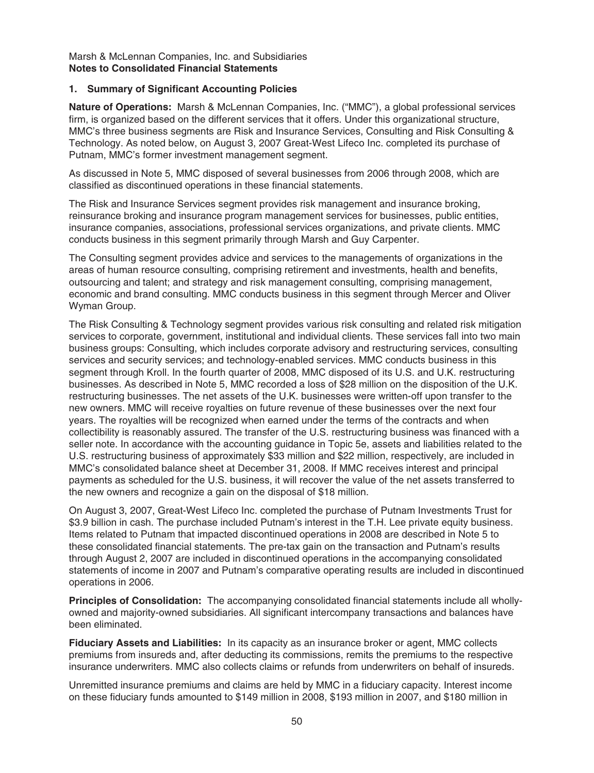#### Marsh & McLennan Companies, Inc. and Subsidiaries **Notes to Consolidated Financial Statements**

#### **1. Summary of Significant Accounting Policies**

**Nature of Operations:** Marsh & McLennan Companies, Inc. ("MMC"), a global professional services firm, is organized based on the different services that it offers. Under this organizational structure, MMC's three business segments are Risk and Insurance Services, Consulting and Risk Consulting & Technology. As noted below, on August 3, 2007 Great-West Lifeco Inc. completed its purchase of Putnam, MMC's former investment management segment.

As discussed in Note 5, MMC disposed of several businesses from 2006 through 2008, which are classified as discontinued operations in these financial statements.

The Risk and Insurance Services segment provides risk management and insurance broking, reinsurance broking and insurance program management services for businesses, public entities, insurance companies, associations, professional services organizations, and private clients. MMC conducts business in this segment primarily through Marsh and Guy Carpenter.

The Consulting segment provides advice and services to the managements of organizations in the areas of human resource consulting, comprising retirement and investments, health and benefits, outsourcing and talent; and strategy and risk management consulting, comprising management, economic and brand consulting. MMC conducts business in this segment through Mercer and Oliver Wyman Group.

The Risk Consulting & Technology segment provides various risk consulting and related risk mitigation services to corporate, government, institutional and individual clients. These services fall into two main business groups: Consulting, which includes corporate advisory and restructuring services, consulting services and security services; and technology-enabled services. MMC conducts business in this segment through Kroll. In the fourth quarter of 2008, MMC disposed of its U.S. and U.K. restructuring businesses. As described in Note 5, MMC recorded a loss of \$28 million on the disposition of the U.K. restructuring businesses. The net assets of the U.K. businesses were written-off upon transfer to the new owners. MMC will receive royalties on future revenue of these businesses over the next four years. The royalties will be recognized when earned under the terms of the contracts and when collectibility is reasonably assured. The transfer of the U.S. restructuring business was financed with a seller note. In accordance with the accounting guidance in Topic 5e, assets and liabilities related to the U.S. restructuring business of approximately \$33 million and \$22 million, respectively, are included in MMC's consolidated balance sheet at December 31, 2008. If MMC receives interest and principal payments as scheduled for the U.S. business, it will recover the value of the net assets transferred to the new owners and recognize a gain on the disposal of \$18 million.

On August 3, 2007, Great-West Lifeco Inc. completed the purchase of Putnam Investments Trust for \$3.9 billion in cash. The purchase included Putnam's interest in the T.H. Lee private equity business. Items related to Putnam that impacted discontinued operations in 2008 are described in Note 5 to these consolidated financial statements. The pre-tax gain on the transaction and Putnam's results through August 2, 2007 are included in discontinued operations in the accompanying consolidated statements of income in 2007 and Putnam's comparative operating results are included in discontinued operations in 2006.

**Principles of Consolidation:** The accompanying consolidated financial statements include all whollyowned and majority-owned subsidiaries. All significant intercompany transactions and balances have been eliminated.

**Fiduciary Assets and Liabilities:** In its capacity as an insurance broker or agent, MMC collects premiums from insureds and, after deducting its commissions, remits the premiums to the respective insurance underwriters. MMC also collects claims or refunds from underwriters on behalf of insureds.

Unremitted insurance premiums and claims are held by MMC in a fiduciary capacity. Interest income on these fiduciary funds amounted to \$149 million in 2008, \$193 million in 2007, and \$180 million in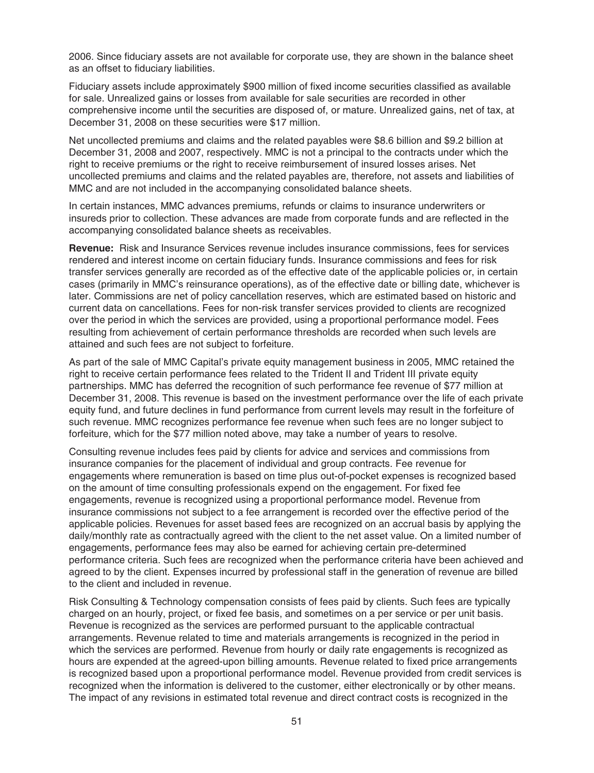2006. Since fiduciary assets are not available for corporate use, they are shown in the balance sheet as an offset to fiduciary liabilities.

Fiduciary assets include approximately \$900 million of fixed income securities classified as available for sale. Unrealized gains or losses from available for sale securities are recorded in other comprehensive income until the securities are disposed of, or mature. Unrealized gains, net of tax, at December 31, 2008 on these securities were \$17 million.

Net uncollected premiums and claims and the related payables were \$8.6 billion and \$9.2 billion at December 31, 2008 and 2007, respectively. MMC is not a principal to the contracts under which the right to receive premiums or the right to receive reimbursement of insured losses arises. Net uncollected premiums and claims and the related payables are, therefore, not assets and liabilities of MMC and are not included in the accompanying consolidated balance sheets.

In certain instances, MMC advances premiums, refunds or claims to insurance underwriters or insureds prior to collection. These advances are made from corporate funds and are reflected in the accompanying consolidated balance sheets as receivables.

**Revenue:** Risk and Insurance Services revenue includes insurance commissions, fees for services rendered and interest income on certain fiduciary funds. Insurance commissions and fees for risk transfer services generally are recorded as of the effective date of the applicable policies or, in certain cases (primarily in MMC's reinsurance operations), as of the effective date or billing date, whichever is later. Commissions are net of policy cancellation reserves, which are estimated based on historic and current data on cancellations. Fees for non-risk transfer services provided to clients are recognized over the period in which the services are provided, using a proportional performance model. Fees resulting from achievement of certain performance thresholds are recorded when such levels are attained and such fees are not subject to forfeiture.

As part of the sale of MMC Capital's private equity management business in 2005, MMC retained the right to receive certain performance fees related to the Trident II and Trident III private equity partnerships. MMC has deferred the recognition of such performance fee revenue of \$77 million at December 31, 2008. This revenue is based on the investment performance over the life of each private equity fund, and future declines in fund performance from current levels may result in the forfeiture of such revenue. MMC recognizes performance fee revenue when such fees are no longer subject to forfeiture, which for the \$77 million noted above, may take a number of years to resolve.

Consulting revenue includes fees paid by clients for advice and services and commissions from insurance companies for the placement of individual and group contracts. Fee revenue for engagements where remuneration is based on time plus out-of-pocket expenses is recognized based on the amount of time consulting professionals expend on the engagement. For fixed fee engagements, revenue is recognized using a proportional performance model. Revenue from insurance commissions not subject to a fee arrangement is recorded over the effective period of the applicable policies. Revenues for asset based fees are recognized on an accrual basis by applying the daily/monthly rate as contractually agreed with the client to the net asset value. On a limited number of engagements, performance fees may also be earned for achieving certain pre-determined performance criteria. Such fees are recognized when the performance criteria have been achieved and agreed to by the client. Expenses incurred by professional staff in the generation of revenue are billed to the client and included in revenue.

Risk Consulting & Technology compensation consists of fees paid by clients. Such fees are typically charged on an hourly, project, or fixed fee basis, and sometimes on a per service or per unit basis. Revenue is recognized as the services are performed pursuant to the applicable contractual arrangements. Revenue related to time and materials arrangements is recognized in the period in which the services are performed. Revenue from hourly or daily rate engagements is recognized as hours are expended at the agreed-upon billing amounts. Revenue related to fixed price arrangements is recognized based upon a proportional performance model. Revenue provided from credit services is recognized when the information is delivered to the customer, either electronically or by other means. The impact of any revisions in estimated total revenue and direct contract costs is recognized in the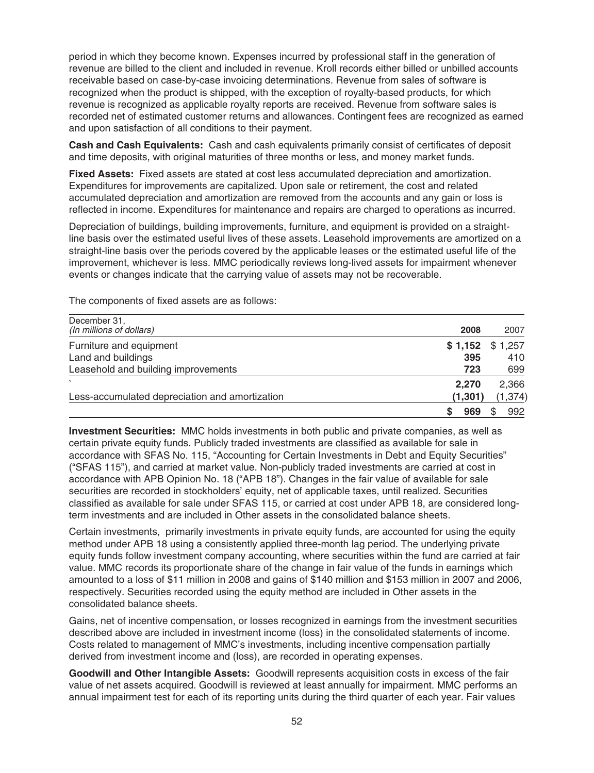period in which they become known. Expenses incurred by professional staff in the generation of revenue are billed to the client and included in revenue. Kroll records either billed or unbilled accounts receivable based on case-by-case invoicing determinations. Revenue from sales of software is recognized when the product is shipped, with the exception of royalty-based products, for which revenue is recognized as applicable royalty reports are received. Revenue from software sales is recorded net of estimated customer returns and allowances. Contingent fees are recognized as earned and upon satisfaction of all conditions to their payment.

**Cash and Cash Equivalents:** Cash and cash equivalents primarily consist of certificates of deposit and time deposits, with original maturities of three months or less, and money market funds.

**Fixed Assets:** Fixed assets are stated at cost less accumulated depreciation and amortization. Expenditures for improvements are capitalized. Upon sale or retirement, the cost and related accumulated depreciation and amortization are removed from the accounts and any gain or loss is reflected in income. Expenditures for maintenance and repairs are charged to operations as incurred.

Depreciation of buildings, building improvements, furniture, and equipment is provided on a straightline basis over the estimated useful lives of these assets. Leasehold improvements are amortized on a straight-line basis over the periods covered by the applicable leases or the estimated useful life of the improvement, whichever is less. MMC periodically reviews long-lived assets for impairment whenever events or changes indicate that the carrying value of assets may not be recoverable.

| December 31,<br>(In millions of dollars)       | 2008              | 2007     |
|------------------------------------------------|-------------------|----------|
| Furniture and equipment                        | $$1,152$ $$1,257$ |          |
| Land and buildings                             | 395               | 410      |
| Leasehold and building improvements            | 723               | 699      |
|                                                | 2.270             | 2,366    |
| Less-accumulated depreciation and amortization | (1, 301)          | (1, 374) |
|                                                | 969               | 992      |

The components of fixed assets are as follows:

**Investment Securities:** MMC holds investments in both public and private companies, as well as certain private equity funds. Publicly traded investments are classified as available for sale in accordance with SFAS No. 115, "Accounting for Certain Investments in Debt and Equity Securities" ("SFAS 115"), and carried at market value. Non-publicly traded investments are carried at cost in accordance with APB Opinion No. 18 ("APB 18"). Changes in the fair value of available for sale securities are recorded in stockholders' equity, net of applicable taxes, until realized. Securities classified as available for sale under SFAS 115, or carried at cost under APB 18, are considered longterm investments and are included in Other assets in the consolidated balance sheets.

Certain investments, primarily investments in private equity funds, are accounted for using the equity method under APB 18 using a consistently applied three-month lag period. The underlying private equity funds follow investment company accounting, where securities within the fund are carried at fair value. MMC records its proportionate share of the change in fair value of the funds in earnings which amounted to a loss of \$11 million in 2008 and gains of \$140 million and \$153 million in 2007 and 2006, respectively. Securities recorded using the equity method are included in Other assets in the consolidated balance sheets.

Gains, net of incentive compensation, or losses recognized in earnings from the investment securities described above are included in investment income (loss) in the consolidated statements of income. Costs related to management of MMC's investments, including incentive compensation partially derived from investment income and (loss), are recorded in operating expenses.

**Goodwill and Other Intangible Assets:** Goodwill represents acquisition costs in excess of the fair value of net assets acquired. Goodwill is reviewed at least annually for impairment. MMC performs an annual impairment test for each of its reporting units during the third quarter of each year. Fair values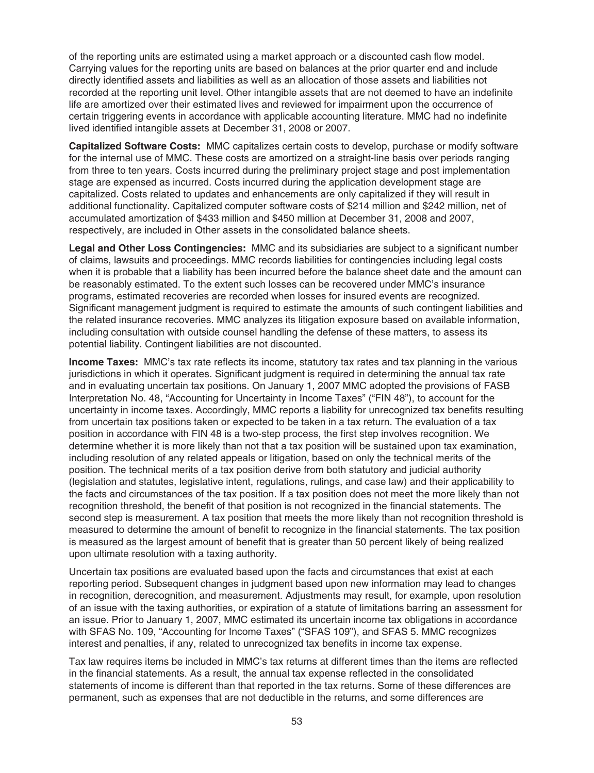of the reporting units are estimated using a market approach or a discounted cash flow model. Carrying values for the reporting units are based on balances at the prior quarter end and include directly identified assets and liabilities as well as an allocation of those assets and liabilities not recorded at the reporting unit level. Other intangible assets that are not deemed to have an indefinite life are amortized over their estimated lives and reviewed for impairment upon the occurrence of certain triggering events in accordance with applicable accounting literature. MMC had no indefinite lived identified intangible assets at December 31, 2008 or 2007.

**Capitalized Software Costs:** MMC capitalizes certain costs to develop, purchase or modify software for the internal use of MMC. These costs are amortized on a straight-line basis over periods ranging from three to ten years. Costs incurred during the preliminary project stage and post implementation stage are expensed as incurred. Costs incurred during the application development stage are capitalized. Costs related to updates and enhancements are only capitalized if they will result in additional functionality. Capitalized computer software costs of \$214 million and \$242 million, net of accumulated amortization of \$433 million and \$450 million at December 31, 2008 and 2007, respectively, are included in Other assets in the consolidated balance sheets.

**Legal and Other Loss Contingencies:** MMC and its subsidiaries are subject to a significant number of claims, lawsuits and proceedings. MMC records liabilities for contingencies including legal costs when it is probable that a liability has been incurred before the balance sheet date and the amount can be reasonably estimated. To the extent such losses can be recovered under MMC's insurance programs, estimated recoveries are recorded when losses for insured events are recognized. Significant management judgment is required to estimate the amounts of such contingent liabilities and the related insurance recoveries. MMC analyzes its litigation exposure based on available information, including consultation with outside counsel handling the defense of these matters, to assess its potential liability. Contingent liabilities are not discounted.

**Income Taxes:** MMC's tax rate reflects its income, statutory tax rates and tax planning in the various jurisdictions in which it operates. Significant judgment is required in determining the annual tax rate and in evaluating uncertain tax positions. On January 1, 2007 MMC adopted the provisions of FASB Interpretation No. 48, "Accounting for Uncertainty in Income Taxes" ("FIN 48"), to account for the uncertainty in income taxes. Accordingly, MMC reports a liability for unrecognized tax benefits resulting from uncertain tax positions taken or expected to be taken in a tax return. The evaluation of a tax position in accordance with FIN 48 is a two-step process, the first step involves recognition. We determine whether it is more likely than not that a tax position will be sustained upon tax examination, including resolution of any related appeals or litigation, based on only the technical merits of the position. The technical merits of a tax position derive from both statutory and judicial authority (legislation and statutes, legislative intent, regulations, rulings, and case law) and their applicability to the facts and circumstances of the tax position. If a tax position does not meet the more likely than not recognition threshold, the benefit of that position is not recognized in the financial statements. The second step is measurement. A tax position that meets the more likely than not recognition threshold is measured to determine the amount of benefit to recognize in the financial statements. The tax position is measured as the largest amount of benefit that is greater than 50 percent likely of being realized upon ultimate resolution with a taxing authority.

Uncertain tax positions are evaluated based upon the facts and circumstances that exist at each reporting period. Subsequent changes in judgment based upon new information may lead to changes in recognition, derecognition, and measurement. Adjustments may result, for example, upon resolution of an issue with the taxing authorities, or expiration of a statute of limitations barring an assessment for an issue. Prior to January 1, 2007, MMC estimated its uncertain income tax obligations in accordance with SFAS No. 109, "Accounting for Income Taxes" ("SFAS 109"), and SFAS 5. MMC recognizes interest and penalties, if any, related to unrecognized tax benefits in income tax expense.

Tax law requires items be included in MMC's tax returns at different times than the items are reflected in the financial statements. As a result, the annual tax expense reflected in the consolidated statements of income is different than that reported in the tax returns. Some of these differences are permanent, such as expenses that are not deductible in the returns, and some differences are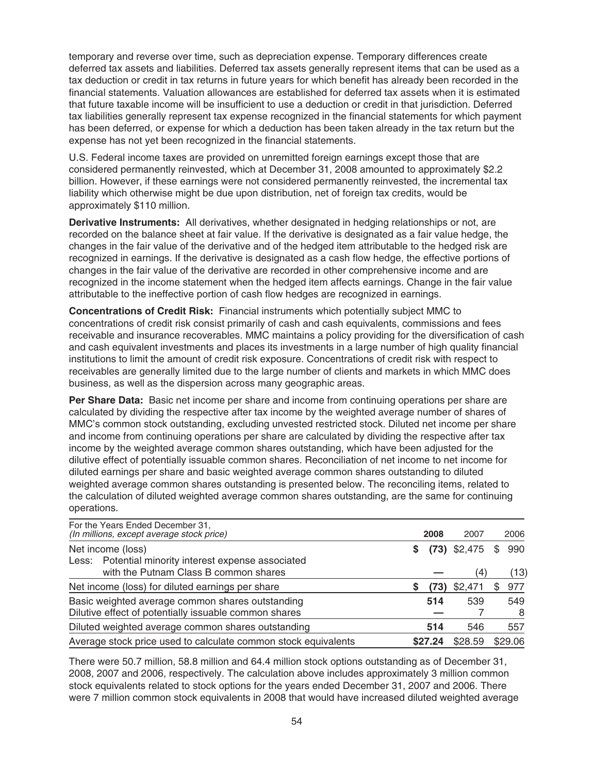temporary and reverse over time, such as depreciation expense. Temporary differences create deferred tax assets and liabilities. Deferred tax assets generally represent items that can be used as a tax deduction or credit in tax returns in future years for which benefit has already been recorded in the financial statements. Valuation allowances are established for deferred tax assets when it is estimated that future taxable income will be insufficient to use a deduction or credit in that jurisdiction. Deferred tax liabilities generally represent tax expense recognized in the financial statements for which payment has been deferred, or expense for which a deduction has been taken already in the tax return but the expense has not yet been recognized in the financial statements.

U.S. Federal income taxes are provided on unremitted foreign earnings except those that are considered permanently reinvested, which at December 31, 2008 amounted to approximately \$2.2 billion. However, if these earnings were not considered permanently reinvested, the incremental tax liability which otherwise might be due upon distribution, net of foreign tax credits, would be approximately \$110 million.

**Derivative Instruments:** All derivatives, whether designated in hedging relationships or not, are recorded on the balance sheet at fair value. If the derivative is designated as a fair value hedge, the changes in the fair value of the derivative and of the hedged item attributable to the hedged risk are recognized in earnings. If the derivative is designated as a cash flow hedge, the effective portions of changes in the fair value of the derivative are recorded in other comprehensive income and are recognized in the income statement when the hedged item affects earnings. Change in the fair value attributable to the ineffective portion of cash flow hedges are recognized in earnings.

**Concentrations of Credit Risk:** Financial instruments which potentially subject MMC to concentrations of credit risk consist primarily of cash and cash equivalents, commissions and fees receivable and insurance recoverables. MMC maintains a policy providing for the diversification of cash and cash equivalent investments and places its investments in a large number of high quality financial institutions to limit the amount of credit risk exposure. Concentrations of credit risk with respect to receivables are generally limited due to the large number of clients and markets in which MMC does business, as well as the dispersion across many geographic areas.

**Per Share Data:** Basic net income per share and income from continuing operations per share are calculated by dividing the respective after tax income by the weighted average number of shares of MMC's common stock outstanding, excluding unvested restricted stock. Diluted net income per share and income from continuing operations per share are calculated by dividing the respective after tax income by the weighted average common shares outstanding, which have been adjusted for the dilutive effect of potentially issuable common shares. Reconciliation of net income to net income for diluted earnings per share and basic weighted average common shares outstanding to diluted weighted average common shares outstanding is presented below. The reconciling items, related to the calculation of diluted weighted average common shares outstanding, are the same for continuing operations.

| For the Years Ended December 31,<br>(In millions, except average stock price) |   | 2008    | 2007           | 2006    |
|-------------------------------------------------------------------------------|---|---------|----------------|---------|
| Net income (loss)                                                             | S |         | $(73)$ \$2,475 | \$990   |
| Less: Potential minority interest expense associated                          |   |         |                |         |
| with the Putnam Class B common shares                                         |   |         | (4)            | (13)    |
| Net income (loss) for diluted earnings per share                              | S | (73)    | \$2,471        | 977     |
| Basic weighted average common shares outstanding                              |   | 514     | 539            | 549     |
| Dilutive effect of potentially issuable common shares                         |   |         |                | -8      |
| Diluted weighted average common shares outstanding                            |   | 514     | 546            | 557     |
| Average stock price used to calculate common stock equivalents                |   | \$27.24 | \$28.59        | \$29.06 |

There were 50.7 million, 58.8 million and 64.4 million stock options outstanding as of December 31, 2008, 2007 and 2006, respectively. The calculation above includes approximately 3 million common stock equivalents related to stock options for the years ended December 31, 2007 and 2006. There were 7 million common stock equivalents in 2008 that would have increased diluted weighted average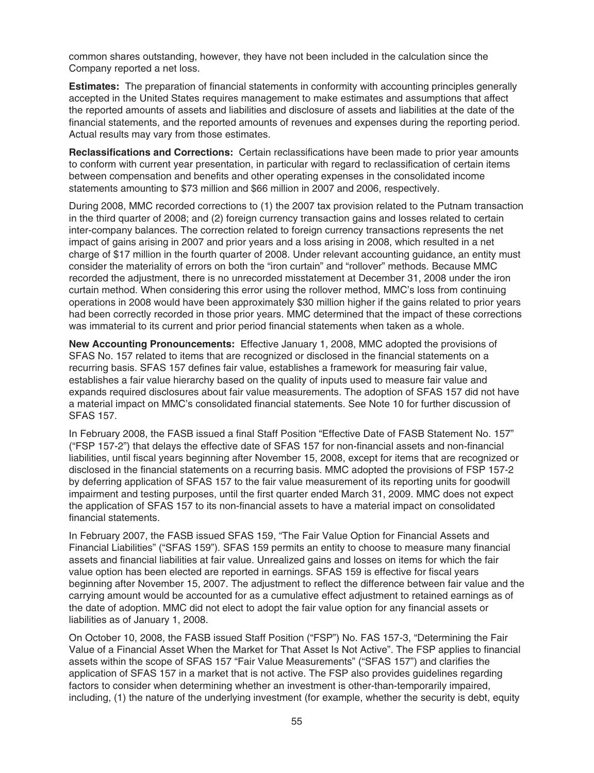common shares outstanding, however, they have not been included in the calculation since the Company reported a net loss.

**Estimates:** The preparation of financial statements in conformity with accounting principles generally accepted in the United States requires management to make estimates and assumptions that affect the reported amounts of assets and liabilities and disclosure of assets and liabilities at the date of the financial statements, and the reported amounts of revenues and expenses during the reporting period. Actual results may vary from those estimates.

**Reclassifications and Corrections:** Certain reclassifications have been made to prior year amounts to conform with current year presentation, in particular with regard to reclassification of certain items between compensation and benefits and other operating expenses in the consolidated income statements amounting to \$73 million and \$66 million in 2007 and 2006, respectively.

During 2008, MMC recorded corrections to (1) the 2007 tax provision related to the Putnam transaction in the third quarter of 2008; and (2) foreign currency transaction gains and losses related to certain inter-company balances. The correction related to foreign currency transactions represents the net impact of gains arising in 2007 and prior years and a loss arising in 2008, which resulted in a net charge of \$17 million in the fourth quarter of 2008. Under relevant accounting guidance, an entity must consider the materiality of errors on both the "iron curtain" and "rollover" methods. Because MMC recorded the adjustment, there is no unrecorded misstatement at December 31, 2008 under the iron curtain method. When considering this error using the rollover method, MMC's loss from continuing operations in 2008 would have been approximately \$30 million higher if the gains related to prior years had been correctly recorded in those prior years. MMC determined that the impact of these corrections was immaterial to its current and prior period financial statements when taken as a whole.

**New Accounting Pronouncements:** Effective January 1, 2008, MMC adopted the provisions of SFAS No. 157 related to items that are recognized or disclosed in the financial statements on a recurring basis. SFAS 157 defines fair value, establishes a framework for measuring fair value, establishes a fair value hierarchy based on the quality of inputs used to measure fair value and expands required disclosures about fair value measurements. The adoption of SFAS 157 did not have a material impact on MMC's consolidated financial statements. See Note 10 for further discussion of SFAS 157.

In February 2008, the FASB issued a final Staff Position "Effective Date of FASB Statement No. 157" ("FSP 157-2") that delays the effective date of SFAS 157 for non-financial assets and non-financial liabilities, until fiscal years beginning after November 15, 2008, except for items that are recognized or disclosed in the financial statements on a recurring basis. MMC adopted the provisions of FSP 157-2 by deferring application of SFAS 157 to the fair value measurement of its reporting units for goodwill impairment and testing purposes, until the first quarter ended March 31, 2009. MMC does not expect the application of SFAS 157 to its non-financial assets to have a material impact on consolidated financial statements.

In February 2007, the FASB issued SFAS 159, "The Fair Value Option for Financial Assets and Financial Liabilities" ("SFAS 159"). SFAS 159 permits an entity to choose to measure many financial assets and financial liabilities at fair value. Unrealized gains and losses on items for which the fair value option has been elected are reported in earnings. SFAS 159 is effective for fiscal years beginning after November 15, 2007. The adjustment to reflect the difference between fair value and the carrying amount would be accounted for as a cumulative effect adjustment to retained earnings as of the date of adoption. MMC did not elect to adopt the fair value option for any financial assets or liabilities as of January 1, 2008.

On October 10, 2008, the FASB issued Staff Position ("FSP") No. FAS 157-3, "Determining the Fair Value of a Financial Asset When the Market for That Asset Is Not Active". The FSP applies to financial assets within the scope of SFAS 157 "Fair Value Measurements" ("SFAS 157") and clarifies the application of SFAS 157 in a market that is not active. The FSP also provides guidelines regarding factors to consider when determining whether an investment is other-than-temporarily impaired, including, (1) the nature of the underlying investment (for example, whether the security is debt, equity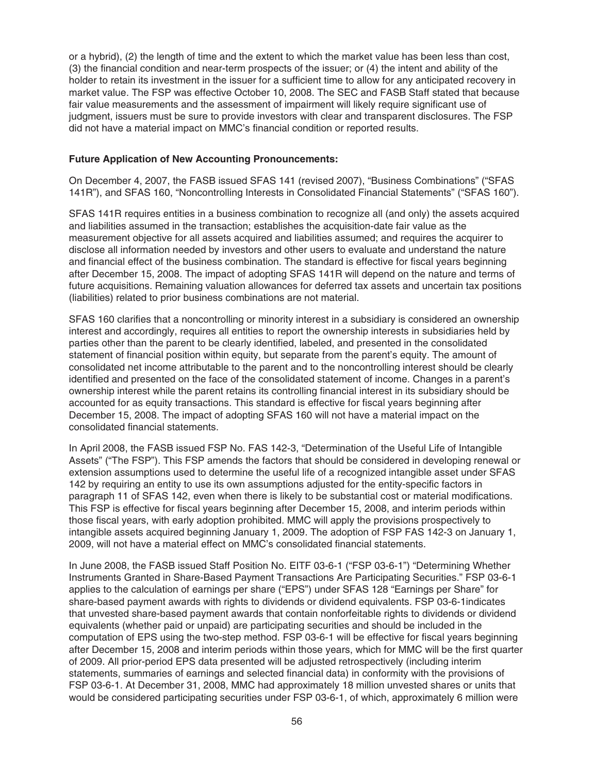or a hybrid), (2) the length of time and the extent to which the market value has been less than cost, (3) the financial condition and near-term prospects of the issuer; or (4) the intent and ability of the holder to retain its investment in the issuer for a sufficient time to allow for any anticipated recovery in market value. The FSP was effective October 10, 2008. The SEC and FASB Staff stated that because fair value measurements and the assessment of impairment will likely require significant use of judgment, issuers must be sure to provide investors with clear and transparent disclosures. The FSP did not have a material impact on MMC's financial condition or reported results.

#### **Future Application of New Accounting Pronouncements:**

On December 4, 2007, the FASB issued SFAS 141 (revised 2007), "Business Combinations" ("SFAS 141R"), and SFAS 160, "Noncontrolling Interests in Consolidated Financial Statements" ("SFAS 160").

SFAS 141R requires entities in a business combination to recognize all (and only) the assets acquired and liabilities assumed in the transaction; establishes the acquisition-date fair value as the measurement objective for all assets acquired and liabilities assumed; and requires the acquirer to disclose all information needed by investors and other users to evaluate and understand the nature and financial effect of the business combination. The standard is effective for fiscal years beginning after December 15, 2008. The impact of adopting SFAS 141R will depend on the nature and terms of future acquisitions. Remaining valuation allowances for deferred tax assets and uncertain tax positions (liabilities) related to prior business combinations are not material.

SFAS 160 clarifies that a noncontrolling or minority interest in a subsidiary is considered an ownership interest and accordingly, requires all entities to report the ownership interests in subsidiaries held by parties other than the parent to be clearly identified, labeled, and presented in the consolidated statement of financial position within equity, but separate from the parent's equity. The amount of consolidated net income attributable to the parent and to the noncontrolling interest should be clearly identified and presented on the face of the consolidated statement of income. Changes in a parent's ownership interest while the parent retains its controlling financial interest in its subsidiary should be accounted for as equity transactions. This standard is effective for fiscal years beginning after December 15, 2008. The impact of adopting SFAS 160 will not have a material impact on the consolidated financial statements.

In April 2008, the FASB issued FSP No. FAS 142-3, "Determination of the Useful Life of Intangible Assets" ("The FSP"). This FSP amends the factors that should be considered in developing renewal or extension assumptions used to determine the useful life of a recognized intangible asset under SFAS 142 by requiring an entity to use its own assumptions adjusted for the entity-specific factors in paragraph 11 of SFAS 142, even when there is likely to be substantial cost or material modifications. This FSP is effective for fiscal years beginning after December 15, 2008, and interim periods within those fiscal years, with early adoption prohibited. MMC will apply the provisions prospectively to intangible assets acquired beginning January 1, 2009. The adoption of FSP FAS 142-3 on January 1, 2009, will not have a material effect on MMC's consolidated financial statements.

In June 2008, the FASB issued Staff Position No. EITF 03-6-1 ("FSP 03-6-1") "Determining Whether Instruments Granted in Share-Based Payment Transactions Are Participating Securities." FSP 03-6-1 applies to the calculation of earnings per share ("EPS") under SFAS 128 "Earnings per Share" for share-based payment awards with rights to dividends or dividend equivalents. FSP 03-6-1indicates that unvested share-based payment awards that contain nonforfeitable rights to dividends or dividend equivalents (whether paid or unpaid) are participating securities and should be included in the computation of EPS using the two-step method. FSP 03-6-1 will be effective for fiscal years beginning after December 15, 2008 and interim periods within those years, which for MMC will be the first quarter of 2009. All prior-period EPS data presented will be adjusted retrospectively (including interim statements, summaries of earnings and selected financial data) in conformity with the provisions of FSP 03-6-1. At December 31, 2008, MMC had approximately 18 million unvested shares or units that would be considered participating securities under FSP 03-6-1, of which, approximately 6 million were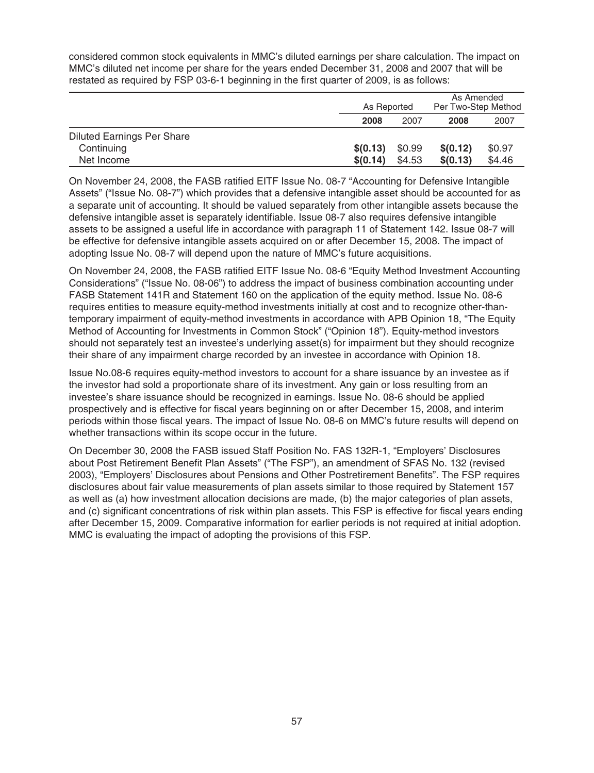considered common stock equivalents in MMC's diluted earnings per share calculation. The impact on MMC's diluted net income per share for the years ended December 31, 2008 and 2007 that will be restated as required by FSP 03-6-1 beginning in the first quarter of 2009, is as follows:

|                                   | As Reported |        | As Amended<br>Per Two-Step Method |        |  |  |
|-----------------------------------|-------------|--------|-----------------------------------|--------|--|--|
|                                   | 2008        | 2007   | 2008                              | 2007   |  |  |
| <b>Diluted Earnings Per Share</b> |             |        |                                   |        |  |  |
| Continuing                        | \$(0.13)    | \$0.99 | \$(0.12)                          | \$0.97 |  |  |
| Net Income                        | \$(0.14)    | \$4.53 | \$(0.13)                          | \$4.46 |  |  |

On November 24, 2008, the FASB ratified EITF Issue No. 08-7 "Accounting for Defensive Intangible Assets" ("Issue No. 08-7") which provides that a defensive intangible asset should be accounted for as a separate unit of accounting. It should be valued separately from other intangible assets because the defensive intangible asset is separately identifiable. Issue 08-7 also requires defensive intangible assets to be assigned a useful life in accordance with paragraph 11 of Statement 142. Issue 08-7 will be effective for defensive intangible assets acquired on or after December 15, 2008. The impact of adopting Issue No. 08-7 will depend upon the nature of MMC's future acquisitions.

On November 24, 2008, the FASB ratified EITF Issue No. 08-6 "Equity Method Investment Accounting Considerations" ("Issue No. 08-06") to address the impact of business combination accounting under FASB Statement 141R and Statement 160 on the application of the equity method. Issue No. 08-6 requires entities to measure equity-method investments initially at cost and to recognize other-thantemporary impairment of equity-method investments in accordance with APB Opinion 18, "The Equity Method of Accounting for Investments in Common Stock" ("Opinion 18"). Equity-method investors should not separately test an investee's underlying asset(s) for impairment but they should recognize their share of any impairment charge recorded by an investee in accordance with Opinion 18.

Issue No.08-6 requires equity-method investors to account for a share issuance by an investee as if the investor had sold a proportionate share of its investment. Any gain or loss resulting from an investee's share issuance should be recognized in earnings. Issue No. 08-6 should be applied prospectively and is effective for fiscal years beginning on or after December 15, 2008, and interim periods within those fiscal years. The impact of Issue No. 08-6 on MMC's future results will depend on whether transactions within its scope occur in the future.

On December 30, 2008 the FASB issued Staff Position No. FAS 132R-1, "Employers' Disclosures about Post Retirement Benefit Plan Assets" ("The FSP"), an amendment of SFAS No. 132 (revised 2003), "Employers' Disclosures about Pensions and Other Postretirement Benefits". The FSP requires disclosures about fair value measurements of plan assets similar to those required by Statement 157 as well as (a) how investment allocation decisions are made, (b) the major categories of plan assets, and (c) significant concentrations of risk within plan assets. This FSP is effective for fiscal years ending after December 15, 2009. Comparative information for earlier periods is not required at initial adoption. MMC is evaluating the impact of adopting the provisions of this FSP.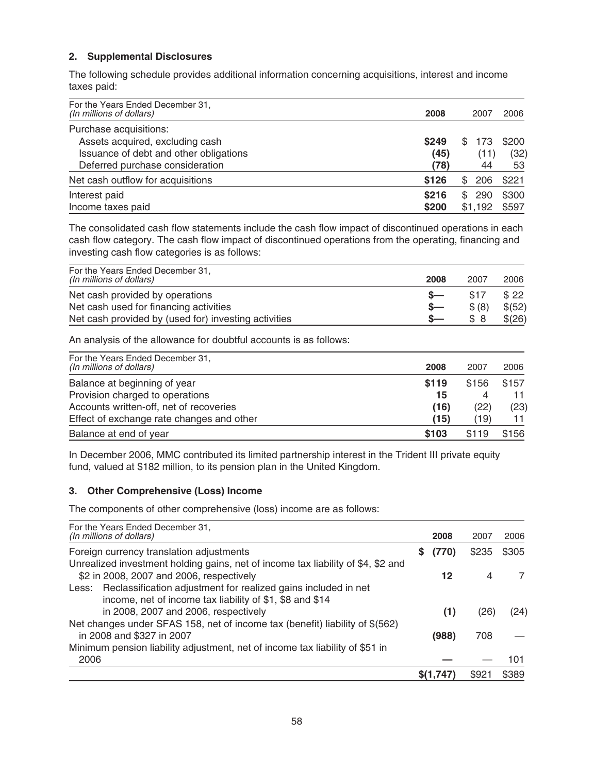# **2. Supplemental Disclosures**

The following schedule provides additional information concerning acquisitions, interest and income taxes paid:

| For the Years Ended December 31.<br>(In millions of dollars) | 2008  | 2007     | 2006  |
|--------------------------------------------------------------|-------|----------|-------|
| Purchase acquisitions:                                       |       |          |       |
| Assets acquired, excluding cash                              | \$249 | 173<br>S | \$200 |
| Issuance of debt and other obligations                       | (45)  | (11)     | (32)  |
| Deferred purchase consideration                              | (78)  | 44       | 53    |
| Net cash outflow for acquisitions                            | \$126 | S<br>206 | \$221 |
| Interest paid                                                | \$216 | S<br>290 | \$300 |
| Income taxes paid                                            | \$200 | \$1,192  | \$597 |

The consolidated cash flow statements include the cash flow impact of discontinued operations in each cash flow category. The cash flow impact of discontinued operations from the operating, financing and investing cash flow categories is as follows:

| For the Years Ended December 31.<br>(In millions of dollars) | 2008 | 2007   | 2006   |
|--------------------------------------------------------------|------|--------|--------|
| Net cash provided by operations                              |      |        | \$22   |
| Net cash used for financing activities                       | $S-$ | \$ (8) | \$(52) |
| Net cash provided by (used for) investing activities         |      | \$8    | \$(26) |

An analysis of the allowance for doubtful accounts is as follows:

| For the Years Ended December 31.<br>(In millions of dollars) | 2008  | 2007  | 2006  |
|--------------------------------------------------------------|-------|-------|-------|
| Balance at beginning of year                                 | \$119 | \$156 | \$157 |
| Provision charged to operations                              | 15    | 4     | 11    |
| Accounts written-off, net of recoveries                      | (16)  | (22)  | (23)  |
| Effect of exchange rate changes and other                    | (15)  | (19)  | 11    |
| Balance at end of year                                       | \$103 | \$119 | \$156 |

In December 2006, MMC contributed its limited partnership interest in the Trident III private equity fund, valued at \$182 million, to its pension plan in the United Kingdom.

### **3. Other Comprehensive (Loss) Income**

The components of other comprehensive (loss) income are as follows:

| For the Years Ended December 31,<br>(In millions of dollars)                     |   | 2008  | 2007  | 2006  |
|----------------------------------------------------------------------------------|---|-------|-------|-------|
| Foreign currency translation adjustments                                         | S | (770) | \$235 | \$305 |
| Unrealized investment holding gains, net of income tax liability of \$4, \$2 and |   |       |       |       |
| \$2 in 2008, 2007 and 2006, respectively                                         |   | 12    | 4     |       |
| Less: Reclassification adjustment for realized gains included in net             |   |       |       |       |
| income, net of income tax liability of \$1, \$8 and \$14                         |   |       |       |       |
| in 2008, 2007 and 2006, respectively                                             |   | (1)   | (26)  | (24)  |
| Net changes under SFAS 158, net of income tax (benefit) liability of \$(562)     |   |       |       |       |
| in 2008 and \$327 in 2007                                                        |   | (988) | 708   |       |
| Minimum pension liability adjustment, net of income tax liability of \$51 in     |   |       |       |       |
| 2006                                                                             |   |       |       | 101   |
|                                                                                  |   |       | \$92  | \$389 |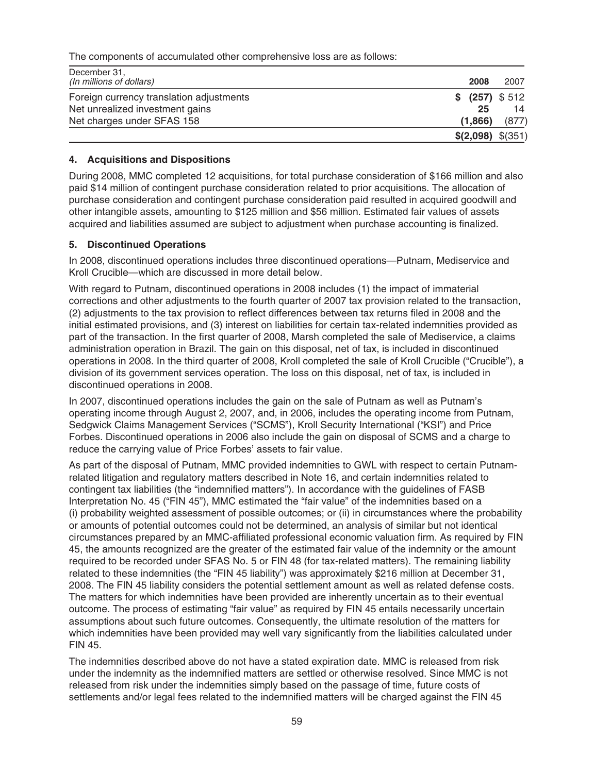The components of accumulated other comprehensive loss are as follows:

| December 31,<br>(In millions of dollars) | 2008    | 2007                |
|------------------------------------------|---------|---------------------|
| Foreign currency translation adjustments |         | \$ (257) \$512\$    |
| Net unrealized investment gains          | 25      | 14                  |
| Net charges under SFAS 158               | (1.866) | (877)               |
|                                          |         | $$(2,098)$ $$(351)$ |

### **4. Acquisitions and Dispositions**

During 2008, MMC completed 12 acquisitions, for total purchase consideration of \$166 million and also paid \$14 million of contingent purchase consideration related to prior acquisitions. The allocation of purchase consideration and contingent purchase consideration paid resulted in acquired goodwill and other intangible assets, amounting to \$125 million and \$56 million. Estimated fair values of assets acquired and liabilities assumed are subject to adjustment when purchase accounting is finalized.

### **5. Discontinued Operations**

In 2008, discontinued operations includes three discontinued operations—Putnam, Mediservice and Kroll Crucible—which are discussed in more detail below.

With regard to Putnam, discontinued operations in 2008 includes (1) the impact of immaterial corrections and other adjustments to the fourth quarter of 2007 tax provision related to the transaction, (2) adjustments to the tax provision to reflect differences between tax returns filed in 2008 and the initial estimated provisions, and (3) interest on liabilities for certain tax-related indemnities provided as part of the transaction. In the first quarter of 2008, Marsh completed the sale of Mediservice, a claims administration operation in Brazil. The gain on this disposal, net of tax, is included in discontinued operations in 2008. In the third quarter of 2008, Kroll completed the sale of Kroll Crucible ("Crucible"), a division of its government services operation. The loss on this disposal, net of tax, is included in discontinued operations in 2008.

In 2007, discontinued operations includes the gain on the sale of Putnam as well as Putnam's operating income through August 2, 2007, and, in 2006, includes the operating income from Putnam, Sedgwick Claims Management Services ("SCMS"), Kroll Security International ("KSI") and Price Forbes. Discontinued operations in 2006 also include the gain on disposal of SCMS and a charge to reduce the carrying value of Price Forbes' assets to fair value.

As part of the disposal of Putnam, MMC provided indemnities to GWL with respect to certain Putnamrelated litigation and regulatory matters described in Note 16, and certain indemnities related to contingent tax liabilities (the "indemnified matters"). In accordance with the guidelines of FASB Interpretation No. 45 ("FIN 45"), MMC estimated the "fair value" of the indemnities based on a (i) probability weighted assessment of possible outcomes; or (ii) in circumstances where the probability or amounts of potential outcomes could not be determined, an analysis of similar but not identical circumstances prepared by an MMC-affiliated professional economic valuation firm. As required by FIN 45, the amounts recognized are the greater of the estimated fair value of the indemnity or the amount required to be recorded under SFAS No. 5 or FIN 48 (for tax-related matters). The remaining liability related to these indemnities (the "FIN 45 liability") was approximately \$216 million at December 31, 2008. The FIN 45 liability considers the potential settlement amount as well as related defense costs. The matters for which indemnities have been provided are inherently uncertain as to their eventual outcome. The process of estimating "fair value" as required by FIN 45 entails necessarily uncertain assumptions about such future outcomes. Consequently, the ultimate resolution of the matters for which indemnities have been provided may well vary significantly from the liabilities calculated under FIN 45.

The indemnities described above do not have a stated expiration date. MMC is released from risk under the indemnity as the indemnified matters are settled or otherwise resolved. Since MMC is not released from risk under the indemnities simply based on the passage of time, future costs of settlements and/or legal fees related to the indemnified matters will be charged against the FIN 45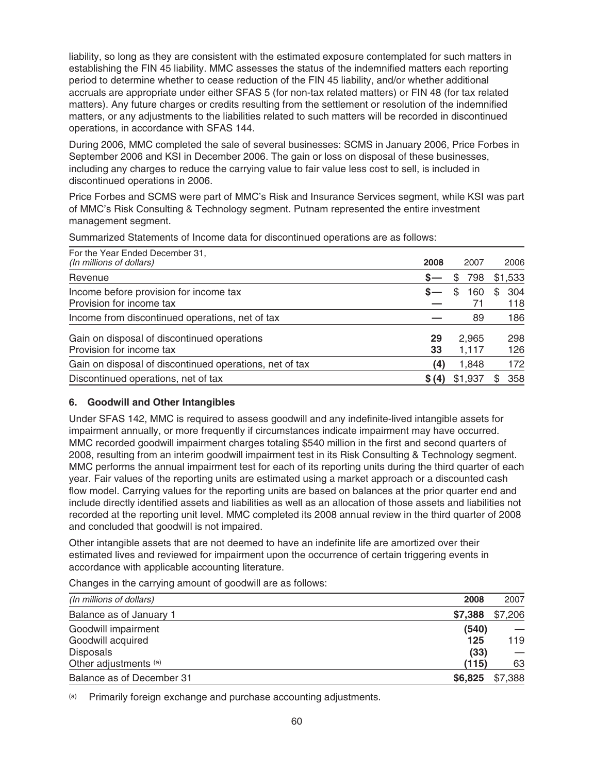liability, so long as they are consistent with the estimated exposure contemplated for such matters in establishing the FIN 45 liability. MMC assesses the status of the indemnified matters each reporting period to determine whether to cease reduction of the FIN 45 liability, and/or whether additional accruals are appropriate under either SFAS 5 (for non-tax related matters) or FIN 48 (for tax related matters). Any future charges or credits resulting from the settlement or resolution of the indemnified matters, or any adjustments to the liabilities related to such matters will be recorded in discontinued operations, in accordance with SFAS 144.

During 2006, MMC completed the sale of several businesses: SCMS in January 2006, Price Forbes in September 2006 and KSI in December 2006. The gain or loss on disposal of these businesses, including any charges to reduce the carrying value to fair value less cost to sell, is included in discontinued operations in 2006.

Price Forbes and SCMS were part of MMC's Risk and Insurance Services segment, while KSI was part of MMC's Risk Consulting & Technology segment. Putnam represented the entire investment management segment.

| 2008 |   |     |                                                   | 2006    |
|------|---|-----|---------------------------------------------------|---------|
|      | S |     |                                                   | \$1,533 |
|      | S | 160 | \$.                                               | 304     |
|      |   | 71  |                                                   | 118     |
|      |   | 89  |                                                   | 186     |
| 29   |   |     |                                                   | 298     |
| 33   |   |     |                                                   | 126     |
| (4)  |   |     |                                                   | 172     |
| S(4) |   |     |                                                   | 358     |
|      |   |     | 2007<br>798<br>2.965<br>1,117<br>1.848<br>\$1,937 |         |

Summarized Statements of Income data for discontinued operations are as follows:

### **6. Goodwill and Other Intangibles**

Under SFAS 142, MMC is required to assess goodwill and any indefinite-lived intangible assets for impairment annually, or more frequently if circumstances indicate impairment may have occurred. MMC recorded goodwill impairment charges totaling \$540 million in the first and second quarters of 2008, resulting from an interim goodwill impairment test in its Risk Consulting & Technology segment. MMC performs the annual impairment test for each of its reporting units during the third quarter of each year. Fair values of the reporting units are estimated using a market approach or a discounted cash flow model. Carrying values for the reporting units are based on balances at the prior quarter end and include directly identified assets and liabilities as well as an allocation of those assets and liabilities not recorded at the reporting unit level. MMC completed its 2008 annual review in the third quarter of 2008 and concluded that goodwill is not impaired.

Other intangible assets that are not deemed to have an indefinite life are amortized over their estimated lives and reviewed for impairment upon the occurrence of certain triggering events in accordance with applicable accounting literature.

Changes in the carrying amount of goodwill are as follows:

| (In millions of dollars)  | 2008    | 2007    |
|---------------------------|---------|---------|
| Balance as of January 1   | \$7,388 | \$7,206 |
| Goodwill impairment       | (540)   |         |
| Goodwill acquired         | 125     | 119     |
| <b>Disposals</b>          | (33)    |         |
| Other adjustments (a)     | (115)   | 63      |
| Balance as of December 31 | \$6,825 | \$7,388 |
|                           |         |         |

(a) Primarily foreign exchange and purchase accounting adjustments.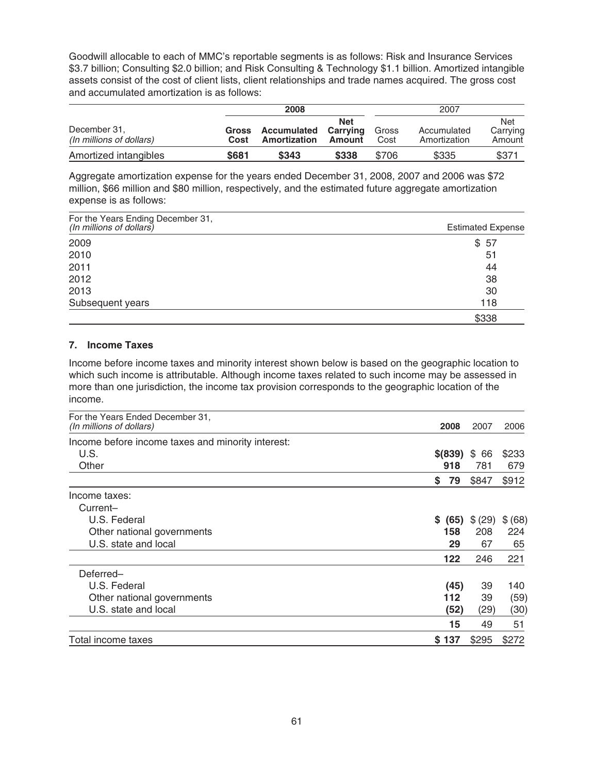Goodwill allocable to each of MMC's reportable segments is as follows: Risk and Insurance Services \$3.7 billion; Consulting \$2.0 billion; and Risk Consulting & Technology \$1.1 billion. Amortized intangible assets consist of the cost of client lists, client relationships and trade names acquired. The gross cost and accumulated amortization is as follows:

|                                          |               | 2008                        |                                  |               | 2007                        |                                  |  |
|------------------------------------------|---------------|-----------------------------|----------------------------------|---------------|-----------------------------|----------------------------------|--|
| December 31,<br>(In millions of dollars) | Gross<br>Cost | Accumulated<br>Amortization | <b>Net</b><br>Carrying<br>Amount | Gross<br>Cost | Accumulated<br>Amortization | <b>Net</b><br>Carrying<br>Amount |  |
| Amortized intangibles                    | \$681         | \$343                       | \$338                            | \$706         | \$335                       | \$371                            |  |

Aggregate amortization expense for the years ended December 31, 2008, 2007 and 2006 was \$72 million, \$66 million and \$80 million, respectively, and the estimated future aggregate amortization expense is as follows:

| For the Years Ending December 31,<br>(In millions of dollars) | <b>Estimated Expense</b> |
|---------------------------------------------------------------|--------------------------|
| 2009                                                          | \$57                     |
| 2010                                                          | 51                       |
| 2011                                                          | 44                       |
| 2012                                                          | 38                       |
| 2013                                                          | 30                       |
| Subsequent years                                              | 118                      |
|                                                               | \$338                    |

#### **7. Income Taxes**

Income before income taxes and minority interest shown below is based on the geographic location to which such income is attributable. Although income taxes related to such income may be assessed in more than one jurisdiction, the income tax provision corresponds to the geographic location of the income.

| For the Years Ended December 31,<br>(In millions of dollars) |    | 2008    | 2007    | 2006    |
|--------------------------------------------------------------|----|---------|---------|---------|
| Income before income taxes and minority interest:            |    |         |         |         |
| U.S.                                                         |    | \$(839) | \$66    | \$233   |
| Other                                                        |    | 918     | 781     | 679     |
|                                                              | S. | 79      | \$847   | \$912   |
| Income taxes:                                                |    |         |         |         |
| Current-                                                     |    |         |         |         |
| U.S. Federal                                                 | S. | (65)    | \$ (29) | \$ (68) |
| Other national governments                                   |    | 158     | 208     | 224     |
| U.S. state and local                                         |    | 29      | 67      | 65      |
|                                                              |    | 122     | 246     | 221     |
| Deferred-                                                    |    |         |         |         |
| U.S. Federal                                                 |    | (45)    | 39      | 140     |
| Other national governments                                   |    | 112     | 39      | (59)    |
| U.S. state and local                                         |    | (52)    | (29)    | (30)    |
|                                                              |    | 15      | 49      | 51      |
| Total income taxes                                           |    | \$137   | \$295   | \$272   |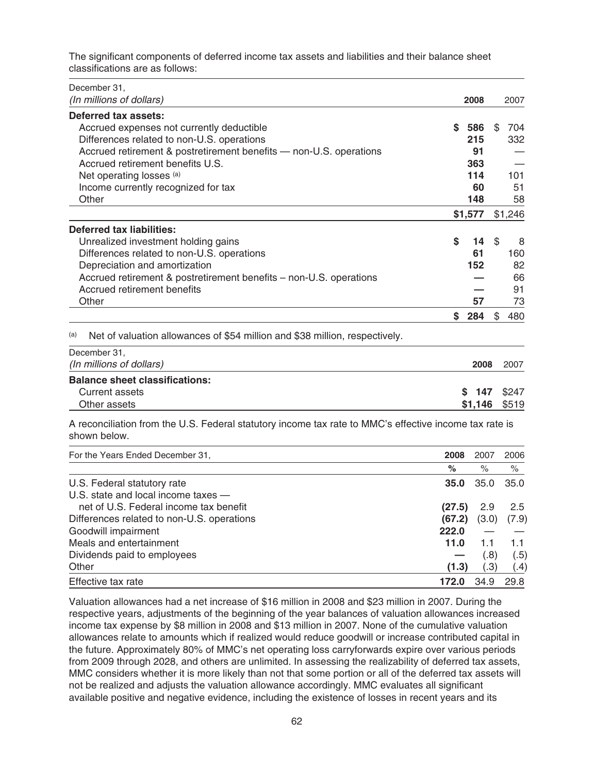The significant components of deferred income tax assets and liabilities and their balance sheet classifications are as follows:

| December 31,                                                                       |    |          |     |         |
|------------------------------------------------------------------------------------|----|----------|-----|---------|
| (In millions of dollars)                                                           |    | 2008     |     | 2007    |
| Deferred tax assets:                                                               |    |          |     |         |
| Accrued expenses not currently deductible                                          | Ŝ. | 586      | \$. | 704     |
| Differences related to non-U.S. operations                                         |    | 215      |     | 332     |
| Accrued retirement & postretirement benefits - non-U.S. operations                 |    | 91       |     |         |
| Accrued retirement benefits U.S.                                                   |    | 363      |     |         |
| Net operating losses (a)                                                           |    | 114      |     | 101     |
| Income currently recognized for tax                                                |    | 60       |     | 51      |
| Other                                                                              |    | 148      |     | 58      |
|                                                                                    |    | \$1,577  |     | \$1,246 |
| <b>Deferred tax liabilities:</b>                                                   |    |          |     |         |
| Unrealized investment holding gains                                                | \$ | 14       | \$  | 8       |
| Differences related to non-U.S. operations                                         |    | 61       |     | 160     |
| Depreciation and amortization                                                      |    | 152      |     | 82      |
| Accrued retirement & postretirement benefits – non-U.S. operations                 |    |          |     | 66      |
| Accrued retirement benefits                                                        |    |          |     | 91      |
| Other                                                                              |    | 57       |     | 73      |
|                                                                                    | S  | 284      | \$  | 480     |
| (a)<br>Net of valuation allowances of \$54 million and \$38 million, respectively. |    |          |     |         |
| December 31,                                                                       |    |          |     |         |
| (In millions of dollars)                                                           |    | 2008     |     | 2007    |
| <b>Balance sheet classifications:</b>                                              |    |          |     |         |
| <b>Current assets</b>                                                              |    | 147<br>S |     | \$247   |
| Other assets                                                                       |    | \$1,146  |     | \$519   |

A reconciliation from the U.S. Federal statutory income tax rate to MMC's effective income tax rate is shown below.

| For the Years Ended December 31.           | 2008   | 2007  | 2006          |
|--------------------------------------------|--------|-------|---------------|
|                                            | $\%$   | $\%$  | $\%$          |
| U.S. Federal statutory rate                | 35.0   | 35.0  | 35.0          |
| U.S. state and local income taxes $-$      |        |       |               |
| net of U.S. Federal income tax benefit     | (27.5) | 2.9   | $2.5^{\circ}$ |
| Differences related to non-U.S. operations | (67.2) | (3.0) | (7.9)         |
| Goodwill impairment                        | 222.0  |       |               |
| Meals and entertainment                    | 11.0   | 1.1   | 1.1           |
| Dividends paid to employees                |        | (.8)  | (.5)          |
| Other                                      | (1.3)  | .3)   | (0.4)         |
| Effective tax rate                         | 172.0  | 34.9  | 29.8          |

Valuation allowances had a net increase of \$16 million in 2008 and \$23 million in 2007. During the respective years, adjustments of the beginning of the year balances of valuation allowances increased income tax expense by \$8 million in 2008 and \$13 million in 2007. None of the cumulative valuation allowances relate to amounts which if realized would reduce goodwill or increase contributed capital in the future. Approximately 80% of MMC's net operating loss carryforwards expire over various periods from 2009 through 2028, and others are unlimited. In assessing the realizability of deferred tax assets, MMC considers whether it is more likely than not that some portion or all of the deferred tax assets will not be realized and adjusts the valuation allowance accordingly. MMC evaluates all significant available positive and negative evidence, including the existence of losses in recent years and its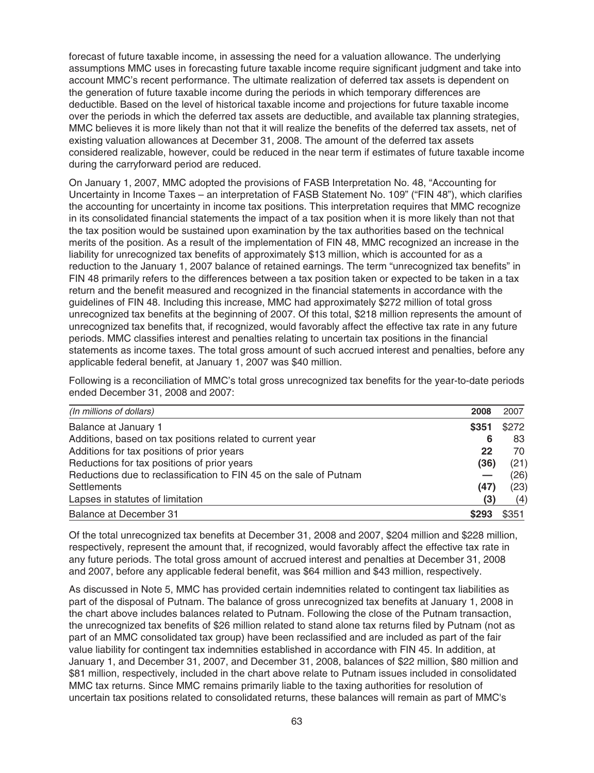forecast of future taxable income, in assessing the need for a valuation allowance. The underlying assumptions MMC uses in forecasting future taxable income require significant judgment and take into account MMC's recent performance. The ultimate realization of deferred tax assets is dependent on the generation of future taxable income during the periods in which temporary differences are deductible. Based on the level of historical taxable income and projections for future taxable income over the periods in which the deferred tax assets are deductible, and available tax planning strategies, MMC believes it is more likely than not that it will realize the benefits of the deferred tax assets, net of existing valuation allowances at December 31, 2008. The amount of the deferred tax assets considered realizable, however, could be reduced in the near term if estimates of future taxable income during the carryforward period are reduced.

On January 1, 2007, MMC adopted the provisions of FASB Interpretation No. 48, "Accounting for Uncertainty in Income Taxes – an interpretation of FASB Statement No. 109" ("FIN 48"), which clarifies the accounting for uncertainty in income tax positions. This interpretation requires that MMC recognize in its consolidated financial statements the impact of a tax position when it is more likely than not that the tax position would be sustained upon examination by the tax authorities based on the technical merits of the position. As a result of the implementation of FIN 48, MMC recognized an increase in the liability for unrecognized tax benefits of approximately \$13 million, which is accounted for as a reduction to the January 1, 2007 balance of retained earnings. The term "unrecognized tax benefits" in FIN 48 primarily refers to the differences between a tax position taken or expected to be taken in a tax return and the benefit measured and recognized in the financial statements in accordance with the guidelines of FIN 48. Including this increase, MMC had approximately \$272 million of total gross unrecognized tax benefits at the beginning of 2007. Of this total, \$218 million represents the amount of unrecognized tax benefits that, if recognized, would favorably affect the effective tax rate in any future periods. MMC classifies interest and penalties relating to uncertain tax positions in the financial statements as income taxes. The total gross amount of such accrued interest and penalties, before any applicable federal benefit, at January 1, 2007 was \$40 million.

Following is a reconciliation of MMC's total gross unrecognized tax benefits for the year-to-date periods ended December 31, 2008 and 2007:

| (In millions of dollars)                                           | 2008  | 2007  |
|--------------------------------------------------------------------|-------|-------|
| Balance at January 1                                               | \$351 | \$272 |
| Additions, based on tax positions related to current year          | 6     | 83    |
| Additions for tax positions of prior years                         | 22    | 70    |
| Reductions for tax positions of prior years                        | (36)  | (21)  |
| Reductions due to reclassification to FIN 45 on the sale of Putnam |       | (26)  |
| <b>Settlements</b>                                                 | (47)  | (23)  |
| Lapses in statutes of limitation                                   | (3)   | (4)   |
| Balance at December 31                                             | \$293 | \$351 |

Of the total unrecognized tax benefits at December 31, 2008 and 2007, \$204 million and \$228 million, respectively, represent the amount that, if recognized, would favorably affect the effective tax rate in any future periods. The total gross amount of accrued interest and penalties at December 31, 2008 and 2007, before any applicable federal benefit, was \$64 million and \$43 million, respectively.

As discussed in Note 5, MMC has provided certain indemnities related to contingent tax liabilities as part of the disposal of Putnam. The balance of gross unrecognized tax benefits at January 1, 2008 in the chart above includes balances related to Putnam. Following the close of the Putnam transaction, the unrecognized tax benefits of \$26 million related to stand alone tax returns filed by Putnam (not as part of an MMC consolidated tax group) have been reclassified and are included as part of the fair value liability for contingent tax indemnities established in accordance with FIN 45. In addition, at January 1, and December 31, 2007, and December 31, 2008, balances of \$22 million, \$80 million and \$81 million, respectively, included in the chart above relate to Putnam issues included in consolidated MMC tax returns. Since MMC remains primarily liable to the taxing authorities for resolution of uncertain tax positions related to consolidated returns, these balances will remain as part of MMC's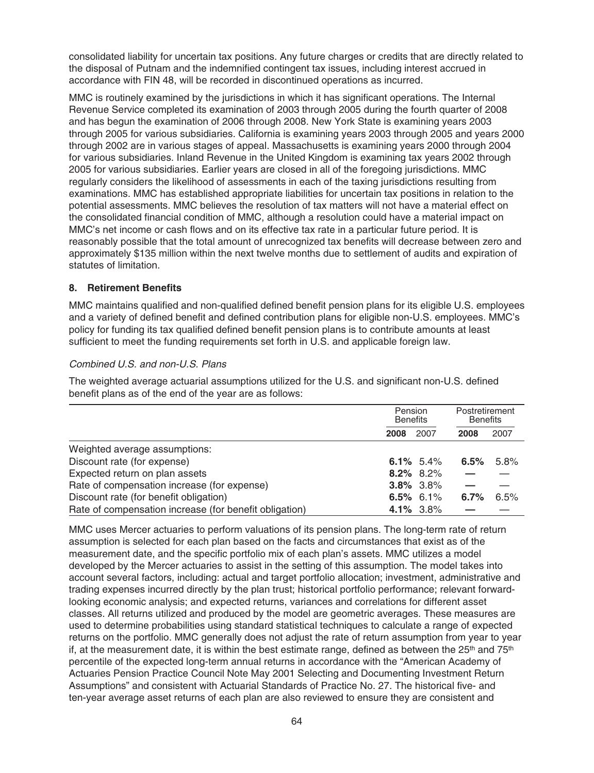consolidated liability for uncertain tax positions. Any future charges or credits that are directly related to the disposal of Putnam and the indemnified contingent tax issues, including interest accrued in accordance with FIN 48, will be recorded in discontinued operations as incurred.

MMC is routinely examined by the jurisdictions in which it has significant operations. The Internal Revenue Service completed its examination of 2003 through 2005 during the fourth quarter of 2008 and has begun the examination of 2006 through 2008. New York State is examining years 2003 through 2005 for various subsidiaries. California is examining years 2003 through 2005 and years 2000 through 2002 are in various stages of appeal. Massachusetts is examining years 2000 through 2004 for various subsidiaries. Inland Revenue in the United Kingdom is examining tax years 2002 through 2005 for various subsidiaries. Earlier years are closed in all of the foregoing jurisdictions. MMC regularly considers the likelihood of assessments in each of the taxing jurisdictions resulting from examinations. MMC has established appropriate liabilities for uncertain tax positions in relation to the potential assessments. MMC believes the resolution of tax matters will not have a material effect on the consolidated financial condition of MMC, although a resolution could have a material impact on MMC's net income or cash flows and on its effective tax rate in a particular future period. It is reasonably possible that the total amount of unrecognized tax benefits will decrease between zero and approximately \$135 million within the next twelve months due to settlement of audits and expiration of statutes of limitation.

### **8. Retirement Benefits**

MMC maintains qualified and non-qualified defined benefit pension plans for its eligible U.S. employees and a variety of defined benefit and defined contribution plans for eligible non-U.S. employees. MMC's policy for funding its tax qualified defined benefit pension plans is to contribute amounts at least sufficient to meet the funding requirements set forth in U.S. and applicable foreign law.

### Combined U.S. and non-U.S. Plans

The weighted average actuarial assumptions utilized for the U.S. and significant non-U.S. defined benefit plans as of the end of the year are as follows:

|                                                        | Pension<br><b>Benefits</b> |              | Postretirement<br><b>Benefits</b> |      |
|--------------------------------------------------------|----------------------------|--------------|-----------------------------------|------|
|                                                        | 2008                       | 2007         | 2008                              | 2007 |
| Weighted average assumptions:                          |                            |              |                                   |      |
| Discount rate (for expense)                            |                            | 6.1% $5.4\%$ | 6.5%                              | 5.8% |
| Expected return on plan assets                         |                            | 8.2% 8.2%    |                                   |      |
| Rate of compensation increase (for expense)            |                            | 3.8% 3.8%    |                                   |      |
| Discount rate (for benefit obligation)                 |                            | 6.5% $6.1\%$ | 6.7%                              | 6.5% |
| Rate of compensation increase (for benefit obligation) |                            | 4.1% 3.8%    |                                   |      |

MMC uses Mercer actuaries to perform valuations of its pension plans. The long-term rate of return assumption is selected for each plan based on the facts and circumstances that exist as of the measurement date, and the specific portfolio mix of each plan's assets. MMC utilizes a model developed by the Mercer actuaries to assist in the setting of this assumption. The model takes into account several factors, including: actual and target portfolio allocation; investment, administrative and trading expenses incurred directly by the plan trust; historical portfolio performance; relevant forwardlooking economic analysis; and expected returns, variances and correlations for different asset classes. All returns utilized and produced by the model are geometric averages. These measures are used to determine probabilities using standard statistical techniques to calculate a range of expected returns on the portfolio. MMC generally does not adjust the rate of return assumption from year to year if, at the measurement date, it is within the best estimate range, defined as between the  $25<sup>th</sup>$  and  $75<sup>th</sup>$ percentile of the expected long-term annual returns in accordance with the "American Academy of Actuaries Pension Practice Council Note May 2001 Selecting and Documenting Investment Return Assumptions" and consistent with Actuarial Standards of Practice No. 27. The historical five- and ten-year average asset returns of each plan are also reviewed to ensure they are consistent and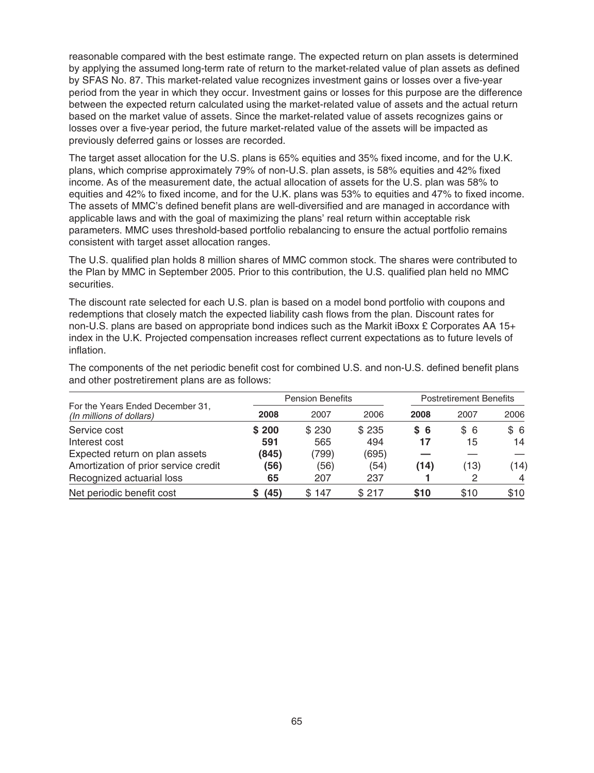reasonable compared with the best estimate range. The expected return on plan assets is determined by applying the assumed long-term rate of return to the market-related value of plan assets as defined by SFAS No. 87. This market-related value recognizes investment gains or losses over a five-year period from the year in which they occur. Investment gains or losses for this purpose are the difference between the expected return calculated using the market-related value of assets and the actual return based on the market value of assets. Since the market-related value of assets recognizes gains or losses over a five-year period, the future market-related value of the assets will be impacted as previously deferred gains or losses are recorded.

The target asset allocation for the U.S. plans is 65% equities and 35% fixed income, and for the U.K. plans, which comprise approximately 79% of non-U.S. plan assets, is 58% equities and 42% fixed income. As of the measurement date, the actual allocation of assets for the U.S. plan was 58% to equities and 42% to fixed income, and for the U.K. plans was 53% to equities and 47% to fixed income. The assets of MMC's defined benefit plans are well-diversified and are managed in accordance with applicable laws and with the goal of maximizing the plans' real return within acceptable risk parameters. MMC uses threshold-based portfolio rebalancing to ensure the actual portfolio remains consistent with target asset allocation ranges.

The U.S. qualified plan holds 8 million shares of MMC common stock. The shares were contributed to the Plan by MMC in September 2005. Prior to this contribution, the U.S. qualified plan held no MMC securities.

The discount rate selected for each U.S. plan is based on a model bond portfolio with coupons and redemptions that closely match the expected liability cash flows from the plan. Discount rates for non-U.S. plans are based on appropriate bond indices such as the Markit iBoxx £ Corporates AA 15+ index in the U.K. Projected compensation increases reflect current expectations as to future levels of inflation.

|                                                              |       | <b>Pension Benefits</b> |       |      | <b>Postretirement Benefits</b> |      |
|--------------------------------------------------------------|-------|-------------------------|-------|------|--------------------------------|------|
| For the Years Ended December 31,<br>(In millions of dollars) | 2008  | 2007                    | 2006  | 2008 | 2007                           | 2006 |
| Service cost                                                 | \$200 | \$230                   | \$235 | \$6  | \$6                            | \$6  |
| Interest cost                                                | 591   | 565                     | 494   | 17   | 15                             | 14   |
| Expected return on plan assets                               | (845) | (799)                   | (695) |      |                                |      |
| Amortization of prior service credit                         | (56)  | (56)                    | (54)  | (14) | (13)                           | (14) |
| Recognized actuarial loss                                    | 65    | 207                     | 237   |      | 2                              | 4    |
| Net periodic benefit cost                                    | (45)  | \$147                   | \$217 | \$10 | \$10                           | \$10 |

The components of the net periodic benefit cost for combined U.S. and non-U.S. defined benefit plans and other postretirement plans are as follows: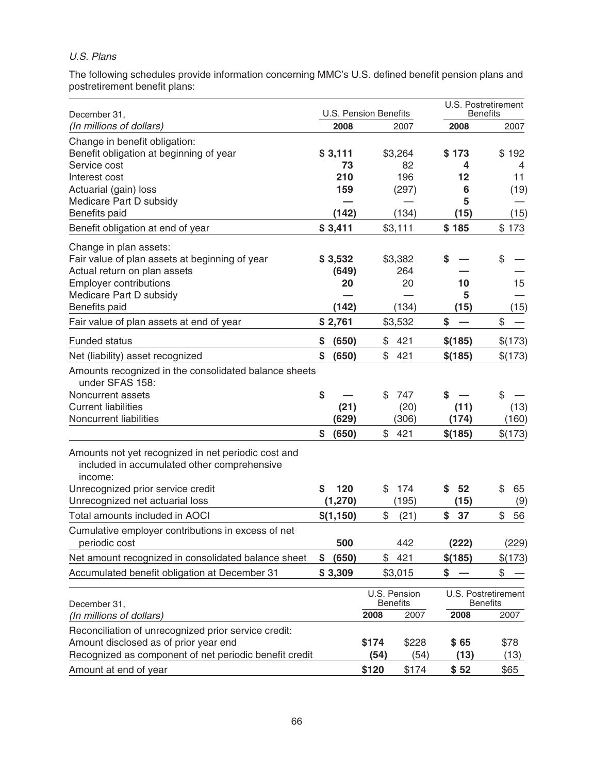# U.S. Plans

The following schedules provide information concerning MMC's U.S. defined benefit pension plans and postretirement benefit plans:

| December 31,                                                                                                                                                                          |    |                 | U.S. Pension Benefits |                                         |    | U.S. Postretirement         | <b>Benefits</b> |                  |
|---------------------------------------------------------------------------------------------------------------------------------------------------------------------------------------|----|-----------------|-----------------------|-----------------------------------------|----|-----------------------------|-----------------|------------------|
| (In millions of dollars)                                                                                                                                                              |    | 2008            |                       | 2007                                    |    | 2008                        |                 | 2007             |
| Change in benefit obligation:                                                                                                                                                         |    |                 |                       |                                         |    |                             |                 |                  |
| Benefit obligation at beginning of year                                                                                                                                               |    | \$3,111         |                       | \$3,264                                 |    | \$173                       |                 | \$192            |
| Service cost                                                                                                                                                                          |    | 73              |                       | 82                                      |    | 4                           |                 | 4                |
| Interest cost                                                                                                                                                                         |    | 210             |                       | 196                                     |    | 12                          |                 | 11               |
| Actuarial (gain) loss                                                                                                                                                                 |    | 159             |                       | (297)                                   |    | 6                           |                 | (19)             |
| Medicare Part D subsidy                                                                                                                                                               |    |                 |                       |                                         |    | 5                           |                 |                  |
| Benefits paid                                                                                                                                                                         |    | (142)           |                       | (134)                                   |    | (15)                        |                 | (15)             |
| Benefit obligation at end of year                                                                                                                                                     |    | \$3,411         |                       | \$3,111                                 |    | \$185                       |                 | \$173            |
| Change in plan assets:                                                                                                                                                                |    |                 |                       |                                         |    |                             |                 |                  |
| Fair value of plan assets at beginning of year                                                                                                                                        |    | \$3,532         |                       | \$3,382                                 | S  |                             | \$              |                  |
| Actual return on plan assets                                                                                                                                                          |    | (649)           |                       | 264                                     |    |                             |                 |                  |
| <b>Employer contributions</b>                                                                                                                                                         |    | 20              |                       | 20                                      |    | 10                          |                 | 15               |
| Medicare Part D subsidy                                                                                                                                                               |    |                 |                       |                                         |    | 5                           |                 |                  |
| Benefits paid                                                                                                                                                                         |    | (142)           |                       | (134)                                   |    | (15)                        |                 | (15)             |
| Fair value of plan assets at end of year                                                                                                                                              |    | \$2,761         |                       | \$3,532                                 | \$ |                             | \$              |                  |
| <b>Funded status</b>                                                                                                                                                                  | \$ | (650)           | \$                    | 421                                     |    | \$(185)                     |                 | \$(173)          |
| Net (liability) asset recognized                                                                                                                                                      | \$ | (650)           | \$                    | 421                                     |    | \$(185)                     |                 | \$(173)          |
| Amounts recognized in the consolidated balance sheets<br>under SFAS 158:<br>Noncurrent assets<br><b>Current liabilities</b>                                                           | \$ | (21)            | \$                    | 747<br>(20)                             | \$ | (11)                        | \$              | (13)             |
| Noncurrent liabilities                                                                                                                                                                | \$ | (629)<br>(650)  | \$                    | (306)<br>421                            |    | (174)<br>\$(185)            |                 | (160)<br>\$(173) |
| Amounts not yet recognized in net periodic cost and<br>included in accumulated other comprehensive<br>income:<br>Unrecognized prior service credit<br>Unrecognized net actuarial loss | S  | 120<br>(1, 270) | S                     | 174<br>(195)                            | S  | 52<br>(15)                  | \$              | 65<br>(9)        |
| Total amounts included in AOCI                                                                                                                                                        |    | \$(1, 150)      | \$                    | (21)                                    | \$ | 37                          | \$              | 56               |
| Cumulative employer contributions in excess of net<br>periodic cost                                                                                                                   |    | 500             |                       | 442                                     |    | (222)                       |                 | (229)            |
| Net amount recognized in consolidated balance sheet                                                                                                                                   | \$ | (650)           | \$                    | 421                                     |    | \$(185)                     |                 | \$(173)          |
| Accumulated benefit obligation at December 31                                                                                                                                         |    | \$3,309         |                       | \$3,015                                 | \$ |                             | \$              |                  |
| December 31,<br>(In millions of dollars)                                                                                                                                              |    |                 | 2008                  | U.S. Pension<br><b>Benefits</b><br>2007 |    | U.S. Postretirement<br>2008 | <b>Benefits</b> | 2007             |
|                                                                                                                                                                                       |    |                 |                       |                                         |    |                             |                 |                  |
| Reconciliation of unrecognized prior service credit:<br>Amount disclosed as of prior year end                                                                                         |    |                 | \$174                 | \$228                                   |    | \$65                        |                 | \$78             |
| Recognized as component of net periodic benefit credit                                                                                                                                |    |                 | (54)                  | (54)                                    |    | (13)                        |                 | (13)             |
|                                                                                                                                                                                       |    |                 |                       |                                         |    |                             |                 |                  |
| Amount at end of year                                                                                                                                                                 |    |                 | \$120                 | \$174                                   |    | \$52                        |                 | \$65             |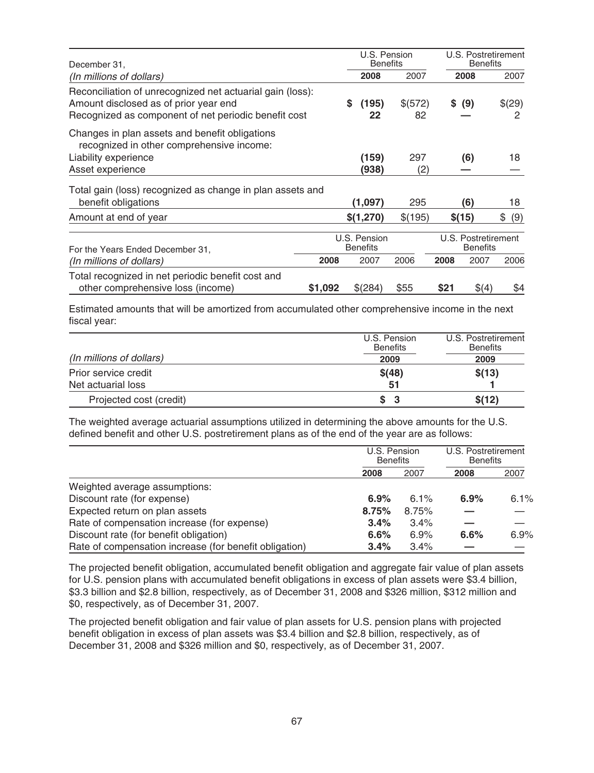| December 31,                                                                                                                                               |         |   | U.S. Pension<br><b>Benefits</b> |               | U.S. Postretirement<br><b>Benefits</b> |                                        |             |
|------------------------------------------------------------------------------------------------------------------------------------------------------------|---------|---|---------------------------------|---------------|----------------------------------------|----------------------------------------|-------------|
| (In millions of dollars)                                                                                                                                   |         |   | 2008                            | 2007          |                                        | 2008                                   | 2007        |
| Reconciliation of unrecognized net actuarial gain (loss):<br>Amount disclosed as of prior year end<br>Recognized as component of net periodic benefit cost |         | S | (195)<br>22                     | \$(572)<br>82 |                                        | \$ (9)                                 | \$(29)<br>2 |
| Changes in plan assets and benefit obligations<br>recognized in other comprehensive income:<br>Liability experience                                        |         |   | (159)                           | 297           |                                        | (6)                                    | 18          |
| Asset experience                                                                                                                                           |         |   | (938)                           | (2)           |                                        |                                        |             |
| Total gain (loss) recognized as change in plan assets and<br>benefit obligations                                                                           |         |   | (1,097)                         | 295           |                                        | (6)                                    | 18          |
| Amount at end of year                                                                                                                                      |         |   | \$(1,270)                       | \$(195)       |                                        | \$(15)                                 | \$<br>(9)   |
| For the Years Ended December 31,                                                                                                                           |         |   | U.S. Pension<br><b>Benefits</b> |               |                                        | U.S. Postretirement<br><b>Benefits</b> |             |
| (In millions of dollars)                                                                                                                                   | 2008    |   | 2007                            | 2006          | 2008                                   | 2007                                   | 2006        |
| Total recognized in net periodic benefit cost and<br>other comprehensive loss (income)                                                                     | \$1,092 |   | \$(284)                         | \$55          | \$21                                   | \$(4)                                  | \$4         |

Estimated amounts that will be amortized from accumulated other comprehensive income in the next fiscal year:

|                          | U.S. Pension<br><b>Benefits</b> | U.S. Postretirement<br><b>Benefits</b> |
|--------------------------|---------------------------------|----------------------------------------|
| (In millions of dollars) | 2009                            | 2009                                   |
| Prior service credit     | \$(48)                          | \$(13)                                 |
| Net actuarial loss       | 51                              |                                        |
| Projected cost (credit)  | S.<br>-3                        | \$(12)                                 |

The weighted average actuarial assumptions utilized in determining the above amounts for the U.S. defined benefit and other U.S. postretirement plans as of the end of the year are as follows:

|                                                        |       | U.S. Pension<br><b>Benefits</b> |      | U.S. Postretirement<br><b>Benefits</b> |
|--------------------------------------------------------|-------|---------------------------------|------|----------------------------------------|
|                                                        | 2008  | 2007                            | 2008 | 2007                                   |
| Weighted average assumptions:                          |       |                                 |      |                                        |
| Discount rate (for expense)                            | 6.9%  | 6.1%                            | 6.9% | 6.1%                                   |
| Expected return on plan assets                         | 8.75% | 8.75%                           |      |                                        |
| Rate of compensation increase (for expense)            | 3.4%  | 3.4%                            |      |                                        |
| Discount rate (for benefit obligation)                 | 6.6%  | 6.9%                            | 6.6% | 6.9%                                   |
| Rate of compensation increase (for benefit obligation) | 3.4%  | 3.4%                            |      |                                        |

The projected benefit obligation, accumulated benefit obligation and aggregate fair value of plan assets for U.S. pension plans with accumulated benefit obligations in excess of plan assets were \$3.4 billion, \$3.3 billion and \$2.8 billion, respectively, as of December 31, 2008 and \$326 million, \$312 million and \$0, respectively, as of December 31, 2007.

The projected benefit obligation and fair value of plan assets for U.S. pension plans with projected benefit obligation in excess of plan assets was \$3.4 billion and \$2.8 billion, respectively, as of December 31, 2008 and \$326 million and \$0, respectively, as of December 31, 2007.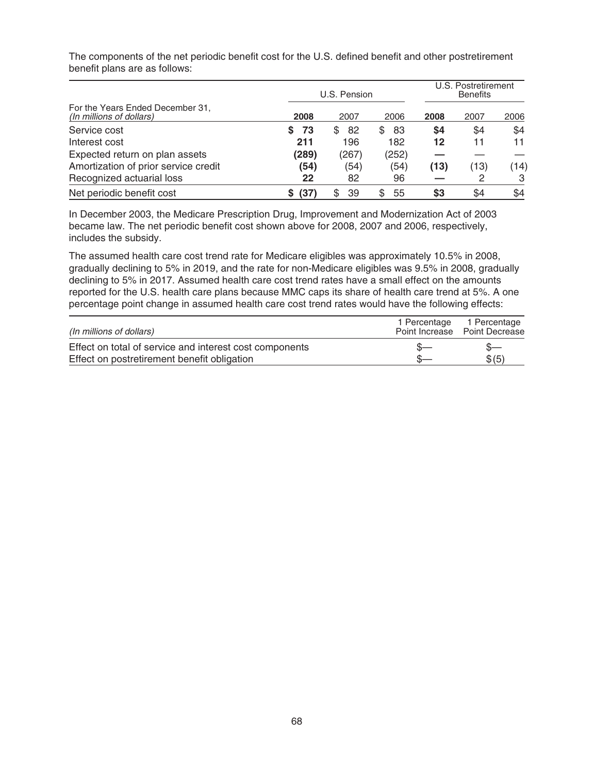|                                                              |         | U.S. Pension | U.S. Postretirement<br><b>Benefits</b> |      |      |      |
|--------------------------------------------------------------|---------|--------------|----------------------------------------|------|------|------|
| For the Years Ended December 31,<br>(In millions of dollars) | 2008    | 2007         | 2006                                   | 2008 | 2007 | 2006 |
| Service cost                                                 | 73<br>S | 82<br>\$.    | 83<br>S                                | \$4  | \$4  | \$4  |
| Interest cost                                                | 211     | 196          | 182                                    | 12   |      | 11   |
| Expected return on plan assets                               | (289)   | (267)        | (252)                                  |      |      |      |
| Amortization of prior service credit                         | (54)    | (54)         | (54)                                   | (13) | (13) | (14) |
| Recognized actuarial loss                                    | 22      | 82           | 96                                     |      |      | 3    |
| Net periodic benefit cost                                    | (37)    | 39           | 55                                     | \$3  | \$4  | \$4  |

The components of the net periodic benefit cost for the U.S. defined benefit and other postretirement benefit plans are as follows:

In December 2003, the Medicare Prescription Drug, Improvement and Modernization Act of 2003 became law. The net periodic benefit cost shown above for 2008, 2007 and 2006, respectively, includes the subsidy.

The assumed health care cost trend rate for Medicare eligibles was approximately 10.5% in 2008, gradually declining to 5% in 2019, and the rate for non-Medicare eligibles was 9.5% in 2008, gradually declining to 5% in 2017. Assumed health care cost trend rates have a small effect on the amounts reported for the U.S. health care plans because MMC caps its share of health care trend at 5%. A one percentage point change in assumed health care cost trend rates would have the following effects:

| (In millions of dollars)                                | 1 Percentage | 1 Percentage<br>Point Increase Point Decrease |
|---------------------------------------------------------|--------------|-----------------------------------------------|
| Effect on total of service and interest cost components |              |                                               |
| Effect on postretirement benefit obligation             |              | \$(5)                                         |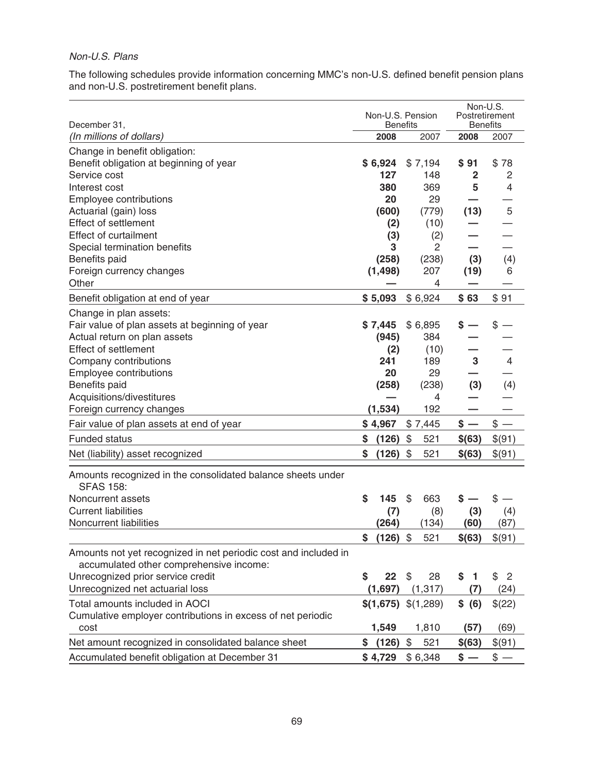# Non-U.S. Plans

The following schedules provide information concerning MMC's non-U.S. defined benefit pension plans and non-U.S. postretirement benefit plans.

| December 31,                                                                                               | Non-U.S. Pension<br><b>Benefits</b> |                       | Non-U.S.<br>Postretirement<br><b>Benefits</b> |                      |
|------------------------------------------------------------------------------------------------------------|-------------------------------------|-----------------------|-----------------------------------------------|----------------------|
| (In millions of dollars)                                                                                   | 2008                                | 2007                  | 2008                                          | 2007                 |
| Change in benefit obligation:                                                                              |                                     |                       |                                               |                      |
| Benefit obligation at beginning of year                                                                    | \$6,924                             | \$7,194               | \$91                                          | \$78                 |
| Service cost                                                                                               | 127                                 | 148                   | 2                                             | 2                    |
| Interest cost                                                                                              | 380                                 | 369                   | 5                                             | 4                    |
| Employee contributions                                                                                     | 20                                  | 29                    |                                               |                      |
| Actuarial (gain) loss                                                                                      | (600)                               | (779)                 | (13)                                          | 5                    |
| <b>Effect of settlement</b>                                                                                | (2)                                 | (10)                  |                                               |                      |
| <b>Effect of curtailment</b>                                                                               | (3)                                 | (2)                   |                                               |                      |
| Special termination benefits                                                                               | 3                                   | 2                     |                                               |                      |
| Benefits paid                                                                                              | (258)                               | (238)                 | (3)                                           | (4)                  |
| Foreign currency changes                                                                                   | (1, 498)                            | 207                   | (19)                                          | 6                    |
| Other                                                                                                      |                                     | 4                     |                                               |                      |
| Benefit obligation at end of year                                                                          | \$5,093                             | \$6,924               | \$63                                          | \$91                 |
| Change in plan assets:                                                                                     |                                     |                       |                                               |                      |
| Fair value of plan assets at beginning of year                                                             | \$7,445                             | \$6,895               | S.                                            | S                    |
| Actual return on plan assets                                                                               | (945)                               | 384                   |                                               |                      |
| <b>Effect of settlement</b>                                                                                | (2)                                 | (10)                  |                                               |                      |
| Company contributions                                                                                      | 241                                 | 189                   | 3                                             | $\overline{4}$       |
| Employee contributions                                                                                     | 20                                  | 29                    |                                               |                      |
| Benefits paid                                                                                              | (258)                               | (238)                 | (3)                                           | (4)                  |
| Acquisitions/divestitures                                                                                  |                                     | 4                     |                                               |                      |
| Foreign currency changes                                                                                   | (1, 534)                            | 192                   |                                               |                      |
| Fair value of plan assets at end of year                                                                   | \$4,967                             | \$7,445               | $s -$                                         | $\frac{1}{2}$        |
| <b>Funded status</b>                                                                                       | \$<br>(126)                         | \$<br>521             | \$(63)                                        | \$(91)               |
| Net (liability) asset recognized                                                                           | \$<br>(126)                         | $\$\$<br>521          | \$(63)                                        | \$(91)               |
| Amounts recognized in the consolidated balance sheets under<br><b>SFAS 158:</b>                            |                                     |                       |                                               |                      |
| Noncurrent assets                                                                                          | \$<br>145                           | \$<br>663             | \$                                            | \$                   |
| <b>Current liabilities</b>                                                                                 | (7)                                 | (8)                   | (3)                                           | (4)                  |
| Noncurrent liabilities                                                                                     | (264)                               | (134)                 | (60)                                          | (87)                 |
|                                                                                                            | \$<br>(126)                         | 521<br>\$             | \$(63)                                        | \$(91)               |
| Amounts not yet recognized in net periodic cost and included in<br>accumulated other comprehensive income: |                                     |                       |                                               |                      |
| Unrecognized prior service credit                                                                          | \$<br>22                            | \$<br>28              | \$<br>$\mathbf{1}$                            | \$<br>$\overline{c}$ |
| Unrecognized net actuarial loss                                                                            | (1,697)                             | (1, 317)              | (7)                                           | (24)                 |
| Total amounts included in AOCI                                                                             |                                     | $$(1,675)$ $$(1,289)$ | \$ (6)                                        | \$(22)               |
| Cumulative employer contributions in excess of net periodic                                                |                                     |                       |                                               |                      |
| cost                                                                                                       | 1,549                               | 1,810                 | (57)                                          | (69)                 |
| Net amount recognized in consolidated balance sheet                                                        | (126)<br>\$                         | \$<br>521             | \$(63)                                        | \$(91)               |
| Accumulated benefit obligation at December 31                                                              | \$4,729                             | \$6,348               | $s -$                                         | $\frac{1}{2}$        |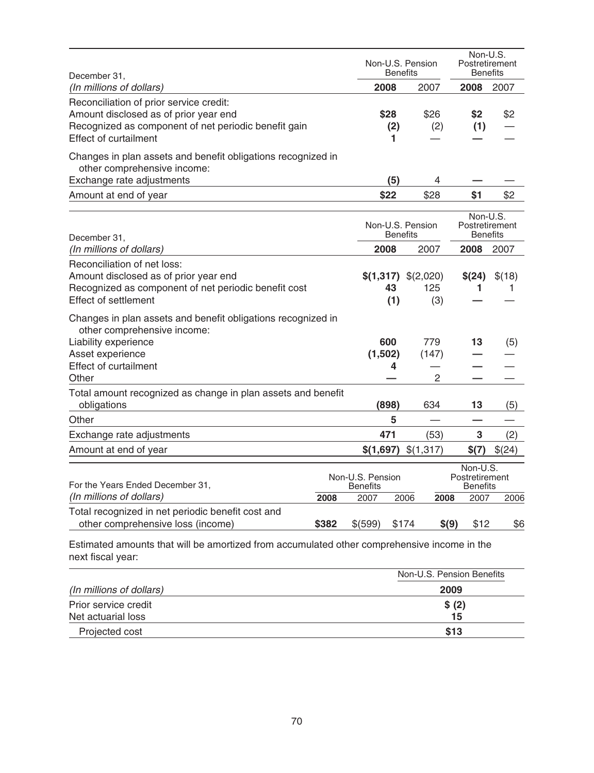| December 31,                                                                                                                                                                     |               |                                     | Non-U.S. Pension<br><b>Benefits</b> | Non-U.S.<br>Postretirement<br>Benefits        |                            |
|----------------------------------------------------------------------------------------------------------------------------------------------------------------------------------|---------------|-------------------------------------|-------------------------------------|-----------------------------------------------|----------------------------|
| (In millions of dollars)                                                                                                                                                         |               | 2008                                | 2007                                | 2008                                          | 2007                       |
| Reconciliation of prior service credit:<br>Amount disclosed as of prior year end<br>Recognized as component of net periodic benefit gain<br>Effect of curtailment                |               | \$28<br>(2)<br>1                    | \$26<br>(2)                         | \$2<br>(1)                                    | \$2                        |
| Changes in plan assets and benefit obligations recognized in<br>other comprehensive income:<br>Exchange rate adjustments                                                         |               | (5)                                 | 4                                   |                                               |                            |
| Amount at end of year                                                                                                                                                            |               | \$22                                | \$28                                | \$1                                           | \$2                        |
| December 31,                                                                                                                                                                     |               |                                     | Non-U.S. Pension<br><b>Benefits</b> | Non-U.S.                                      | Postretirement<br>Benefits |
| (In millions of dollars)                                                                                                                                                         |               | 2008                                | 2007                                | 2008                                          | 2007                       |
| Reconciliation of net loss:<br>Amount disclosed as of prior year end<br>Recognized as component of net periodic benefit cost<br><b>Effect of settlement</b>                      |               | 43<br>(1)                           | $$(1,317)$ $$(2,020)$<br>125<br>(3) | \$(24)<br>1                                   | \$(18)<br>1                |
| Changes in plan assets and benefit obligations recognized in<br>other comprehensive income:<br>Liability experience<br>Asset experience<br><b>Effect of curtailment</b><br>Other |               | 600<br>(1,502)<br>4                 | 779<br>(147)<br>2                   | 13                                            | (5)                        |
| Total amount recognized as change in plan assets and benefit<br>obligations                                                                                                      |               | (898)                               | 634                                 | 13                                            | (5)                        |
| Other                                                                                                                                                                            |               | 5                                   |                                     |                                               |                            |
| Exchange rate adjustments<br>Amount at end of year                                                                                                                               |               | 471<br>\$(1,697)                    | (53)<br>\$(1,317)                   | 3<br>\$(7)                                    | (2)<br>\$(24)              |
| For the Years Ended December 31.<br>(In millions of dollars)                                                                                                                     |               | Non-U.S. Pension<br><b>Benefits</b> |                                     | Non-U.S.<br>Postretirement<br><b>Benefits</b> |                            |
| Total recognized in net periodic benefit cost and<br>other comprehensive loss (income)                                                                                           | 2008<br>\$382 | 2007<br>\$(599)                     | 2006<br>2008<br>\$174               | 2007<br>\$12<br>\$(9)                         | 2006<br>\$6                |
| Estimated amounts that will be amortized from accumulated other comprehensive income in the<br>next fiscal year:                                                                 |               |                                     |                                     |                                               |                            |
|                                                                                                                                                                                  |               |                                     | Non-U.S. Pension Benefits           |                                               |                            |
|                                                                                                                                                                                  |               |                                     |                                     |                                               |                            |

|                          | <u>inuil U.U. i choidh Donomo</u> |
|--------------------------|-----------------------------------|
| (In millions of dollars) | 2009                              |
| Prior service credit     | \$ (2)                            |
| Net actuarial loss       | 15                                |
| Projected cost           | \$13                              |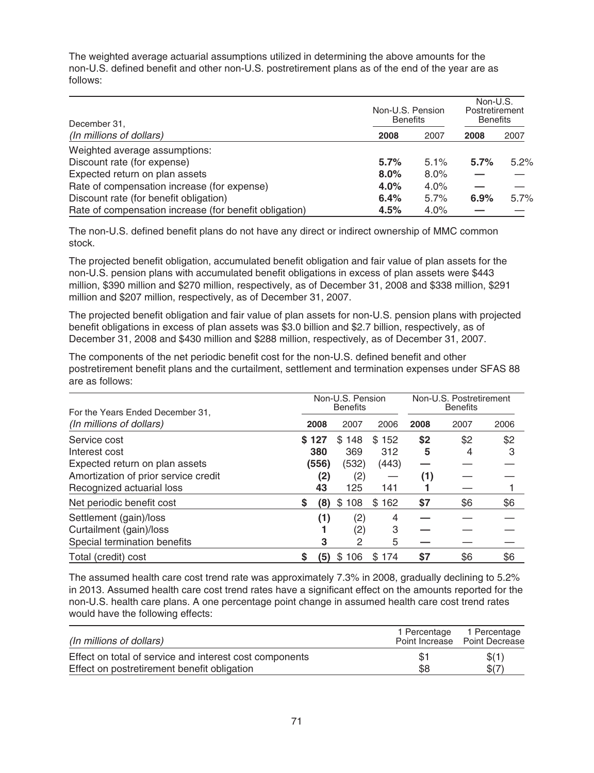The weighted average actuarial assumptions utilized in determining the above amounts for the non-U.S. defined benefit and other non-U.S. postretirement plans as of the end of the year are as follows:

| December 31,                                           | Non-U.S. Pension<br><b>Benefits</b> | Non-U.S.<br>Postretirement<br><b>Benefits</b> |      |      |
|--------------------------------------------------------|-------------------------------------|-----------------------------------------------|------|------|
| (In millions of dollars)                               | 2008                                | 2007                                          | 2008 | 2007 |
| Weighted average assumptions:                          |                                     |                                               |      |      |
| Discount rate (for expense)                            | 5.7%                                | $5.1\%$                                       | 5.7% | 5.2% |
| Expected return on plan assets                         | 8.0%                                | 8.0%                                          |      |      |
| Rate of compensation increase (for expense)            | 4.0%                                | 4.0%                                          |      |      |
| Discount rate (for benefit obligation)                 | 6.4%                                | 5.7%                                          | 6.9% | 5.7% |
| Rate of compensation increase (for benefit obligation) | 4.5%                                | 4.0%                                          |      |      |

The non-U.S. defined benefit plans do not have any direct or indirect ownership of MMC common stock.

The projected benefit obligation, accumulated benefit obligation and fair value of plan assets for the non-U.S. pension plans with accumulated benefit obligations in excess of plan assets were \$443 million, \$390 million and \$270 million, respectively, as of December 31, 2008 and \$338 million, \$291 million and \$207 million, respectively, as of December 31, 2007.

The projected benefit obligation and fair value of plan assets for non-U.S. pension plans with projected benefit obligations in excess of plan assets was \$3.0 billion and \$2.7 billion, respectively, as of December 31, 2008 and \$430 million and \$288 million, respectively, as of December 31, 2007.

The components of the net periodic benefit cost for the non-U.S. defined benefit and other postretirement benefit plans and the curtailment, settlement and termination expenses under SFAS 88 are as follows:

| For the Years Ended December 31.                                  |    | Non-U.S. Pension<br><b>Benefits</b> |              |                  | Non-U.S. Postretirement<br><b>Benefits</b> |          |          |
|-------------------------------------------------------------------|----|-------------------------------------|--------------|------------------|--------------------------------------------|----------|----------|
| (In millions of dollars)                                          |    | 2008                                | 2007         | 2006             | 2008                                       | 2007     | 2006     |
| Service cost<br>Interest cost                                     |    | \$127<br>380                        | \$148<br>369 | 152<br>S.<br>312 | \$2<br>5                                   | \$2<br>4 | \$2<br>3 |
| Expected return on plan assets                                    |    | (556)                               | (532)        | (443)            |                                            |          |          |
| Amortization of prior service credit<br>Recognized actuarial loss |    | (2)<br>43                           | (2)<br>125   | 141              | (1)                                        |          |          |
| Net periodic benefit cost                                         | S  | (8)                                 | \$108        | \$<br>162        | \$7                                        | \$6      | \$6      |
| Settlement (gain)/loss                                            |    | (1)                                 | (2)          | 4                |                                            |          |          |
| Curtailment (gain)/loss                                           |    |                                     | (2)          | 3                |                                            |          |          |
| Special termination benefits                                      |    | 3                                   | 2            | 5                |                                            |          |          |
| Total (credit) cost                                               | \$ | (5)                                 | S.<br>106    | 174<br>\$.       | \$7                                        | \$6      | \$6      |

The assumed health care cost trend rate was approximately 7.3% in 2008, gradually declining to 5.2% in 2013. Assumed health care cost trend rates have a significant effect on the amounts reported for the non-U.S. health care plans. A one percentage point change in assumed health care cost trend rates would have the following effects:

| (In millions of dollars)                                | 1 Percentage | 1 Percentage<br>Point Increase Point Decrease |
|---------------------------------------------------------|--------------|-----------------------------------------------|
| Effect on total of service and interest cost components | \$1          | \$(1)                                         |
| Effect on postretirement benefit obligation             | \$8          | $\sqrt[6]{5}$                                 |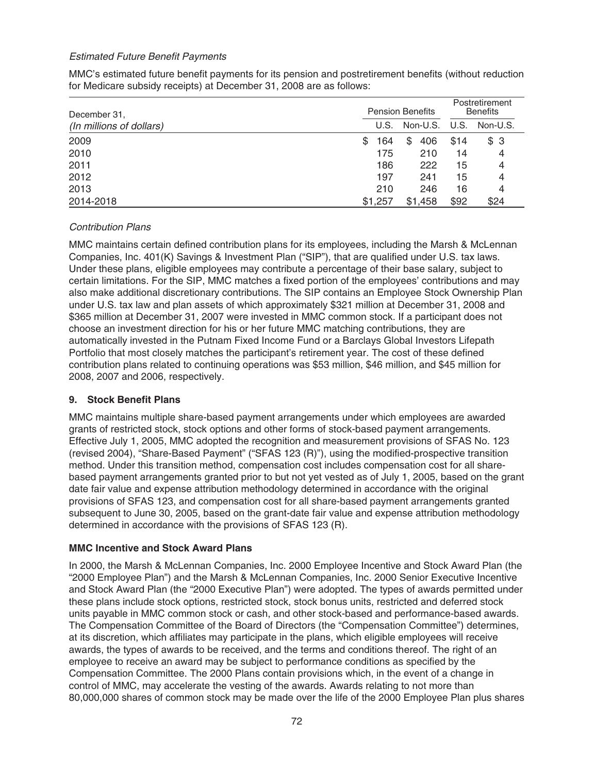### Estimated Future Benefit Payments

MMC's estimated future benefit payments for its pension and postretirement benefits (without reduction for Medicare subsidy receipts) at December 31, 2008 are as follows:

| December 31,             |           | <b>Pension Benefits</b> |      | Postretirement<br><b>Benefits</b> |
|--------------------------|-----------|-------------------------|------|-----------------------------------|
| (In millions of dollars) | U.S.      | Non-U.S.                | U.S. | Non-U.S.                          |
| 2009                     | 164<br>\$ | 406<br>S                | \$14 | \$3                               |
| 2010                     | 175       | 210                     | 14   | 4                                 |
| 2011                     | 186       | 222                     | 15   | 4                                 |
| 2012                     | 197       | 241                     | 15   | 4                                 |
| 2013                     | 210       | 246                     | 16   | 4                                 |
| 2014-2018                | \$1,257   | \$1.458                 | \$92 | \$24                              |

### Contribution Plans

MMC maintains certain defined contribution plans for its employees, including the Marsh & McLennan Companies, Inc. 401(K) Savings & Investment Plan ("SIP"), that are qualified under U.S. tax laws. Under these plans, eligible employees may contribute a percentage of their base salary, subject to certain limitations. For the SIP, MMC matches a fixed portion of the employees' contributions and may also make additional discretionary contributions. The SIP contains an Employee Stock Ownership Plan under U.S. tax law and plan assets of which approximately \$321 million at December 31, 2008 and \$365 million at December 31, 2007 were invested in MMC common stock. If a participant does not choose an investment direction for his or her future MMC matching contributions, they are automatically invested in the Putnam Fixed Income Fund or a Barclays Global Investors Lifepath Portfolio that most closely matches the participant's retirement year. The cost of these defined contribution plans related to continuing operations was \$53 million, \$46 million, and \$45 million for 2008, 2007 and 2006, respectively.

#### **9. Stock Benefit Plans**

MMC maintains multiple share-based payment arrangements under which employees are awarded grants of restricted stock, stock options and other forms of stock-based payment arrangements. Effective July 1, 2005, MMC adopted the recognition and measurement provisions of SFAS No. 123 (revised 2004), "Share-Based Payment" ("SFAS 123 (R)"), using the modified-prospective transition method. Under this transition method, compensation cost includes compensation cost for all sharebased payment arrangements granted prior to but not yet vested as of July 1, 2005, based on the grant date fair value and expense attribution methodology determined in accordance with the original provisions of SFAS 123, and compensation cost for all share-based payment arrangements granted subsequent to June 30, 2005, based on the grant-date fair value and expense attribution methodology determined in accordance with the provisions of SFAS 123 (R).

## **MMC Incentive and Stock Award Plans**

In 2000, the Marsh & McLennan Companies, Inc. 2000 Employee Incentive and Stock Award Plan (the "2000 Employee Plan") and the Marsh & McLennan Companies, Inc. 2000 Senior Executive Incentive and Stock Award Plan (the "2000 Executive Plan") were adopted. The types of awards permitted under these plans include stock options, restricted stock, stock bonus units, restricted and deferred stock units payable in MMC common stock or cash, and other stock-based and performance-based awards. The Compensation Committee of the Board of Directors (the "Compensation Committee") determines, at its discretion, which affiliates may participate in the plans, which eligible employees will receive awards, the types of awards to be received, and the terms and conditions thereof. The right of an employee to receive an award may be subject to performance conditions as specified by the Compensation Committee. The 2000 Plans contain provisions which, in the event of a change in control of MMC, may accelerate the vesting of the awards. Awards relating to not more than 80,000,000 shares of common stock may be made over the life of the 2000 Employee Plan plus shares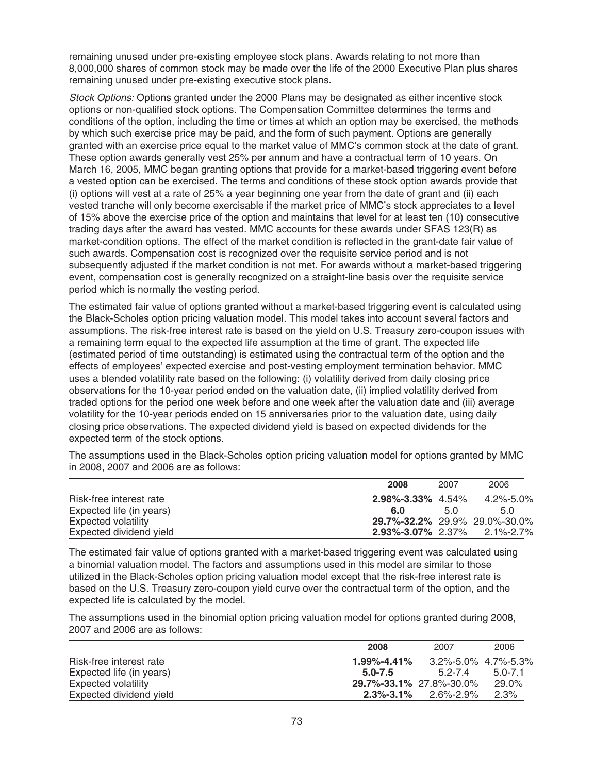remaining unused under pre-existing employee stock plans. Awards relating to not more than 8,000,000 shares of common stock may be made over the life of the 2000 Executive Plan plus shares remaining unused under pre-existing executive stock plans.

Stock Options: Options granted under the 2000 Plans may be designated as either incentive stock options or non-qualified stock options. The Compensation Committee determines the terms and conditions of the option, including the time or times at which an option may be exercised, the methods by which such exercise price may be paid, and the form of such payment. Options are generally granted with an exercise price equal to the market value of MMC's common stock at the date of grant. These option awards generally vest 25% per annum and have a contractual term of 10 years. On March 16, 2005, MMC began granting options that provide for a market-based triggering event before a vested option can be exercised. The terms and conditions of these stock option awards provide that (i) options will vest at a rate of 25% a year beginning one year from the date of grant and (ii) each vested tranche will only become exercisable if the market price of MMC's stock appreciates to a level of 15% above the exercise price of the option and maintains that level for at least ten (10) consecutive trading days after the award has vested. MMC accounts for these awards under SFAS 123(R) as market-condition options. The effect of the market condition is reflected in the grant-date fair value of such awards. Compensation cost is recognized over the requisite service period and is not subsequently adjusted if the market condition is not met. For awards without a market-based triggering event, compensation cost is generally recognized on a straight-line basis over the requisite service period which is normally the vesting period.

The estimated fair value of options granted without a market-based triggering event is calculated using the Black-Scholes option pricing valuation model. This model takes into account several factors and assumptions. The risk-free interest rate is based on the yield on U.S. Treasury zero-coupon issues with a remaining term equal to the expected life assumption at the time of grant. The expected life (estimated period of time outstanding) is estimated using the contractual term of the option and the effects of employees' expected exercise and post-vesting employment termination behavior. MMC uses a blended volatility rate based on the following: (i) volatility derived from daily closing price observations for the 10-year period ended on the valuation date, (ii) implied volatility derived from traded options for the period one week before and one week after the valuation date and (iii) average volatility for the 10-year periods ended on 15 anniversaries prior to the valuation date, using daily closing price observations. The expected dividend yield is based on expected dividends for the expected term of the stock options.

The assumptions used in the Black-Scholes option pricing valuation model for options granted by MMC in 2008, 2007 and 2006 are as follows:

|                            | 2008                                 | 2007 | 2006            |
|----------------------------|--------------------------------------|------|-----------------|
| Risk-free interest rate    | $2.98\% - 3.33\%$ 4.54%              |      | $4.2\% - 5.0\%$ |
| Expected life (in years)   | 6.0                                  | .5 O | 5.0             |
| <b>Expected volatility</b> | <b>29.7%-32.2%</b> 29.9% 29.0%-30.0% |      |                 |
| Expected dividend yield    | <b>2.93%-3.07%</b> 2.37% 2.1%-2.7%   |      |                 |

The estimated fair value of options granted with a market-based triggering event was calculated using a binomial valuation model. The factors and assumptions used in this model are similar to those utilized in the Black-Scholes option pricing valuation model except that the risk-free interest rate is based on the U.S. Treasury zero-coupon yield curve over the contractual term of the option, and the expected life is calculated by the model.

The assumptions used in the binomial option pricing valuation model for options granted during 2008, 2007 and 2006 are as follows:

|                          | 2008                           | 2007                            | 2006        |
|--------------------------|--------------------------------|---------------------------------|-------------|
| Risk-free interest rate  | $1.99\% - 4.41\%$              | 3.2%-5.0% 4.7%-5.3%             |             |
| Expected life (in years) | $5.0 - 7.5$                    | 52-74                           | $5.0 - 7.1$ |
| Expected volatility      | <b>29.7%-33.1%</b> 27.8%-30.0% |                                 | $29.0\%$    |
| Expected dividend yield  |                                | $2.3\% - 3.1\%$ $2.6\% - 2.9\%$ | 2.3%        |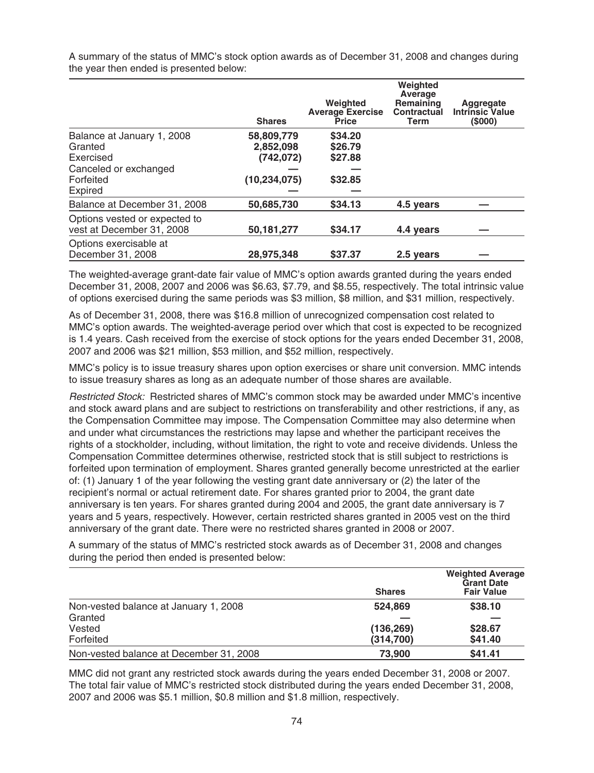A summary of the status of MMC's stock option awards as of December 31, 2008 and changes during the year then ended is presented below:

|                                                            | <b>Shares</b>                         | Weighted<br><b>Average Exercise</b><br><b>Price</b> | Weighted<br>Average<br>Remaining<br><b>Contractual</b><br><b>Term</b> | Aggregate<br><b>Intrinsic Value</b><br>(\$000) |
|------------------------------------------------------------|---------------------------------------|-----------------------------------------------------|-----------------------------------------------------------------------|------------------------------------------------|
| Balance at January 1, 2008<br>Granted<br>Exercised         | 58,809,779<br>2,852,098<br>(742, 072) | \$34.20<br>\$26.79<br>\$27.88                       |                                                                       |                                                |
| Canceled or exchanged<br>Forfeited<br><b>Expired</b>       | (10, 234, 075)                        | \$32.85                                             |                                                                       |                                                |
| Balance at December 31, 2008                               | 50,685,730                            | \$34.13                                             | 4.5 years                                                             |                                                |
| Options vested or expected to<br>vest at December 31, 2008 | 50,181,277                            | \$34.17                                             | 4.4 years                                                             |                                                |
| Options exercisable at<br>December 31, 2008                | 28,975,348                            | \$37.37                                             | 2.5 years                                                             |                                                |

The weighted-average grant-date fair value of MMC's option awards granted during the years ended December 31, 2008, 2007 and 2006 was \$6.63, \$7.79, and \$8.55, respectively. The total intrinsic value of options exercised during the same periods was \$3 million, \$8 million, and \$31 million, respectively.

As of December 31, 2008, there was \$16.8 million of unrecognized compensation cost related to MMC's option awards. The weighted-average period over which that cost is expected to be recognized is 1.4 years. Cash received from the exercise of stock options for the years ended December 31, 2008, 2007 and 2006 was \$21 million, \$53 million, and \$52 million, respectively.

MMC's policy is to issue treasury shares upon option exercises or share unit conversion. MMC intends to issue treasury shares as long as an adequate number of those shares are available.

Restricted Stock: Restricted shares of MMC's common stock may be awarded under MMC's incentive and stock award plans and are subject to restrictions on transferability and other restrictions, if any, as the Compensation Committee may impose. The Compensation Committee may also determine when and under what circumstances the restrictions may lapse and whether the participant receives the rights of a stockholder, including, without limitation, the right to vote and receive dividends. Unless the Compensation Committee determines otherwise, restricted stock that is still subject to restrictions is forfeited upon termination of employment. Shares granted generally become unrestricted at the earlier of: (1) January 1 of the year following the vesting grant date anniversary or (2) the later of the recipient's normal or actual retirement date. For shares granted prior to 2004, the grant date anniversary is ten years. For shares granted during 2004 and 2005, the grant date anniversary is 7 years and 5 years, respectively. However, certain restricted shares granted in 2005 vest on the third anniversary of the grant date. There were no restricted shares granted in 2008 or 2007.

A summary of the status of MMC's restricted stock awards as of December 31, 2008 and changes during the period then ended is presented below:

|                                         | <b>Shares</b> | <b>Weighted Average</b><br><b>Grant Date</b><br><b>Fair Value</b> |
|-----------------------------------------|---------------|-------------------------------------------------------------------|
| Non-vested balance at January 1, 2008   | 524.869       | \$38.10                                                           |
| Granted                                 |               |                                                                   |
| Vested                                  | (136, 269)    | \$28.67                                                           |
| Forfeited                               | (314,700)     | \$41.40                                                           |
| Non-vested balance at December 31, 2008 | 73,900        | \$41.41                                                           |

MMC did not grant any restricted stock awards during the years ended December 31, 2008 or 2007. The total fair value of MMC's restricted stock distributed during the years ended December 31, 2008, 2007 and 2006 was \$5.1 million, \$0.8 million and \$1.8 million, respectively.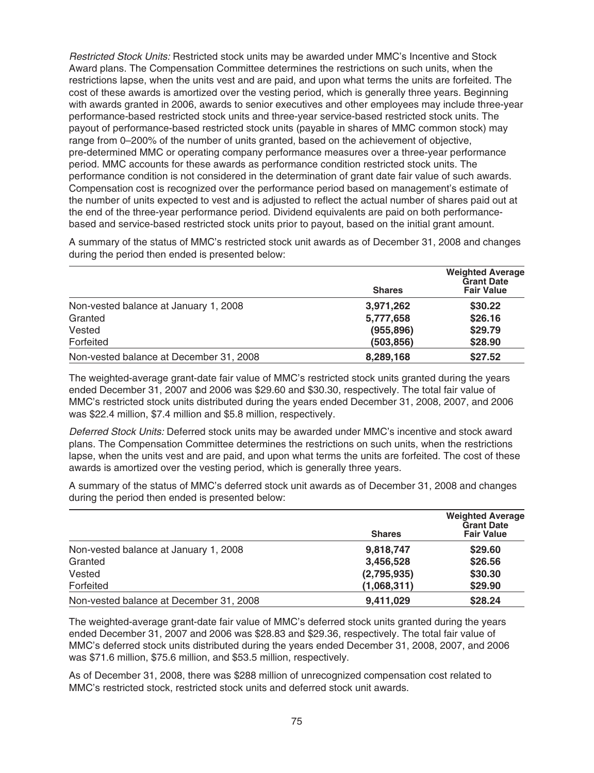Restricted Stock Units: Restricted stock units may be awarded under MMC's Incentive and Stock Award plans. The Compensation Committee determines the restrictions on such units, when the restrictions lapse, when the units vest and are paid, and upon what terms the units are forfeited. The cost of these awards is amortized over the vesting period, which is generally three years. Beginning with awards granted in 2006, awards to senior executives and other employees may include three-year performance-based restricted stock units and three-year service-based restricted stock units. The payout of performance-based restricted stock units (payable in shares of MMC common stock) may range from 0–200% of the number of units granted, based on the achievement of objective, pre-determined MMC or operating company performance measures over a three-year performance period. MMC accounts for these awards as performance condition restricted stock units. The performance condition is not considered in the determination of grant date fair value of such awards. Compensation cost is recognized over the performance period based on management's estimate of the number of units expected to vest and is adjusted to reflect the actual number of shares paid out at the end of the three-year performance period. Dividend equivalents are paid on both performancebased and service-based restricted stock units prior to payout, based on the initial grant amount.

A summary of the status of MMC's restricted stock unit awards as of December 31, 2008 and changes during the period then ended is presented below:

|                                         | <b>Shares</b> | <b>Weighted Average</b><br><b>Grant Date</b><br><b>Fair Value</b> |
|-----------------------------------------|---------------|-------------------------------------------------------------------|
| Non-vested balance at January 1, 2008   | 3,971,262     | \$30.22                                                           |
| Granted                                 | 5,777,658     | \$26.16                                                           |
| Vested                                  | (955, 896)    | \$29.79                                                           |
| Forfeited                               | (503, 856)    | \$28.90                                                           |
| Non-vested balance at December 31, 2008 | 8,289,168     | \$27.52                                                           |

The weighted-average grant-date fair value of MMC's restricted stock units granted during the years ended December 31, 2007 and 2006 was \$29.60 and \$30.30, respectively. The total fair value of MMC's restricted stock units distributed during the years ended December 31, 2008, 2007, and 2006 was \$22.4 million, \$7.4 million and \$5.8 million, respectively.

Deferred Stock Units: Deferred stock units may be awarded under MMC's incentive and stock award plans. The Compensation Committee determines the restrictions on such units, when the restrictions lapse, when the units vest and are paid, and upon what terms the units are forfeited. The cost of these awards is amortized over the vesting period, which is generally three years.

A summary of the status of MMC's deferred stock unit awards as of December 31, 2008 and changes during the period then ended is presented below:

|                                         | <b>Shares</b> | <b>Weighted Average</b><br><b>Grant Date</b><br><b>Fair Value</b> |
|-----------------------------------------|---------------|-------------------------------------------------------------------|
| Non-vested balance at January 1, 2008   | 9,818,747     | \$29.60                                                           |
| Granted                                 | 3,456,528     | \$26.56                                                           |
| Vested                                  | (2,795,935)   | \$30.30                                                           |
| Forfeited                               | (1,068,311)   | \$29.90                                                           |
| Non-vested balance at December 31, 2008 | 9,411,029     | \$28.24                                                           |

The weighted-average grant-date fair value of MMC's deferred stock units granted during the years ended December 31, 2007 and 2006 was \$28.83 and \$29.36, respectively. The total fair value of MMC's deferred stock units distributed during the years ended December 31, 2008, 2007, and 2006 was \$71.6 million, \$75.6 million, and \$53.5 million, respectively.

As of December 31, 2008, there was \$288 million of unrecognized compensation cost related to MMC's restricted stock, restricted stock units and deferred stock unit awards.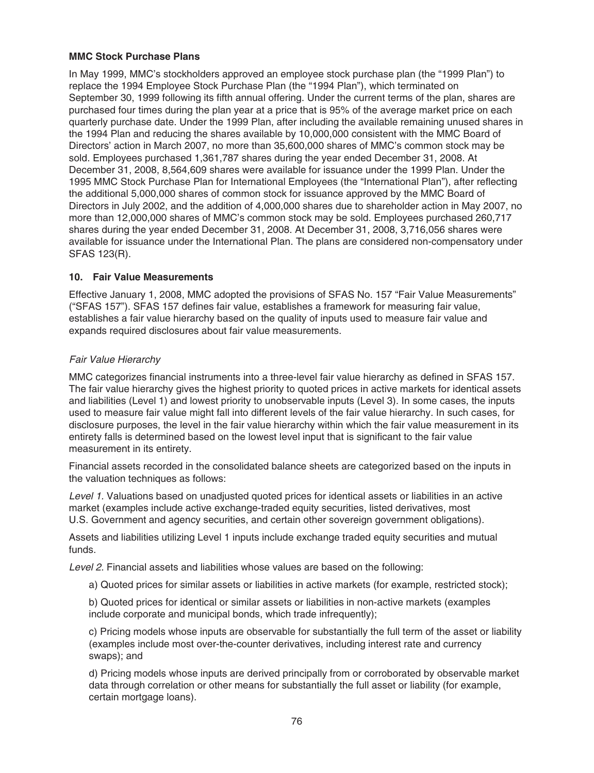### **MMC Stock Purchase Plans**

In May 1999, MMC's stockholders approved an employee stock purchase plan (the "1999 Plan") to replace the 1994 Employee Stock Purchase Plan (the "1994 Plan"), which terminated on September 30, 1999 following its fifth annual offering. Under the current terms of the plan, shares are purchased four times during the plan year at a price that is 95% of the average market price on each quarterly purchase date. Under the 1999 Plan, after including the available remaining unused shares in the 1994 Plan and reducing the shares available by 10,000,000 consistent with the MMC Board of Directors' action in March 2007, no more than 35,600,000 shares of MMC's common stock may be sold. Employees purchased 1,361,787 shares during the year ended December 31, 2008. At December 31, 2008, 8,564,609 shares were available for issuance under the 1999 Plan. Under the 1995 MMC Stock Purchase Plan for International Employees (the "International Plan"), after reflecting the additional 5,000,000 shares of common stock for issuance approved by the MMC Board of Directors in July 2002, and the addition of 4,000,000 shares due to shareholder action in May 2007, no more than 12,000,000 shares of MMC's common stock may be sold. Employees purchased 260,717 shares during the year ended December 31, 2008. At December 31, 2008, 3,716,056 shares were available for issuance under the International Plan. The plans are considered non-compensatory under SFAS 123(R).

### **10. Fair Value Measurements**

Effective January 1, 2008, MMC adopted the provisions of SFAS No. 157 "Fair Value Measurements" ("SFAS 157"). SFAS 157 defines fair value, establishes a framework for measuring fair value, establishes a fair value hierarchy based on the quality of inputs used to measure fair value and expands required disclosures about fair value measurements.

### Fair Value Hierarchy

MMC categorizes financial instruments into a three-level fair value hierarchy as defined in SFAS 157. The fair value hierarchy gives the highest priority to quoted prices in active markets for identical assets and liabilities (Level 1) and lowest priority to unobservable inputs (Level 3). In some cases, the inputs used to measure fair value might fall into different levels of the fair value hierarchy. In such cases, for disclosure purposes, the level in the fair value hierarchy within which the fair value measurement in its entirety falls is determined based on the lowest level input that is significant to the fair value measurement in its entirety.

Financial assets recorded in the consolidated balance sheets are categorized based on the inputs in the valuation techniques as follows:

Level 1. Valuations based on unadjusted quoted prices for identical assets or liabilities in an active market (examples include active exchange-traded equity securities, listed derivatives, most U.S. Government and agency securities, and certain other sovereign government obligations).

Assets and liabilities utilizing Level 1 inputs include exchange traded equity securities and mutual funds.

Level 2. Financial assets and liabilities whose values are based on the following:

a) Quoted prices for similar assets or liabilities in active markets (for example, restricted stock);

b) Quoted prices for identical or similar assets or liabilities in non-active markets (examples include corporate and municipal bonds, which trade infrequently);

c) Pricing models whose inputs are observable for substantially the full term of the asset or liability (examples include most over-the-counter derivatives, including interest rate and currency swaps); and

d) Pricing models whose inputs are derived principally from or corroborated by observable market data through correlation or other means for substantially the full asset or liability (for example, certain mortgage loans).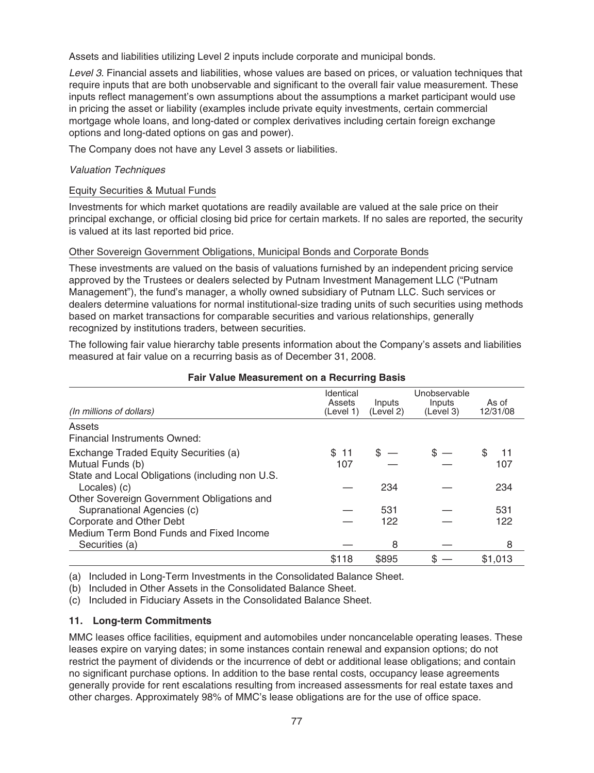Assets and liabilities utilizing Level 2 inputs include corporate and municipal bonds.

Level 3. Financial assets and liabilities, whose values are based on prices, or valuation techniques that require inputs that are both unobservable and significant to the overall fair value measurement. These inputs reflect management's own assumptions about the assumptions a market participant would use in pricing the asset or liability (examples include private equity investments, certain commercial mortgage whole loans, and long-dated or complex derivatives including certain foreign exchange options and long-dated options on gas and power).

The Company does not have any Level 3 assets or liabilities.

## Valuation Techniques

## Equity Securities & Mutual Funds

Investments for which market quotations are readily available are valued at the sale price on their principal exchange, or official closing bid price for certain markets. If no sales are reported, the security is valued at its last reported bid price.

## Other Sovereign Government Obligations, Municipal Bonds and Corporate Bonds

These investments are valued on the basis of valuations furnished by an independent pricing service approved by the Trustees or dealers selected by Putnam Investment Management LLC ("Putnam Management"), the fund's manager, a wholly owned subsidiary of Putnam LLC. Such services or dealers determine valuations for normal institutional-size trading units of such securities using methods based on market transactions for comparable securities and various relationships, generally recognized by institutions traders, between securities.

The following fair value hierarchy table presents information about the Company's assets and liabilities measured at fair value on a recurring basis as of December 31, 2008.

| (In millions of dollars)                        | Identical<br>Assets<br>(Level 1) | Inputs<br>(Level 2) | Unobservable<br>Inputs<br>(Level 3) | As of<br>12/31/08 |
|-------------------------------------------------|----------------------------------|---------------------|-------------------------------------|-------------------|
| Assets                                          |                                  |                     |                                     |                   |
| Financial Instruments Owned:                    |                                  |                     |                                     |                   |
| Exchange Traded Equity Securities (a)           | \$<br>-11                        |                     | $s -$                               | -11               |
| Mutual Funds (b)                                | 107                              |                     |                                     | 107               |
| State and Local Obligations (including non U.S. |                                  |                     |                                     |                   |
| Locales) (c)                                    |                                  | 234                 |                                     | 234               |
| Other Sovereign Government Obligations and      |                                  |                     |                                     |                   |
| Supranational Agencies (c)                      |                                  | 531                 |                                     | 531               |
| Corporate and Other Debt                        |                                  | 122                 |                                     | 122               |
| Medium Term Bond Funds and Fixed Income         |                                  |                     |                                     |                   |
| Securities (a)                                  |                                  | 8                   |                                     | 8                 |
|                                                 | \$118                            | \$895               | \$                                  | \$1,013           |

## **Fair Value Measurement on a Recurring Basis**

(a) Included in Long-Term Investments in the Consolidated Balance Sheet.

(b) Included in Other Assets in the Consolidated Balance Sheet.

(c) Included in Fiduciary Assets in the Consolidated Balance Sheet.

## **11. Long-term Commitments**

MMC leases office facilities, equipment and automobiles under noncancelable operating leases. These leases expire on varying dates; in some instances contain renewal and expansion options; do not restrict the payment of dividends or the incurrence of debt or additional lease obligations; and contain no significant purchase options. In addition to the base rental costs, occupancy lease agreements generally provide for rent escalations resulting from increased assessments for real estate taxes and other charges. Approximately 98% of MMC's lease obligations are for the use of office space.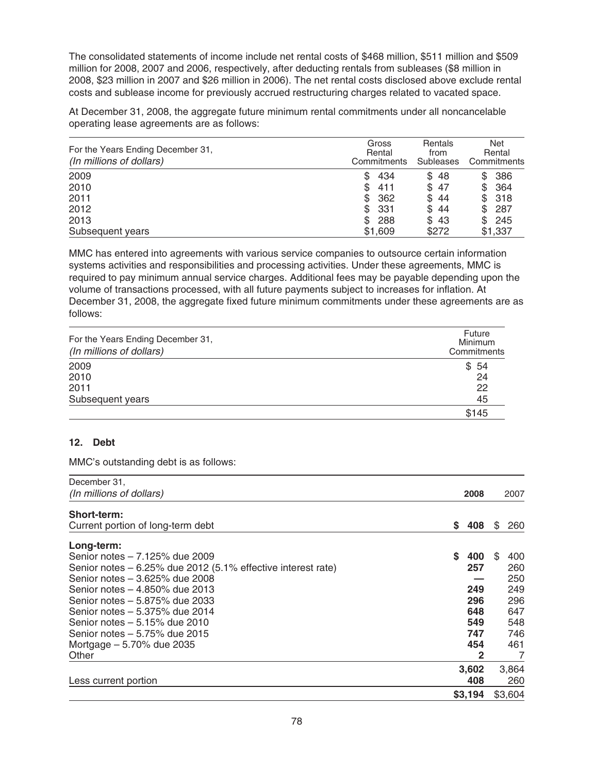The consolidated statements of income include net rental costs of \$468 million, \$511 million and \$509 million for 2008, 2007 and 2006, respectively, after deducting rentals from subleases (\$8 million in 2008, \$23 million in 2007 and \$26 million in 2006). The net rental costs disclosed above exclude rental costs and sublease income for previously accrued restructuring charges related to vacated space.

At December 31, 2008, the aggregate future minimum rental commitments under all noncancelable operating lease agreements are as follows:

| For the Years Ending December 31,<br>(In millions of dollars) | Gross<br>Rental<br>Commitments | Rentals<br>from<br>Subleases | <b>Net</b><br>Rental<br>Commitments |
|---------------------------------------------------------------|--------------------------------|------------------------------|-------------------------------------|
| 2009                                                          | 434<br>S.                      | \$48                         | 386<br>\$.                          |
| 2010                                                          | 411<br>\$.                     | \$47                         | 364<br>\$.                          |
| 2011                                                          | 362<br>S.                      | \$44                         | 318<br>\$.                          |
| 2012                                                          | 331<br>\$.                     | \$44                         | 287<br>S.                           |
| 2013                                                          | 288<br>\$.                     | \$43                         | 245<br>\$.                          |
| Subsequent years                                              | \$1,609                        | \$272                        | \$1,337                             |

MMC has entered into agreements with various service companies to outsource certain information systems activities and responsibilities and processing activities. Under these agreements, MMC is required to pay minimum annual service charges. Additional fees may be payable depending upon the volume of transactions processed, with all future payments subject to increases for inflation. At December 31, 2008, the aggregate fixed future minimum commitments under these agreements are as follows:

| For the Years Ending December 31,<br>(In millions of dollars) | Future<br>Minimum<br>Commitments |
|---------------------------------------------------------------|----------------------------------|
| 2009                                                          | \$54                             |
| 2010                                                          | 24                               |
| 2011                                                          | 22                               |
| Subsequent years                                              | 45                               |
|                                                               | \$145                            |

## **12. Debt**

MMC's outstanding debt is as follows:

| December 31,                                                   |    |         |     |         |
|----------------------------------------------------------------|----|---------|-----|---------|
| (In millions of dollars)                                       |    | 2008    |     | 2007    |
| Short-term:                                                    |    |         |     |         |
| Current portion of long-term debt                              | S. | 408     | S   | 260     |
| Long-term:                                                     |    |         |     |         |
| Senior notes – 7.125% due 2009                                 | S  | 400     | \$. | 400     |
| Senior notes $-6.25\%$ due 2012 (5.1% effective interest rate) |    | 257     |     | 260     |
| Senior notes - 3.625% due 2008                                 |    |         |     | 250     |
| Senior notes - 4.850% due 2013                                 |    | 249     |     | 249     |
| Senior notes - 5.875% due 2033                                 |    | 296     |     | 296     |
| Senior notes – 5.375% due 2014                                 |    | 648     |     | 647     |
| Senior notes – 5.15% due 2010                                  |    | 549     |     | 548     |
| Senior notes - 5.75% due 2015                                  |    | 747     |     | 746     |
| Mortgage - 5.70% due 2035                                      |    | 454     |     | 461     |
| Other                                                          |    | 2       |     | 7       |
|                                                                |    | 3,602   |     | 3,864   |
| Less current portion                                           |    | 408     |     | 260     |
|                                                                |    | \$3,194 |     | \$3,604 |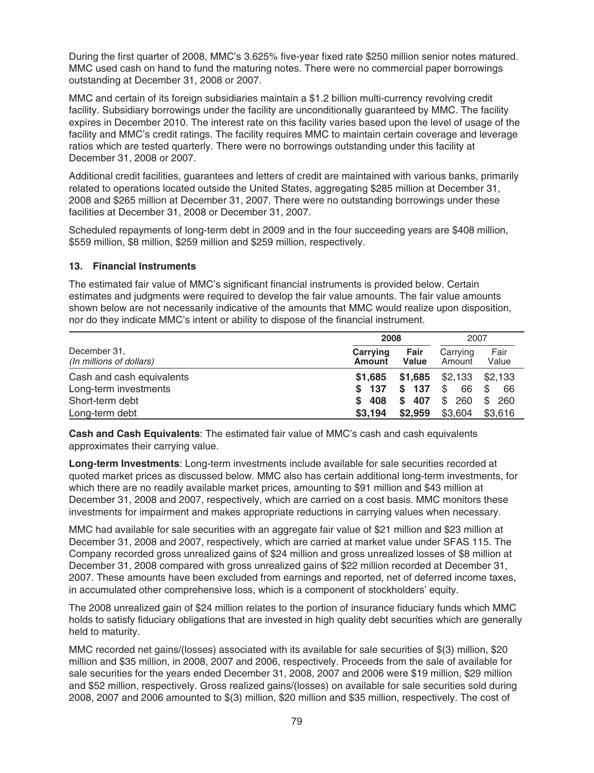During the first quarter of 2008, MMC's 3.625% five-year fixed rate \$250 million senior notes matured. MMC used cash on hand to fund the maturing notes. There were no commercial paper borrowings outstanding at December 31, 2008 or 2007.

MMC and certain of its foreign subsidiaries maintain a \$1.2 billion multi-currency revolving credit facility. Subsidiary borrowings under the facility are unconditionally guaranteed by MMC. The facility expires in December 2010. The interest rate on this facility varies based upon the level of usage of the facility and MMC's credit ratings. The facility requires MMC to maintain certain coverage and leverage ratios which are tested quarterly. There were no borrowings outstanding under this facility at December 31, 2008 or 2007.

Additional credit facilities, guarantees and letters of credit are maintained with various banks, primarily related to operations located outside the United States, aggregating \$285 million at December 31, 2008 and \$265 million at December 31, 2007. There were no outstanding borrowings under these facilities at December 31, 2008 or December 31, 2007.

Scheduled repayments of long-term debt in 2009 and in the four succeeding years are \$408 million, \$559 million, \$8 million, \$259 million and \$259 million, respectively.

#### **13. Financial Instruments**

The estimated fair value of MMC's significant financial instruments is provided below. Certain estimates and judgments were required to develop the fair value amounts. The fair value amounts shown below are not necessarily indicative of the amounts that MMC would realize upon disposition, nor do they indicate MMC's intent or ability to dispose of the financial instrument.

|                                          | 2008               |               | 2007               |               |
|------------------------------------------|--------------------|---------------|--------------------|---------------|
| December 31,<br>(In millions of dollars) | Carrying<br>Amount | Fair<br>Value | Carrying<br>Amount | Fair<br>Value |
| Cash and cash equivalents                | \$1,685            |               | $$1,685$ $$2,133$  | \$2,133       |
| Long-term investments                    | \$137              | 137<br>S      | \$<br>66           | -\$<br>66     |
| Short-term debt                          | 408<br>S.          | 407<br>S.     | \$.<br>260         | \$<br>260     |
| Long-term debt                           | \$3,194            | \$2,959       | \$3,604            | \$3,616       |

**Cash and Cash Equivalents**: The estimated fair value of MMC's cash and cash equivalents approximates their carrying value.

**Long-term Investments**: Long-term investments include available for sale securities recorded at quoted market prices as discussed below. MMC also has certain additional long-term investments, for which there are no readily available market prices, amounting to \$91 million and \$43 million at December 31, 2008 and 2007, respectively, which are carried on a cost basis. MMC monitors these investments for impairment and makes appropriate reductions in carrying values when necessary.

MMC had available for sale securities with an aggregate fair value of \$21 million and \$23 million at December 31, 2008 and 2007, respectively, which are carried at market value under SFAS 115. The Company recorded gross unrealized gains of \$24 million and gross unrealized losses of \$8 million at December 31, 2008 compared with gross unrealized gains of \$22 million recorded at December 31, 2007. These amounts have been excluded from earnings and reported, net of deferred income taxes, in accumulated other comprehensive loss, which is a component of stockholders' equity.

The 2008 unrealized gain of \$24 million relates to the portion of insurance fiduciary funds which MMC holds to satisfy fiduciary obligations that are invested in high quality debt securities which are generally held to maturity.

MMC recorded net gains/(losses) associated with its available for sale securities of \$(3) million, \$20 million and \$35 million, in 2008, 2007 and 2006, respectively. Proceeds from the sale of available for sale securities for the years ended December 31, 2008, 2007 and 2006 were \$19 million, \$29 million and \$52 million, respectively. Gross realized gains/(losses) on available for sale securities sold during 2008, 2007 and 2006 amounted to \$(3) million, \$20 million and \$35 million, respectively. The cost of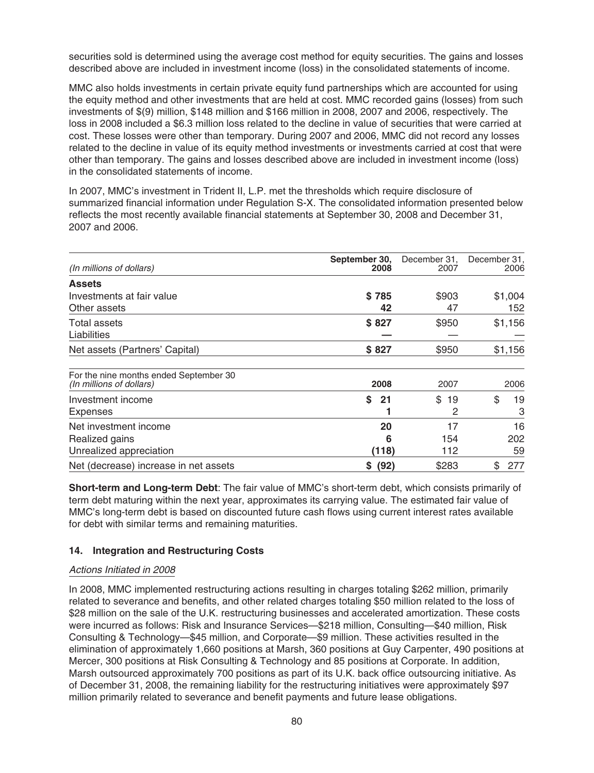securities sold is determined using the average cost method for equity securities. The gains and losses described above are included in investment income (loss) in the consolidated statements of income.

MMC also holds investments in certain private equity fund partnerships which are accounted for using the equity method and other investments that are held at cost. MMC recorded gains (losses) from such investments of \$(9) million, \$148 million and \$166 million in 2008, 2007 and 2006, respectively. The loss in 2008 included a \$6.3 million loss related to the decline in value of securities that were carried at cost. These losses were other than temporary. During 2007 and 2006, MMC did not record any losses related to the decline in value of its equity method investments or investments carried at cost that were other than temporary. The gains and losses described above are included in investment income (loss) in the consolidated statements of income.

In 2007, MMC's investment in Trident II, L.P. met the thresholds which require disclosure of summarized financial information under Regulation S-X. The consolidated information presented below reflects the most recently available financial statements at September 30, 2008 and December 31, 2007 and 2006.

| (In millions of dollars)                                           | September 30,<br>2008 | December 31,<br>2007 | December 31,<br>2006 |
|--------------------------------------------------------------------|-----------------------|----------------------|----------------------|
| <b>Assets</b>                                                      |                       |                      |                      |
| Investments at fair value                                          | \$785                 | \$903                | \$1,004              |
| Other assets                                                       | 42                    | 47                   | 152                  |
| Total assets                                                       | \$827                 | \$950                | \$1,156              |
| Liabilities                                                        |                       |                      |                      |
| Net assets (Partners' Capital)                                     | \$827                 | \$950                | \$1,156              |
| For the nine months ended September 30<br>(In millions of dollars) | 2008                  | 2007                 | 2006                 |
| Investment income                                                  | \$<br>21              | \$<br>19             | \$<br>19             |
| <b>Expenses</b>                                                    |                       | 2                    | 3                    |
| Net investment income                                              | 20                    | 17                   | 16                   |
| Realized gains                                                     | 6                     | 154                  | 202                  |
| Unrealized appreciation                                            | (118)                 | 112                  | 59                   |
| Net (decrease) increase in net assets                              | (92)<br>S.            | \$283                | 277<br>S             |

**Short-term and Long-term Debt**: The fair value of MMC's short-term debt, which consists primarily of term debt maturing within the next year, approximates its carrying value. The estimated fair value of MMC's long-term debt is based on discounted future cash flows using current interest rates available for debt with similar terms and remaining maturities.

#### **14. Integration and Restructuring Costs**

#### Actions Initiated in 2008

In 2008, MMC implemented restructuring actions resulting in charges totaling \$262 million, primarily related to severance and benefits, and other related charges totaling \$50 million related to the loss of \$28 million on the sale of the U.K. restructuring businesses and accelerated amortization. These costs were incurred as follows: Risk and Insurance Services—\$218 million, Consulting—\$40 million, Risk Consulting & Technology—\$45 million, and Corporate—\$9 million. These activities resulted in the elimination of approximately 1,660 positions at Marsh, 360 positions at Guy Carpenter, 490 positions at Mercer, 300 positions at Risk Consulting & Technology and 85 positions at Corporate. In addition, Marsh outsourced approximately 700 positions as part of its U.K. back office outsourcing initiative. As of December 31, 2008, the remaining liability for the restructuring initiatives were approximately \$97 million primarily related to severance and benefit payments and future lease obligations.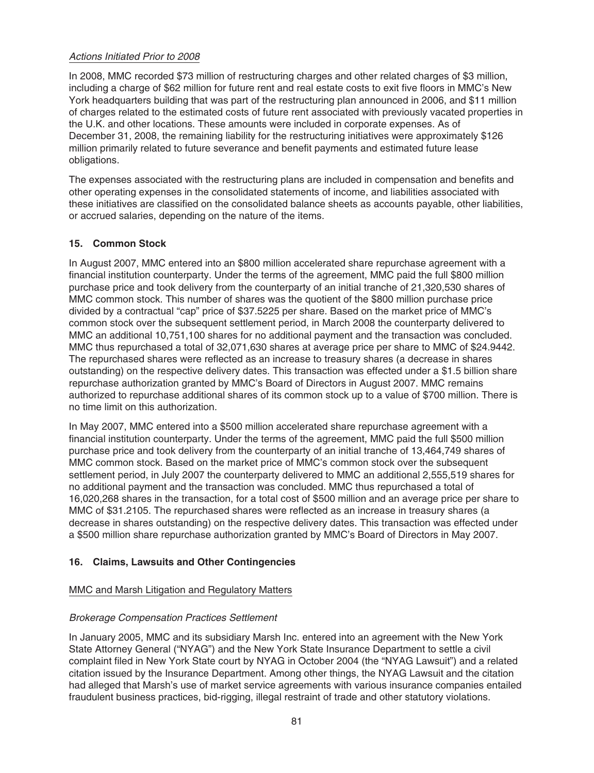### Actions Initiated Prior to 2008

In 2008, MMC recorded \$73 million of restructuring charges and other related charges of \$3 million, including a charge of \$62 million for future rent and real estate costs to exit five floors in MMC's New York headquarters building that was part of the restructuring plan announced in 2006, and \$11 million of charges related to the estimated costs of future rent associated with previously vacated properties in the U.K. and other locations. These amounts were included in corporate expenses. As of December 31, 2008, the remaining liability for the restructuring initiatives were approximately \$126 million primarily related to future severance and benefit payments and estimated future lease obligations.

The expenses associated with the restructuring plans are included in compensation and benefits and other operating expenses in the consolidated statements of income, and liabilities associated with these initiatives are classified on the consolidated balance sheets as accounts payable, other liabilities, or accrued salaries, depending on the nature of the items.

### **15. Common Stock**

In August 2007, MMC entered into an \$800 million accelerated share repurchase agreement with a financial institution counterparty. Under the terms of the agreement, MMC paid the full \$800 million purchase price and took delivery from the counterparty of an initial tranche of 21,320,530 shares of MMC common stock. This number of shares was the quotient of the \$800 million purchase price divided by a contractual "cap" price of \$37.5225 per share. Based on the market price of MMC's common stock over the subsequent settlement period, in March 2008 the counterparty delivered to MMC an additional 10,751,100 shares for no additional payment and the transaction was concluded. MMC thus repurchased a total of 32,071,630 shares at average price per share to MMC of \$24.9442. The repurchased shares were reflected as an increase to treasury shares (a decrease in shares outstanding) on the respective delivery dates. This transaction was effected under a \$1.5 billion share repurchase authorization granted by MMC's Board of Directors in August 2007. MMC remains authorized to repurchase additional shares of its common stock up to a value of \$700 million. There is no time limit on this authorization.

In May 2007, MMC entered into a \$500 million accelerated share repurchase agreement with a financial institution counterparty. Under the terms of the agreement, MMC paid the full \$500 million purchase price and took delivery from the counterparty of an initial tranche of 13,464,749 shares of MMC common stock. Based on the market price of MMC's common stock over the subsequent settlement period, in July 2007 the counterparty delivered to MMC an additional 2,555,519 shares for no additional payment and the transaction was concluded. MMC thus repurchased a total of 16,020,268 shares in the transaction, for a total cost of \$500 million and an average price per share to MMC of \$31.2105. The repurchased shares were reflected as an increase in treasury shares (a decrease in shares outstanding) on the respective delivery dates. This transaction was effected under a \$500 million share repurchase authorization granted by MMC's Board of Directors in May 2007.

## **16. Claims, Lawsuits and Other Contingencies**

#### MMC and Marsh Litigation and Regulatory Matters

#### Brokerage Compensation Practices Settlement

In January 2005, MMC and its subsidiary Marsh Inc. entered into an agreement with the New York State Attorney General ("NYAG") and the New York State Insurance Department to settle a civil complaint filed in New York State court by NYAG in October 2004 (the "NYAG Lawsuit") and a related citation issued by the Insurance Department. Among other things, the NYAG Lawsuit and the citation had alleged that Marsh's use of market service agreements with various insurance companies entailed fraudulent business practices, bid-rigging, illegal restraint of trade and other statutory violations.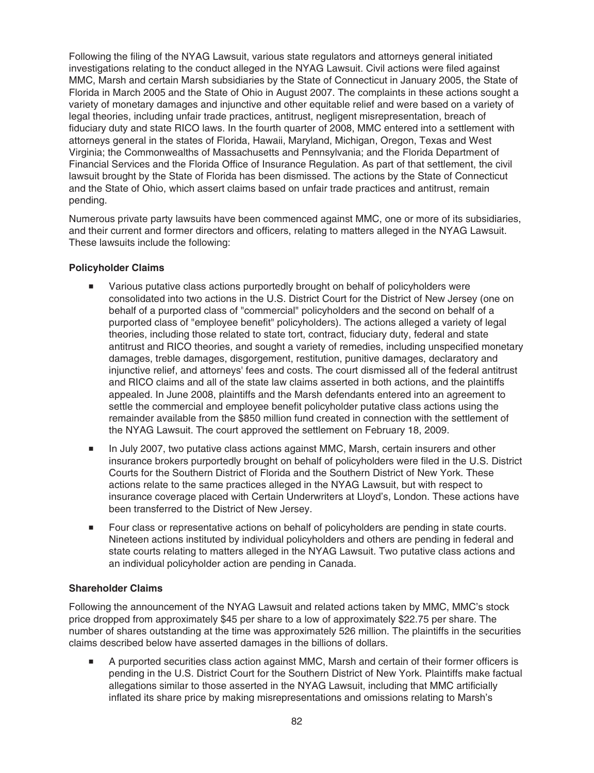Following the filing of the NYAG Lawsuit, various state regulators and attorneys general initiated investigations relating to the conduct alleged in the NYAG Lawsuit. Civil actions were filed against MMC, Marsh and certain Marsh subsidiaries by the State of Connecticut in January 2005, the State of Florida in March 2005 and the State of Ohio in August 2007. The complaints in these actions sought a variety of monetary damages and injunctive and other equitable relief and were based on a variety of legal theories, including unfair trade practices, antitrust, negligent misrepresentation, breach of fiduciary duty and state RICO laws. In the fourth quarter of 2008, MMC entered into a settlement with attorneys general in the states of Florida, Hawaii, Maryland, Michigan, Oregon, Texas and West Virginia; the Commonwealths of Massachusetts and Pennsylvania; and the Florida Department of Financial Services and the Florida Office of Insurance Regulation. As part of that settlement, the civil lawsuit brought by the State of Florida has been dismissed. The actions by the State of Connecticut and the State of Ohio, which assert claims based on unfair trade practices and antitrust, remain pending.

Numerous private party lawsuits have been commenced against MMC, one or more of its subsidiaries, and their current and former directors and officers, relating to matters alleged in the NYAG Lawsuit. These lawsuits include the following:

#### **Policyholder Claims**

- - Various putative class actions purportedly brought on behalf of policyholders were consolidated into two actions in the U.S. District Court for the District of New Jersey (one on behalf of a purported class of "commercial" policyholders and the second on behalf of a purported class of "employee benefit" policyholders). The actions alleged a variety of legal theories, including those related to state tort, contract, fiduciary duty, federal and state antitrust and RICO theories, and sought a variety of remedies, including unspecified monetary damages, treble damages, disgorgement, restitution, punitive damages, declaratory and injunctive relief, and attorneys' fees and costs. The court dismissed all of the federal antitrust and RICO claims and all of the state law claims asserted in both actions, and the plaintiffs appealed. In June 2008, plaintiffs and the Marsh defendants entered into an agreement to settle the commercial and employee benefit policyholder putative class actions using the remainder available from the \$850 million fund created in connection with the settlement of the NYAG Lawsuit. The court approved the settlement on February 18, 2009.
- - In July 2007, two putative class actions against MMC, Marsh, certain insurers and other insurance brokers purportedly brought on behalf of policyholders were filed in the U.S. District Courts for the Southern District of Florida and the Southern District of New York. These actions relate to the same practices alleged in the NYAG Lawsuit, but with respect to insurance coverage placed with Certain Underwriters at Lloyd's, London. These actions have been transferred to the District of New Jersey.
- - Four class or representative actions on behalf of policyholders are pending in state courts. Nineteen actions instituted by individual policyholders and others are pending in federal and state courts relating to matters alleged in the NYAG Lawsuit. Two putative class actions and an individual policyholder action are pending in Canada.

#### **Shareholder Claims**

Following the announcement of the NYAG Lawsuit and related actions taken by MMC, MMC's stock price dropped from approximately \$45 per share to a low of approximately \$22.75 per share. The number of shares outstanding at the time was approximately 526 million. The plaintiffs in the securities claims described below have asserted damages in the billions of dollars.

- A purported securities class action against MMC, Marsh and certain of their former officers is pending in the U.S. District Court for the Southern District of New York. Plaintiffs make factual allegations similar to those asserted in the NYAG Lawsuit, including that MMC artificially inflated its share price by making misrepresentations and omissions relating to Marsh's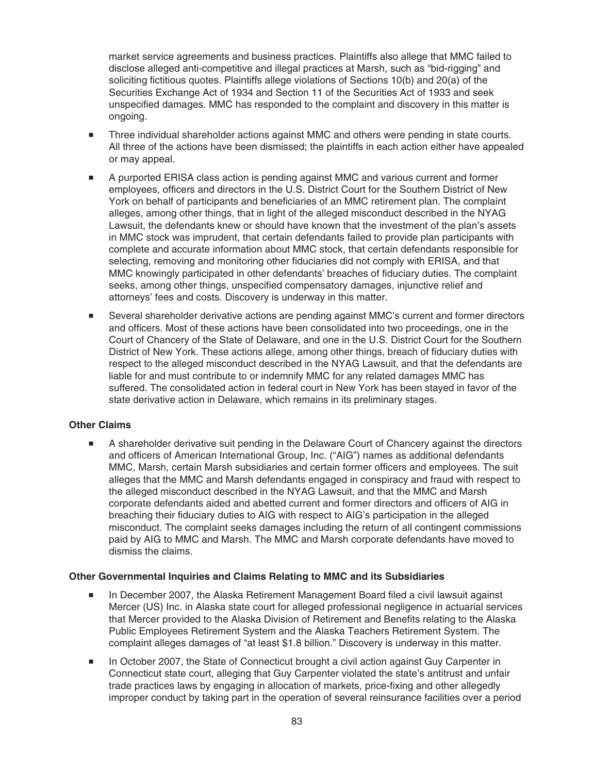market service agreements and business practices. Plaintiffs also allege that MMC failed to disclose alleged anti-competitive and illegal practices at Marsh, such as "bid-rigging" and soliciting fictitious quotes. Plaintiffs allege violations of Sections 10(b) and 20(a) of the Securities Exchange Act of 1934 and Section 11 of the Securities Act of 1933 and seek unspecified damages. MMC has responded to the complaint and discovery in this matter is ongoing.

- - Three individual shareholder actions against MMC and others were pending in state courts. All three of the actions have been dismissed; the plaintiffs in each action either have appealed or may appeal.
- - A purported ERISA class action is pending against MMC and various current and former employees, officers and directors in the U.S. District Court for the Southern District of New York on behalf of participants and beneficiaries of an MMC retirement plan. The complaint alleges, among other things, that in light of the alleged misconduct described in the NYAG Lawsuit, the defendants knew or should have known that the investment of the plan's assets in MMC stock was imprudent, that certain defendants failed to provide plan participants with complete and accurate information about MMC stock, that certain defendants responsible for selecting, removing and monitoring other fiduciaries did not comply with ERISA, and that MMC knowingly participated in other defendants' breaches of fiduciary duties. The complaint seeks, among other things, unspecified compensatory damages, injunctive relief and attorneys' fees and costs. Discovery is underway in this matter.
- - Several shareholder derivative actions are pending against MMC's current and former directors and officers. Most of these actions have been consolidated into two proceedings, one in the Court of Chancery of the State of Delaware, and one in the U.S. District Court for the Southern District of New York. These actions allege, among other things, breach of fiduciary duties with respect to the alleged misconduct described in the NYAG Lawsuit, and that the defendants are liable for and must contribute to or indemnify MMC for any related damages MMC has suffered. The consolidated action in federal court in New York has been stayed in favor of the state derivative action in Delaware, which remains in its preliminary stages.

#### **Other Claims**

- A shareholder derivative suit pending in the Delaware Court of Chancery against the directors and officers of American International Group, Inc. ("AIG") names as additional defendants MMC, Marsh, certain Marsh subsidiaries and certain former officers and employees. The suit alleges that the MMC and Marsh defendants engaged in conspiracy and fraud with respect to the alleged misconduct described in the NYAG Lawsuit, and that the MMC and Marsh corporate defendants aided and abetted current and former directors and officers of AIG in breaching their fiduciary duties to AIG with respect to AIG's participation in the alleged misconduct. The complaint seeks damages including the return of all contingent commissions paid by AIG to MMC and Marsh. The MMC and Marsh corporate defendants have moved to dismiss the claims.

#### **Other Governmental Inquiries and Claims Relating to MMC and its Subsidiaries**

- - In December 2007, the Alaska Retirement Management Board filed a civil lawsuit against Mercer (US) Inc. in Alaska state court for alleged professional negligence in actuarial services that Mercer provided to the Alaska Division of Retirement and Benefits relating to the Alaska Public Employees Retirement System and the Alaska Teachers Retirement System. The complaint alleges damages of "at least \$1.8 billion." Discovery is underway in this matter.
- - In October 2007, the State of Connecticut brought a civil action against Guy Carpenter in Connecticut state court, alleging that Guy Carpenter violated the state's antitrust and unfair trade practices laws by engaging in allocation of markets, price-fixing and other allegedly improper conduct by taking part in the operation of several reinsurance facilities over a period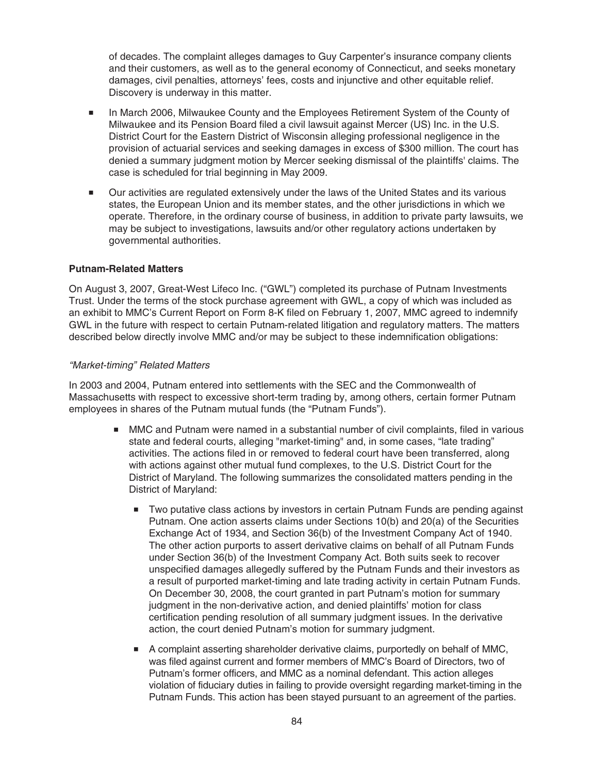of decades. The complaint alleges damages to Guy Carpenter's insurance company clients and their customers, as well as to the general economy of Connecticut, and seeks monetary damages, civil penalties, attorneys' fees, costs and injunctive and other equitable relief. Discovery is underway in this matter.

- - In March 2006, Milwaukee County and the Employees Retirement System of the County of Milwaukee and its Pension Board filed a civil lawsuit against Mercer (US) Inc. in the U.S. District Court for the Eastern District of Wisconsin alleging professional negligence in the provision of actuarial services and seeking damages in excess of \$300 million. The court has denied a summary judgment motion by Mercer seeking dismissal of the plaintiffs' claims. The case is scheduled for trial beginning in May 2009.
- - Our activities are regulated extensively under the laws of the United States and its various states, the European Union and its member states, and the other jurisdictions in which we operate. Therefore, in the ordinary course of business, in addition to private party lawsuits, we may be subject to investigations, lawsuits and/or other regulatory actions undertaken by governmental authorities.

#### **Putnam-Related Matters**

On August 3, 2007, Great-West Lifeco Inc. ("GWL") completed its purchase of Putnam Investments Trust. Under the terms of the stock purchase agreement with GWL, a copy of which was included as an exhibit to MMC's Current Report on Form 8-K filed on February 1, 2007, MMC agreed to indemnify GWL in the future with respect to certain Putnam-related litigation and regulatory matters. The matters described below directly involve MMC and/or may be subject to these indemnification obligations:

#### "Market-timing" Related Matters

In 2003 and 2004, Putnam entered into settlements with the SEC and the Commonwealth of Massachusetts with respect to excessive short-term trading by, among others, certain former Putnam employees in shares of the Putnam mutual funds (the "Putnam Funds").

- MMC and Putnam were named in a substantial number of civil complaints, filed in various state and federal courts, alleging "market-timing" and, in some cases, "late trading" activities. The actions filed in or removed to federal court have been transferred, along with actions against other mutual fund complexes, to the U.S. District Court for the District of Maryland. The following summarizes the consolidated matters pending in the District of Maryland:
	- **TWO putative class actions by investors in certain Putnam Funds are pending against** Putnam. One action asserts claims under Sections 10(b) and 20(a) of the Securities Exchange Act of 1934, and Section 36(b) of the Investment Company Act of 1940. The other action purports to assert derivative claims on behalf of all Putnam Funds under Section 36(b) of the Investment Company Act. Both suits seek to recover unspecified damages allegedly suffered by the Putnam Funds and their investors as a result of purported market-timing and late trading activity in certain Putnam Funds. On December 30, 2008, the court granted in part Putnam's motion for summary judgment in the non-derivative action, and denied plaintiffs' motion for class certification pending resolution of all summary judgment issues. In the derivative action, the court denied Putnam's motion for summary judgment.
	- **A** complaint asserting shareholder derivative claims, purportedly on behalf of MMC, was filed against current and former members of MMC's Board of Directors, two of Putnam's former officers, and MMC as a nominal defendant. This action alleges violation of fiduciary duties in failing to provide oversight regarding market-timing in the Putnam Funds. This action has been stayed pursuant to an agreement of the parties.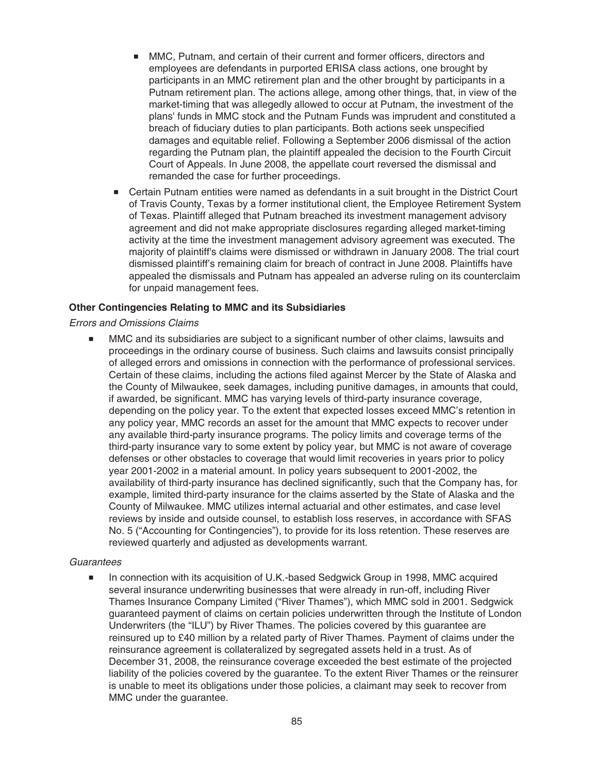- MMC, Putnam, and certain of their current and former officers, directors and employees are defendants in purported ERISA class actions, one brought by participants in an MMC retirement plan and the other brought by participants in a Putnam retirement plan. The actions allege, among other things, that, in view of the market-timing that was allegedly allowed to occur at Putnam, the investment of the plans' funds in MMC stock and the Putnam Funds was imprudent and constituted a breach of fiduciary duties to plan participants. Both actions seek unspecified damages and equitable relief. Following a September 2006 dismissal of the action regarding the Putnam plan, the plaintiff appealed the decision to the Fourth Circuit Court of Appeals. In June 2008, the appellate court reversed the dismissal and remanded the case for further proceedings.
- **EXECT ATT CONTEGRY CONTEGRY IN THE STAND IN A SET ATT CONTEGRY COUT CONTEGRY COUT COUT COUT COUT COUT COUT** of Travis County, Texas by a former institutional client, the Employee Retirement System of Texas. Plaintiff alleged that Putnam breached its investment management advisory agreement and did not make appropriate disclosures regarding alleged market-timing activity at the time the investment management advisory agreement was executed. The majority of plaintiff's claims were dismissed or withdrawn in January 2008. The trial court dismissed plaintiff's remaining claim for breach of contract in June 2008. Plaintiffs have appealed the dismissals and Putnam has appealed an adverse ruling on its counterclaim for unpaid management fees.

#### **Other Contingencies Relating to MMC and its Subsidiaries**

#### Errors and Omissions Claims

- MMC and its subsidiaries are subject to a significant number of other claims, lawsuits and proceedings in the ordinary course of business. Such claims and lawsuits consist principally of alleged errors and omissions in connection with the performance of professional services. Certain of these claims, including the actions filed against Mercer by the State of Alaska and the County of Milwaukee, seek damages, including punitive damages, in amounts that could, if awarded, be significant. MMC has varying levels of third-party insurance coverage, depending on the policy year. To the extent that expected losses exceed MMC's retention in any policy year, MMC records an asset for the amount that MMC expects to recover under any available third-party insurance programs. The policy limits and coverage terms of the third-party insurance vary to some extent by policy year, but MMC is not aware of coverage defenses or other obstacles to coverage that would limit recoveries in years prior to policy year 2001-2002 in a material amount. In policy years subsequent to 2001-2002, the availability of third-party insurance has declined significantly, such that the Company has, for example, limited third-party insurance for the claims asserted by the State of Alaska and the County of Milwaukee. MMC utilizes internal actuarial and other estimates, and case level reviews by inside and outside counsel, to establish loss reserves, in accordance with SFAS No. 5 ("Accounting for Contingencies"), to provide for its loss retention. These reserves are reviewed quarterly and adjusted as developments warrant.

#### **Guarantees**

- In connection with its acquisition of U.K.-based Sedgwick Group in 1998, MMC acquired several insurance underwriting businesses that were already in run-off, including River Thames Insurance Company Limited ("River Thames"), which MMC sold in 2001. Sedgwick guaranteed payment of claims on certain policies underwritten through the Institute of London Underwriters (the "ILU") by River Thames. The policies covered by this guarantee are reinsured up to £40 million by a related party of River Thames. Payment of claims under the reinsurance agreement is collateralized by segregated assets held in a trust. As of December 31, 2008, the reinsurance coverage exceeded the best estimate of the projected liability of the policies covered by the guarantee. To the extent River Thames or the reinsurer is unable to meet its obligations under those policies, a claimant may seek to recover from MMC under the guarantee.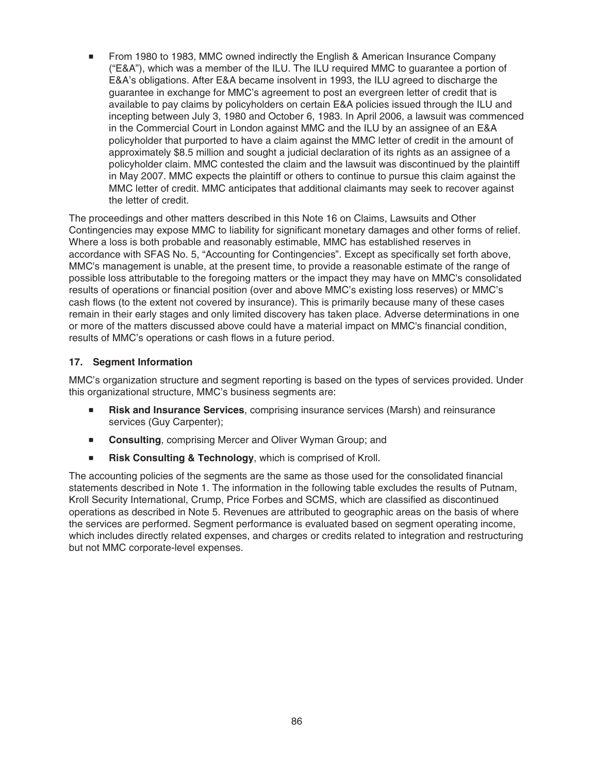- From 1980 to 1983, MMC owned indirectly the English & American Insurance Company ("E&A"), which was a member of the ILU. The ILU required MMC to guarantee a portion of E&A's obligations. After E&A became insolvent in 1993, the ILU agreed to discharge the guarantee in exchange for MMC's agreement to post an evergreen letter of credit that is available to pay claims by policyholders on certain E&A policies issued through the ILU and incepting between July 3, 1980 and October 6, 1983. In April 2006, a lawsuit was commenced in the Commercial Court in London against MMC and the ILU by an assignee of an E&A policyholder that purported to have a claim against the MMC letter of credit in the amount of approximately \$8.5 million and sought a judicial declaration of its rights as an assignee of a policyholder claim. MMC contested the claim and the lawsuit was discontinued by the plaintiff in May 2007. MMC expects the plaintiff or others to continue to pursue this claim against the MMC letter of credit. MMC anticipates that additional claimants may seek to recover against the letter of credit.

The proceedings and other matters described in this Note 16 on Claims, Lawsuits and Other Contingencies may expose MMC to liability for significant monetary damages and other forms of relief. Where a loss is both probable and reasonably estimable, MMC has established reserves in accordance with SFAS No. 5, "Accounting for Contingencies". Except as specifically set forth above, MMC's management is unable, at the present time, to provide a reasonable estimate of the range of possible loss attributable to the foregoing matters or the impact they may have on MMC's consolidated results of operations or financial position (over and above MMC's existing loss reserves) or MMC's cash flows (to the extent not covered by insurance). This is primarily because many of these cases remain in their early stages and only limited discovery has taken place. Adverse determinations in one or more of the matters discussed above could have a material impact on MMC's financial condition, results of MMC's operations or cash flows in a future period.

### **17. Segment Information**

MMC's organization structure and segment reporting is based on the types of services provided. Under this organizational structure, MMC's business segments are:

- - **Risk and Insurance Services**, comprising insurance services (Marsh) and reinsurance services (Guy Carpenter);
- -**Consulting**, comprising Mercer and Oliver Wyman Group; and
- -**Risk Consulting & Technology**, which is comprised of Kroll.

The accounting policies of the segments are the same as those used for the consolidated financial statements described in Note 1. The information in the following table excludes the results of Putnam, Kroll Security International, Crump, Price Forbes and SCMS, which are classified as discontinued operations as described in Note 5. Revenues are attributed to geographic areas on the basis of where the services are performed. Segment performance is evaluated based on segment operating income, which includes directly related expenses, and charges or credits related to integration and restructuring but not MMC corporate-level expenses.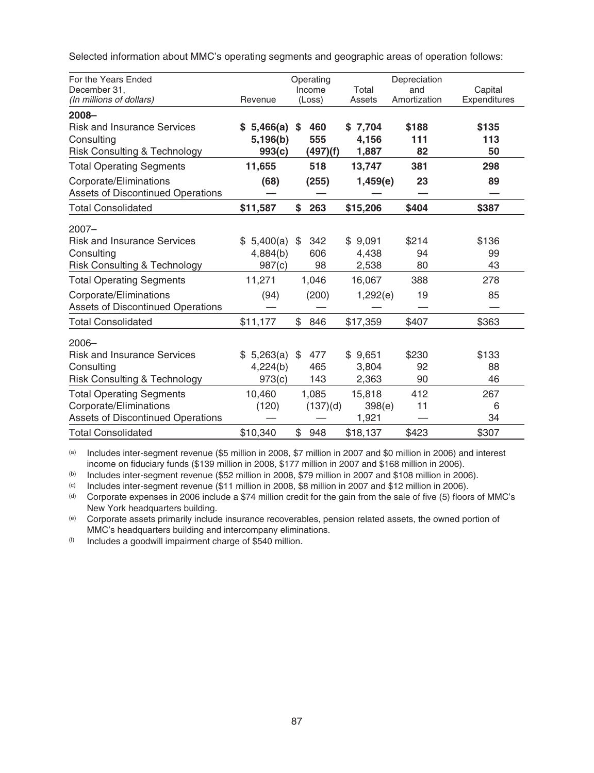Selected information about MMC's operating segments and geographic areas of operation follows:

| For the Years Ended<br>December 31,                                |                    | Operating<br>Income | Total          | Depreciation<br>and | Capital      |
|--------------------------------------------------------------------|--------------------|---------------------|----------------|---------------------|--------------|
| (In millions of dollars)                                           | Revenue            | (Loss)              | Assets         | Amortization        | Expenditures |
| $2008 -$                                                           |                    |                     |                |                     |              |
| <b>Risk and Insurance Services</b>                                 | \$5,466(a)         | \$<br>460           | \$7,704        | \$188               | \$135        |
| Consulting<br>Risk Consulting & Technology                         | 5,196(b)<br>993(c) | 555<br>(497)(f)     | 4,156<br>1,887 | 111<br>82           | 113<br>50    |
|                                                                    |                    |                     |                |                     |              |
| <b>Total Operating Segments</b>                                    | 11,655             | 518                 | 13,747         | 381                 | 298          |
| Corporate/Eliminations<br><b>Assets of Discontinued Operations</b> | (68)               | (255)               | 1,459(e)       | 23                  | 89           |
| <b>Total Consolidated</b>                                          | \$11,587           | \$<br>263           | \$15,206       | \$404               | \$387        |
| $2007 -$                                                           |                    |                     |                |                     |              |
| <b>Risk and Insurance Services</b>                                 | \$5,400(a)         | \$<br>342           | \$9,091        | \$214               | \$136        |
| Consulting                                                         | 4,884(b)           | 606                 | 4,438          | 94                  | 99           |
| <b>Risk Consulting &amp; Technology</b>                            | 987(c)             | 98                  | 2,538          | 80                  | 43           |
| <b>Total Operating Segments</b>                                    | 11,271             | 1,046               | 16,067         | 388                 | 278          |
| Corporate/Eliminations                                             | (94)               | (200)               | 1,292(e)       | 19                  | 85           |
| <b>Assets of Discontinued Operations</b>                           |                    |                     |                |                     |              |
| <b>Total Consolidated</b>                                          | \$11,177           | \$<br>846           | \$17,359       | \$407               | \$363        |
| $2006 -$                                                           |                    |                     |                |                     |              |
| <b>Risk and Insurance Services</b>                                 | \$5,263(a)         | \$<br>477           | \$9,651        | \$230               | \$133        |
| Consulting                                                         | 4,224(b)           | 465                 | 3,804          | 92                  | 88           |
| <b>Risk Consulting &amp; Technology</b>                            | 973(c)             | 143                 | 2,363          | 90                  | 46           |
| <b>Total Operating Segments</b>                                    | 10,460             | 1,085               | 15,818         | 412                 | 267          |
| Corporate/Eliminations                                             | (120)              | (137)(d)            | 398(e)         | 11                  | 6            |
| <b>Assets of Discontinued Operations</b>                           |                    |                     | 1,921          |                     | 34           |
| <b>Total Consolidated</b>                                          | \$10,340           | \$<br>948           | \$18,137       | \$423               | \$307        |

(a) Includes inter-segment revenue (\$5 million in 2008, \$7 million in 2007 and \$0 million in 2006) and interest income on fiduciary funds (\$139 million in 2008, \$177 million in 2007 and \$168 million in 2006).

(b) Includes inter-segment revenue (\$52 million in 2008, \$79 million in 2007 and \$108 million in 2006).<br>(c) Includes inter-segment revenue (\$11 million in 2008, \$8 million in 2007 and \$12 million in 2006).

Includes inter-segment revenue (\$11 million in 2008, \$8 million in 2007 and \$12 million in 2006).

(d) Corporate expenses in 2006 include a \$74 million credit for the gain from the sale of five (5) floors of MMC's New York headquarters building.

(e) Corporate assets primarily include insurance recoverables, pension related assets, the owned portion of MMC's headquarters building and intercompany eliminations.

 $(1)$  Includes a goodwill impairment charge of \$540 million.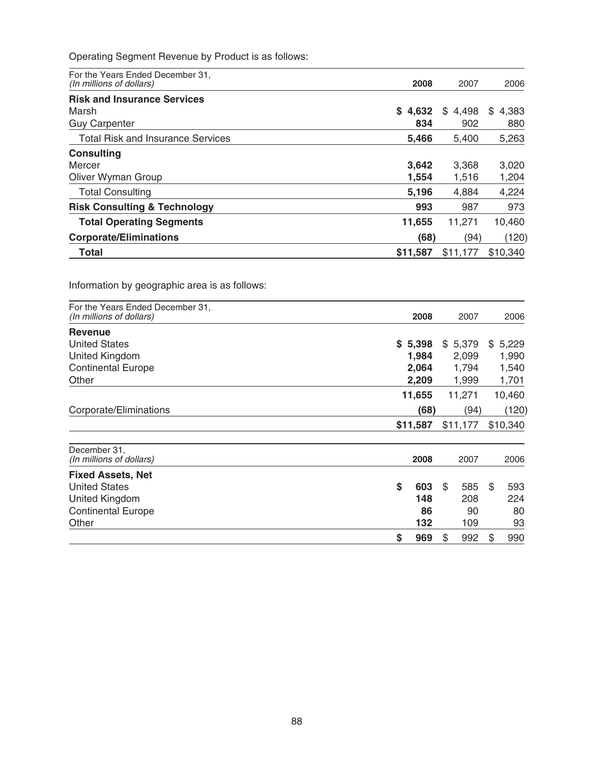Operating Segment Revenue by Product is as follows:

| For the Years Ended December 31,<br>(In millions of dollars) | 2008     | 2007        | 2006         |
|--------------------------------------------------------------|----------|-------------|--------------|
| <b>Risk and Insurance Services</b>                           |          |             |              |
| Marsh                                                        | \$4,632  | \$<br>4,498 | 4,383<br>\$. |
| <b>Guy Carpenter</b>                                         | 834      | 902         | 880          |
| <b>Total Risk and Insurance Services</b>                     | 5,466    | 5,400       | 5,263        |
| <b>Consulting</b>                                            |          |             |              |
| Mercer                                                       | 3,642    | 3.368       | 3,020        |
| Oliver Wyman Group                                           | 1,554    | 1,516       | 1,204        |
| <b>Total Consulting</b>                                      | 5,196    | 4,884       | 4,224        |
| <b>Risk Consulting &amp; Technology</b>                      | 993      | 987         | 973          |
| <b>Total Operating Segments</b>                              | 11,655   | 11,271      | 10,460       |
| <b>Corporate/Eliminations</b>                                | (68)     | (94)        | (120)        |
| <b>Total</b>                                                 | \$11,587 | \$11,177    | \$10,340     |

Information by geographic area is as follows:

| For the Years Ended December 31,<br>(In millions of dollars) | 2008      | 2007      | 2006        |
|--------------------------------------------------------------|-----------|-----------|-------------|
| Revenue                                                      |           |           |             |
| <b>United States</b>                                         | \$5,398   | \$5,379   | 5,229<br>\$ |
| <b>United Kingdom</b>                                        | 1,984     | 2,099     | 1,990       |
| <b>Continental Europe</b>                                    | 2,064     | 1,794     | 1,540       |
| Other                                                        | 2,209     | 1,999     | 1,701       |
|                                                              | 11,655    | 11,271    | 10,460      |
| Corporate/Eliminations                                       | (68)      | (94)      | (120)       |
|                                                              | \$11,587  | \$11,177  | \$10,340    |
| December 31,<br>(In millions of dollars)                     | 2008      | 2007      | 2006        |
| <b>Fixed Assets, Net</b>                                     |           |           |             |
| <b>United States</b>                                         | \$<br>603 | 585<br>\$ | 593<br>S    |
| United Kingdom                                               | 148       | 208       | 224         |
| <b>Continental Europe</b>                                    | 86        | 90        | 80          |
| Other                                                        | 132       | 109       | 93          |
|                                                              | S<br>969  | 992<br>S  | 990<br>S    |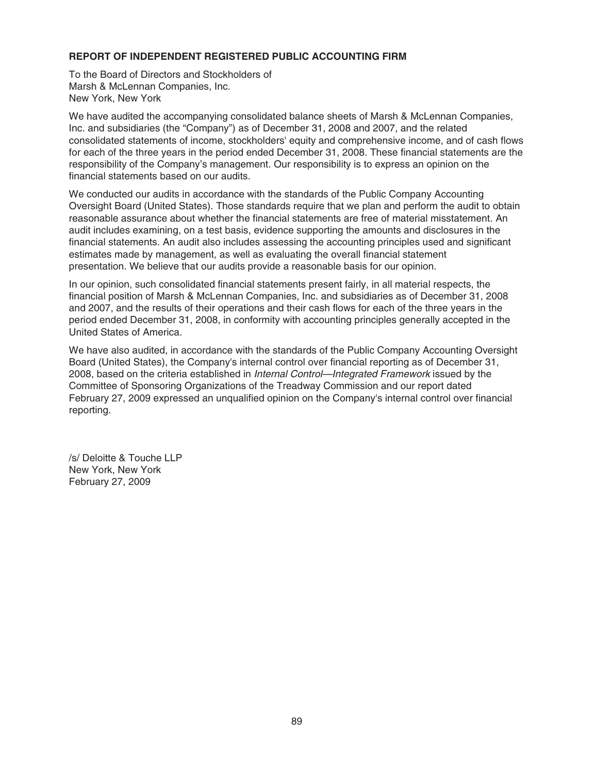## **REPORT OF INDEPENDENT REGISTERED PUBLIC ACCOUNTING FIRM**

To the Board of Directors and Stockholders of Marsh & McLennan Companies, Inc. New York, New York

We have audited the accompanying consolidated balance sheets of Marsh & McLennan Companies, Inc. and subsidiaries (the "Company") as of December 31, 2008 and 2007, and the related consolidated statements of income, stockholders' equity and comprehensive income, and of cash flows for each of the three years in the period ended December 31, 2008. These financial statements are the responsibility of the Company's management. Our responsibility is to express an opinion on the financial statements based on our audits.

We conducted our audits in accordance with the standards of the Public Company Accounting Oversight Board (United States). Those standards require that we plan and perform the audit to obtain reasonable assurance about whether the financial statements are free of material misstatement. An audit includes examining, on a test basis, evidence supporting the amounts and disclosures in the financial statements. An audit also includes assessing the accounting principles used and significant estimates made by management, as well as evaluating the overall financial statement presentation. We believe that our audits provide a reasonable basis for our opinion.

In our opinion, such consolidated financial statements present fairly, in all material respects, the financial position of Marsh & McLennan Companies, Inc. and subsidiaries as of December 31, 2008 and 2007, and the results of their operations and their cash flows for each of the three years in the period ended December 31, 2008, in conformity with accounting principles generally accepted in the United States of America.

We have also audited, in accordance with the standards of the Public Company Accounting Oversight Board (United States), the Company's internal control over financial reporting as of December 31, 2008, based on the criteria established in Internal Control—Integrated Framework issued by the Committee of Sponsoring Organizations of the Treadway Commission and our report dated February 27, 2009 expressed an unqualified opinion on the Company's internal control over financial reporting.

/s/ Deloitte & Touche LLP New York, New York February 27, 2009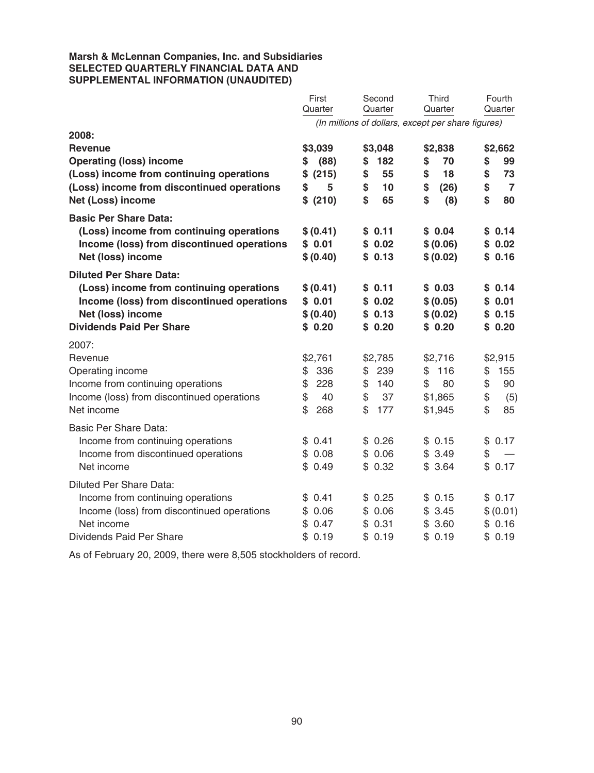### **Marsh & McLennan Companies, Inc. and Subsidiaries SELECTED QUARTERLY FINANCIAL DATA AND SUPPLEMENTAL INFORMATION (UNAUDITED)**

| Quarter<br>Quarter<br>Quarter<br>Quarter<br>(In millions of dollars, except per share figures)<br>2008:<br>\$3,039<br>\$3,048<br>\$2,838<br>\$2,662<br><b>Revenue</b><br>(88)<br>\$<br>182<br>\$<br>70<br>\$<br><b>Operating (loss) income</b><br>99<br>\$<br>\$<br>\$<br>(Loss) income from continuing operations<br>(215)<br>\$<br>55<br>18<br>73<br>\$<br>\$<br>\$<br>\$<br>(Loss) income from discontinued operations<br>10<br>$\overline{7}$<br>\$<br>5<br>(26)<br>\$<br>\$<br>\$<br><b>Net (Loss) income</b><br>(210)<br>65<br>80<br>\$<br>(8)<br><b>Basic Per Share Data:</b><br>(Loss) income from continuing operations<br>\$ (0.41)<br>\$0.11<br>\$0.04<br>\$<br>0.14<br>Income (loss) from discontinued operations<br>\$0.01<br>\$ (0.06)<br>\$0.02<br>0.02<br>\$ |
|------------------------------------------------------------------------------------------------------------------------------------------------------------------------------------------------------------------------------------------------------------------------------------------------------------------------------------------------------------------------------------------------------------------------------------------------------------------------------------------------------------------------------------------------------------------------------------------------------------------------------------------------------------------------------------------------------------------------------------------------------------------------------|
|                                                                                                                                                                                                                                                                                                                                                                                                                                                                                                                                                                                                                                                                                                                                                                              |
|                                                                                                                                                                                                                                                                                                                                                                                                                                                                                                                                                                                                                                                                                                                                                                              |
|                                                                                                                                                                                                                                                                                                                                                                                                                                                                                                                                                                                                                                                                                                                                                                              |
|                                                                                                                                                                                                                                                                                                                                                                                                                                                                                                                                                                                                                                                                                                                                                                              |
|                                                                                                                                                                                                                                                                                                                                                                                                                                                                                                                                                                                                                                                                                                                                                                              |
|                                                                                                                                                                                                                                                                                                                                                                                                                                                                                                                                                                                                                                                                                                                                                                              |
|                                                                                                                                                                                                                                                                                                                                                                                                                                                                                                                                                                                                                                                                                                                                                                              |
|                                                                                                                                                                                                                                                                                                                                                                                                                                                                                                                                                                                                                                                                                                                                                                              |
|                                                                                                                                                                                                                                                                                                                                                                                                                                                                                                                                                                                                                                                                                                                                                                              |
|                                                                                                                                                                                                                                                                                                                                                                                                                                                                                                                                                                                                                                                                                                                                                                              |
|                                                                                                                                                                                                                                                                                                                                                                                                                                                                                                                                                                                                                                                                                                                                                                              |
| \$ (0.02)<br>Net (loss) income<br>\$ (0.40)<br>\$0.13<br>\$<br>0.16                                                                                                                                                                                                                                                                                                                                                                                                                                                                                                                                                                                                                                                                                                          |
| <b>Diluted Per Share Data:</b>                                                                                                                                                                                                                                                                                                                                                                                                                                                                                                                                                                                                                                                                                                                                               |
| (Loss) income from continuing operations<br>\$ (0.41)<br>\$0.11<br>\$0.03<br>S<br>0.14                                                                                                                                                                                                                                                                                                                                                                                                                                                                                                                                                                                                                                                                                       |
| Income (loss) from discontinued operations<br>\$ (0.05)<br>\$0.01<br>\$0.02<br>\$<br>0.01                                                                                                                                                                                                                                                                                                                                                                                                                                                                                                                                                                                                                                                                                    |
| Net (loss) income<br>\$ (0.02)<br>\$ (0.40)<br>\$0.13<br>\$<br>0.15                                                                                                                                                                                                                                                                                                                                                                                                                                                                                                                                                                                                                                                                                                          |
| \$0.20<br><b>Dividends Paid Per Share</b><br>\$0.20<br>0.20<br>\$<br>S<br>0.20                                                                                                                                                                                                                                                                                                                                                                                                                                                                                                                                                                                                                                                                                               |
| 2007:                                                                                                                                                                                                                                                                                                                                                                                                                                                                                                                                                                                                                                                                                                                                                                        |
| \$2,761<br>\$2,785<br>\$2,716<br>\$2,915<br>Revenue                                                                                                                                                                                                                                                                                                                                                                                                                                                                                                                                                                                                                                                                                                                          |
| 239<br>116<br>\$<br>\$<br>336<br>\$<br>\$<br>155<br>Operating income                                                                                                                                                                                                                                                                                                                                                                                                                                                                                                                                                                                                                                                                                                         |
| \$<br>\$<br>\$<br>Income from continuing operations<br>\$<br>228<br>140<br>80<br>90                                                                                                                                                                                                                                                                                                                                                                                                                                                                                                                                                                                                                                                                                          |
| \$<br>\$<br>\$<br>Income (loss) from discontinued operations<br>40<br>37<br>\$1,865<br>(5)                                                                                                                                                                                                                                                                                                                                                                                                                                                                                                                                                                                                                                                                                   |
| \$<br>\$<br>\$<br>85<br>Net income<br>268<br>177<br>\$1,945                                                                                                                                                                                                                                                                                                                                                                                                                                                                                                                                                                                                                                                                                                                  |
| Basic Per Share Data:                                                                                                                                                                                                                                                                                                                                                                                                                                                                                                                                                                                                                                                                                                                                                        |
| 0.17<br>Income from continuing operations<br>\$0.41<br>\$0.26<br>\$0.15<br>\$                                                                                                                                                                                                                                                                                                                                                                                                                                                                                                                                                                                                                                                                                                |
| Income from discontinued operations<br>\$3.49<br>\$0.08<br>\$0.06<br>\$                                                                                                                                                                                                                                                                                                                                                                                                                                                                                                                                                                                                                                                                                                      |
| \$0.32<br>\$3.64<br>\$<br>Net income<br>\$0.49<br>0.17                                                                                                                                                                                                                                                                                                                                                                                                                                                                                                                                                                                                                                                                                                                       |
| Diluted Per Share Data:                                                                                                                                                                                                                                                                                                                                                                                                                                                                                                                                                                                                                                                                                                                                                      |
| Income from continuing operations<br>\$0.25<br>\$0.15<br>\$0.17<br>0.41<br>S.                                                                                                                                                                                                                                                                                                                                                                                                                                                                                                                                                                                                                                                                                                |
| Income (loss) from discontinued operations<br>\$0.06<br>\$3.45<br>\$(0.01)<br>0.06<br>\$.                                                                                                                                                                                                                                                                                                                                                                                                                                                                                                                                                                                                                                                                                    |
| Net income<br>\$0.31<br>\$3.60<br>\$0.16<br>\$0.47                                                                                                                                                                                                                                                                                                                                                                                                                                                                                                                                                                                                                                                                                                                           |
| Dividends Paid Per Share<br>0.19<br>\$0.19<br>\$0.19<br>\$<br>0.19<br>\$                                                                                                                                                                                                                                                                                                                                                                                                                                                                                                                                                                                                                                                                                                     |

As of February 20, 2009, there were 8,505 stockholders of record.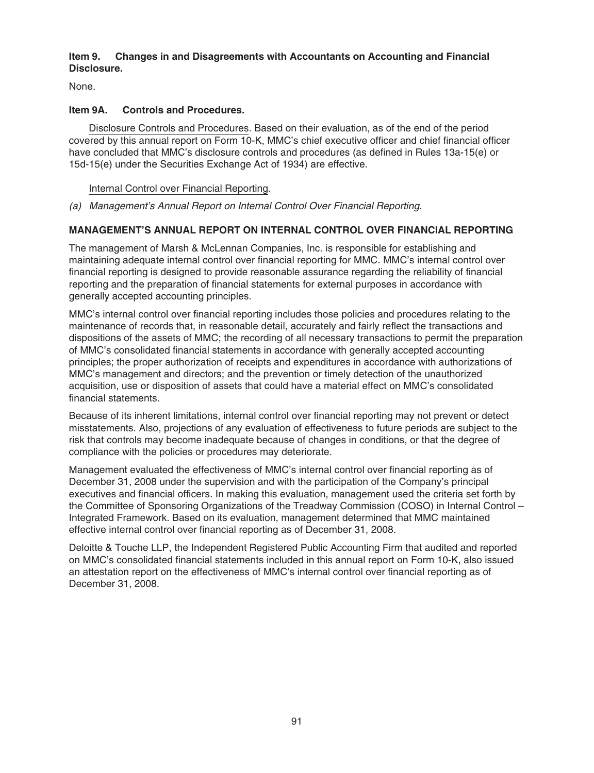### **Item 9. Changes in and Disagreements with Accountants on Accounting and Financial Disclosure.**

None.

### **Item 9A. Controls and Procedures.**

Disclosure Controls and Procedures. Based on their evaluation, as of the end of the period covered by this annual report on Form 10-K, MMC's chief executive officer and chief financial officer have concluded that MMC's disclosure controls and procedures (as defined in Rules 13a-15(e) or 15d-15(e) under the Securities Exchange Act of 1934) are effective.

Internal Control over Financial Reporting.

(a) Management's Annual Report on Internal Control Over Financial Reporting.

### **MANAGEMENT'S ANNUAL REPORT ON INTERNAL CONTROL OVER FINANCIAL REPORTING**

The management of Marsh & McLennan Companies, Inc. is responsible for establishing and maintaining adequate internal control over financial reporting for MMC. MMC's internal control over financial reporting is designed to provide reasonable assurance regarding the reliability of financial reporting and the preparation of financial statements for external purposes in accordance with generally accepted accounting principles.

MMC's internal control over financial reporting includes those policies and procedures relating to the maintenance of records that, in reasonable detail, accurately and fairly reflect the transactions and dispositions of the assets of MMC; the recording of all necessary transactions to permit the preparation of MMC's consolidated financial statements in accordance with generally accepted accounting principles; the proper authorization of receipts and expenditures in accordance with authorizations of MMC's management and directors; and the prevention or timely detection of the unauthorized acquisition, use or disposition of assets that could have a material effect on MMC's consolidated financial statements.

Because of its inherent limitations, internal control over financial reporting may not prevent or detect misstatements. Also, projections of any evaluation of effectiveness to future periods are subject to the risk that controls may become inadequate because of changes in conditions, or that the degree of compliance with the policies or procedures may deteriorate.

Management evaluated the effectiveness of MMC's internal control over financial reporting as of December 31, 2008 under the supervision and with the participation of the Company's principal executives and financial officers. In making this evaluation, management used the criteria set forth by the Committee of Sponsoring Organizations of the Treadway Commission (COSO) in Internal Control – Integrated Framework. Based on its evaluation, management determined that MMC maintained effective internal control over financial reporting as of December 31, 2008.

Deloitte & Touche LLP, the Independent Registered Public Accounting Firm that audited and reported on MMC's consolidated financial statements included in this annual report on Form 10-K, also issued an attestation report on the effectiveness of MMC's internal control over financial reporting as of December 31, 2008.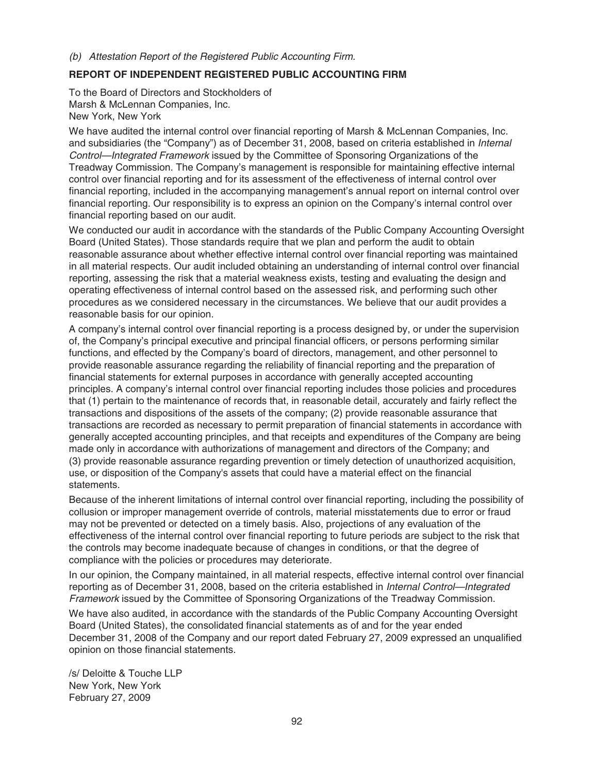#### **REPORT OF INDEPENDENT REGISTERED PUBLIC ACCOUNTING FIRM**

To the Board of Directors and Stockholders of Marsh & McLennan Companies, Inc. New York, New York

We have audited the internal control over financial reporting of Marsh & McLennan Companies, Inc. and subsidiaries (the "Company") as of December 31, 2008, based on criteria established in Internal Control—Integrated Framework issued by the Committee of Sponsoring Organizations of the Treadway Commission. The Company's management is responsible for maintaining effective internal control over financial reporting and for its assessment of the effectiveness of internal control over financial reporting, included in the accompanying management's annual report on internal control over financial reporting. Our responsibility is to express an opinion on the Company's internal control over financial reporting based on our audit.

We conducted our audit in accordance with the standards of the Public Company Accounting Oversight Board (United States). Those standards require that we plan and perform the audit to obtain reasonable assurance about whether effective internal control over financial reporting was maintained in all material respects. Our audit included obtaining an understanding of internal control over financial reporting, assessing the risk that a material weakness exists, testing and evaluating the design and operating effectiveness of internal control based on the assessed risk, and performing such other procedures as we considered necessary in the circumstances. We believe that our audit provides a reasonable basis for our opinion.

A company's internal control over financial reporting is a process designed by, or under the supervision of, the Company's principal executive and principal financial officers, or persons performing similar functions, and effected by the Company's board of directors, management, and other personnel to provide reasonable assurance regarding the reliability of financial reporting and the preparation of financial statements for external purposes in accordance with generally accepted accounting principles. A company's internal control over financial reporting includes those policies and procedures that (1) pertain to the maintenance of records that, in reasonable detail, accurately and fairly reflect the transactions and dispositions of the assets of the company; (2) provide reasonable assurance that transactions are recorded as necessary to permit preparation of financial statements in accordance with generally accepted accounting principles, and that receipts and expenditures of the Company are being made only in accordance with authorizations of management and directors of the Company; and (3) provide reasonable assurance regarding prevention or timely detection of unauthorized acquisition, use, or disposition of the Company's assets that could have a material effect on the financial statements.

Because of the inherent limitations of internal control over financial reporting, including the possibility of collusion or improper management override of controls, material misstatements due to error or fraud may not be prevented or detected on a timely basis. Also, projections of any evaluation of the effectiveness of the internal control over financial reporting to future periods are subject to the risk that the controls may become inadequate because of changes in conditions, or that the degree of compliance with the policies or procedures may deteriorate.

In our opinion, the Company maintained, in all material respects, effective internal control over financial reporting as of December 31, 2008, based on the criteria established in Internal Control—Integrated Framework issued by the Committee of Sponsoring Organizations of the Treadway Commission.

We have also audited, in accordance with the standards of the Public Company Accounting Oversight Board (United States), the consolidated financial statements as of and for the year ended December 31, 2008 of the Company and our report dated February 27, 2009 expressed an unqualified opinion on those financial statements.

/s/ Deloitte & Touche LLP New York, New York February 27, 2009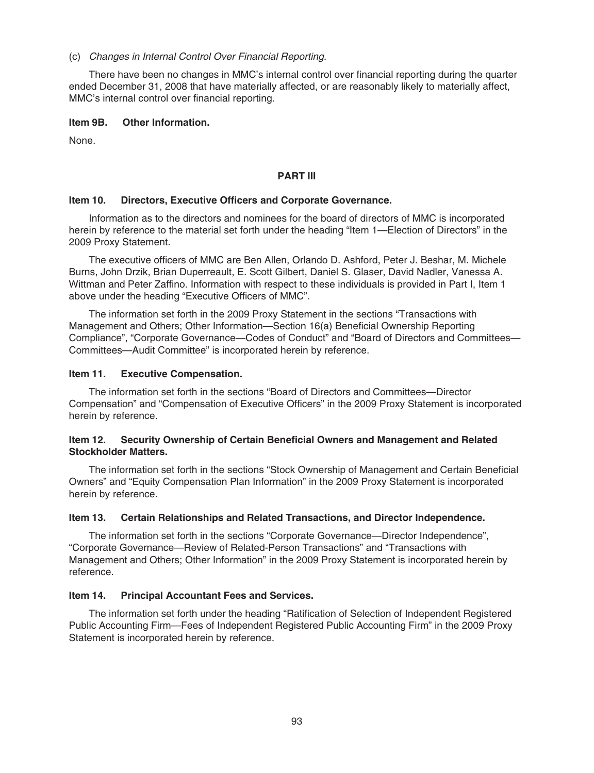#### (c) Changes in Internal Control Over Financial Reporting.

There have been no changes in MMC's internal control over financial reporting during the quarter ended December 31, 2008 that have materially affected, or are reasonably likely to materially affect, MMC's internal control over financial reporting.

#### **Item 9B. Other Information.**

None.

#### **PART III**

#### **Item 10. Directors, Executive Officers and Corporate Governance.**

Information as to the directors and nominees for the board of directors of MMC is incorporated herein by reference to the material set forth under the heading "Item 1—Election of Directors" in the 2009 Proxy Statement.

The executive officers of MMC are Ben Allen, Orlando D. Ashford, Peter J. Beshar, M. Michele Burns, John Drzik, Brian Duperreault, E. Scott Gilbert, Daniel S. Glaser, David Nadler, Vanessa A. Wittman and Peter Zaffino. Information with respect to these individuals is provided in Part I, Item 1 above under the heading "Executive Officers of MMC".

The information set forth in the 2009 Proxy Statement in the sections "Transactions with Management and Others; Other Information—Section 16(a) Beneficial Ownership Reporting Compliance", "Corporate Governance—Codes of Conduct" and "Board of Directors and Committees— Committees—Audit Committee" is incorporated herein by reference.

#### **Item 11. Executive Compensation.**

The information set forth in the sections "Board of Directors and Committees—Director Compensation" and "Compensation of Executive Officers" in the 2009 Proxy Statement is incorporated herein by reference.

#### **Item 12. Security Ownership of Certain Beneficial Owners and Management and Related Stockholder Matters.**

The information set forth in the sections "Stock Ownership of Management and Certain Beneficial Owners" and "Equity Compensation Plan Information" in the 2009 Proxy Statement is incorporated herein by reference.

#### **Item 13. Certain Relationships and Related Transactions, and Director Independence.**

The information set forth in the sections "Corporate Governance—Director Independence", "Corporate Governance—Review of Related-Person Transactions" and "Transactions with Management and Others; Other Information" in the 2009 Proxy Statement is incorporated herein by reference.

#### **Item 14. Principal Accountant Fees and Services.**

The information set forth under the heading "Ratification of Selection of Independent Registered Public Accounting Firm—Fees of Independent Registered Public Accounting Firm" in the 2009 Proxy Statement is incorporated herein by reference.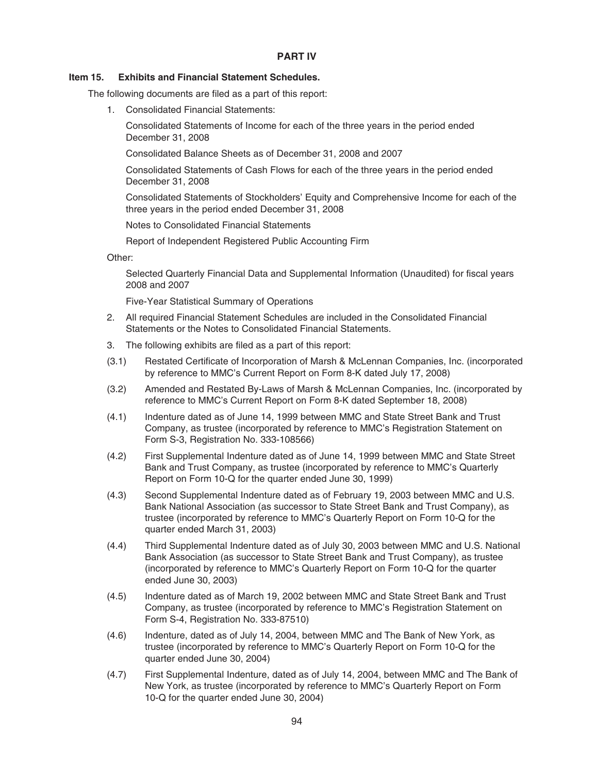#### **PART IV**

#### **Item 15. Exhibits and Financial Statement Schedules.**

The following documents are filed as a part of this report:

1. Consolidated Financial Statements:

Consolidated Statements of Income for each of the three years in the period ended December 31, 2008

Consolidated Balance Sheets as of December 31, 2008 and 2007

Consolidated Statements of Cash Flows for each of the three years in the period ended December 31, 2008

Consolidated Statements of Stockholders' Equity and Comprehensive Income for each of the three years in the period ended December 31, 2008

Notes to Consolidated Financial Statements

Report of Independent Registered Public Accounting Firm

Other:

Selected Quarterly Financial Data and Supplemental Information (Unaudited) for fiscal years 2008 and 2007

Five-Year Statistical Summary of Operations

- 2. All required Financial Statement Schedules are included in the Consolidated Financial Statements or the Notes to Consolidated Financial Statements.
- 3. The following exhibits are filed as a part of this report:
- (3.1) Restated Certificate of Incorporation of Marsh & McLennan Companies, Inc. (incorporated by reference to MMC's Current Report on Form 8-K dated July 17, 2008)
- (3.2) Amended and Restated By-Laws of Marsh & McLennan Companies, Inc. (incorporated by reference to MMC's Current Report on Form 8-K dated September 18, 2008)
- (4.1) Indenture dated as of June 14, 1999 between MMC and State Street Bank and Trust Company, as trustee (incorporated by reference to MMC's Registration Statement on Form S-3, Registration No. 333-108566)
- (4.2) First Supplemental Indenture dated as of June 14, 1999 between MMC and State Street Bank and Trust Company, as trustee (incorporated by reference to MMC's Quarterly Report on Form 10-Q for the quarter ended June 30, 1999)
- (4.3) Second Supplemental Indenture dated as of February 19, 2003 between MMC and U.S. Bank National Association (as successor to State Street Bank and Trust Company), as trustee (incorporated by reference to MMC's Quarterly Report on Form 10-Q for the quarter ended March 31, 2003)
- (4.4) Third Supplemental Indenture dated as of July 30, 2003 between MMC and U.S. National Bank Association (as successor to State Street Bank and Trust Company), as trustee (incorporated by reference to MMC's Quarterly Report on Form 10-Q for the quarter ended June 30, 2003)
- (4.5) Indenture dated as of March 19, 2002 between MMC and State Street Bank and Trust Company, as trustee (incorporated by reference to MMC's Registration Statement on Form S-4, Registration No. 333-87510)
- (4.6) Indenture, dated as of July 14, 2004, between MMC and The Bank of New York, as trustee (incorporated by reference to MMC's Quarterly Report on Form 10-Q for the quarter ended June 30, 2004)
- (4.7) First Supplemental Indenture, dated as of July 14, 2004, between MMC and The Bank of New York, as trustee (incorporated by reference to MMC's Quarterly Report on Form 10-Q for the quarter ended June 30, 2004)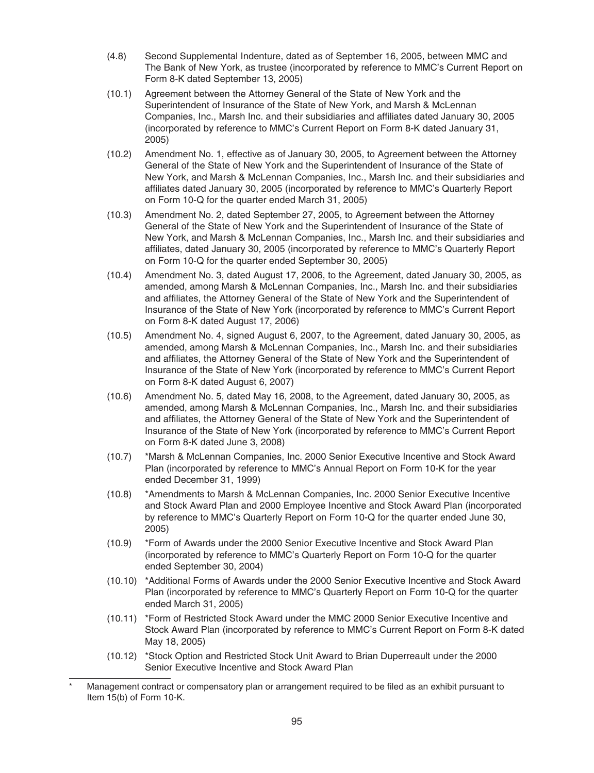- (4.8) Second Supplemental Indenture, dated as of September 16, 2005, between MMC and The Bank of New York, as trustee (incorporated by reference to MMC's Current Report on Form 8-K dated September 13, 2005)
- (10.1) Agreement between the Attorney General of the State of New York and the Superintendent of Insurance of the State of New York, and Marsh & McLennan Companies, Inc., Marsh Inc. and their subsidiaries and affiliates dated January 30, 2005 (incorporated by reference to MMC's Current Report on Form 8-K dated January 31, 2005)
- (10.2) Amendment No. 1, effective as of January 30, 2005, to Agreement between the Attorney General of the State of New York and the Superintendent of Insurance of the State of New York, and Marsh & McLennan Companies, Inc., Marsh Inc. and their subsidiaries and affiliates dated January 30, 2005 (incorporated by reference to MMC's Quarterly Report on Form 10-Q for the quarter ended March 31, 2005)
- (10.3) Amendment No. 2, dated September 27, 2005, to Agreement between the Attorney General of the State of New York and the Superintendent of Insurance of the State of New York, and Marsh & McLennan Companies, Inc., Marsh Inc. and their subsidiaries and affiliates, dated January 30, 2005 (incorporated by reference to MMC's Quarterly Report on Form 10-Q for the quarter ended September 30, 2005)
- (10.4) Amendment No. 3, dated August 17, 2006, to the Agreement, dated January 30, 2005, as amended, among Marsh & McLennan Companies, Inc., Marsh Inc. and their subsidiaries and affiliates, the Attorney General of the State of New York and the Superintendent of Insurance of the State of New York (incorporated by reference to MMC's Current Report on Form 8-K dated August 17, 2006)
- (10.5) Amendment No. 4, signed August 6, 2007, to the Agreement, dated January 30, 2005, as amended, among Marsh & McLennan Companies, Inc., Marsh Inc. and their subsidiaries and affiliates, the Attorney General of the State of New York and the Superintendent of Insurance of the State of New York (incorporated by reference to MMC's Current Report on Form 8-K dated August 6, 2007)
- (10.6) Amendment No. 5, dated May 16, 2008, to the Agreement, dated January 30, 2005, as amended, among Marsh & McLennan Companies, Inc., Marsh Inc. and their subsidiaries and affiliates, the Attorney General of the State of New York and the Superintendent of Insurance of the State of New York (incorporated by reference to MMC's Current Report on Form 8-K dated June 3, 2008)
- (10.7) \*Marsh & McLennan Companies, Inc. 2000 Senior Executive Incentive and Stock Award Plan (incorporated by reference to MMC's Annual Report on Form 10-K for the year ended December 31, 1999)
- (10.8) \*Amendments to Marsh & McLennan Companies, Inc. 2000 Senior Executive Incentive and Stock Award Plan and 2000 Employee Incentive and Stock Award Plan (incorporated by reference to MMC's Quarterly Report on Form 10-Q for the quarter ended June 30, 2005)
- (10.9) \*Form of Awards under the 2000 Senior Executive Incentive and Stock Award Plan (incorporated by reference to MMC's Quarterly Report on Form 10-Q for the quarter ended September 30, 2004)
- (10.10) \*Additional Forms of Awards under the 2000 Senior Executive Incentive and Stock Award Plan (incorporated by reference to MMC's Quarterly Report on Form 10-Q for the quarter ended March 31, 2005)
- (10.11) \*Form of Restricted Stock Award under the MMC 2000 Senior Executive Incentive and Stock Award Plan (incorporated by reference to MMC's Current Report on Form 8-K dated May 18, 2005)
- (10.12) \*Stock Option and Restricted Stock Unit Award to Brian Duperreault under the 2000 Senior Executive Incentive and Stock Award Plan

Management contract or compensatory plan or arrangement required to be filed as an exhibit pursuant to Item 15(b) of Form 10-K.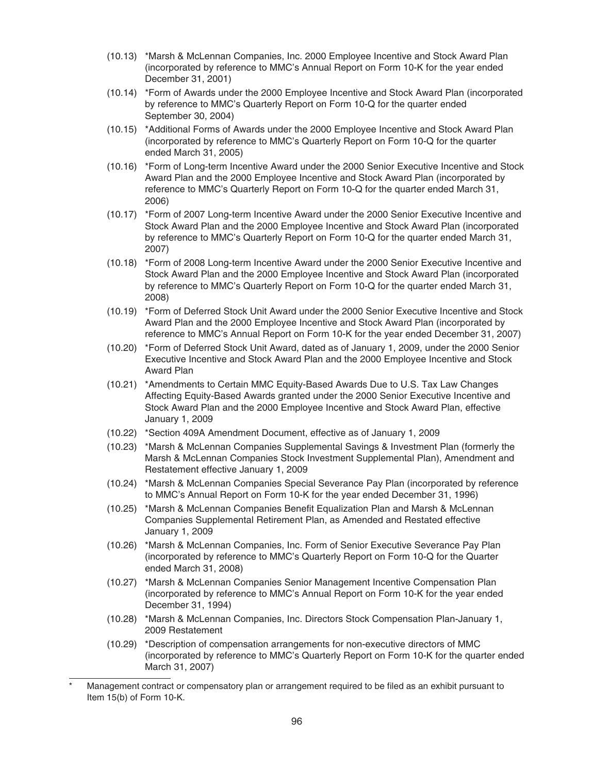- (10.13) \*Marsh & McLennan Companies, Inc. 2000 Employee Incentive and Stock Award Plan (incorporated by reference to MMC's Annual Report on Form 10-K for the year ended December 31, 2001)
- (10.14) \*Form of Awards under the 2000 Employee Incentive and Stock Award Plan (incorporated by reference to MMC's Quarterly Report on Form 10-Q for the quarter ended September 30, 2004)
- (10.15) \*Additional Forms of Awards under the 2000 Employee Incentive and Stock Award Plan (incorporated by reference to MMC's Quarterly Report on Form 10-Q for the quarter ended March 31, 2005)
- (10.16) \*Form of Long-term Incentive Award under the 2000 Senior Executive Incentive and Stock Award Plan and the 2000 Employee Incentive and Stock Award Plan (incorporated by reference to MMC's Quarterly Report on Form 10-Q for the quarter ended March 31, 2006)
- (10.17) \*Form of 2007 Long-term Incentive Award under the 2000 Senior Executive Incentive and Stock Award Plan and the 2000 Employee Incentive and Stock Award Plan (incorporated by reference to MMC's Quarterly Report on Form 10-Q for the quarter ended March 31, 2007)
- (10.18) \*Form of 2008 Long-term Incentive Award under the 2000 Senior Executive Incentive and Stock Award Plan and the 2000 Employee Incentive and Stock Award Plan (incorporated by reference to MMC's Quarterly Report on Form 10-Q for the quarter ended March 31, 2008)
- (10.19) \*Form of Deferred Stock Unit Award under the 2000 Senior Executive Incentive and Stock Award Plan and the 2000 Employee Incentive and Stock Award Plan (incorporated by reference to MMC's Annual Report on Form 10-K for the year ended December 31, 2007)
- (10.20) \*Form of Deferred Stock Unit Award, dated as of January 1, 2009, under the 2000 Senior Executive Incentive and Stock Award Plan and the 2000 Employee Incentive and Stock Award Plan
- (10.21) \*Amendments to Certain MMC Equity-Based Awards Due to U.S. Tax Law Changes Affecting Equity-Based Awards granted under the 2000 Senior Executive Incentive and Stock Award Plan and the 2000 Employee Incentive and Stock Award Plan, effective January 1, 2009
- (10.22) \*Section 409A Amendment Document, effective as of January 1, 2009
- (10.23) \*Marsh & McLennan Companies Supplemental Savings & Investment Plan (formerly the Marsh & McLennan Companies Stock Investment Supplemental Plan), Amendment and Restatement effective January 1, 2009
- (10.24) \*Marsh & McLennan Companies Special Severance Pay Plan (incorporated by reference to MMC's Annual Report on Form 10-K for the year ended December 31, 1996)
- (10.25) \*Marsh & McLennan Companies Benefit Equalization Plan and Marsh & McLennan Companies Supplemental Retirement Plan, as Amended and Restated effective January 1, 2009
- (10.26) \*Marsh & McLennan Companies, Inc. Form of Senior Executive Severance Pay Plan (incorporated by reference to MMC's Quarterly Report on Form 10-Q for the Quarter ended March 31, 2008)
- (10.27) \*Marsh & McLennan Companies Senior Management Incentive Compensation Plan (incorporated by reference to MMC's Annual Report on Form 10-K for the year ended December 31, 1994)
- (10.28) \*Marsh & McLennan Companies, Inc. Directors Stock Compensation Plan-January 1, 2009 Restatement
- (10.29) \*Description of compensation arrangements for non-executive directors of MMC (incorporated by reference to MMC's Quarterly Report on Form 10-K for the quarter ended March 31, 2007)

Management contract or compensatory plan or arrangement required to be filed as an exhibit pursuant to Item 15(b) of Form 10-K.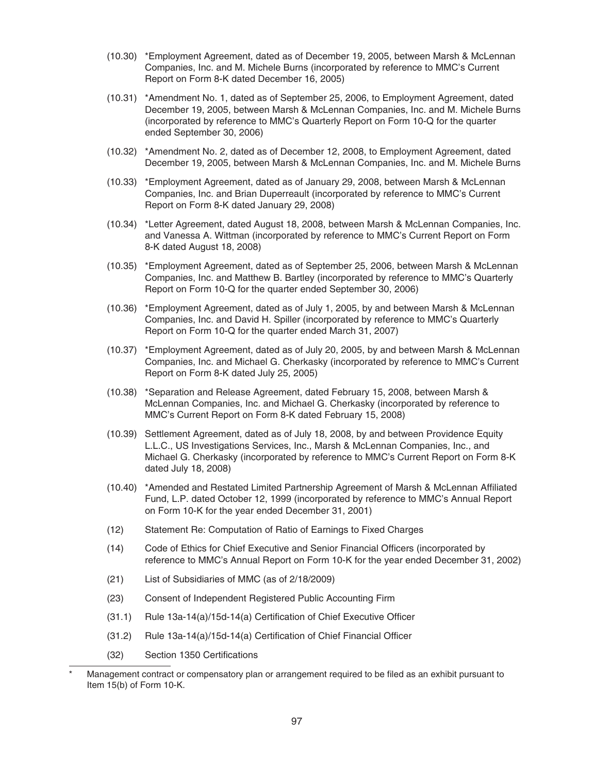- (10.30) \*Employment Agreement, dated as of December 19, 2005, between Marsh & McLennan Companies, Inc. and M. Michele Burns (incorporated by reference to MMC's Current Report on Form 8-K dated December 16, 2005)
- (10.31) \*Amendment No. 1, dated as of September 25, 2006, to Employment Agreement, dated December 19, 2005, between Marsh & McLennan Companies, Inc. and M. Michele Burns (incorporated by reference to MMC's Quarterly Report on Form 10-Q for the quarter ended September 30, 2006)
- (10.32) \*Amendment No. 2, dated as of December 12, 2008, to Employment Agreement, dated December 19, 2005, between Marsh & McLennan Companies, Inc. and M. Michele Burns
- (10.33) \*Employment Agreement, dated as of January 29, 2008, between Marsh & McLennan Companies, Inc. and Brian Duperreault (incorporated by reference to MMC's Current Report on Form 8-K dated January 29, 2008)
- (10.34) \*Letter Agreement, dated August 18, 2008, between Marsh & McLennan Companies, Inc. and Vanessa A. Wittman (incorporated by reference to MMC's Current Report on Form 8-K dated August 18, 2008)
- (10.35) \*Employment Agreement, dated as of September 25, 2006, between Marsh & McLennan Companies, Inc. and Matthew B. Bartley (incorporated by reference to MMC's Quarterly Report on Form 10-Q for the quarter ended September 30, 2006)
- (10.36) \*Employment Agreement, dated as of July 1, 2005, by and between Marsh & McLennan Companies, Inc. and David H. Spiller (incorporated by reference to MMC's Quarterly Report on Form 10-Q for the quarter ended March 31, 2007)
- (10.37) \*Employment Agreement, dated as of July 20, 2005, by and between Marsh & McLennan Companies, Inc. and Michael G. Cherkasky (incorporated by reference to MMC's Current Report on Form 8-K dated July 25, 2005)
- (10.38) \*Separation and Release Agreement, dated February 15, 2008, between Marsh & McLennan Companies, Inc. and Michael G. Cherkasky (incorporated by reference to MMC's Current Report on Form 8-K dated February 15, 2008)
- (10.39) Settlement Agreement, dated as of July 18, 2008, by and between Providence Equity L.L.C., US Investigations Services, Inc., Marsh & McLennan Companies, Inc., and Michael G. Cherkasky (incorporated by reference to MMC's Current Report on Form 8-K dated July 18, 2008)
- (10.40) \*Amended and Restated Limited Partnership Agreement of Marsh & McLennan Affiliated Fund, L.P. dated October 12, 1999 (incorporated by reference to MMC's Annual Report on Form 10-K for the year ended December 31, 2001)
- (12) Statement Re: Computation of Ratio of Earnings to Fixed Charges
- (14) Code of Ethics for Chief Executive and Senior Financial Officers (incorporated by reference to MMC's Annual Report on Form 10-K for the year ended December 31, 2002)
- (21) List of Subsidiaries of MMC (as of 2/18/2009)
- (23) Consent of Independent Registered Public Accounting Firm
- (31.1) Rule 13a-14(a)/15d-14(a) Certification of Chief Executive Officer
- (31.2) Rule 13a-14(a)/15d-14(a) Certification of Chief Financial Officer
- (32) Section 1350 Certifications

Management contract or compensatory plan or arrangement required to be filed as an exhibit pursuant to Item 15(b) of Form 10-K.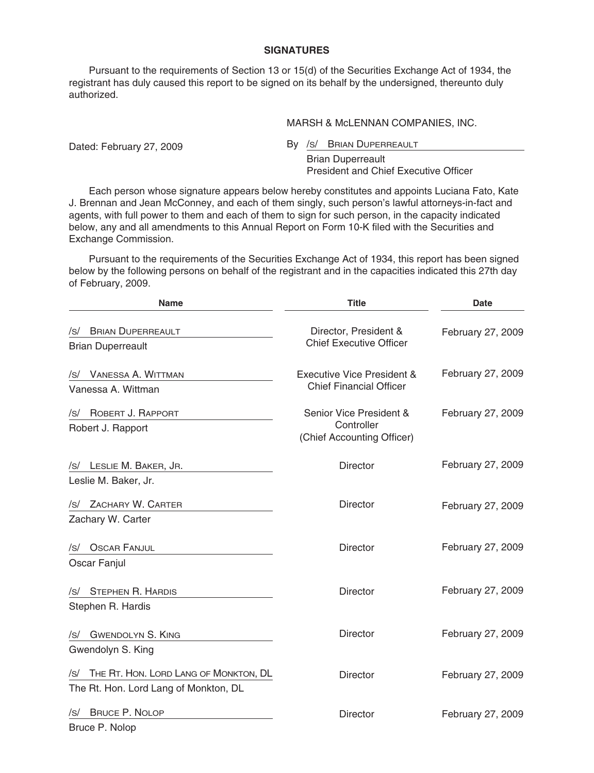#### **SIGNATURES**

Pursuant to the requirements of Section 13 or 15(d) of the Securities Exchange Act of 1934, the registrant has duly caused this report to be signed on its behalf by the undersigned, thereunto duly authorized.

MARSH & McLENNAN COMPANIES, INC.

Dated: February 27, 2009 By *Isl* Brian DuperReault

Brian Duperreault President and Chief Executive Officer

Each person whose signature appears below hereby constitutes and appoints Luciana Fato, Kate J. Brennan and Jean McConney, and each of them singly, such person's lawful attorneys-in-fact and agents, with full power to them and each of them to sign for such person, in the capacity indicated below, any and all amendments to this Annual Report on Form 10-K filed with the Securities and Exchange Commission.

Pursuant to the requirements of the Securities Exchange Act of 1934, this report has been signed below by the following persons on behalf of the registrant and in the capacities indicated this 27th day of February, 2009.

| <b>Name</b>                                                                           | <b>Title</b>                                                        | <b>Date</b>       |  |  |
|---------------------------------------------------------------------------------------|---------------------------------------------------------------------|-------------------|--|--|
| <b>BRIAN DUPERREAULT</b><br>/s/                                                       | Director, President &<br><b>Chief Executive Officer</b>             | February 27, 2009 |  |  |
| <b>Brian Duperreault</b>                                                              |                                                                     |                   |  |  |
| /S/ VANESSA A. WITTMAN<br>Vanessa A. Wittman                                          | Executive Vice President &<br><b>Chief Financial Officer</b>        | February 27, 2009 |  |  |
| ROBERT J. RAPPORT<br>/S/<br>Robert J. Rapport                                         | Senior Vice President &<br>Controller<br>(Chief Accounting Officer) | February 27, 2009 |  |  |
| /S/ LESLIE M. BAKER, JR.<br>Leslie M. Baker, Jr.                                      | <b>Director</b>                                                     | February 27, 2009 |  |  |
| ZACHARY W. CARTER<br>/S/<br>Zachary W. Carter                                         | <b>Director</b>                                                     | February 27, 2009 |  |  |
| <b>OSCAR FANJUL</b><br>/s/<br>Oscar Fanjul                                            | <b>Director</b>                                                     | February 27, 2009 |  |  |
| <b>STEPHEN R. HARDIS</b><br>/s/<br>Stephen R. Hardis                                  | <b>Director</b>                                                     | February 27, 2009 |  |  |
| <b>GWENDOLYN S. KING</b><br>/s/<br>Gwendolyn S. King                                  | <b>Director</b>                                                     | February 27, 2009 |  |  |
| THE RT. HON. LORD LANG OF MONKTON, DL<br>/s/<br>The Rt. Hon. Lord Lang of Monkton, DL | <b>Director</b>                                                     | February 27, 2009 |  |  |
| <b>BRUCE P. NOLOP</b><br>/s/<br>Bruce P. Nolop                                        | <b>Director</b>                                                     | February 27, 2009 |  |  |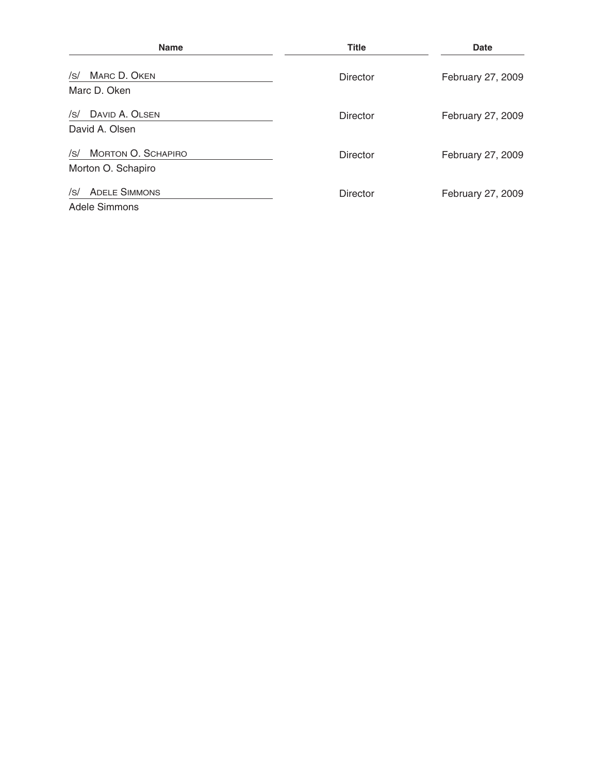| <b>Name</b>                                            | <b>Title</b>    | <b>Date</b>       |
|--------------------------------------------------------|-----------------|-------------------|
| MARC D. OKEN<br>/s/<br>Marc D. Oken                    | <b>Director</b> | February 27, 2009 |
| DAVID A. OLSEN<br>/s/<br>David A. Olsen                | Director        | February 27, 2009 |
| <b>MORTON O. SCHAPIRO</b><br>/s/<br>Morton O. Schapiro | Director        | February 27, 2009 |
| <b>ADELE SIMMONS</b><br>/s/<br>Adele Simmons           | <b>Director</b> | February 27, 2009 |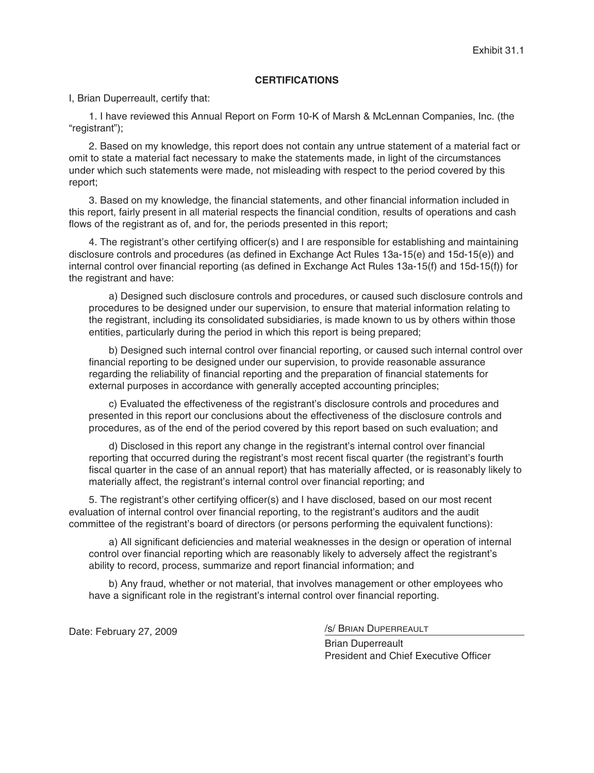## **CERTIFICATIONS**

I, Brian Duperreault, certify that:

1. I have reviewed this Annual Report on Form 10-K of Marsh & McLennan Companies, Inc. (the "registrant");

2. Based on my knowledge, this report does not contain any untrue statement of a material fact or omit to state a material fact necessary to make the statements made, in light of the circumstances under which such statements were made, not misleading with respect to the period covered by this report;

3. Based on my knowledge, the financial statements, and other financial information included in this report, fairly present in all material respects the financial condition, results of operations and cash flows of the registrant as of, and for, the periods presented in this report;

4. The registrant's other certifying officer(s) and I are responsible for establishing and maintaining disclosure controls and procedures (as defined in Exchange Act Rules 13a-15(e) and 15d-15(e)) and internal control over financial reporting (as defined in Exchange Act Rules 13a-15(f) and 15d-15(f)) for the registrant and have:

a) Designed such disclosure controls and procedures, or caused such disclosure controls and procedures to be designed under our supervision, to ensure that material information relating to the registrant, including its consolidated subsidiaries, is made known to us by others within those entities, particularly during the period in which this report is being prepared;

b) Designed such internal control over financial reporting, or caused such internal control over financial reporting to be designed under our supervision, to provide reasonable assurance regarding the reliability of financial reporting and the preparation of financial statements for external purposes in accordance with generally accepted accounting principles;

c) Evaluated the effectiveness of the registrant's disclosure controls and procedures and presented in this report our conclusions about the effectiveness of the disclosure controls and procedures, as of the end of the period covered by this report based on such evaluation; and

d) Disclosed in this report any change in the registrant's internal control over financial reporting that occurred during the registrant's most recent fiscal quarter (the registrant's fourth fiscal quarter in the case of an annual report) that has materially affected, or is reasonably likely to materially affect, the registrant's internal control over financial reporting; and

5. The registrant's other certifying officer(s) and I have disclosed, based on our most recent evaluation of internal control over financial reporting, to the registrant's auditors and the audit committee of the registrant's board of directors (or persons performing the equivalent functions):

a) All significant deficiencies and material weaknesses in the design or operation of internal control over financial reporting which are reasonably likely to adversely affect the registrant's ability to record, process, summarize and report financial information; and

b) Any fraud, whether or not material, that involves management or other employees who have a significant role in the registrant's internal control over financial reporting.

Date: February 27, 2009 **/s/ BRIAN DUPERREAULT** 

Brian Duperreault President and Chief Executive Officer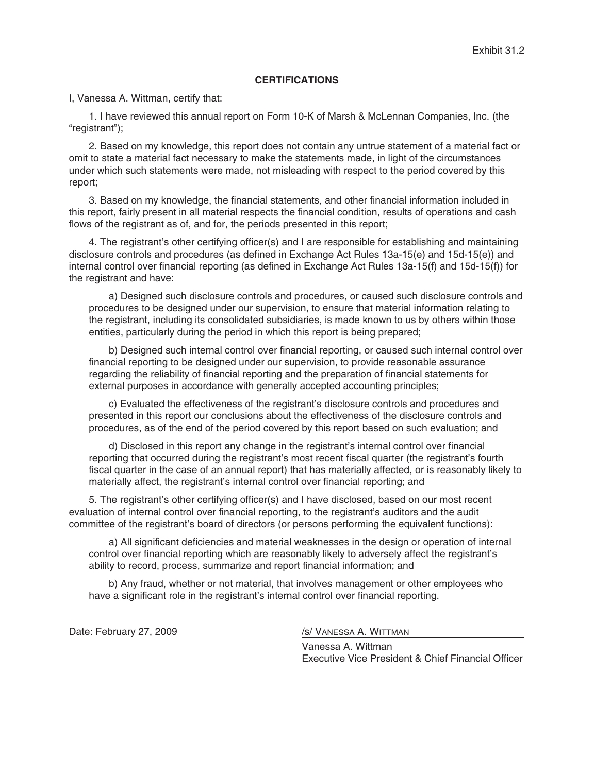## **CERTIFICATIONS**

I, Vanessa A. Wittman, certify that:

1. I have reviewed this annual report on Form 10-K of Marsh & McLennan Companies, Inc. (the "registrant");

2. Based on my knowledge, this report does not contain any untrue statement of a material fact or omit to state a material fact necessary to make the statements made, in light of the circumstances under which such statements were made, not misleading with respect to the period covered by this report;

3. Based on my knowledge, the financial statements, and other financial information included in this report, fairly present in all material respects the financial condition, results of operations and cash flows of the registrant as of, and for, the periods presented in this report;

4. The registrant's other certifying officer(s) and I are responsible for establishing and maintaining disclosure controls and procedures (as defined in Exchange Act Rules 13a-15(e) and 15d-15(e)) and internal control over financial reporting (as defined in Exchange Act Rules 13a-15(f) and 15d-15(f)) for the registrant and have:

a) Designed such disclosure controls and procedures, or caused such disclosure controls and procedures to be designed under our supervision, to ensure that material information relating to the registrant, including its consolidated subsidiaries, is made known to us by others within those entities, particularly during the period in which this report is being prepared;

b) Designed such internal control over financial reporting, or caused such internal control over financial reporting to be designed under our supervision, to provide reasonable assurance regarding the reliability of financial reporting and the preparation of financial statements for external purposes in accordance with generally accepted accounting principles;

c) Evaluated the effectiveness of the registrant's disclosure controls and procedures and presented in this report our conclusions about the effectiveness of the disclosure controls and procedures, as of the end of the period covered by this report based on such evaluation; and

d) Disclosed in this report any change in the registrant's internal control over financial reporting that occurred during the registrant's most recent fiscal quarter (the registrant's fourth fiscal quarter in the case of an annual report) that has materially affected, or is reasonably likely to materially affect, the registrant's internal control over financial reporting; and

5. The registrant's other certifying officer(s) and I have disclosed, based on our most recent evaluation of internal control over financial reporting, to the registrant's auditors and the audit committee of the registrant's board of directors (or persons performing the equivalent functions):

a) All significant deficiencies and material weaknesses in the design or operation of internal control over financial reporting which are reasonably likely to adversely affect the registrant's ability to record, process, summarize and report financial information; and

b) Any fraud, whether or not material, that involves management or other employees who have a significant role in the registrant's internal control over financial reporting.

Date: February 27, 2009 **/s/ VANESSA A. WITTMAN** 

Vanessa A. Wittman Executive Vice President & Chief Financial Officer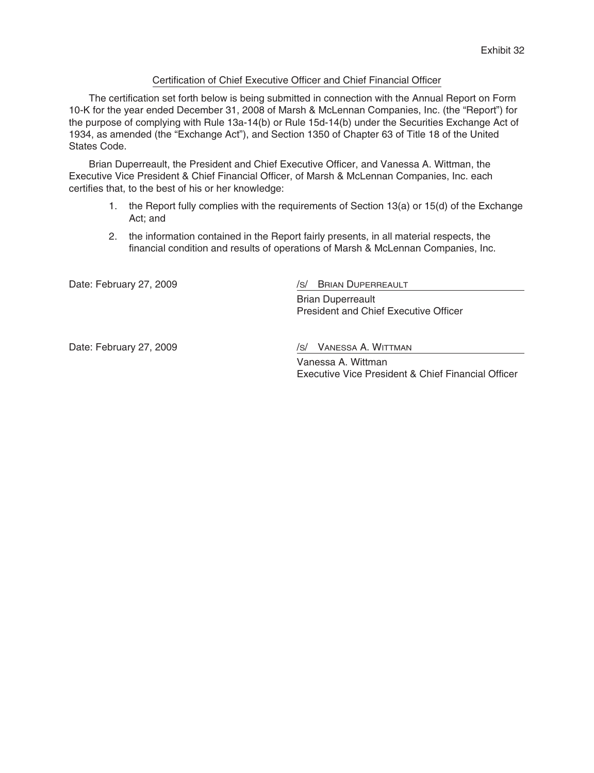## Certification of Chief Executive Officer and Chief Financial Officer

The certification set forth below is being submitted in connection with the Annual Report on Form 10-K for the year ended December 31, 2008 of Marsh & McLennan Companies, Inc. (the "Report") for the purpose of complying with Rule 13a-14(b) or Rule 15d-14(b) under the Securities Exchange Act of 1934, as amended (the "Exchange Act"), and Section 1350 of Chapter 63 of Title 18 of the United States Code.

Brian Duperreault, the President and Chief Executive Officer, and Vanessa A. Wittman, the Executive Vice President & Chief Financial Officer, of Marsh & McLennan Companies, Inc. each certifies that, to the best of his or her knowledge:

- 1. the Report fully complies with the requirements of Section 13(a) or 15(d) of the Exchange Act; and
- 2. the information contained in the Report fairly presents, in all material respects, the financial condition and results of operations of Marsh & McLennan Companies, Inc.

Date: February 27, 2009 **/S/ BRIAN DUPERREAULT** 

Brian Duperreault President and Chief Executive Officer

Date: February 27, 2009 **/S/ SEAU AND ANESSA A. WITTMAN** 

Vanessa A. Wittman Executive Vice President & Chief Financial Officer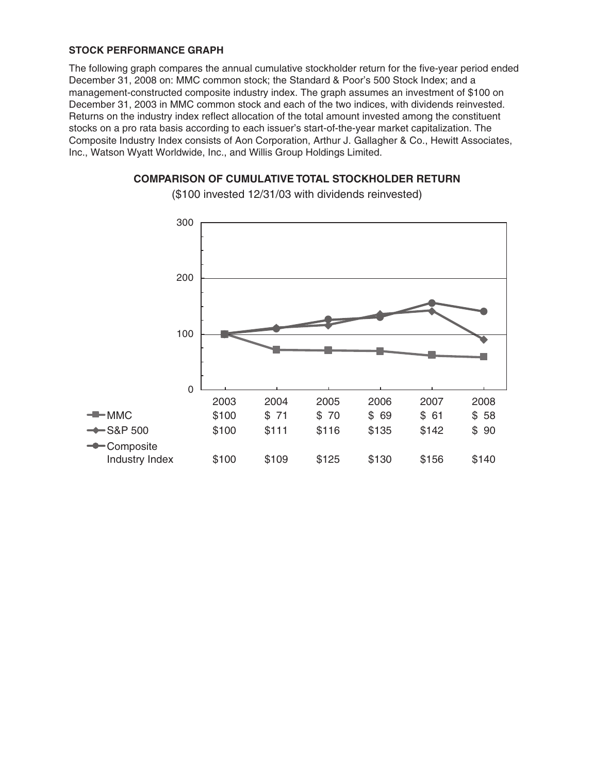## **STOCK PERFORMANCE GRAPH**

The following graph compares the annual cumulative stockholder return for the five-year period ended December 31, 2008 on: MMC common stock; the Standard & Poor's 500 Stock Index; and a management-constructed composite industry index. The graph assumes an investment of \$100 on December 31, 2003 in MMC common stock and each of the two indices, with dividends reinvested. Returns on the industry index reflect allocation of the total amount invested among the constituent stocks on a pro rata basis according to each issuer's start-of-the-year market capitalization. The Composite Industry Index consists of Aon Corporation, Arthur J. Gallagher & Co., Hewitt Associates, Inc., Watson Wyatt Worldwide, Inc., and Willis Group Holdings Limited.

## **COMPARISON OF CUMULATIVE TOTAL STOCKHOLDER RETURN**



(\$100 invested 12/31/03 with dividends reinvested)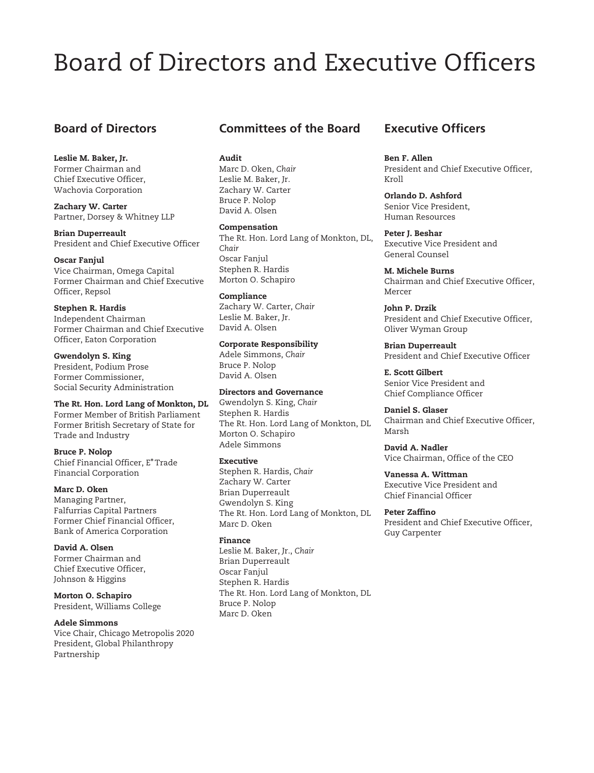# Board of Directors and Executive Officers

## **Board of Directors**

**Leslie M. Baker, Jr.** Former Chairman and Chief Executive Officer, Wachovia Corporation

**Zachary W. Carter** Partner, Dorsey & Whitney LLP

**Brian Duperreault** President and Chief Executive Officer

#### **Oscar Fanjul**

Vice Chairman, Omega Capital Former Chairman and Chief Executive Officer, Repsol

### **Stephen R. Hardis**

Independent Chairman Former Chairman and Chief Executive Officer, Eaton Corporation

#### **Gwendolyn S. King**

President, Podium Prose Former Commissioner, Social Security Administration

## **The Rt. Hon. Lord Lang of Monkton, DL**

Former Member of British Parliament Former British Secretary of State for Trade and Industry

**Bruce P. Nolop** Chief Financial Officer, E\*Trade Financial Corporation

#### **Marc D. Oken**

Managing Partner, Falfurrias Capital Partners Former Chief Financial Officer, Bank of America Corporation

**David A. Olsen** Former Chairman and Chief Executive Officer, Johnson & Higgins

**Morton O. Schapiro** President, Williams College

**Adele Simmons** Vice Chair, Chicago Metropolis 2020 President, Global Philanthropy Partnership

## **Committees of the Board**

## **Audit**

Marc D. Oken, *Chair* Leslie M. Baker, Jr. Zachary W. Carter Bruce P. Nolop David A. Olsen

**Compensation** The Rt. Hon. Lord Lang of Monkton, DL, *Chair* Oscar Fanjul Stephen R. Hardis Morton O. Schapiro

**Compliance** Zachary W. Carter, *Chair* Leslie M. Baker, Jr. David A. Olsen

## **Corporate Responsibility**

Adele Simmons, *Chair* Bruce P. Nolop David A. Olsen

### **Directors and Governance**

Gwendolyn S. King, *Chair* Stephen R. Hardis The Rt. Hon. Lord Lang of Monkton, DL Morton O. Schapiro Adele Simmons

#### **Executive**

Stephen R. Hardis, *Chair* Zachary W. Carter Brian Duperreault Gwendolyn S. King The Rt. Hon. Lord Lang of Monkton, DL Marc D. Oken

**Finance** Leslie M. Baker, Jr., *Chair* Brian Duperreault Oscar Fanjul Stephen R. Hardis The Rt. Hon. Lord Lang of Monkton, DL Bruce P. Nolop Marc D. Oken

## **Executive Officers**

**Ben F. Allen** President and Chief Executive Officer, Kroll

**Orlando D. Ashford** Senior Vice President, Human Resources

**Peter J. Beshar** Executive Vice President and General Counsel

**M. Michele Burns** Chairman and Chief Executive Officer, Mercer

**John P. Drzik** President and Chief Executive Officer, Oliver Wyman Group

**Brian Duperreault** President and Chief Executive Officer

**E. Scott Gilbert** Senior Vice President and Chief Compliance Officer

**Daniel S. Glaser** Chairman and Chief Executive Officer, Marsh

**David A. Nadler** Vice Chairman, Office of the CEO

**Vanessa A. Wittman** Executive Vice President and Chief Financial Officer

**Peter Zaffino** President and Chief Executive Officer, Guy Carpenter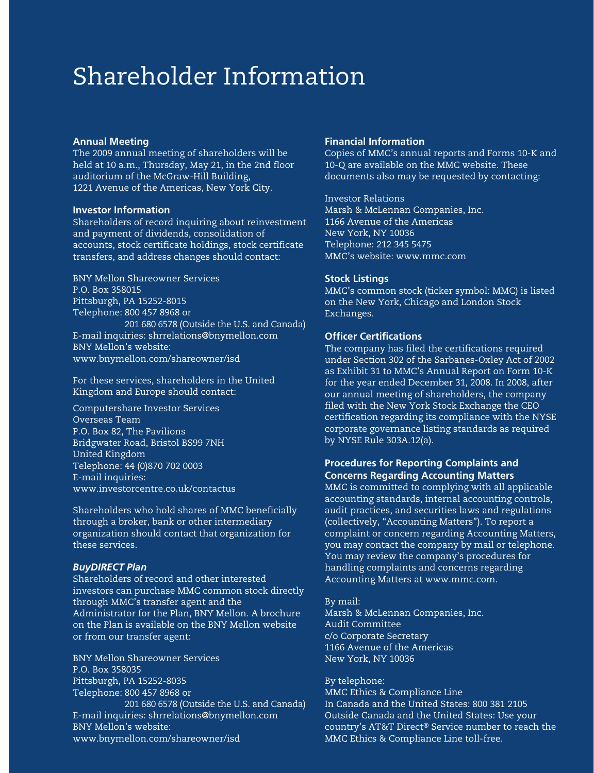## Shareholder Information

## **Annual Meeting**

The 2009 annual meeting of shareholders will be held at 10 a.m., Thursday, May 21, in the 2nd floor auditorium of the McGraw-Hill Building, 1221 Avenue of the Americas, New York City.

## **Investor Information**

Shareholders of record inquiring about reinvestment and payment of dividends, consolidation of accounts, stock certificate holdings, stock certificate transfers, and address changes should contact:

BNY Mellon Shareowner Services P.O. Box 358015 Pittsburgh, PA 15252-8015 Telephone: 800 457 8968 or 201 680 6578 (Outside the U.S. and Canada) E-mail inquiries: shrrelations@bnymellon.com BNY Mellon's website: www.bnymellon.com/shareowner/isd

For these services, shareholders in the United Kingdom and Europe should contact:

Computershare Investor Services Overseas Team P.O. Box 82, The Pavilions Bridgwater Road, Bristol BS99 7NH United Kingdom Telephone: 44 (0)870 702 0003 E-mail inquiries: www.investorcentre.co.uk/contactus

Shareholders who hold shares of MMC beneficially through a broker, bank or other intermediary organization should contact that organization for these services.

## *BuyDIRECT Plan*

Shareholders of record and other interested investors can purchase MMC common stock directly through MMC's transfer agent and the Administrator for the Plan, BNY Mellon. A brochure on the Plan is available on the BNY Mellon website or from our transfer agent:

BNY Mellon Shareowner Services P.O. Box 358035 Pittsburgh, PA 15252-8035 Telephone: 800 457 8968 or 201 680 6578 (Outside the U.S. and Canada) E-mail inquiries: shrrelations@bnymellon.com BNY Mellon's website: www.bnymellon.com/shareowner/isd

## **Financial Information**

Copies of MMC's annual reports and Forms 10-K and 10-Q are available on the MMC website. These documents also may be requested by contacting:

Investor Relations Marsh & McLennan Companies, Inc. 1166 Avenue of the Americas New York, NY 10036 Telephone: 212 345 5475 MMC's website: www.mmc.com

## **Stock Listings**

MMC's common stock (ticker symbol: MMC) is listed on the New York, Chicago and London Stock Exchanges.

## **Officer Certifications**

The company has filed the certifications required under Section 302 of the Sarbanes-Oxley Act of 2002 as Exhibit 31 to MMC's Annual Report on Form 10-K for the year ended December 31, 2008. In 2008, after our annual meeting of shareholders, the company filed with the New York Stock Exchange the CEO certification regarding its compliance with the NYSE corporate governance listing standards as required by NYSE Rule 303A.12(a).

## **Procedures for Reporting Complaints and Concerns Regarding Accounting Matters**

MMC is committed to complying with all applicable accounting standards, internal accounting controls, audit practices, and securities laws and regulations (collectively, "Accounting Matters"). To report a complaint or concern regarding Accounting Matters, you may contact the company by mail or telephone. You may review the company's procedures for handling complaints and concerns regarding Accounting Matters at www.mmc.com.

By mail: Marsh & McLennan Companies, Inc. Audit Committee c/o Corporate Secretary 1166 Avenue of the Americas New York, NY 10036

By telephone: MMC Ethics & Compliance Line In Canada and the United States: 800 381 2105 Outside Canada and the United States: Use your country's AT&T Direct® Service number to reach the MMC Ethics & Compliance Line toll-free.